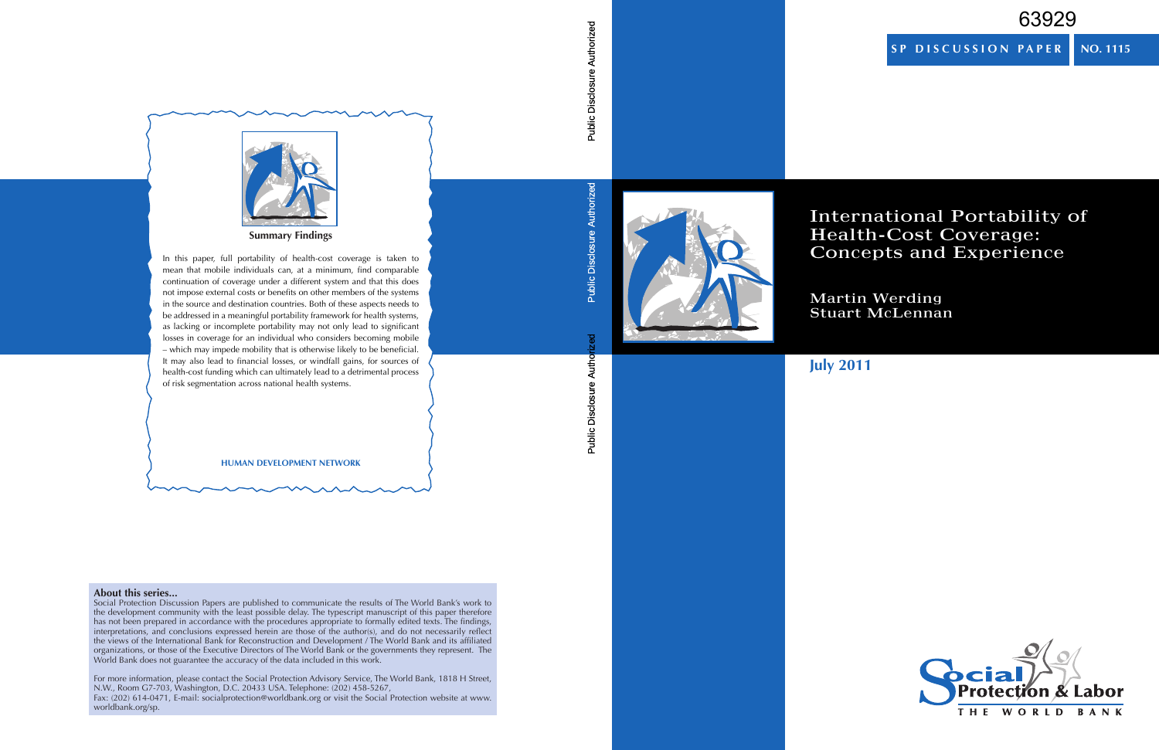# 63929

**SP DISCUSSION PAPER**

**NO. 1115**



International Portability of Health-Cost Coverage: Concepts and Experience

Martin Werding Stuart McLennan

# **July 2011**



Public Disclosure Authorized

**Public Disclosure Authorized**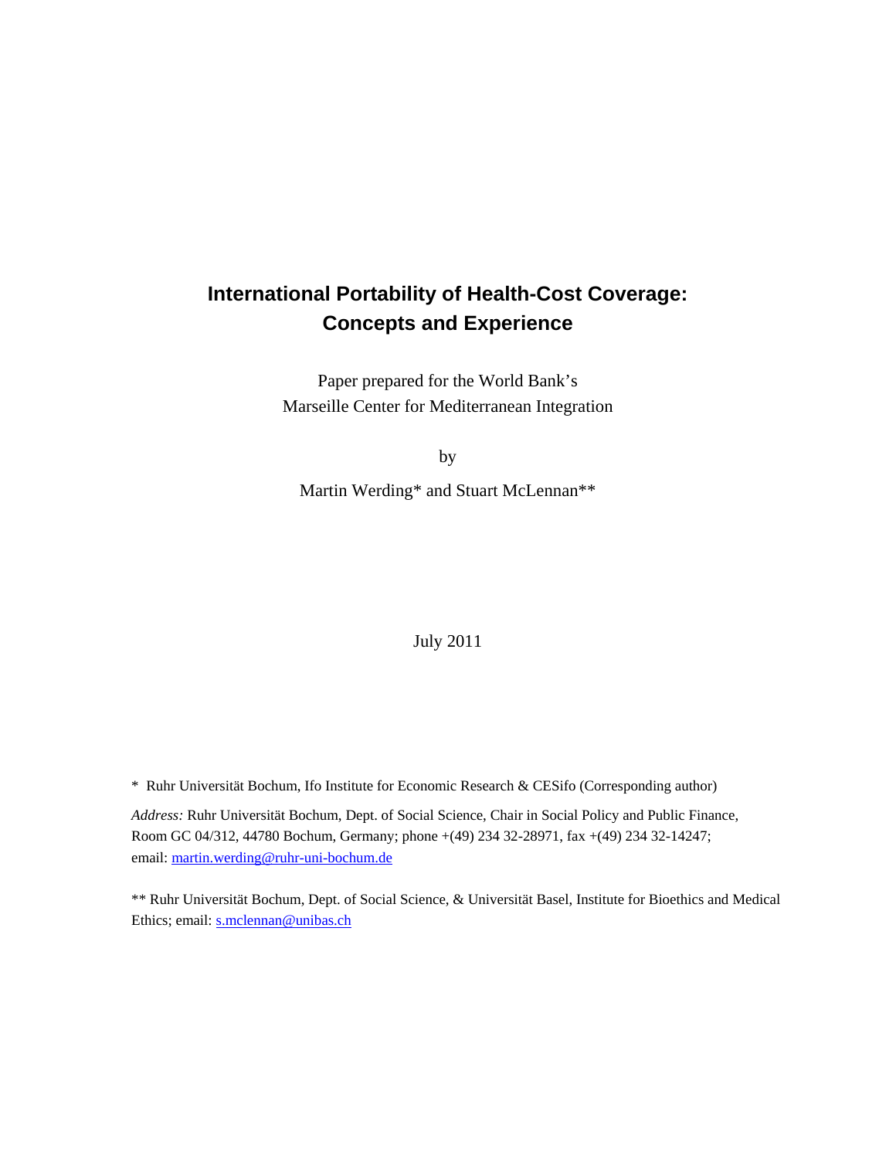# **International Portability of Health-Cost Coverage: Concepts and Experience**

Paper prepared for the World Bank's Marseille Center for Mediterranean Integration

by

Martin Werding\* and Stuart McLennan\*\*

July 2011

\* Ruhr Universität Bochum, Ifo Institute for Economic Research & CESifo (Corresponding author)

*Address:* Ruhr Universität Bochum, Dept. of Social Science, Chair in Social Policy and Public Finance, Room GC 04/312, 44780 Bochum, Germany; phone +(49) 234 32-28971, fax +(49) 234 32-14247; email: martin.werding@ruhr-uni-bochum.de

\*\* Ruhr Universität Bochum, Dept. of Social Science, & Universität Basel, Institute for Bioethics and Medical Ethics; email: s.mclennan@unibas.ch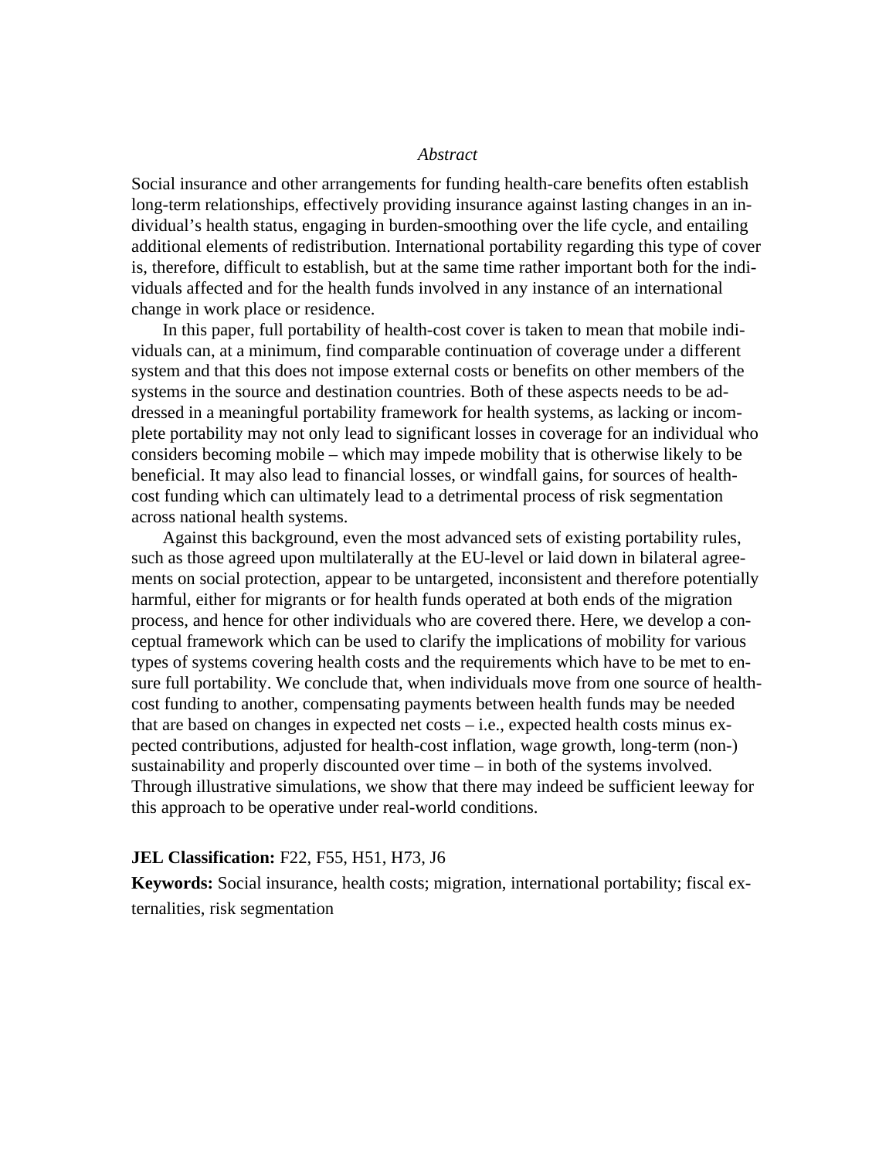#### *Abstract*

Social insurance and other arrangements for funding health-care benefits often establish long-term relationships, effectively providing insurance against lasting changes in an individual's health status, engaging in burden-smoothing over the life cycle, and entailing additional elements of redistribution. International portability regarding this type of cover is, therefore, difficult to establish, but at the same time rather important both for the individuals affected and for the health funds involved in any instance of an international change in work place or residence.

 In this paper, full portability of health-cost cover is taken to mean that mobile individuals can, at a minimum, find comparable continuation of coverage under a different system and that this does not impose external costs or benefits on other members of the systems in the source and destination countries. Both of these aspects needs to be addressed in a meaningful portability framework for health systems, as lacking or incomplete portability may not only lead to significant losses in coverage for an individual who considers becoming mobile – which may impede mobility that is otherwise likely to be beneficial. It may also lead to financial losses, or windfall gains, for sources of healthcost funding which can ultimately lead to a detrimental process of risk segmentation across national health systems.

 Against this background, even the most advanced sets of existing portability rules, such as those agreed upon multilaterally at the EU-level or laid down in bilateral agreements on social protection, appear to be untargeted, inconsistent and therefore potentially harmful, either for migrants or for health funds operated at both ends of the migration process, and hence for other individuals who are covered there. Here, we develop a conceptual framework which can be used to clarify the implications of mobility for various types of systems covering health costs and the requirements which have to be met to ensure full portability. We conclude that, when individuals move from one source of healthcost funding to another, compensating payments between health funds may be needed that are based on changes in expected net costs – i.e., expected health costs minus expected contributions, adjusted for health-cost inflation, wage growth, long-term (non-) sustainability and properly discounted over time – in both of the systems involved. Through illustrative simulations, we show that there may indeed be sufficient leeway for this approach to be operative under real-world conditions.

#### **JEL Classification:** F22, F55, H51, H73, J6

**Keywords:** Social insurance, health costs; migration, international portability; fiscal externalities, risk segmentation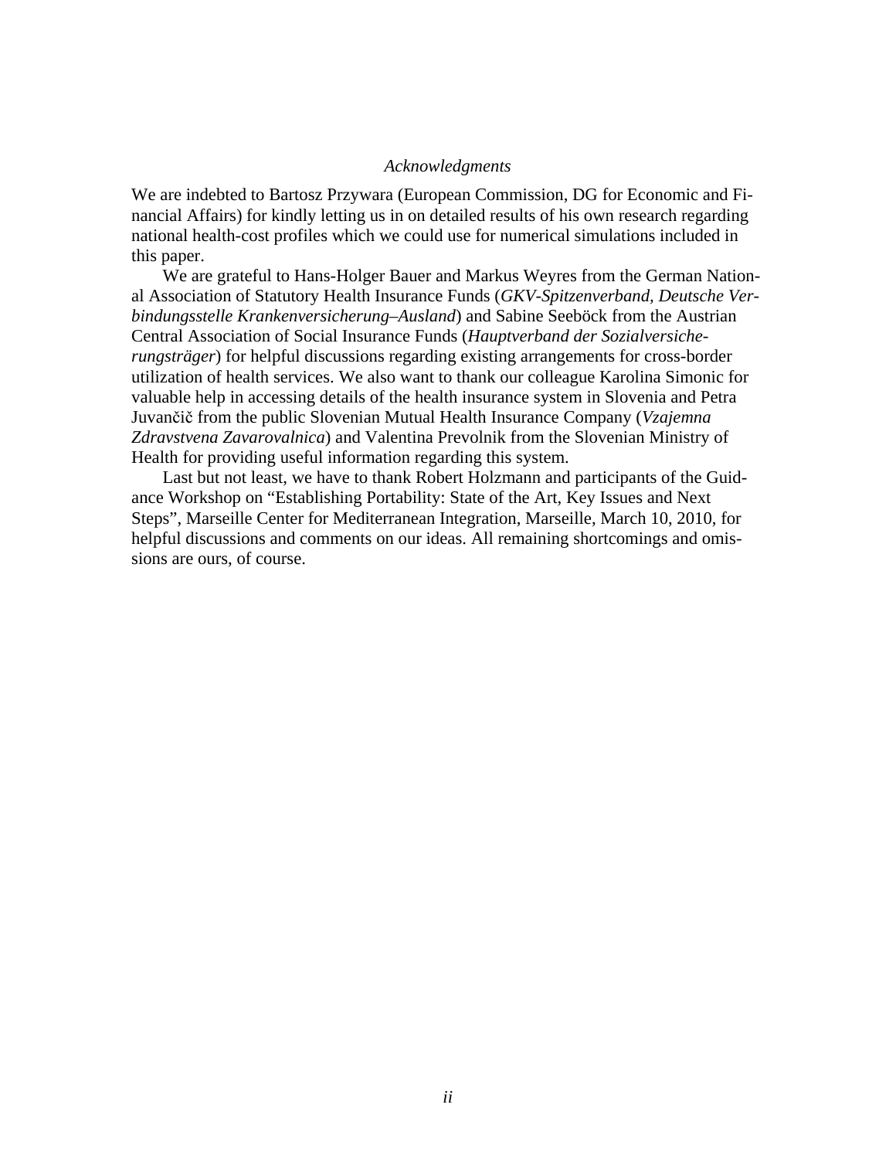#### *Acknowledgments*

We are indebted to Bartosz Przywara (European Commission, DG for Economic and Financial Affairs) for kindly letting us in on detailed results of his own research regarding national health-cost profiles which we could use for numerical simulations included in this paper.

 We are grateful to Hans-Holger Bauer and Markus Weyres from the German National Association of Statutory Health Insurance Funds (*GKV-Spitzenverband, Deutsche Verbindungsstelle Krankenversicherung–Ausland*) and Sabine Seeböck from the Austrian Central Association of Social Insurance Funds (*Hauptverband der Sozialversicherungsträger*) for helpful discussions regarding existing arrangements for cross-border utilization of health services. We also want to thank our colleague Karolina Simonic for valuable help in accessing details of the health insurance system in Slovenia and Petra Juvančič from the public Slovenian Mutual Health Insurance Company (*Vzajemna Zdravstvena Zavarovalnica*) and Valentina Prevolnik from the Slovenian Ministry of Health for providing useful information regarding this system.

 Last but not least, we have to thank Robert Holzmann and participants of the Guidance Workshop on "Establishing Portability: State of the Art, Key Issues and Next Steps", Marseille Center for Mediterranean Integration, Marseille, March 10, 2010, for helpful discussions and comments on our ideas. All remaining shortcomings and omissions are ours, of course.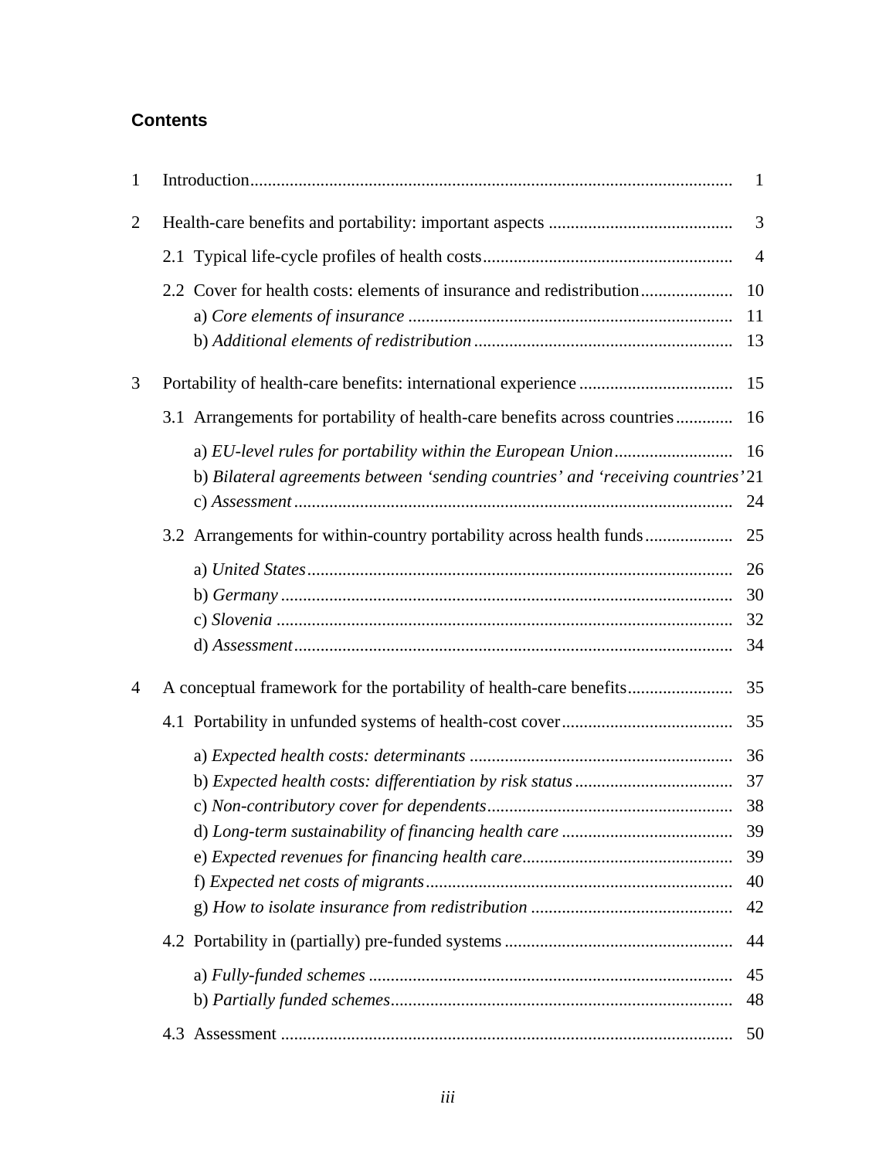# **Contents**

| 1              |                                                                                  | 1                                |
|----------------|----------------------------------------------------------------------------------|----------------------------------|
| $\overline{2}$ |                                                                                  | 3                                |
|                |                                                                                  | $\overline{4}$                   |
|                | 2.2 Cover for health costs: elements of insurance and redistribution             | 10<br>11<br>13                   |
| 3              |                                                                                  | 15                               |
|                | 3.1 Arrangements for portability of health-care benefits across countries        | 16                               |
|                | b) Bilateral agreements between 'sending countries' and 'receiving countries' 21 | 24                               |
|                | 3.2 Arrangements for within-country portability across health funds              | 25                               |
|                |                                                                                  | 26<br>30<br>32<br>34             |
| 4              |                                                                                  | 35                               |
|                |                                                                                  | 35                               |
|                |                                                                                  | 36<br>37<br>39<br>39<br>40<br>42 |
|                |                                                                                  | 44                               |
|                |                                                                                  | 45<br>48                         |
|                |                                                                                  | 50                               |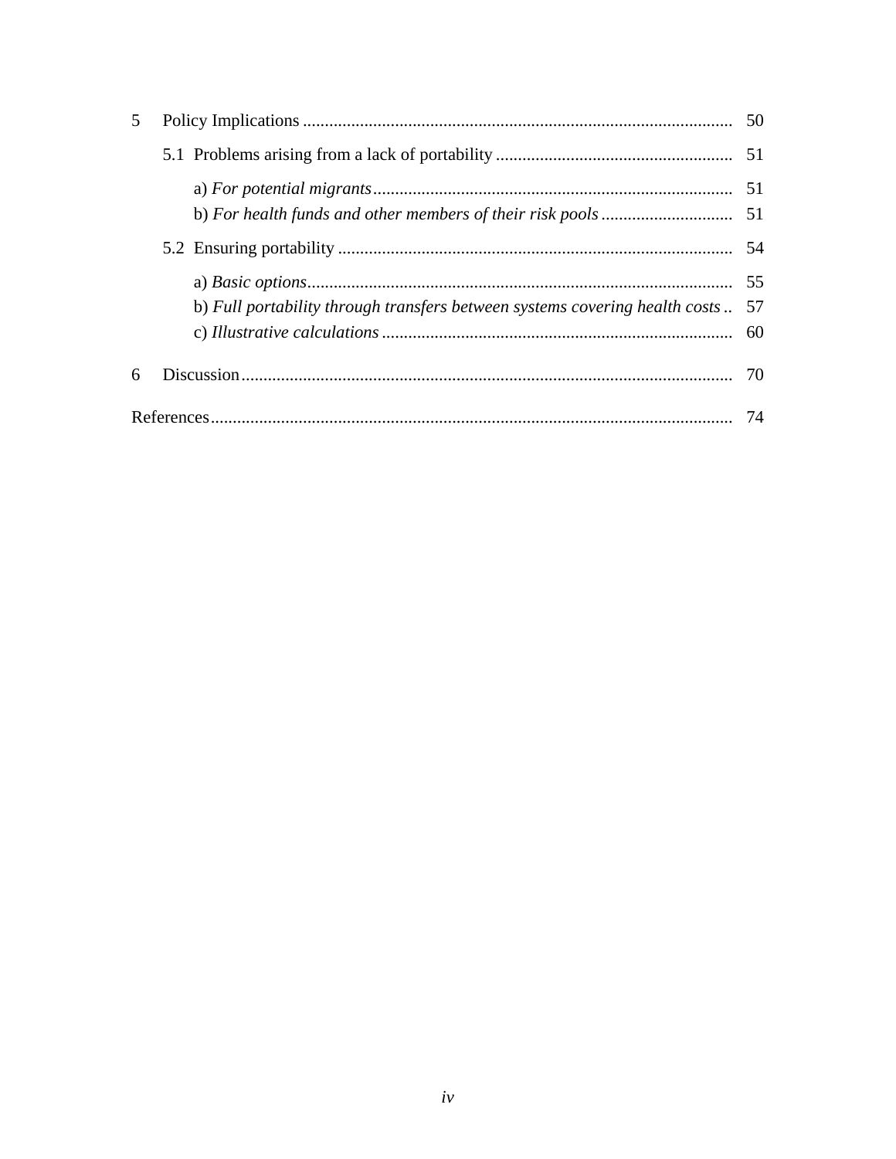| 5 |                                                                                |    |
|---|--------------------------------------------------------------------------------|----|
|   |                                                                                |    |
|   |                                                                                |    |
|   |                                                                                |    |
|   | b) Full portability through transfers between systems covering health costs 57 | 55 |
| 6 |                                                                                |    |
|   |                                                                                |    |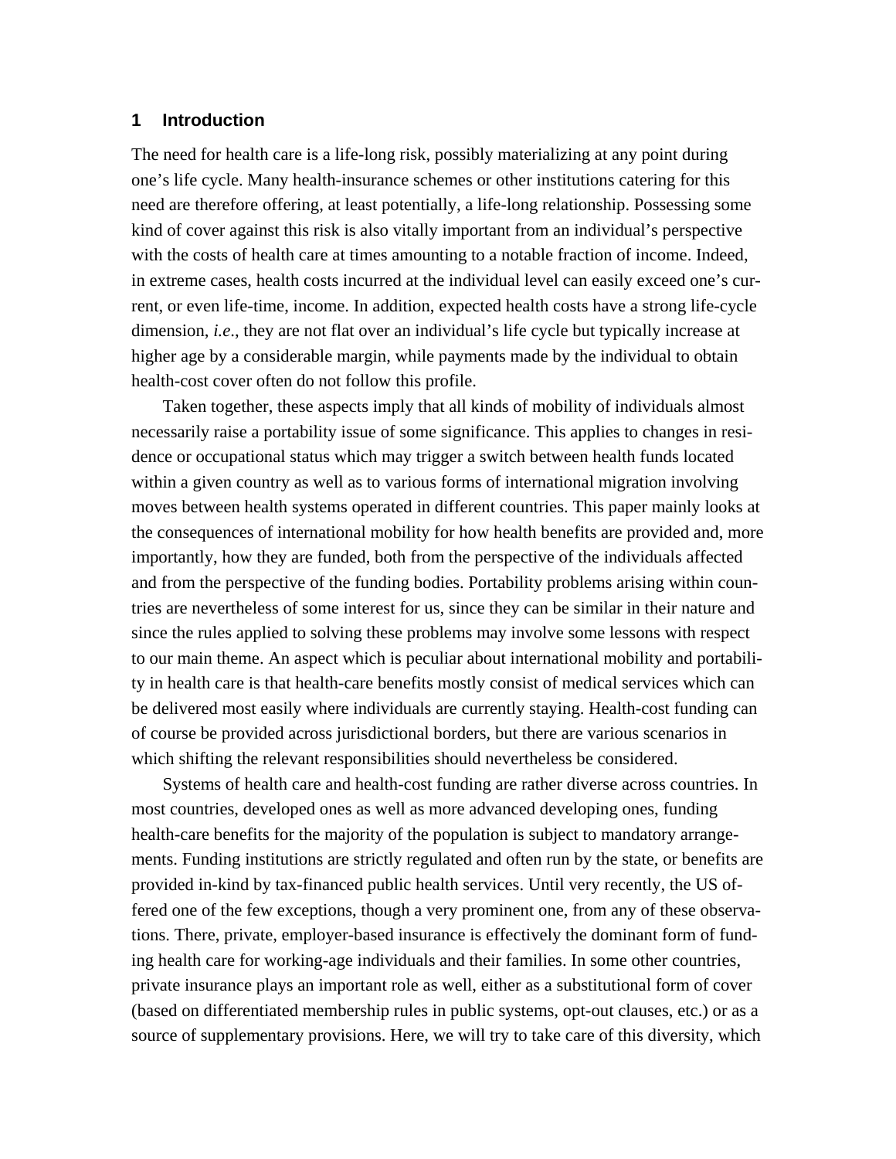# **1 Introduction**

The need for health care is a life-long risk, possibly materializing at any point during one's life cycle. Many health-insurance schemes or other institutions catering for this need are therefore offering, at least potentially, a life-long relationship. Possessing some kind of cover against this risk is also vitally important from an individual's perspective with the costs of health care at times amounting to a notable fraction of income. Indeed, in extreme cases, health costs incurred at the individual level can easily exceed one's current, or even life-time, income. In addition, expected health costs have a strong life-cycle dimension, *i.e*., they are not flat over an individual's life cycle but typically increase at higher age by a considerable margin, while payments made by the individual to obtain health-cost cover often do not follow this profile.

 Taken together, these aspects imply that all kinds of mobility of individuals almost necessarily raise a portability issue of some significance. This applies to changes in residence or occupational status which may trigger a switch between health funds located within a given country as well as to various forms of international migration involving moves between health systems operated in different countries. This paper mainly looks at the consequences of international mobility for how health benefits are provided and, more importantly, how they are funded, both from the perspective of the individuals affected and from the perspective of the funding bodies. Portability problems arising within countries are nevertheless of some interest for us, since they can be similar in their nature and since the rules applied to solving these problems may involve some lessons with respect to our main theme. An aspect which is peculiar about international mobility and portability in health care is that health-care benefits mostly consist of medical services which can be delivered most easily where individuals are currently staying. Health-cost funding can of course be provided across jurisdictional borders, but there are various scenarios in which shifting the relevant responsibilities should nevertheless be considered.

 Systems of health care and health-cost funding are rather diverse across countries. In most countries, developed ones as well as more advanced developing ones, funding health-care benefits for the majority of the population is subject to mandatory arrangements. Funding institutions are strictly regulated and often run by the state, or benefits are provided in-kind by tax-financed public health services. Until very recently, the US offered one of the few exceptions, though a very prominent one, from any of these observations. There, private, employer-based insurance is effectively the dominant form of funding health care for working-age individuals and their families. In some other countries, private insurance plays an important role as well, either as a substitutional form of cover (based on differentiated membership rules in public systems, opt-out clauses, etc.) or as a source of supplementary provisions. Here, we will try to take care of this diversity, which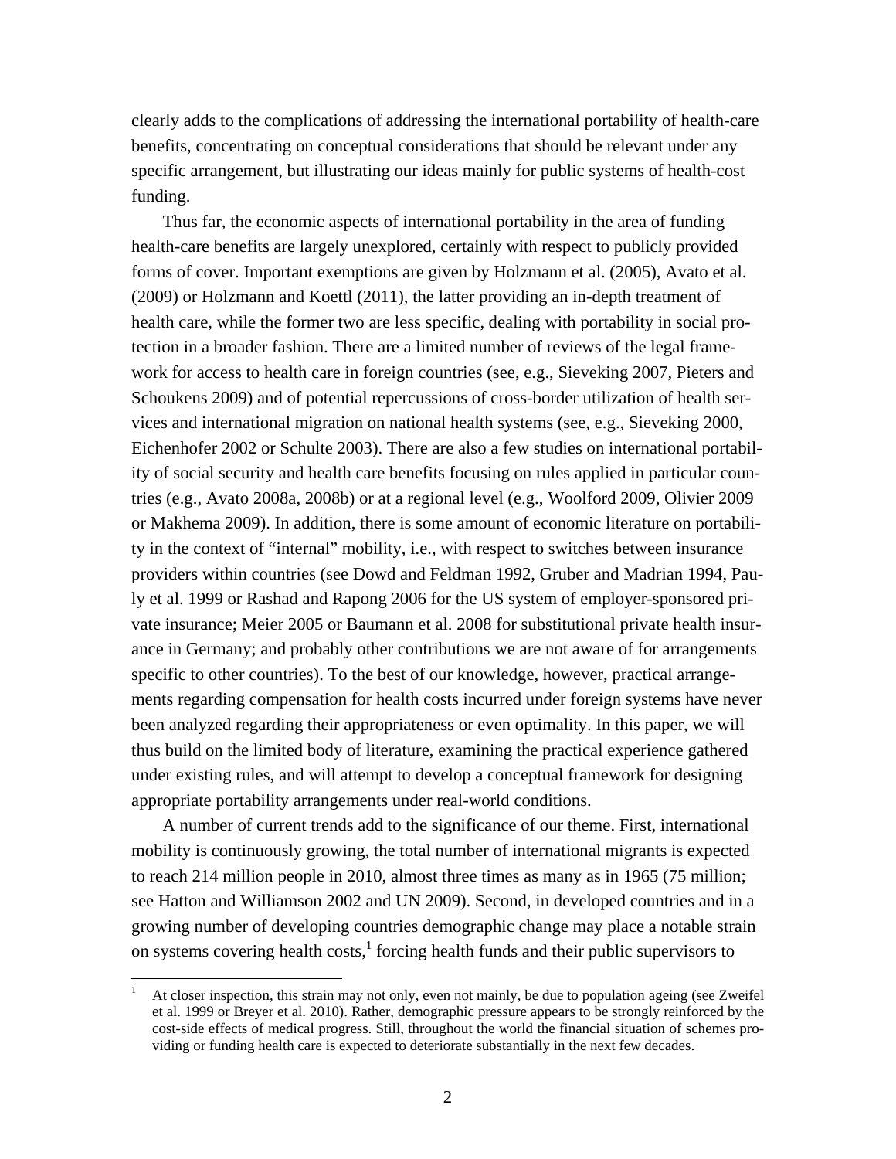clearly adds to the complications of addressing the international portability of health-care benefits, concentrating on conceptual considerations that should be relevant under any specific arrangement, but illustrating our ideas mainly for public systems of health-cost funding.

 Thus far, the economic aspects of international portability in the area of funding health-care benefits are largely unexplored, certainly with respect to publicly provided forms of cover. Important exemptions are given by Holzmann et al. (2005), Avato et al. (2009) or Holzmann and Koettl (2011), the latter providing an in-depth treatment of health care, while the former two are less specific, dealing with portability in social protection in a broader fashion. There are a limited number of reviews of the legal framework for access to health care in foreign countries (see, e.g., Sieveking 2007, Pieters and Schoukens 2009) and of potential repercussions of cross-border utilization of health services and international migration on national health systems (see, e.g., Sieveking 2000, Eichenhofer 2002 or Schulte 2003). There are also a few studies on international portability of social security and health care benefits focusing on rules applied in particular countries (e.g., Avato 2008a, 2008b) or at a regional level (e.g., Woolford 2009, Olivier 2009 or Makhema 2009). In addition, there is some amount of economic literature on portability in the context of "internal" mobility, i.e., with respect to switches between insurance providers within countries (see Dowd and Feldman 1992, Gruber and Madrian 1994, Pauly et al. 1999 or Rashad and Rapong 2006 for the US system of employer-sponsored private insurance; Meier 2005 or Baumann et al. 2008 for substitutional private health insurance in Germany; and probably other contributions we are not aware of for arrangements specific to other countries). To the best of our knowledge, however, practical arrangements regarding compensation for health costs incurred under foreign systems have never been analyzed regarding their appropriateness or even optimality. In this paper, we will thus build on the limited body of literature, examining the practical experience gathered under existing rules, and will attempt to develop a conceptual framework for designing appropriate portability arrangements under real-world conditions.

 A number of current trends add to the significance of our theme. First, international mobility is continuously growing, the total number of international migrants is expected to reach 214 million people in 2010, almost three times as many as in 1965 (75 million; see Hatton and Williamson 2002 and UN 2009). Second, in developed countries and in a growing number of developing countries demographic change may place a notable strain on systems covering health costs, $<sup>1</sup>$  forcing health funds and their public supervisors to</sup>

<sup>1</sup> At closer inspection, this strain may not only, even not mainly, be due to population ageing (see Zweifel et al. 1999 or Breyer et al. 2010). Rather, demographic pressure appears to be strongly reinforced by the cost-side effects of medical progress. Still, throughout the world the financial situation of schemes providing or funding health care is expected to deteriorate substantially in the next few decades.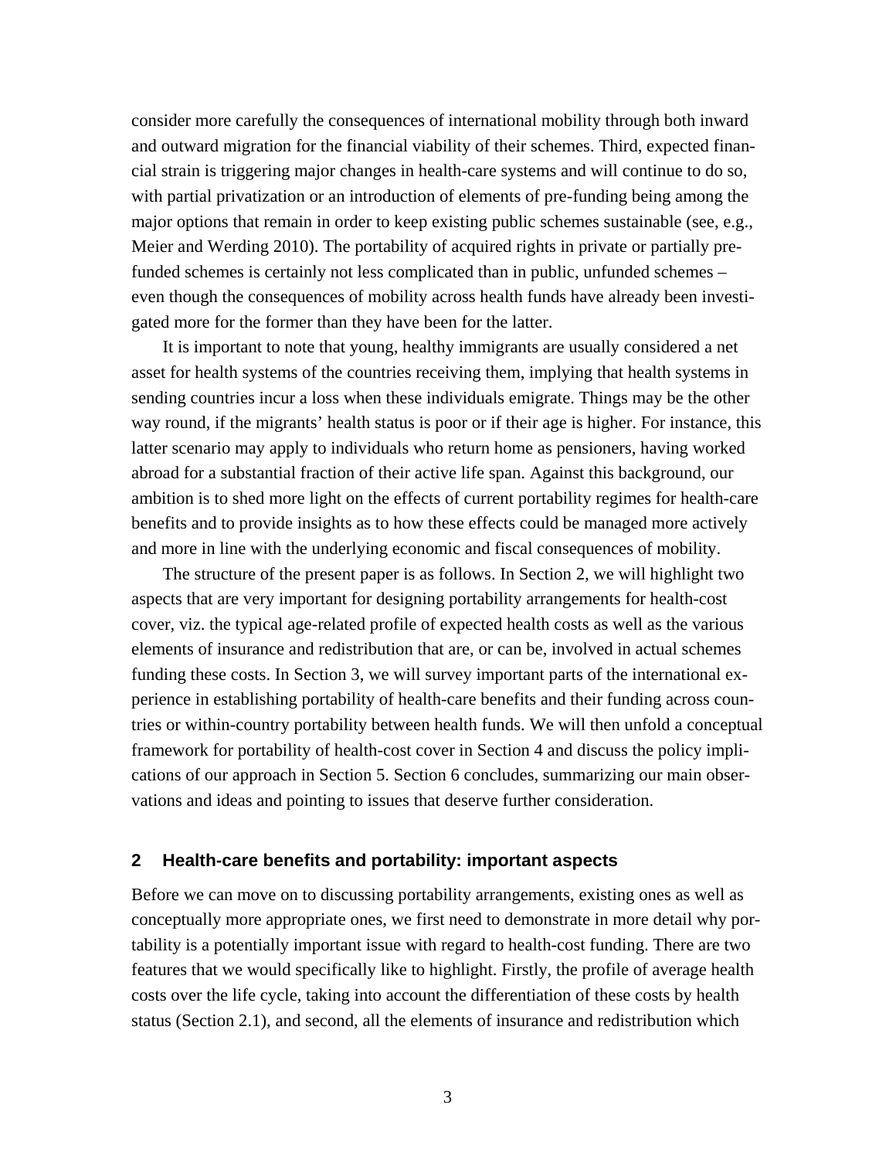consider more carefully the consequences of international mobility through both inward and outward migration for the financial viability of their schemes. Third, expected financial strain is triggering major changes in health-care systems and will continue to do so, with partial privatization or an introduction of elements of pre-funding being among the major options that remain in order to keep existing public schemes sustainable (see, e.g., Meier and Werding 2010). The portability of acquired rights in private or partially prefunded schemes is certainly not less complicated than in public, unfunded schemes – even though the consequences of mobility across health funds have already been investigated more for the former than they have been for the latter.

 It is important to note that young, healthy immigrants are usually considered a net asset for health systems of the countries receiving them, implying that health systems in sending countries incur a loss when these individuals emigrate. Things may be the other way round, if the migrants' health status is poor or if their age is higher. For instance, this latter scenario may apply to individuals who return home as pensioners, having worked abroad for a substantial fraction of their active life span. Against this background, our ambition is to shed more light on the effects of current portability regimes for health-care benefits and to provide insights as to how these effects could be managed more actively and more in line with the underlying economic and fiscal consequences of mobility.

 The structure of the present paper is as follows. In Section 2, we will highlight two aspects that are very important for designing portability arrangements for health-cost cover, viz. the typical age-related profile of expected health costs as well as the various elements of insurance and redistribution that are, or can be, involved in actual schemes funding these costs. In Section 3, we will survey important parts of the international experience in establishing portability of health-care benefits and their funding across countries or within-country portability between health funds. We will then unfold a conceptual framework for portability of health-cost cover in Section 4 and discuss the policy implications of our approach in Section 5. Section 6 concludes, summarizing our main observations and ideas and pointing to issues that deserve further consideration.

#### **2 Health-care benefits and portability: important aspects**

Before we can move on to discussing portability arrangements, existing ones as well as conceptually more appropriate ones, we first need to demonstrate in more detail why portability is a potentially important issue with regard to health-cost funding. There are two features that we would specifically like to highlight. Firstly, the profile of average health costs over the life cycle, taking into account the differentiation of these costs by health status (Section 2.1), and second, all the elements of insurance and redistribution which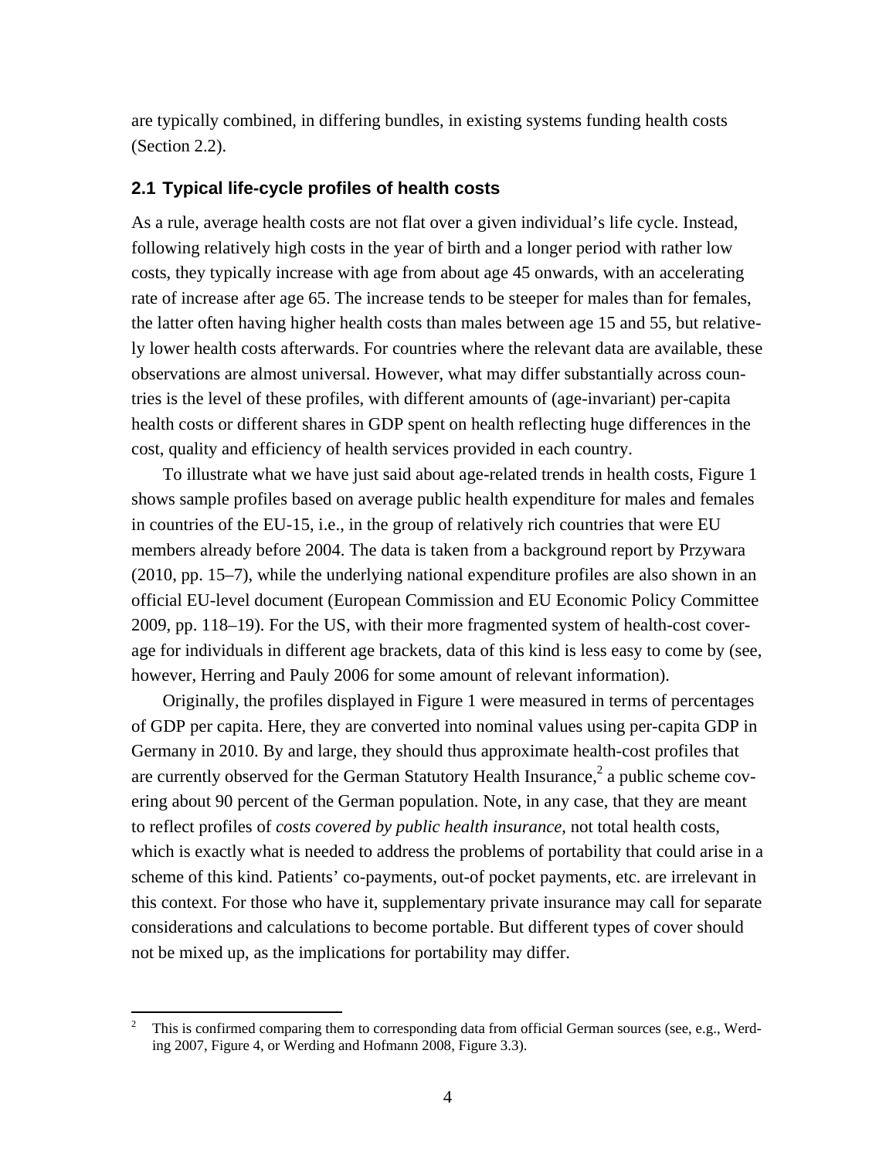are typically combined, in differing bundles, in existing systems funding health costs (Section 2.2).

# **2.1 Typical life-cycle profiles of health costs**

As a rule, average health costs are not flat over a given individual's life cycle. Instead, following relatively high costs in the year of birth and a longer period with rather low costs, they typically increase with age from about age 45 onwards, with an accelerating rate of increase after age 65. The increase tends to be steeper for males than for females, the latter often having higher health costs than males between age 15 and 55, but relatively lower health costs afterwards. For countries where the relevant data are available, these observations are almost universal. However, what may differ substantially across countries is the level of these profiles, with different amounts of (age-invariant) per-capita health costs or different shares in GDP spent on health reflecting huge differences in the cost, quality and efficiency of health services provided in each country.

 To illustrate what we have just said about age-related trends in health costs, Figure 1 shows sample profiles based on average public health expenditure for males and females in countries of the EU-15, i.e., in the group of relatively rich countries that were EU members already before 2004. The data is taken from a background report by Przywara (2010, pp. 15–7), while the underlying national expenditure profiles are also shown in an official EU-level document (European Commission and EU Economic Policy Committee 2009, pp. 118–19). For the US, with their more fragmented system of health-cost coverage for individuals in different age brackets, data of this kind is less easy to come by (see, however, Herring and Pauly 2006 for some amount of relevant information).

 Originally, the profiles displayed in Figure 1 were measured in terms of percentages of GDP per capita. Here, they are converted into nominal values using per-capita GDP in Germany in 2010. By and large, they should thus approximate health-cost profiles that are currently observed for the German Statutory Health Insurance,<sup>2</sup> a public scheme covering about 90 percent of the German population. Note, in any case, that they are meant to reflect profiles of *costs covered by public health insurance*, not total health costs, which is exactly what is needed to address the problems of portability that could arise in a scheme of this kind. Patients' co-payments, out-of pocket payments, etc. are irrelevant in this context. For those who have it, supplementary private insurance may call for separate considerations and calculations to become portable. But different types of cover should not be mixed up, as the implications for portability may differ.

<sup>2</sup> This is confirmed comparing them to corresponding data from official German sources (see, e.g., Werding 2007, Figure 4, or Werding and Hofmann 2008, Figure 3.3).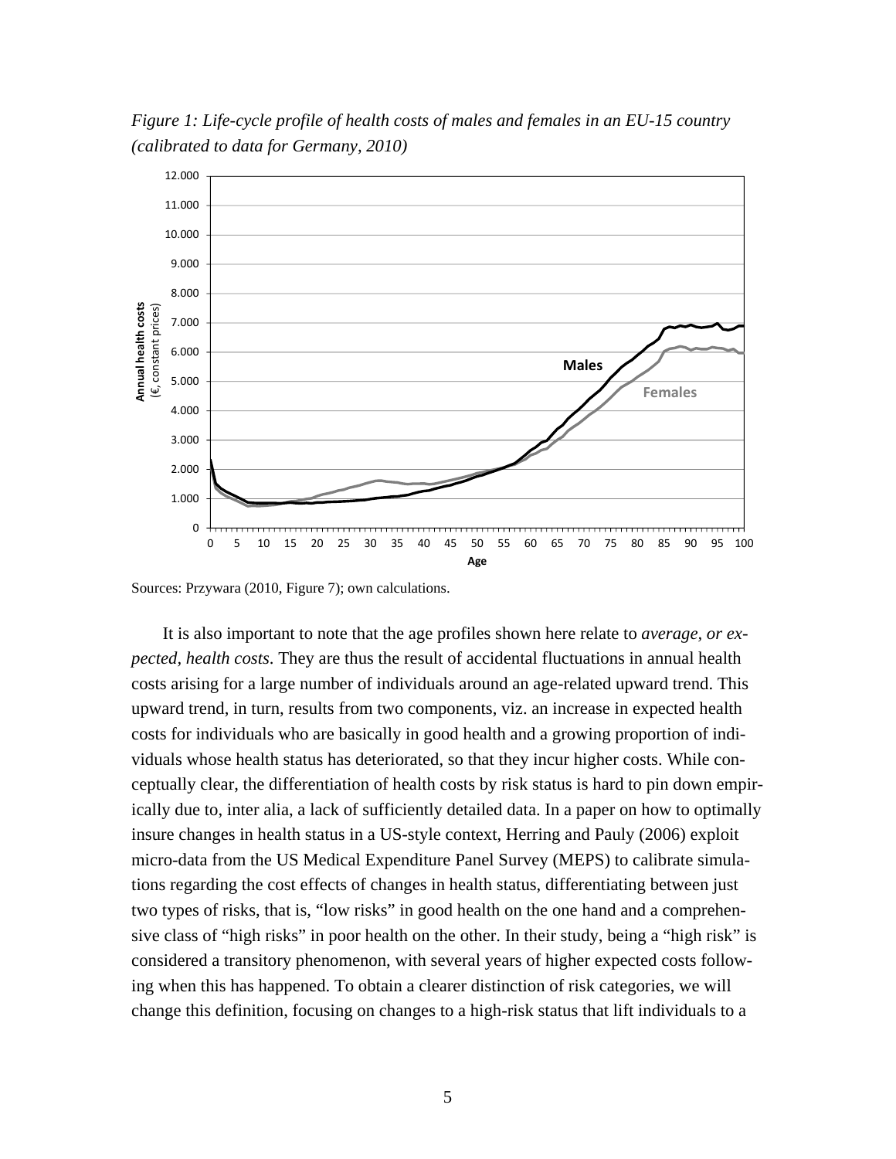*Figure 1: Life-cycle profile of health costs of males and females in an EU-15 country (calibrated to data for Germany, 2010)* 



Sources: Przywara (2010, Figure 7); own calculations.

 It is also important to note that the age profiles shown here relate to *average, or expected, health costs*. They are thus the result of accidental fluctuations in annual health costs arising for a large number of individuals around an age-related upward trend. This upward trend, in turn, results from two components, viz. an increase in expected health costs for individuals who are basically in good health and a growing proportion of individuals whose health status has deteriorated, so that they incur higher costs. While conceptually clear, the differentiation of health costs by risk status is hard to pin down empirically due to, inter alia, a lack of sufficiently detailed data. In a paper on how to optimally insure changes in health status in a US-style context, Herring and Pauly (2006) exploit micro-data from the US Medical Expenditure Panel Survey (MEPS) to calibrate simulations regarding the cost effects of changes in health status, differentiating between just two types of risks, that is, "low risks" in good health on the one hand and a comprehensive class of "high risks" in poor health on the other. In their study, being a "high risk" is considered a transitory phenomenon, with several years of higher expected costs following when this has happened. To obtain a clearer distinction of risk categories, we will change this definition, focusing on changes to a high-risk status that lift individuals to a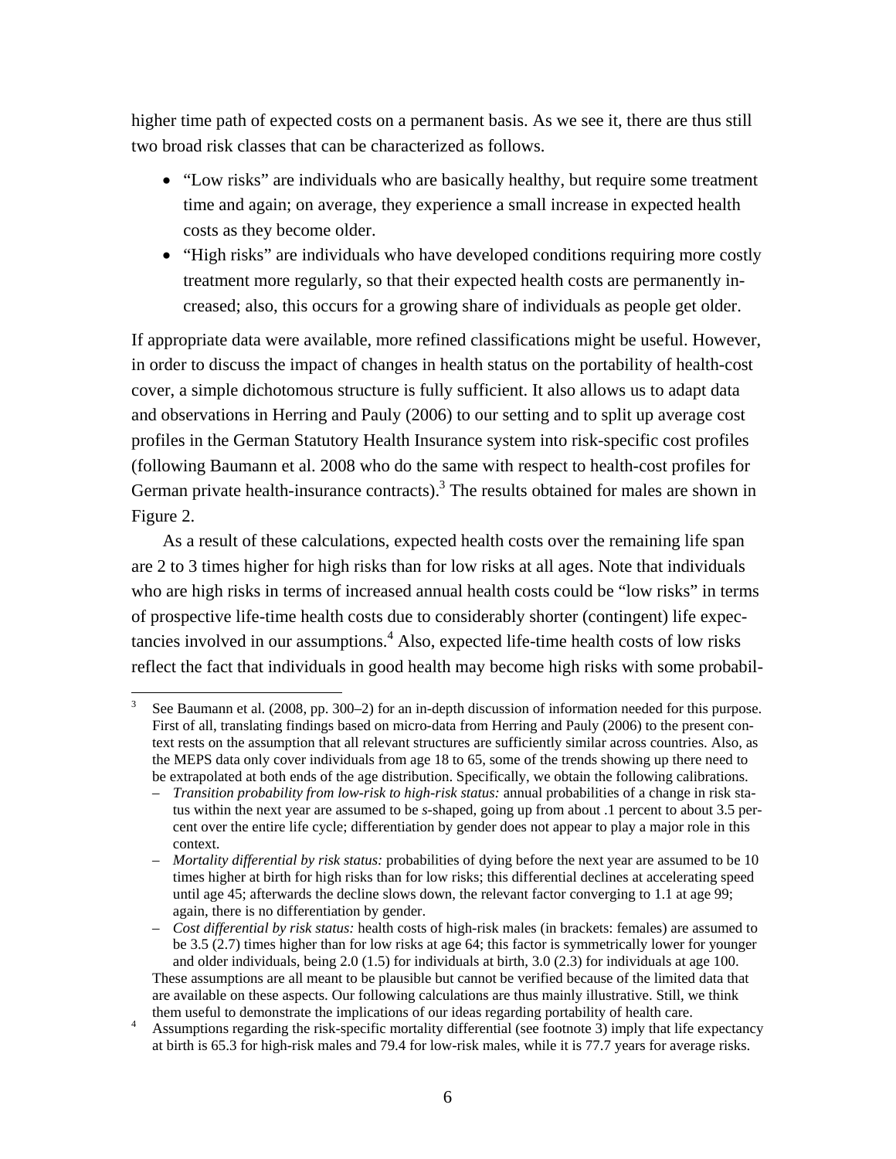higher time path of expected costs on a permanent basis. As we see it, there are thus still two broad risk classes that can be characterized as follows.

- "Low risks" are individuals who are basically healthy, but require some treatment time and again; on average, they experience a small increase in expected health costs as they become older.
- "High risks" are individuals who have developed conditions requiring more costly treatment more regularly, so that their expected health costs are permanently increased; also, this occurs for a growing share of individuals as people get older.

If appropriate data were available, more refined classifications might be useful. However, in order to discuss the impact of changes in health status on the portability of health-cost cover, a simple dichotomous structure is fully sufficient. It also allows us to adapt data and observations in Herring and Pauly (2006) to our setting and to split up average cost profiles in the German Statutory Health Insurance system into risk-specific cost profiles (following Baumann et al. 2008 who do the same with respect to health-cost profiles for German private health-insurance contracts).<sup>3</sup> The results obtained for males are shown in Figure 2.

 As a result of these calculations, expected health costs over the remaining life span are 2 to 3 times higher for high risks than for low risks at all ages. Note that individuals who are high risks in terms of increased annual health costs could be "low risks" in terms of prospective life-time health costs due to considerably shorter (contingent) life expectancies involved in our assumptions.<sup>4</sup> Also, expected life-time health costs of low risks reflect the fact that individuals in good health may become high risks with some probabil-

 3 See Baumann et al. (2008, pp. 300–2) for an in-depth discussion of information needed for this purpose. First of all, translating findings based on micro-data from Herring and Pauly (2006) to the present context rests on the assumption that all relevant structures are sufficiently similar across countries. Also, as the MEPS data only cover individuals from age 18 to 65, some of the trends showing up there need to be extrapolated at both ends of the age distribution. Specifically, we obtain the following calibrations.

<sup>–</sup> *Transition probability from low-risk to high-risk status:* annual probabilities of a change in risk status within the next year are assumed to be *s*-shaped, going up from about .1 percent to about 3.5 percent over the entire life cycle; differentiation by gender does not appear to play a major role in this context.

<sup>–</sup> *Mortality differential by risk status:* probabilities of dying before the next year are assumed to be 10 times higher at birth for high risks than for low risks; this differential declines at accelerating speed until age 45; afterwards the decline slows down, the relevant factor converging to 1.1 at age 99; again, there is no differentiation by gender.

<sup>–</sup> *Cost differential by risk status:* health costs of high-risk males (in brackets: females) are assumed to be 3.5 (2.7) times higher than for low risks at age 64; this factor is symmetrically lower for younger and older individuals, being 2.0 (1.5) for individuals at birth, 3.0 (2.3) for individuals at age 100. These assumptions are all meant to be plausible but cannot be verified because of the limited data that are available on these aspects. Our following calculations are thus mainly illustrative. Still, we think them useful to demonstrate the implications of our ideas regarding portability of health care. 4

Assumptions regarding the risk-specific mortality differential (see footnote 3) imply that life expectancy at birth is 65.3 for high-risk males and 79.4 for low-risk males, while it is 77.7 years for average risks.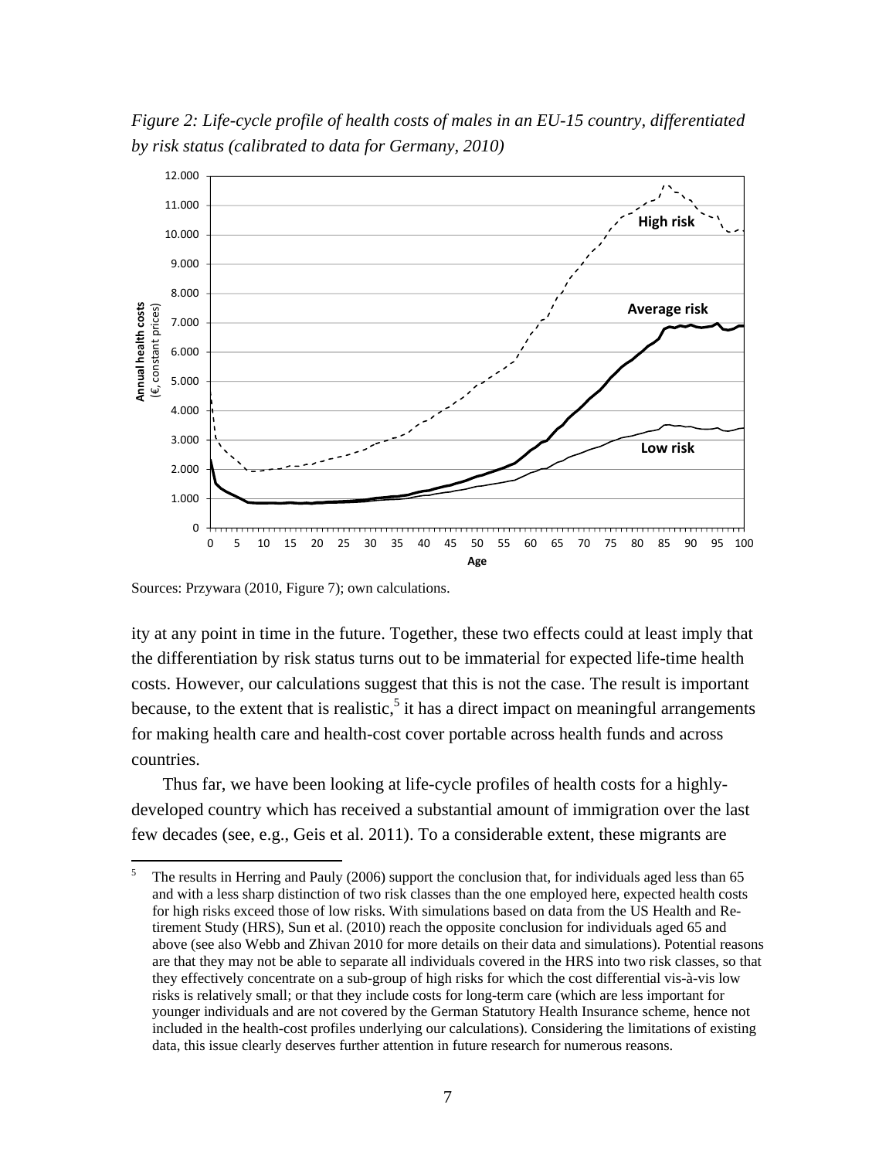*Figure 2: Life-cycle profile of health costs of males in an EU-15 country, differentiated by risk status (calibrated to data for Germany, 2010)* 



Sources: Przywara (2010, Figure 7); own calculations.

ity at any point in time in the future. Together, these two effects could at least imply that the differentiation by risk status turns out to be immaterial for expected life-time health costs. However, our calculations suggest that this is not the case. The result is important because, to the extent that is realistic,  $5$  it has a direct impact on meaningful arrangements for making health care and health-cost cover portable across health funds and across countries.

 Thus far, we have been looking at life-cycle profiles of health costs for a highlydeveloped country which has received a substantial amount of immigration over the last few decades (see, e.g., Geis et al. 2011). To a considerable extent, these migrants are

<sup>5</sup> The results in Herring and Pauly (2006) support the conclusion that, for individuals aged less than 65 and with a less sharp distinction of two risk classes than the one employed here, expected health costs for high risks exceed those of low risks. With simulations based on data from the US Health and Retirement Study (HRS), Sun et al. (2010) reach the opposite conclusion for individuals aged 65 and above (see also Webb and Zhivan 2010 for more details on their data and simulations). Potential reasons are that they may not be able to separate all individuals covered in the HRS into two risk classes, so that they effectively concentrate on a sub-group of high risks for which the cost differential vis-à-vis low risks is relatively small; or that they include costs for long-term care (which are less important for younger individuals and are not covered by the German Statutory Health Insurance scheme, hence not included in the health-cost profiles underlying our calculations). Considering the limitations of existing data, this issue clearly deserves further attention in future research for numerous reasons.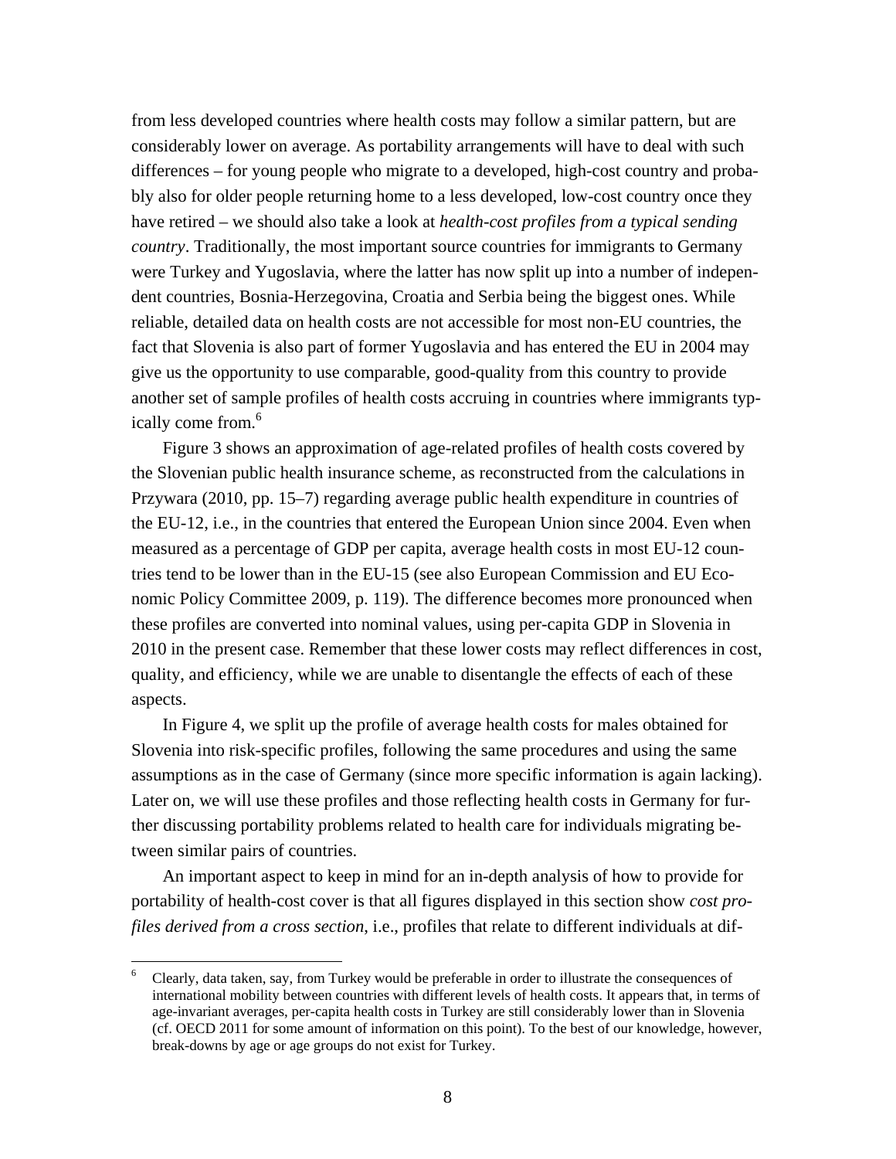from less developed countries where health costs may follow a similar pattern, but are considerably lower on average. As portability arrangements will have to deal with such differences – for young people who migrate to a developed, high-cost country and probably also for older people returning home to a less developed, low-cost country once they have retired – we should also take a look at *health-cost profiles from a typical sending country*. Traditionally, the most important source countries for immigrants to Germany were Turkey and Yugoslavia, where the latter has now split up into a number of independent countries, Bosnia-Herzegovina, Croatia and Serbia being the biggest ones. While reliable, detailed data on health costs are not accessible for most non-EU countries, the fact that Slovenia is also part of former Yugoslavia and has entered the EU in 2004 may give us the opportunity to use comparable, good-quality from this country to provide another set of sample profiles of health costs accruing in countries where immigrants typically come from.<sup>6</sup>

 Figure 3 shows an approximation of age-related profiles of health costs covered by the Slovenian public health insurance scheme, as reconstructed from the calculations in Przywara (2010, pp. 15–7) regarding average public health expenditure in countries of the EU-12, i.e., in the countries that entered the European Union since 2004. Even when measured as a percentage of GDP per capita, average health costs in most EU-12 countries tend to be lower than in the EU-15 (see also European Commission and EU Economic Policy Committee 2009, p. 119). The difference becomes more pronounced when these profiles are converted into nominal values, using per-capita GDP in Slovenia in 2010 in the present case. Remember that these lower costs may reflect differences in cost, quality, and efficiency, while we are unable to disentangle the effects of each of these aspects.

 In Figure 4, we split up the profile of average health costs for males obtained for Slovenia into risk-specific profiles, following the same procedures and using the same assumptions as in the case of Germany (since more specific information is again lacking). Later on, we will use these profiles and those reflecting health costs in Germany for further discussing portability problems related to health care for individuals migrating between similar pairs of countries.

 An important aspect to keep in mind for an in-depth analysis of how to provide for portability of health-cost cover is that all figures displayed in this section show *cost profiles derived from a cross section*, i.e., profiles that relate to different individuals at dif-

<sup>6</sup> Clearly, data taken, say, from Turkey would be preferable in order to illustrate the consequences of international mobility between countries with different levels of health costs. It appears that, in terms of age-invariant averages, per-capita health costs in Turkey are still considerably lower than in Slovenia (cf. OECD 2011 for some amount of information on this point). To the best of our knowledge, however, break-downs by age or age groups do not exist for Turkey.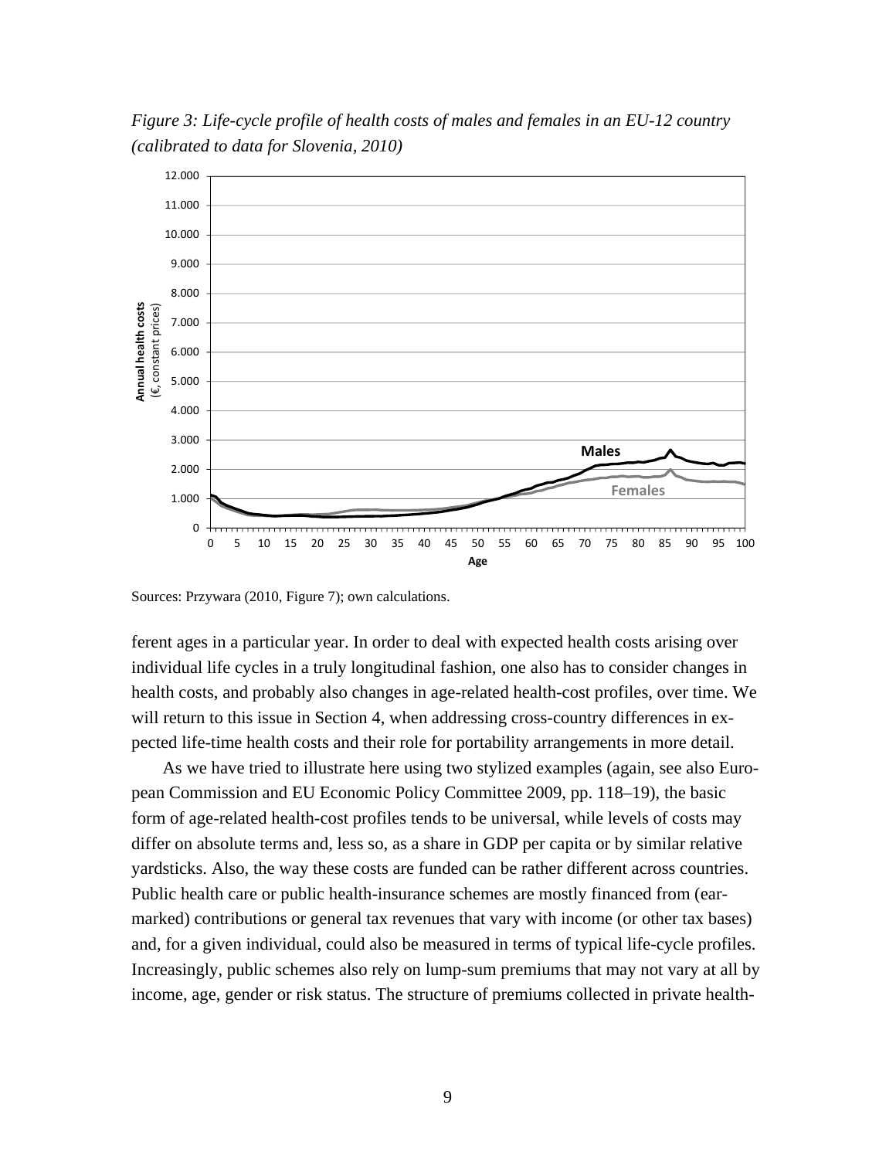*Figure 3: Life-cycle profile of health costs of males and females in an EU-12 country (calibrated to data for Slovenia, 2010)* 



Sources: Przywara (2010, Figure 7); own calculations.

ferent ages in a particular year. In order to deal with expected health costs arising over individual life cycles in a truly longitudinal fashion, one also has to consider changes in health costs, and probably also changes in age-related health-cost profiles, over time. We will return to this issue in Section 4, when addressing cross-country differences in expected life-time health costs and their role for portability arrangements in more detail.

 As we have tried to illustrate here using two stylized examples (again, see also European Commission and EU Economic Policy Committee 2009, pp. 118–19), the basic form of age-related health-cost profiles tends to be universal, while levels of costs may differ on absolute terms and, less so, as a share in GDP per capita or by similar relative yardsticks. Also, the way these costs are funded can be rather different across countries. Public health care or public health-insurance schemes are mostly financed from (earmarked) contributions or general tax revenues that vary with income (or other tax bases) and, for a given individual, could also be measured in terms of typical life-cycle profiles. Increasingly, public schemes also rely on lump-sum premiums that may not vary at all by income, age, gender or risk status. The structure of premiums collected in private health-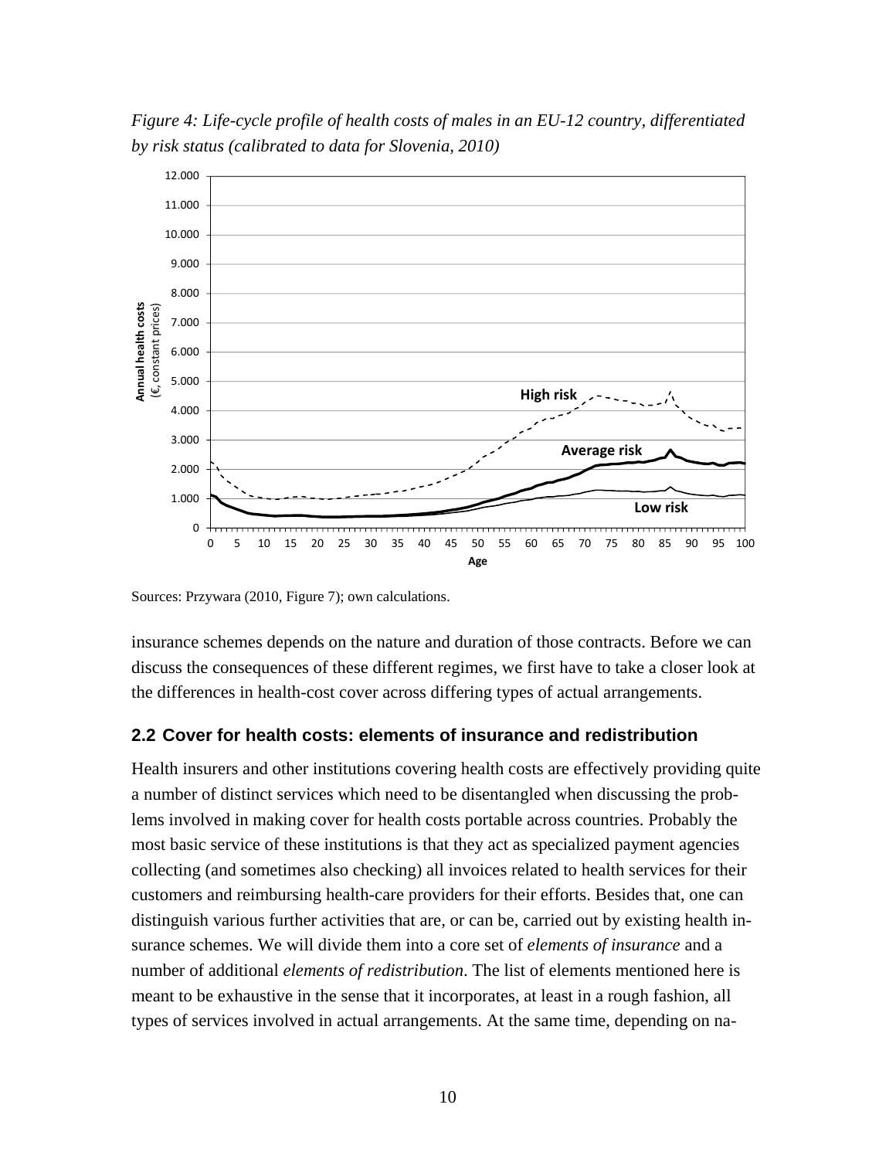*Figure 4: Life-cycle profile of health costs of males in an EU-12 country, differentiated by risk status (calibrated to data for Slovenia, 2010)* 



Sources: Przywara (2010, Figure 7); own calculations.

insurance schemes depends on the nature and duration of those contracts. Before we can discuss the consequences of these different regimes, we first have to take a closer look at the differences in health-cost cover across differing types of actual arrangements.

## **2.2 Cover for health costs: elements of insurance and redistribution**

Health insurers and other institutions covering health costs are effectively providing quite a number of distinct services which need to be disentangled when discussing the problems involved in making cover for health costs portable across countries. Probably the most basic service of these institutions is that they act as specialized payment agencies collecting (and sometimes also checking) all invoices related to health services for their customers and reimbursing health-care providers for their efforts. Besides that, one can distinguish various further activities that are, or can be, carried out by existing health insurance schemes. We will divide them into a core set of *elements of insurance* and a number of additional *elements of redistribution*. The list of elements mentioned here is meant to be exhaustive in the sense that it incorporates, at least in a rough fashion, all types of services involved in actual arrangements. At the same time, depending on na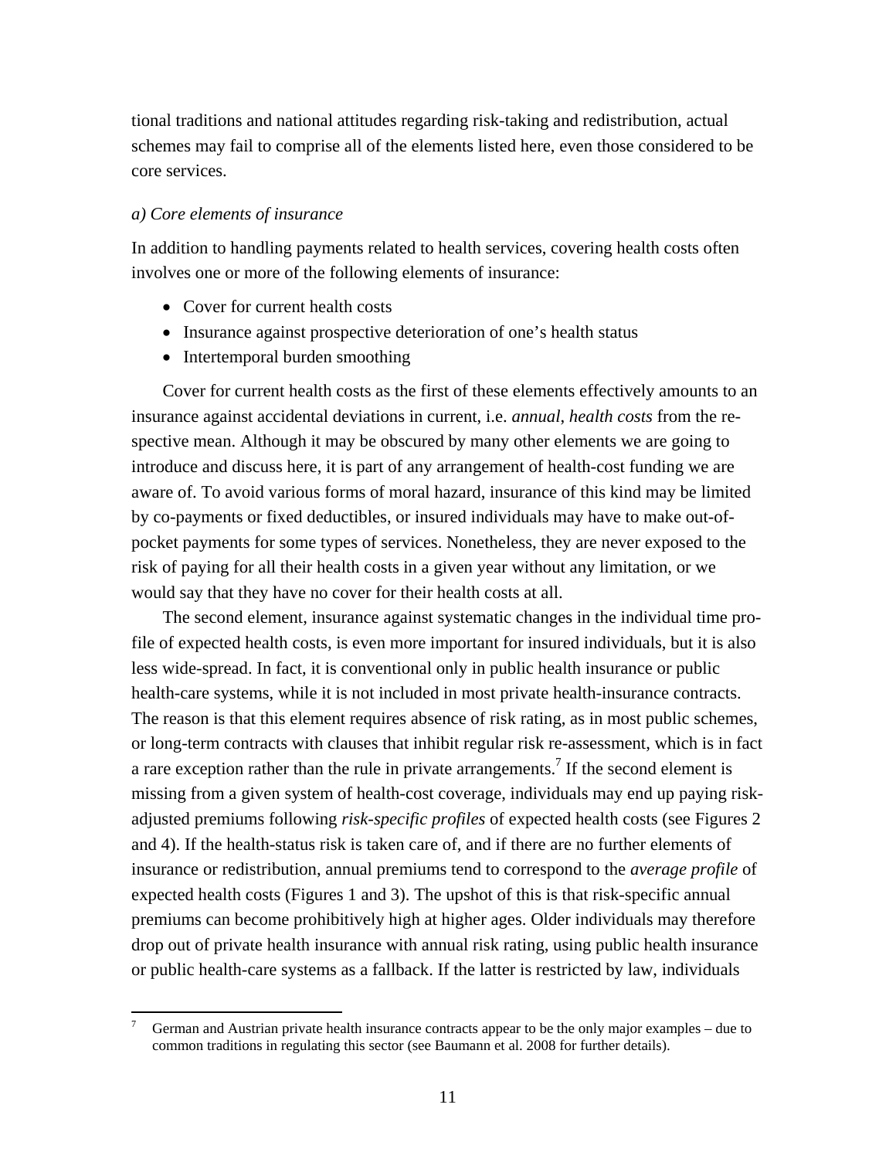tional traditions and national attitudes regarding risk-taking and redistribution, actual schemes may fail to comprise all of the elements listed here, even those considered to be core services.

### *a) Core elements of insurance*

In addition to handling payments related to health services, covering health costs often involves one or more of the following elements of insurance:

- Cover for current health costs
- Insurance against prospective deterioration of one's health status
- Intertemporal burden smoothing

 Cover for current health costs as the first of these elements effectively amounts to an insurance against accidental deviations in current, i.e. *annual*, *health costs* from the respective mean. Although it may be obscured by many other elements we are going to introduce and discuss here, it is part of any arrangement of health-cost funding we are aware of. To avoid various forms of moral hazard, insurance of this kind may be limited by co-payments or fixed deductibles, or insured individuals may have to make out-ofpocket payments for some types of services. Nonetheless, they are never exposed to the risk of paying for all their health costs in a given year without any limitation, or we would say that they have no cover for their health costs at all.

 The second element, insurance against systematic changes in the individual time profile of expected health costs, is even more important for insured individuals, but it is also less wide-spread. In fact, it is conventional only in public health insurance or public health-care systems, while it is not included in most private health-insurance contracts. The reason is that this element requires absence of risk rating, as in most public schemes, or long-term contracts with clauses that inhibit regular risk re-assessment, which is in fact a rare exception rather than the rule in private arrangements.<sup>7</sup> If the second element is missing from a given system of health-cost coverage, individuals may end up paying riskadjusted premiums following *risk-specific profiles* of expected health costs (see Figures 2 and 4). If the health-status risk is taken care of, and if there are no further elements of insurance or redistribution, annual premiums tend to correspond to the *average profile* of expected health costs (Figures 1 and 3). The upshot of this is that risk-specific annual premiums can become prohibitively high at higher ages. Older individuals may therefore drop out of private health insurance with annual risk rating, using public health insurance or public health-care systems as a fallback. If the latter is restricted by law, individuals

<sup>7</sup> German and Austrian private health insurance contracts appear to be the only major examples – due to common traditions in regulating this sector (see Baumann et al. 2008 for further details).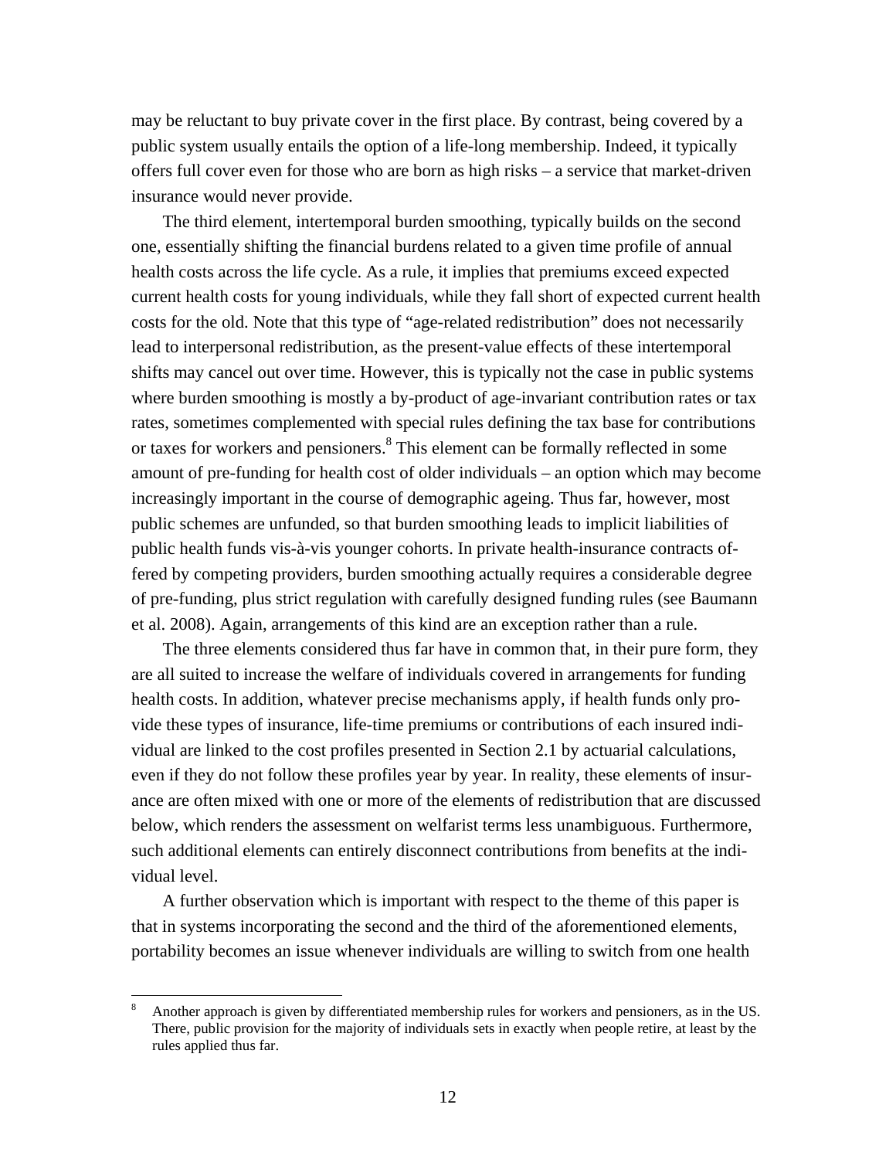may be reluctant to buy private cover in the first place. By contrast, being covered by a public system usually entails the option of a life-long membership. Indeed, it typically offers full cover even for those who are born as high risks – a service that market-driven insurance would never provide.

 The third element, intertemporal burden smoothing, typically builds on the second one, essentially shifting the financial burdens related to a given time profile of annual health costs across the life cycle. As a rule, it implies that premiums exceed expected current health costs for young individuals, while they fall short of expected current health costs for the old. Note that this type of "age-related redistribution" does not necessarily lead to interpersonal redistribution, as the present-value effects of these intertemporal shifts may cancel out over time. However, this is typically not the case in public systems where burden smoothing is mostly a by-product of age-invariant contribution rates or tax rates, sometimes complemented with special rules defining the tax base for contributions or taxes for workers and pensioners.<sup>8</sup> This element can be formally reflected in some amount of pre-funding for health cost of older individuals – an option which may become increasingly important in the course of demographic ageing. Thus far, however, most public schemes are unfunded, so that burden smoothing leads to implicit liabilities of public health funds vis-à-vis younger cohorts. In private health-insurance contracts offered by competing providers, burden smoothing actually requires a considerable degree of pre-funding, plus strict regulation with carefully designed funding rules (see Baumann et al. 2008). Again, arrangements of this kind are an exception rather than a rule.

 The three elements considered thus far have in common that, in their pure form, they are all suited to increase the welfare of individuals covered in arrangements for funding health costs. In addition, whatever precise mechanisms apply, if health funds only provide these types of insurance, life-time premiums or contributions of each insured individual are linked to the cost profiles presented in Section 2.1 by actuarial calculations, even if they do not follow these profiles year by year. In reality, these elements of insurance are often mixed with one or more of the elements of redistribution that are discussed below, which renders the assessment on welfarist terms less unambiguous. Furthermore, such additional elements can entirely disconnect contributions from benefits at the individual level.

 A further observation which is important with respect to the theme of this paper is that in systems incorporating the second and the third of the aforementioned elements, portability becomes an issue whenever individuals are willing to switch from one health

<sup>8</sup> Another approach is given by differentiated membership rules for workers and pensioners, as in the US. There, public provision for the majority of individuals sets in exactly when people retire, at least by the rules applied thus far.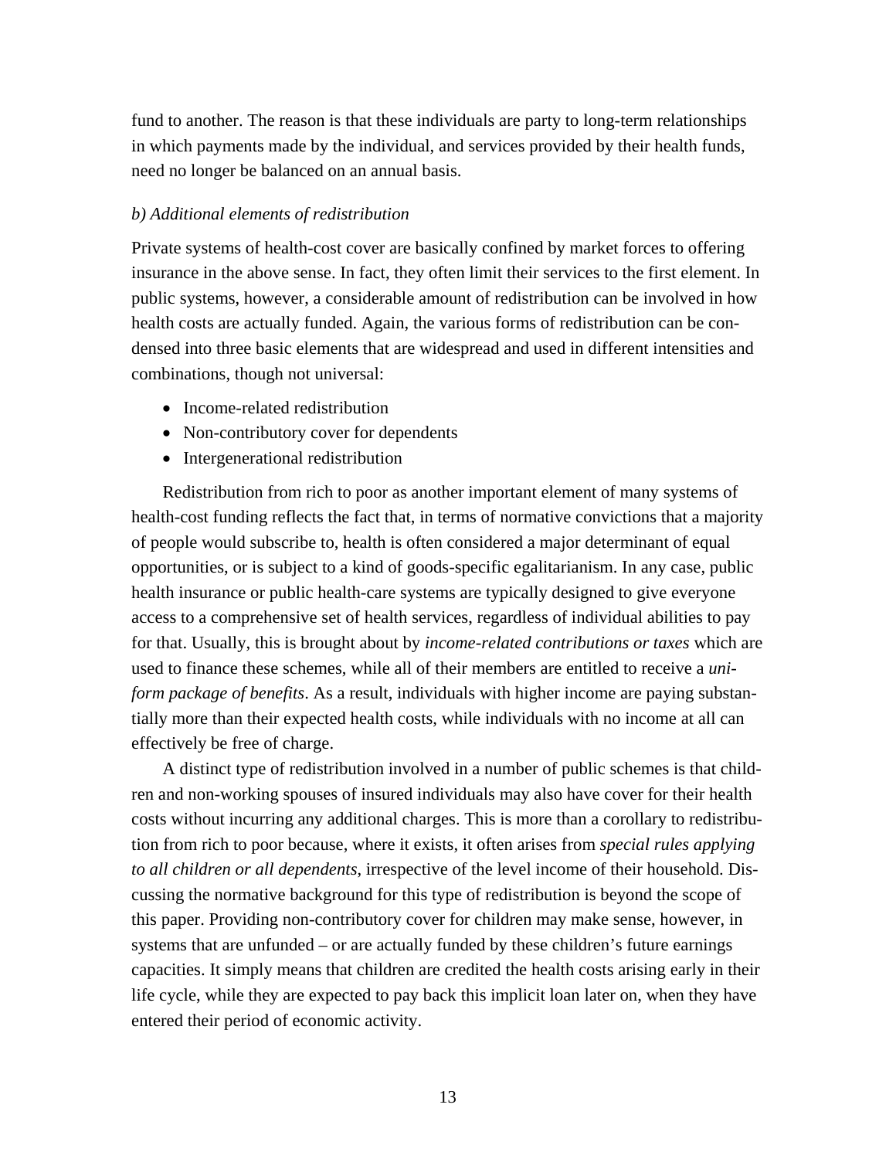fund to another. The reason is that these individuals are party to long-term relationships in which payments made by the individual, and services provided by their health funds, need no longer be balanced on an annual basis.

# *b) Additional elements of redistribution*

Private systems of health-cost cover are basically confined by market forces to offering insurance in the above sense. In fact, they often limit their services to the first element. In public systems, however, a considerable amount of redistribution can be involved in how health costs are actually funded. Again, the various forms of redistribution can be condensed into three basic elements that are widespread and used in different intensities and combinations, though not universal:

- Income-related redistribution
- Non-contributory cover for dependents
- Intergenerational redistribution

 Redistribution from rich to poor as another important element of many systems of health-cost funding reflects the fact that, in terms of normative convictions that a majority of people would subscribe to, health is often considered a major determinant of equal opportunities, or is subject to a kind of goods-specific egalitarianism. In any case, public health insurance or public health-care systems are typically designed to give everyone access to a comprehensive set of health services, regardless of individual abilities to pay for that. Usually, this is brought about by *income-related contributions or taxes* which are used to finance these schemes, while all of their members are entitled to receive a *uniform package of benefits*. As a result, individuals with higher income are paying substantially more than their expected health costs, while individuals with no income at all can effectively be free of charge.

 A distinct type of redistribution involved in a number of public schemes is that children and non-working spouses of insured individuals may also have cover for their health costs without incurring any additional charges. This is more than a corollary to redistribution from rich to poor because, where it exists, it often arises from *special rules applying to all children or all dependents*, irrespective of the level income of their household. Discussing the normative background for this type of redistribution is beyond the scope of this paper. Providing non-contributory cover for children may make sense, however, in systems that are unfunded – or are actually funded by these children's future earnings capacities. It simply means that children are credited the health costs arising early in their life cycle, while they are expected to pay back this implicit loan later on, when they have entered their period of economic activity.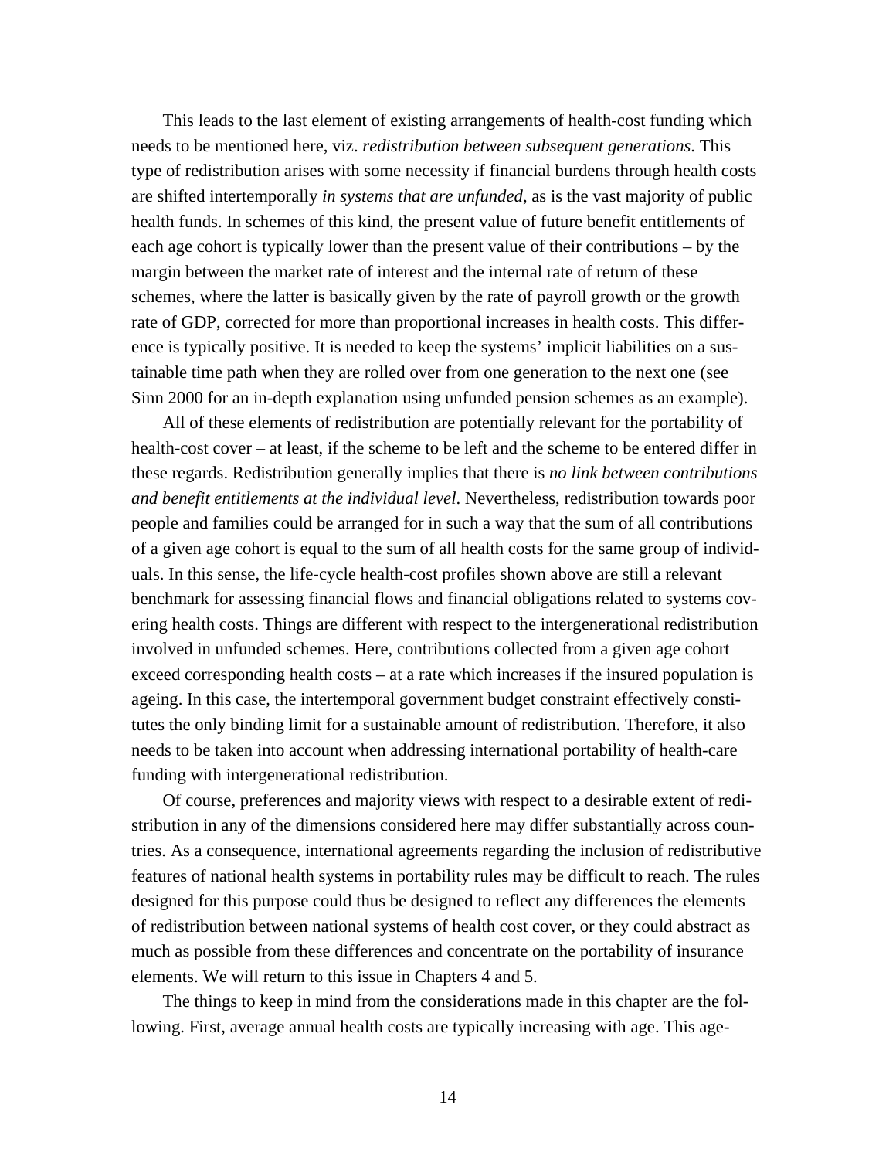This leads to the last element of existing arrangements of health-cost funding which needs to be mentioned here, viz. *redistribution between subsequent generations*. This type of redistribution arises with some necessity if financial burdens through health costs are shifted intertemporally *in systems that are unfunded*, as is the vast majority of public health funds. In schemes of this kind, the present value of future benefit entitlements of each age cohort is typically lower than the present value of their contributions – by the margin between the market rate of interest and the internal rate of return of these schemes, where the latter is basically given by the rate of payroll growth or the growth rate of GDP, corrected for more than proportional increases in health costs. This difference is typically positive. It is needed to keep the systems' implicit liabilities on a sustainable time path when they are rolled over from one generation to the next one (see Sinn 2000 for an in-depth explanation using unfunded pension schemes as an example).

 All of these elements of redistribution are potentially relevant for the portability of health-cost cover – at least, if the scheme to be left and the scheme to be entered differ in these regards. Redistribution generally implies that there is *no link between contributions and benefit entitlements at the individual level*. Nevertheless, redistribution towards poor people and families could be arranged for in such a way that the sum of all contributions of a given age cohort is equal to the sum of all health costs for the same group of individuals. In this sense, the life-cycle health-cost profiles shown above are still a relevant benchmark for assessing financial flows and financial obligations related to systems covering health costs. Things are different with respect to the intergenerational redistribution involved in unfunded schemes. Here, contributions collected from a given age cohort exceed corresponding health costs – at a rate which increases if the insured population is ageing. In this case, the intertemporal government budget constraint effectively constitutes the only binding limit for a sustainable amount of redistribution. Therefore, it also needs to be taken into account when addressing international portability of health-care funding with intergenerational redistribution.

 Of course, preferences and majority views with respect to a desirable extent of redistribution in any of the dimensions considered here may differ substantially across countries. As a consequence, international agreements regarding the inclusion of redistributive features of national health systems in portability rules may be difficult to reach. The rules designed for this purpose could thus be designed to reflect any differences the elements of redistribution between national systems of health cost cover, or they could abstract as much as possible from these differences and concentrate on the portability of insurance elements. We will return to this issue in Chapters 4 and 5.

 The things to keep in mind from the considerations made in this chapter are the following. First, average annual health costs are typically increasing with age. This age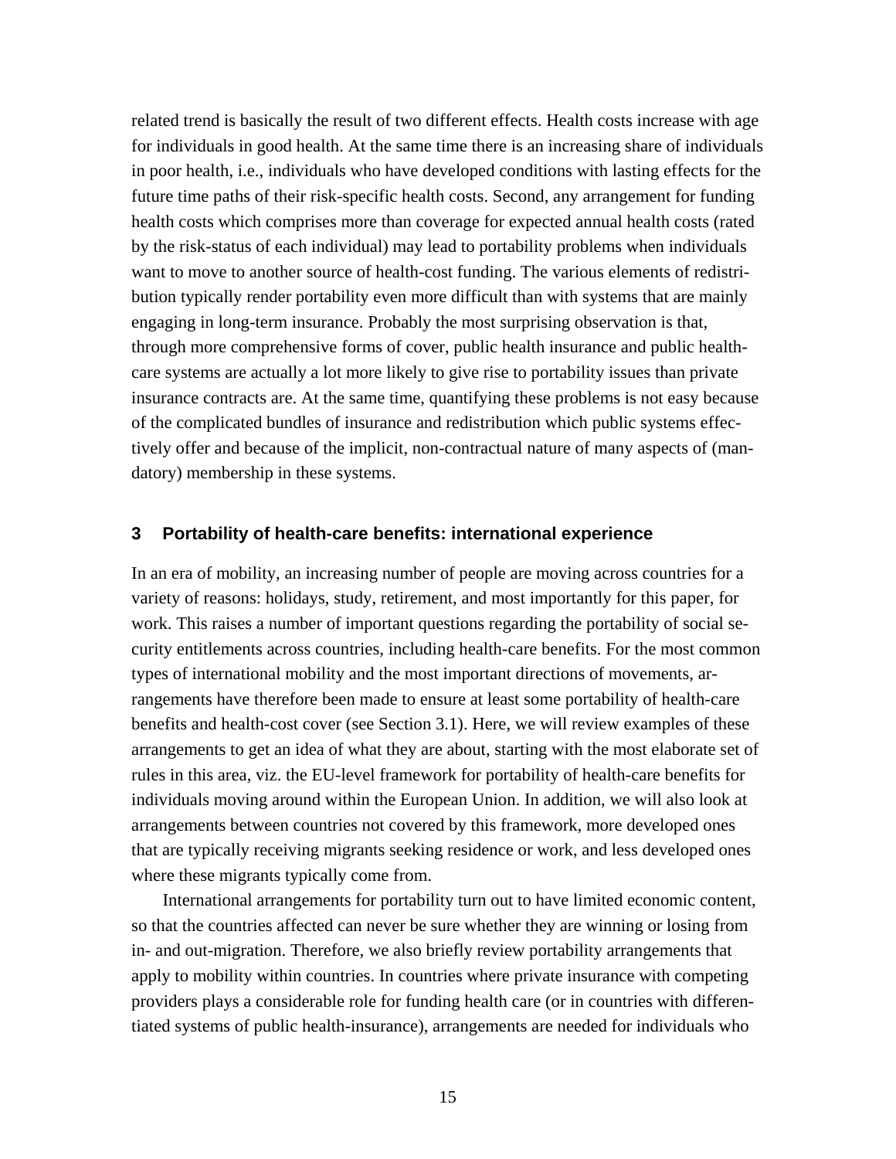related trend is basically the result of two different effects. Health costs increase with age for individuals in good health. At the same time there is an increasing share of individuals in poor health, i.e., individuals who have developed conditions with lasting effects for the future time paths of their risk-specific health costs. Second, any arrangement for funding health costs which comprises more than coverage for expected annual health costs (rated by the risk-status of each individual) may lead to portability problems when individuals want to move to another source of health-cost funding. The various elements of redistribution typically render portability even more difficult than with systems that are mainly engaging in long-term insurance. Probably the most surprising observation is that, through more comprehensive forms of cover, public health insurance and public healthcare systems are actually a lot more likely to give rise to portability issues than private insurance contracts are. At the same time, quantifying these problems is not easy because of the complicated bundles of insurance and redistribution which public systems effectively offer and because of the implicit, non-contractual nature of many aspects of (mandatory) membership in these systems.

#### **3 Portability of health-care benefits: international experience**

In an era of mobility, an increasing number of people are moving across countries for a variety of reasons: holidays, study, retirement, and most importantly for this paper, for work. This raises a number of important questions regarding the portability of social security entitlements across countries, including health-care benefits. For the most common types of international mobility and the most important directions of movements, arrangements have therefore been made to ensure at least some portability of health-care benefits and health-cost cover (see Section 3.1). Here, we will review examples of these arrangements to get an idea of what they are about, starting with the most elaborate set of rules in this area, viz. the EU-level framework for portability of health-care benefits for individuals moving around within the European Union. In addition, we will also look at arrangements between countries not covered by this framework, more developed ones that are typically receiving migrants seeking residence or work, and less developed ones where these migrants typically come from.

 International arrangements for portability turn out to have limited economic content, so that the countries affected can never be sure whether they are winning or losing from in- and out-migration. Therefore, we also briefly review portability arrangements that apply to mobility within countries. In countries where private insurance with competing providers plays a considerable role for funding health care (or in countries with differentiated systems of public health-insurance), arrangements are needed for individuals who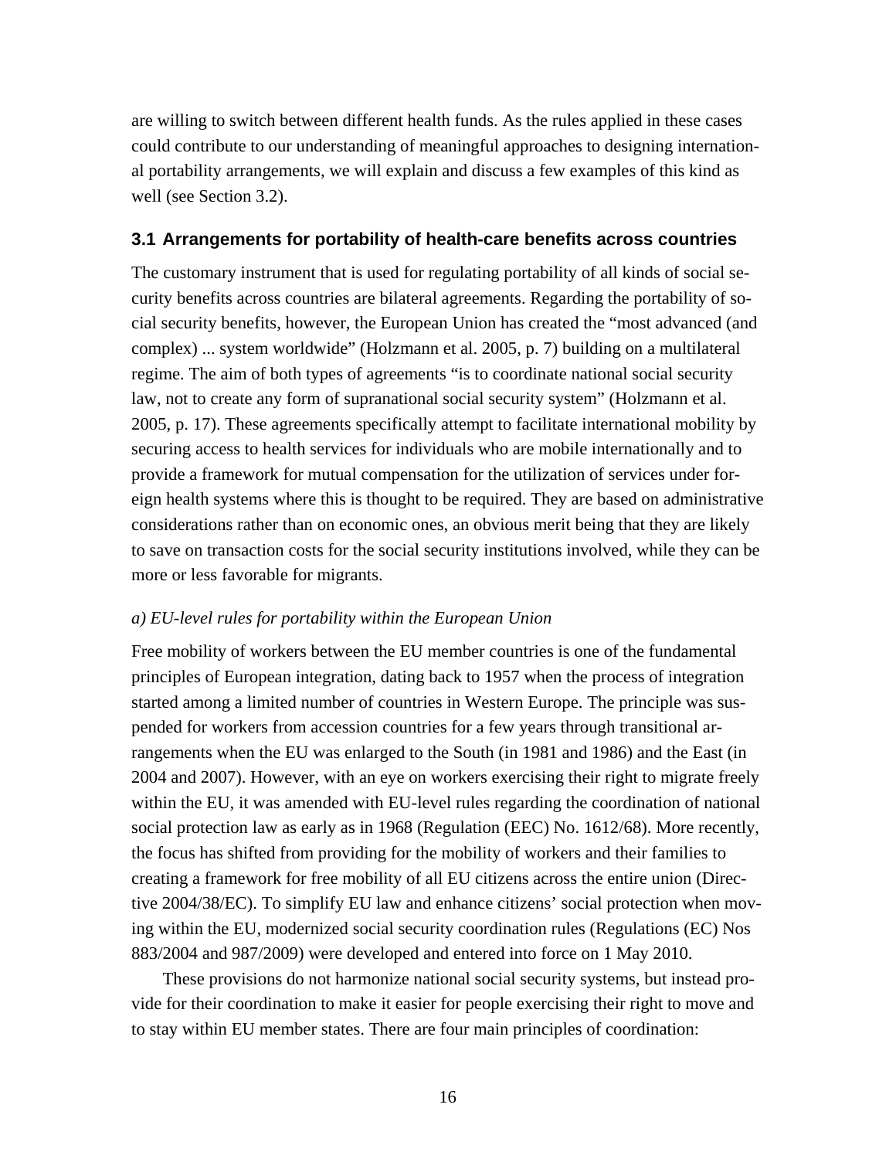are willing to switch between different health funds. As the rules applied in these cases could contribute to our understanding of meaningful approaches to designing international portability arrangements, we will explain and discuss a few examples of this kind as well (see Section 3.2).

### **3.1 Arrangements for portability of health-care benefits across countries**

The customary instrument that is used for regulating portability of all kinds of social security benefits across countries are bilateral agreements. Regarding the portability of social security benefits, however, the European Union has created the "most advanced (and complex) ... system worldwide" (Holzmann et al. 2005, p. 7) building on a multilateral regime. The aim of both types of agreements "is to coordinate national social security law, not to create any form of supranational social security system" (Holzmann et al. 2005, p. 17). These agreements specifically attempt to facilitate international mobility by securing access to health services for individuals who are mobile internationally and to provide a framework for mutual compensation for the utilization of services under foreign health systems where this is thought to be required. They are based on administrative considerations rather than on economic ones, an obvious merit being that they are likely to save on transaction costs for the social security institutions involved, while they can be more or less favorable for migrants.

#### *a) EU-level rules for portability within the European Union*

Free mobility of workers between the EU member countries is one of the fundamental principles of European integration, dating back to 1957 when the process of integration started among a limited number of countries in Western Europe. The principle was suspended for workers from accession countries for a few years through transitional arrangements when the EU was enlarged to the South (in 1981 and 1986) and the East (in 2004 and 2007). However, with an eye on workers exercising their right to migrate freely within the EU, it was amended with EU-level rules regarding the coordination of national social protection law as early as in 1968 (Regulation (EEC) No. 1612/68). More recently, the focus has shifted from providing for the mobility of workers and their families to creating a framework for free mobility of all EU citizens across the entire union (Directive 2004/38/EC). To simplify EU law and enhance citizens' social protection when moving within the EU, modernized social security coordination rules (Regulations (EC) Nos 883/2004 and 987/2009) were developed and entered into force on 1 May 2010.

 These provisions do not harmonize national social security systems, but instead provide for their coordination to make it easier for people exercising their right to move and to stay within EU member states. There are four main principles of coordination: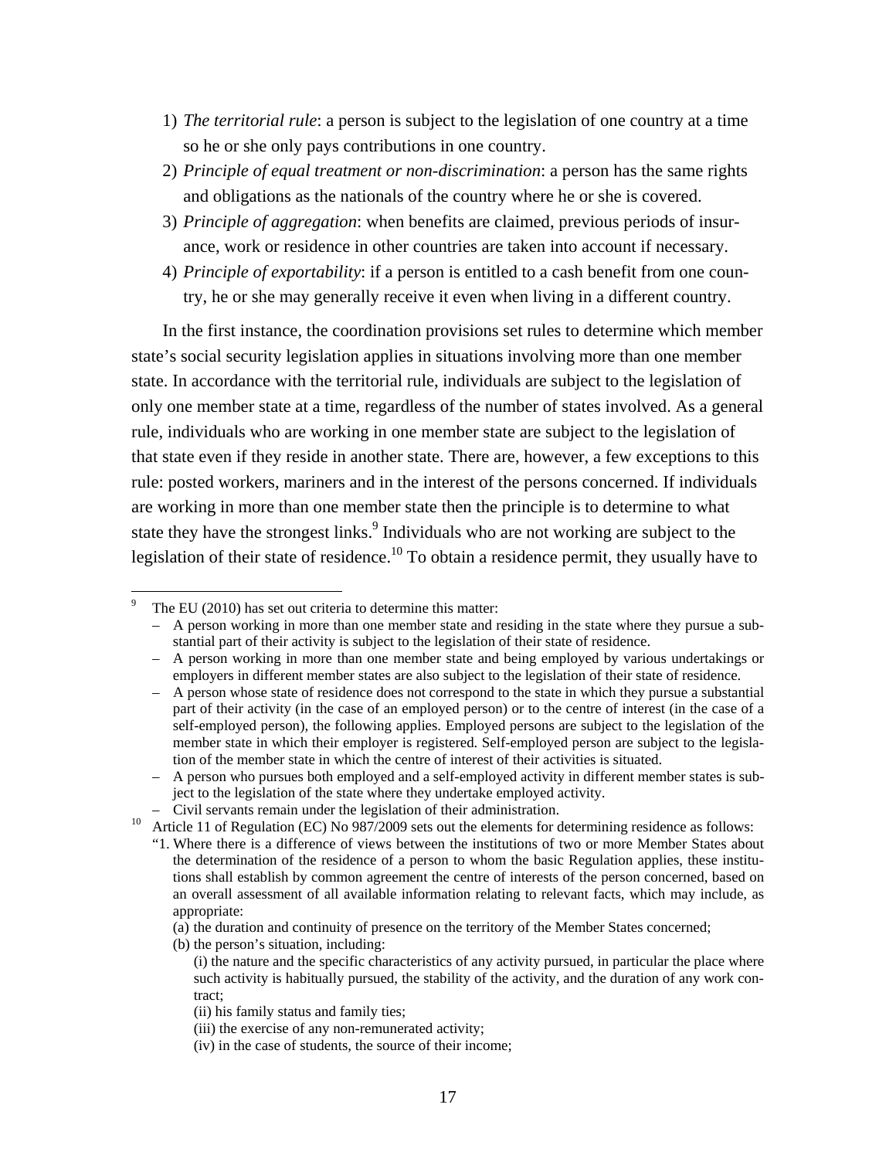- 1) *The territorial rule*: a person is subject to the legislation of one country at a time so he or she only pays contributions in one country.
- 2) *Principle of equal treatment or non-discrimination*: a person has the same rights and obligations as the nationals of the country where he or she is covered.
- 3) *Principle of aggregation*: when benefits are claimed, previous periods of insurance, work or residence in other countries are taken into account if necessary.
- 4) *Principle of exportability*: if a person is entitled to a cash benefit from one country, he or she may generally receive it even when living in a different country.

 In the first instance, the coordination provisions set rules to determine which member state's social security legislation applies in situations involving more than one member state. In accordance with the territorial rule, individuals are subject to the legislation of only one member state at a time, regardless of the number of states involved. As a general rule, individuals who are working in one member state are subject to the legislation of that state even if they reside in another state. There are, however, a few exceptions to this rule: posted workers, mariners and in the interest of the persons concerned. If individuals are working in more than one member state then the principle is to determine to what state they have the strongest links.<sup>9</sup> Individuals who are not working are subject to the legislation of their state of residence.<sup>10</sup> To obtain a residence permit, they usually have to

<sup>9</sup> The EU (2010) has set out criteria to determine this matter:

<sup>–</sup> A person working in more than one member state and residing in the state where they pursue a substantial part of their activity is subject to the legislation of their state of residence.

<sup>–</sup> A person working in more than one member state and being employed by various undertakings or employers in different member states are also subject to the legislation of their state of residence.

<sup>–</sup> A person whose state of residence does not correspond to the state in which they pursue a substantial part of their activity (in the case of an employed person) or to the centre of interest (in the case of a self-employed person), the following applies. Employed persons are subject to the legislation of the member state in which their employer is registered. Self-employed person are subject to the legislation of the member state in which the centre of interest of their activities is situated.

<sup>–</sup> A person who pursues both employed and a self-employed activity in different member states is subject to the legislation of the state where they undertake employed activity.

<sup>–</sup> Civil servants remain under the legislation of their administration. 10 Article 11 of Regulation (EC) No 987/2009 sets out the elements for determining residence as follows:

<sup>&</sup>quot;1. Where there is a difference of views between the institutions of two or more Member States about the determination of the residence of a person to whom the basic Regulation applies, these institutions shall establish by common agreement the centre of interests of the person concerned, based on an overall assessment of all available information relating to relevant facts, which may include, as appropriate:

<sup>(</sup>a) the duration and continuity of presence on the territory of the Member States concerned;

<sup>(</sup>b) the person's situation, including:

<sup>(</sup>i) the nature and the specific characteristics of any activity pursued, in particular the place where such activity is habitually pursued, the stability of the activity, and the duration of any work contract;

<sup>(</sup>ii) his family status and family ties;

<sup>(</sup>iii) the exercise of any non-remunerated activity;

<sup>(</sup>iv) in the case of students, the source of their income;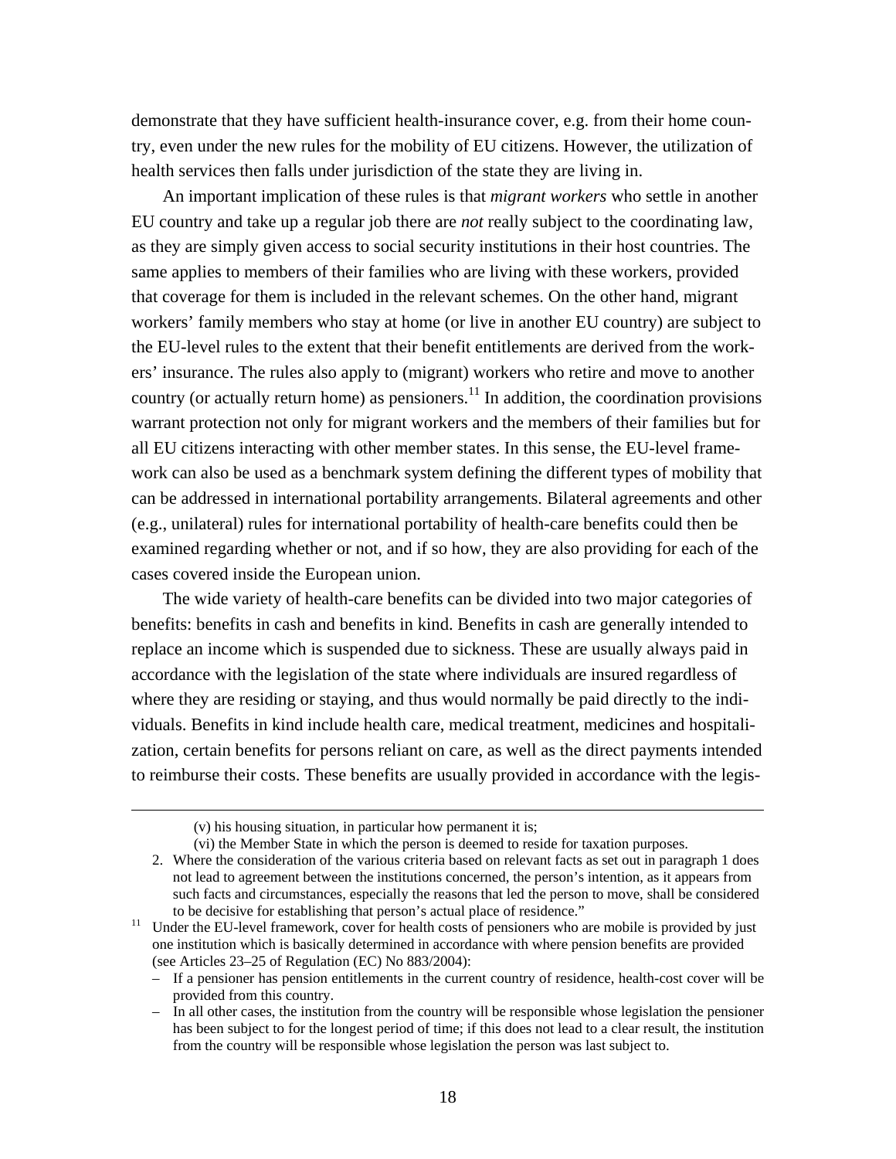demonstrate that they have sufficient health-insurance cover, e.g. from their home country, even under the new rules for the mobility of EU citizens. However, the utilization of health services then falls under jurisdiction of the state they are living in.

 An important implication of these rules is that *migrant workers* who settle in another EU country and take up a regular job there are *not* really subject to the coordinating law, as they are simply given access to social security institutions in their host countries. The same applies to members of their families who are living with these workers, provided that coverage for them is included in the relevant schemes. On the other hand, migrant workers' family members who stay at home (or live in another EU country) are subject to the EU-level rules to the extent that their benefit entitlements are derived from the workers' insurance. The rules also apply to (migrant) workers who retire and move to another country (or actually return home) as pensioners.<sup>11</sup> In addition, the coordination provisions warrant protection not only for migrant workers and the members of their families but for all EU citizens interacting with other member states. In this sense, the EU-level framework can also be used as a benchmark system defining the different types of mobility that can be addressed in international portability arrangements. Bilateral agreements and other (e.g., unilateral) rules for international portability of health-care benefits could then be examined regarding whether or not, and if so how, they are also providing for each of the cases covered inside the European union.

 The wide variety of health-care benefits can be divided into two major categories of benefits: benefits in cash and benefits in kind. Benefits in cash are generally intended to replace an income which is suspended due to sickness. These are usually always paid in accordance with the legislation of the state where individuals are insured regardless of where they are residing or staying, and thus would normally be paid directly to the individuals. Benefits in kind include health care, medical treatment, medicines and hospitalization, certain benefits for persons reliant on care, as well as the direct payments intended to reimburse their costs. These benefits are usually provided in accordance with the legis-

<u> 1989 - Johann Stoff, amerikansk politiker (d. 1989)</u>

<sup>(</sup>v) his housing situation, in particular how permanent it is;

<sup>(</sup>vi) the Member State in which the person is deemed to reside for taxation purposes.

<sup>2.</sup> Where the consideration of the various criteria based on relevant facts as set out in paragraph 1 does not lead to agreement between the institutions concerned, the person's intention, as it appears from such facts and circumstances, especially the reasons that led the person to move, shall be considered to be decisive for establishing that person's actual place of residence."<br><sup>11</sup> Under the EU-level framework, cover for health costs of pensioners who are mobile is provided by just

one institution which is basically determined in accordance with where pension benefits are provided (see Articles 23–25 of Regulation (EC) No 883/2004):

<sup>–</sup> If a pensioner has pension entitlements in the current country of residence, health-cost cover will be provided from this country.

<sup>–</sup> In all other cases, the institution from the country will be responsible whose legislation the pensioner has been subject to for the longest period of time; if this does not lead to a clear result, the institution from the country will be responsible whose legislation the person was last subject to.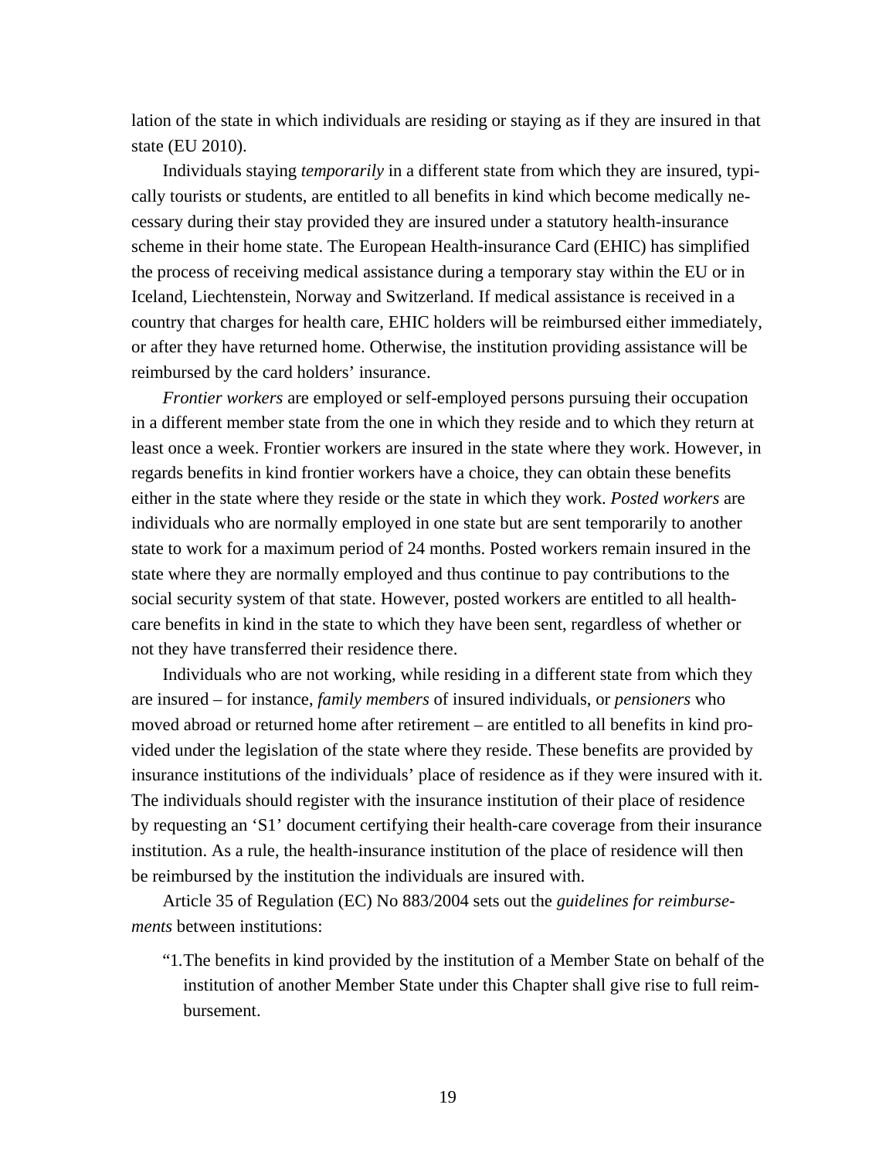lation of the state in which individuals are residing or staying as if they are insured in that state (EU 2010).

 Individuals staying *temporarily* in a different state from which they are insured, typically tourists or students, are entitled to all benefits in kind which become medically necessary during their stay provided they are insured under a statutory health-insurance scheme in their home state. The European Health-insurance Card (EHIC) has simplified the process of receiving medical assistance during a temporary stay within the EU or in Iceland, Liechtenstein, Norway and Switzerland. If medical assistance is received in a country that charges for health care, EHIC holders will be reimbursed either immediately, or after they have returned home. Otherwise, the institution providing assistance will be reimbursed by the card holders' insurance.

*Frontier workers* are employed or self-employed persons pursuing their occupation in a different member state from the one in which they reside and to which they return at least once a week. Frontier workers are insured in the state where they work. However, in regards benefits in kind frontier workers have a choice, they can obtain these benefits either in the state where they reside or the state in which they work. *Posted workers* are individuals who are normally employed in one state but are sent temporarily to another state to work for a maximum period of 24 months. Posted workers remain insured in the state where they are normally employed and thus continue to pay contributions to the social security system of that state. However, posted workers are entitled to all healthcare benefits in kind in the state to which they have been sent, regardless of whether or not they have transferred their residence there.

 Individuals who are not working, while residing in a different state from which they are insured – for instance, *family members* of insured individuals, or *pensioners* who moved abroad or returned home after retirement – are entitled to all benefits in kind provided under the legislation of the state where they reside. These benefits are provided by insurance institutions of the individuals' place of residence as if they were insured with it. The individuals should register with the insurance institution of their place of residence by requesting an 'S1' document certifying their health-care coverage from their insurance institution. As a rule, the health-insurance institution of the place of residence will then be reimbursed by the institution the individuals are insured with.

 Article 35 of Regulation (EC) No 883/2004 sets out the *guidelines for reimbursements* between institutions:

"1. The benefits in kind provided by the institution of a Member State on behalf of the institution of another Member State under this Chapter shall give rise to full reimbursement.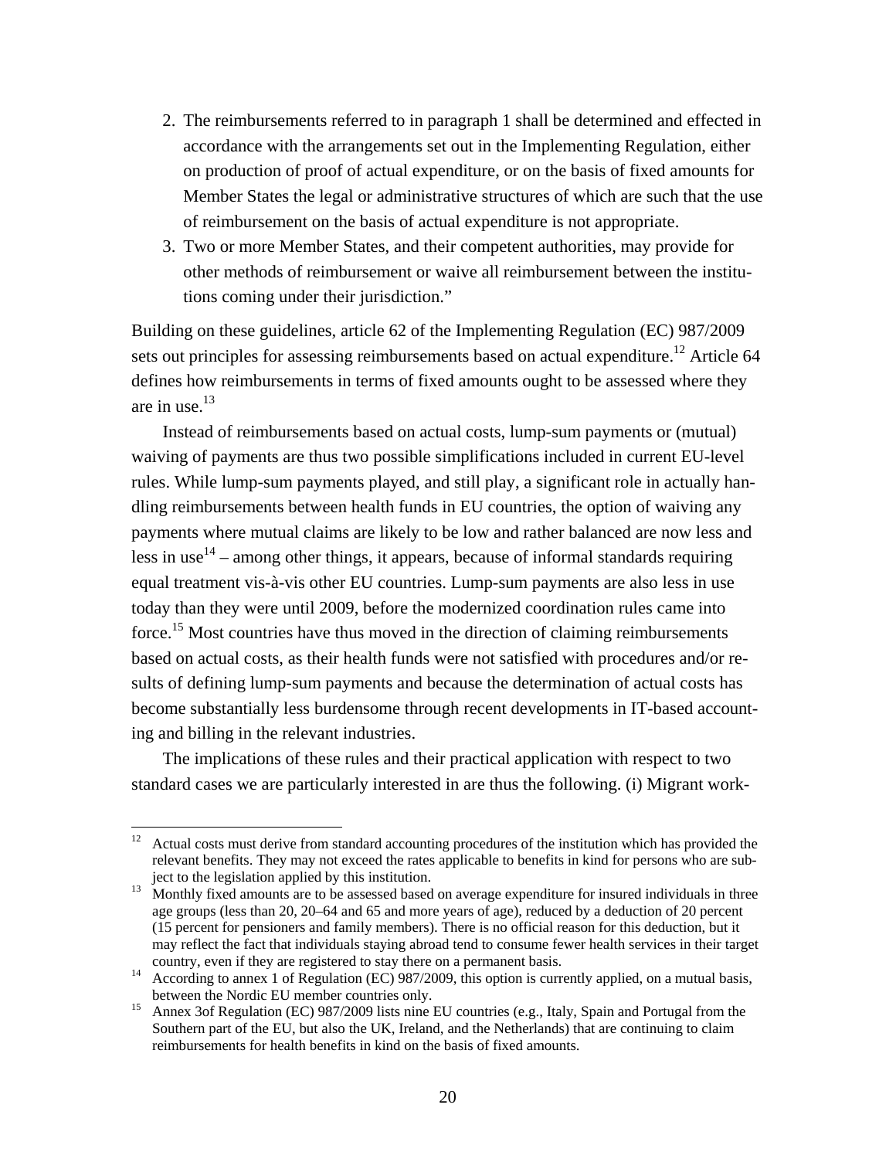- 2. The reimbursements referred to in paragraph 1 shall be determined and effected in accordance with the arrangements set out in the Implementing Regulation, either on production of proof of actual expenditure, or on the basis of fixed amounts for Member States the legal or administrative structures of which are such that the use of reimbursement on the basis of actual expenditure is not appropriate.
- 3. Two or more Member States, and their competent authorities, may provide for other methods of reimbursement or waive all reimbursement between the institutions coming under their jurisdiction."

Building on these guidelines, article 62 of the Implementing Regulation (EC) 987/2009 sets out principles for assessing reimbursements based on actual expenditure.<sup>12</sup> Article 64 defines how reimbursements in terms of fixed amounts ought to be assessed where they are in use. $13$ 

 Instead of reimbursements based on actual costs, lump-sum payments or (mutual) waiving of payments are thus two possible simplifications included in current EU-level rules. While lump-sum payments played, and still play, a significant role in actually handling reimbursements between health funds in EU countries, the option of waiving any payments where mutual claims are likely to be low and rather balanced are now less and less in use<sup>14</sup> – among other things, it appears, because of informal standards requiring equal treatment vis-à-vis other EU countries. Lump-sum payments are also less in use today than they were until 2009, before the modernized coordination rules came into force.<sup>15</sup> Most countries have thus moved in the direction of claiming reimbursements based on actual costs, as their health funds were not satisfied with procedures and/or results of defining lump-sum payments and because the determination of actual costs has become substantially less burdensome through recent developments in IT-based accounting and billing in the relevant industries.

 The implications of these rules and their practical application with respect to two standard cases we are particularly interested in are thus the following. (i) Migrant work-

 $12$  Actual costs must derive from standard accounting procedures of the institution which has provided the relevant benefits. They may not exceed the rates applicable to benefits in kind for persons who are subject to the legislation applied by this institution.<br>Monthly fixed amounts are to be assessed based on average expenditure for insured individuals in three

age groups (less than 20, 20–64 and 65 and more years of age), reduced by a deduction of 20 percent (15 percent for pensioners and family members). There is no official reason for this deduction, but it may reflect the fact that individuals staying abroad tend to consume fewer health services in their target

country, even if they are registered to stay there on a permanent basis. 14 According to annex 1 of Regulation (EC) 987/2009, this option is currently applied, on a mutual basis,

between the Nordic EU member countries only.<br><sup>15</sup> Annex 3of Regulation (EC) 987/2009 lists nine EU countries (e.g., Italy, Spain and Portugal from the Southern part of the EU, but also the UK, Ireland, and the Netherlands) that are continuing to claim reimbursements for health benefits in kind on the basis of fixed amounts.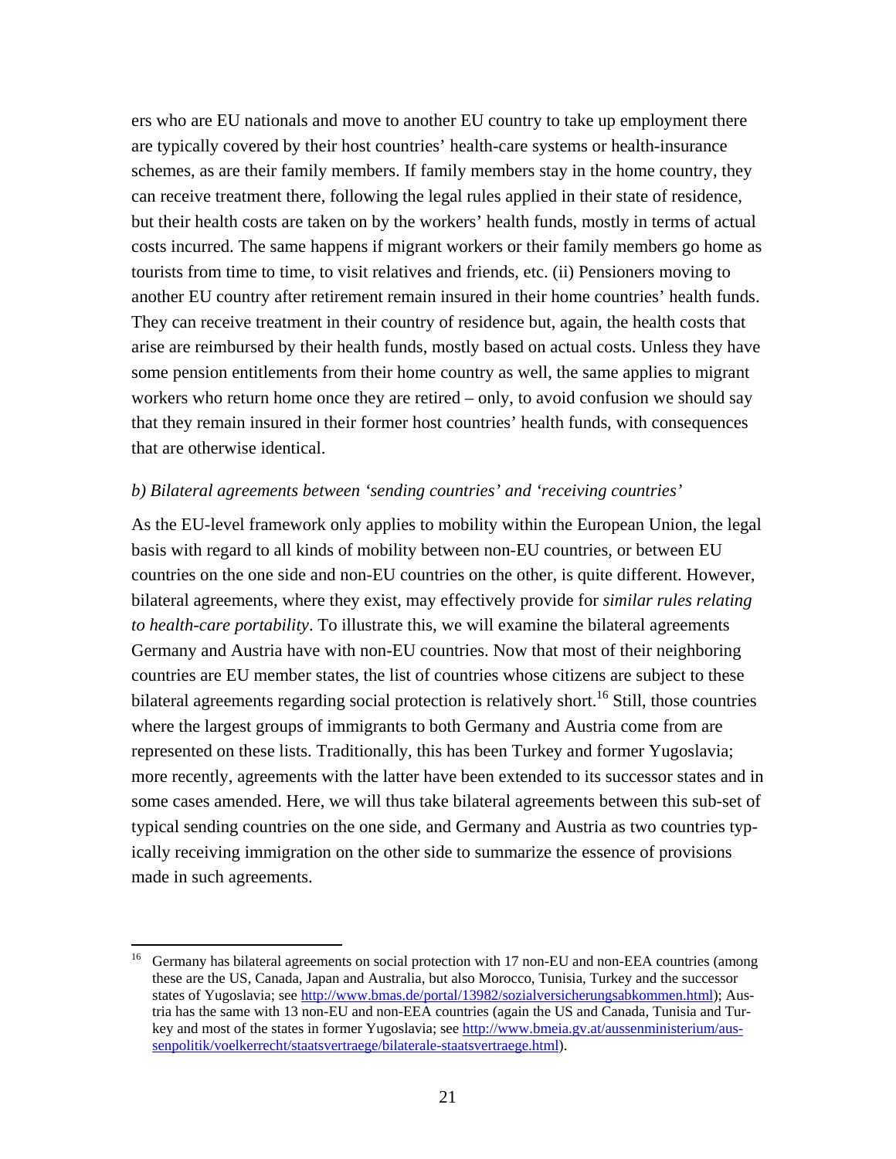ers who are EU nationals and move to another EU country to take up employment there are typically covered by their host countries' health-care systems or health-insurance schemes, as are their family members. If family members stay in the home country, they can receive treatment there, following the legal rules applied in their state of residence, but their health costs are taken on by the workers' health funds, mostly in terms of actual costs incurred. The same happens if migrant workers or their family members go home as tourists from time to time, to visit relatives and friends, etc. (ii) Pensioners moving to another EU country after retirement remain insured in their home countries' health funds. They can receive treatment in their country of residence but, again, the health costs that arise are reimbursed by their health funds, mostly based on actual costs. Unless they have some pension entitlements from their home country as well, the same applies to migrant workers who return home once they are retired – only, to avoid confusion we should say that they remain insured in their former host countries' health funds, with consequences that are otherwise identical.

#### *b) Bilateral agreements between 'sending countries' and 'receiving countries'*

As the EU-level framework only applies to mobility within the European Union, the legal basis with regard to all kinds of mobility between non-EU countries, or between EU countries on the one side and non-EU countries on the other, is quite different. However, bilateral agreements, where they exist, may effectively provide for *similar rules relating to health-care portability*. To illustrate this, we will examine the bilateral agreements Germany and Austria have with non-EU countries. Now that most of their neighboring countries are EU member states, the list of countries whose citizens are subject to these bilateral agreements regarding social protection is relatively short.<sup>16</sup> Still, those countries where the largest groups of immigrants to both Germany and Austria come from are represented on these lists. Traditionally, this has been Turkey and former Yugoslavia; more recently, agreements with the latter have been extended to its successor states and in some cases amended. Here, we will thus take bilateral agreements between this sub-set of typical sending countries on the one side, and Germany and Austria as two countries typically receiving immigration on the other side to summarize the essence of provisions made in such agreements.

<sup>&</sup>lt;sup>16</sup> Germany has bilateral agreements on social protection with 17 non-EU and non-EEA countries (among these are the US, Canada, Japan and Australia, but also Morocco, Tunisia, Turkey and the successor states of Yugoslavia; see http://www.bmas.de/portal/13982/sozialversicherungsabkommen.html); Austria has the same with 13 non-EU and non-EEA countries (again the US and Canada, Tunisia and Turkey and most of the states in former Yugoslavia; see http://www.bmeia.gv.at/aussenministerium/aussenpolitik/voelkerrecht/staatsvertraege/bilaterale-staatsvertraege.html).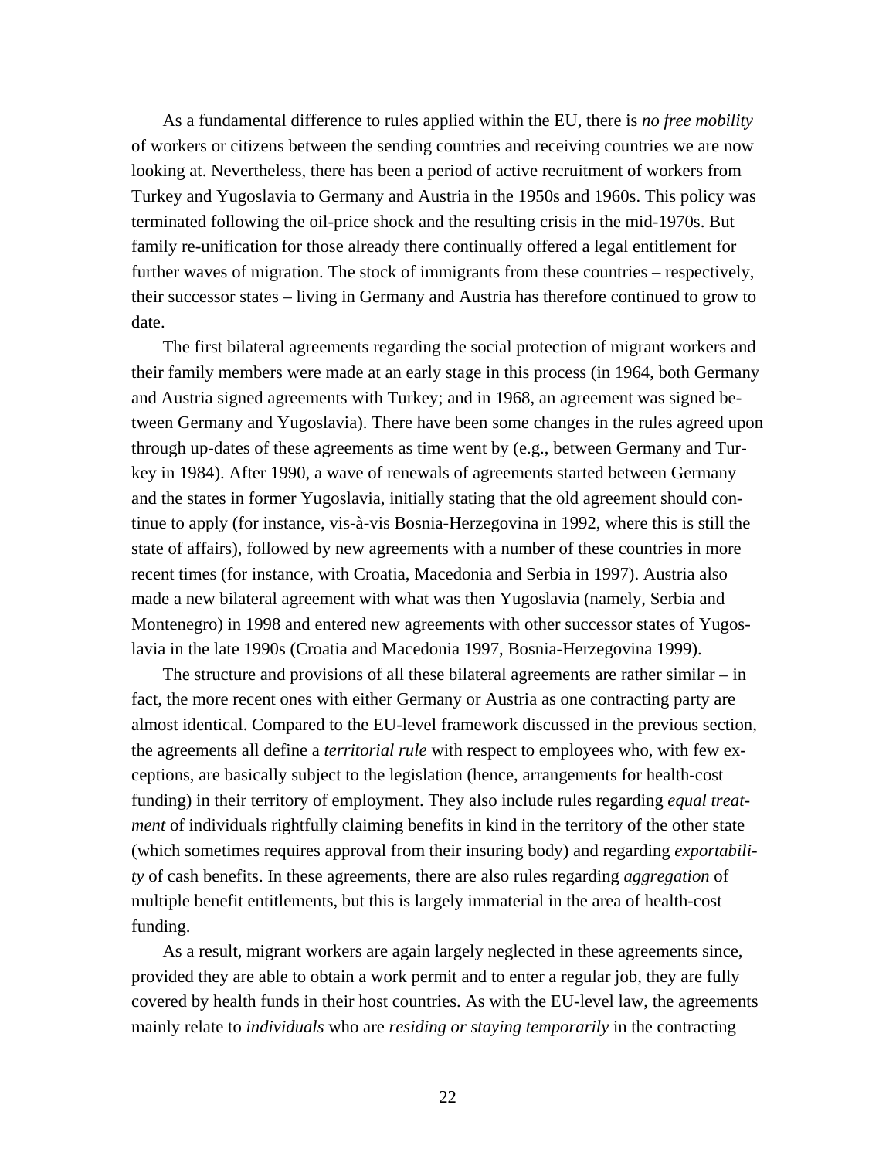As a fundamental difference to rules applied within the EU, there is *no free mobility* of workers or citizens between the sending countries and receiving countries we are now looking at. Nevertheless, there has been a period of active recruitment of workers from Turkey and Yugoslavia to Germany and Austria in the 1950s and 1960s. This policy was terminated following the oil-price shock and the resulting crisis in the mid-1970s. But family re-unification for those already there continually offered a legal entitlement for further waves of migration. The stock of immigrants from these countries – respectively, their successor states – living in Germany and Austria has therefore continued to grow to date.

 The first bilateral agreements regarding the social protection of migrant workers and their family members were made at an early stage in this process (in 1964, both Germany and Austria signed agreements with Turkey; and in 1968, an agreement was signed between Germany and Yugoslavia). There have been some changes in the rules agreed upon through up-dates of these agreements as time went by (e.g., between Germany and Turkey in 1984). After 1990, a wave of renewals of agreements started between Germany and the states in former Yugoslavia, initially stating that the old agreement should continue to apply (for instance, vis-à-vis Bosnia-Herzegovina in 1992, where this is still the state of affairs), followed by new agreements with a number of these countries in more recent times (for instance, with Croatia, Macedonia and Serbia in 1997). Austria also made a new bilateral agreement with what was then Yugoslavia (namely, Serbia and Montenegro) in 1998 and entered new agreements with other successor states of Yugoslavia in the late 1990s (Croatia and Macedonia 1997, Bosnia-Herzegovina 1999).

 The structure and provisions of all these bilateral agreements are rather similar – in fact, the more recent ones with either Germany or Austria as one contracting party are almost identical. Compared to the EU-level framework discussed in the previous section, the agreements all define a *territorial rule* with respect to employees who, with few exceptions, are basically subject to the legislation (hence, arrangements for health-cost funding) in their territory of employment. They also include rules regarding *equal treatment* of individuals rightfully claiming benefits in kind in the territory of the other state (which sometimes requires approval from their insuring body) and regarding *exportability* of cash benefits. In these agreements, there are also rules regarding *aggregation* of multiple benefit entitlements, but this is largely immaterial in the area of health-cost funding.

 As a result, migrant workers are again largely neglected in these agreements since, provided they are able to obtain a work permit and to enter a regular job, they are fully covered by health funds in their host countries. As with the EU-level law, the agreements mainly relate to *individuals* who are *residing or staying temporarily* in the contracting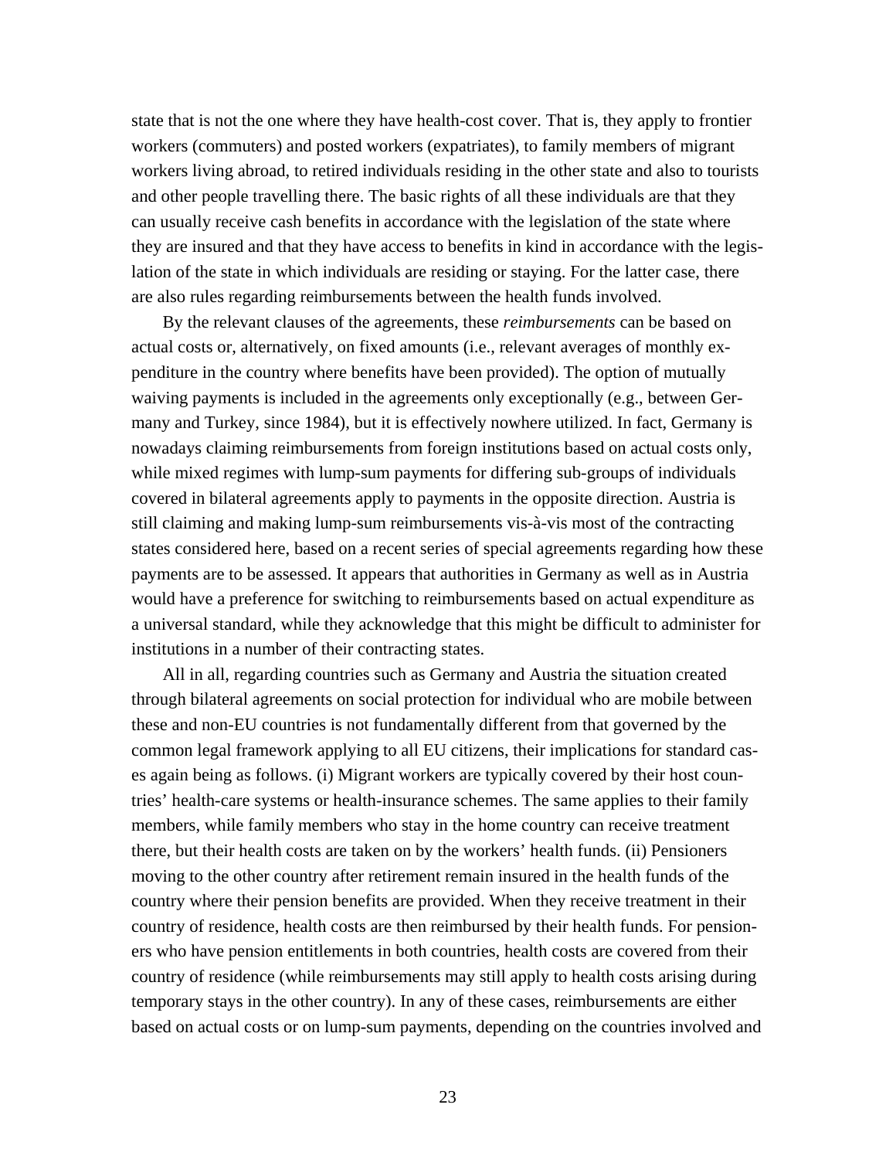state that is not the one where they have health-cost cover. That is, they apply to frontier workers (commuters) and posted workers (expatriates), to family members of migrant workers living abroad, to retired individuals residing in the other state and also to tourists and other people travelling there. The basic rights of all these individuals are that they can usually receive cash benefits in accordance with the legislation of the state where they are insured and that they have access to benefits in kind in accordance with the legislation of the state in which individuals are residing or staying. For the latter case, there are also rules regarding reimbursements between the health funds involved.

 By the relevant clauses of the agreements, these *reimbursements* can be based on actual costs or, alternatively, on fixed amounts (i.e., relevant averages of monthly expenditure in the country where benefits have been provided). The option of mutually waiving payments is included in the agreements only exceptionally (e.g., between Germany and Turkey, since 1984), but it is effectively nowhere utilized. In fact, Germany is nowadays claiming reimbursements from foreign institutions based on actual costs only, while mixed regimes with lump-sum payments for differing sub-groups of individuals covered in bilateral agreements apply to payments in the opposite direction. Austria is still claiming and making lump-sum reimbursements vis-à-vis most of the contracting states considered here, based on a recent series of special agreements regarding how these payments are to be assessed. It appears that authorities in Germany as well as in Austria would have a preference for switching to reimbursements based on actual expenditure as a universal standard, while they acknowledge that this might be difficult to administer for institutions in a number of their contracting states.

 All in all, regarding countries such as Germany and Austria the situation created through bilateral agreements on social protection for individual who are mobile between these and non-EU countries is not fundamentally different from that governed by the common legal framework applying to all EU citizens, their implications for standard cases again being as follows. (i) Migrant workers are typically covered by their host countries' health-care systems or health-insurance schemes. The same applies to their family members, while family members who stay in the home country can receive treatment there, but their health costs are taken on by the workers' health funds. (ii) Pensioners moving to the other country after retirement remain insured in the health funds of the country where their pension benefits are provided. When they receive treatment in their country of residence, health costs are then reimbursed by their health funds. For pensioners who have pension entitlements in both countries, health costs are covered from their country of residence (while reimbursements may still apply to health costs arising during temporary stays in the other country). In any of these cases, reimbursements are either based on actual costs or on lump-sum payments, depending on the countries involved and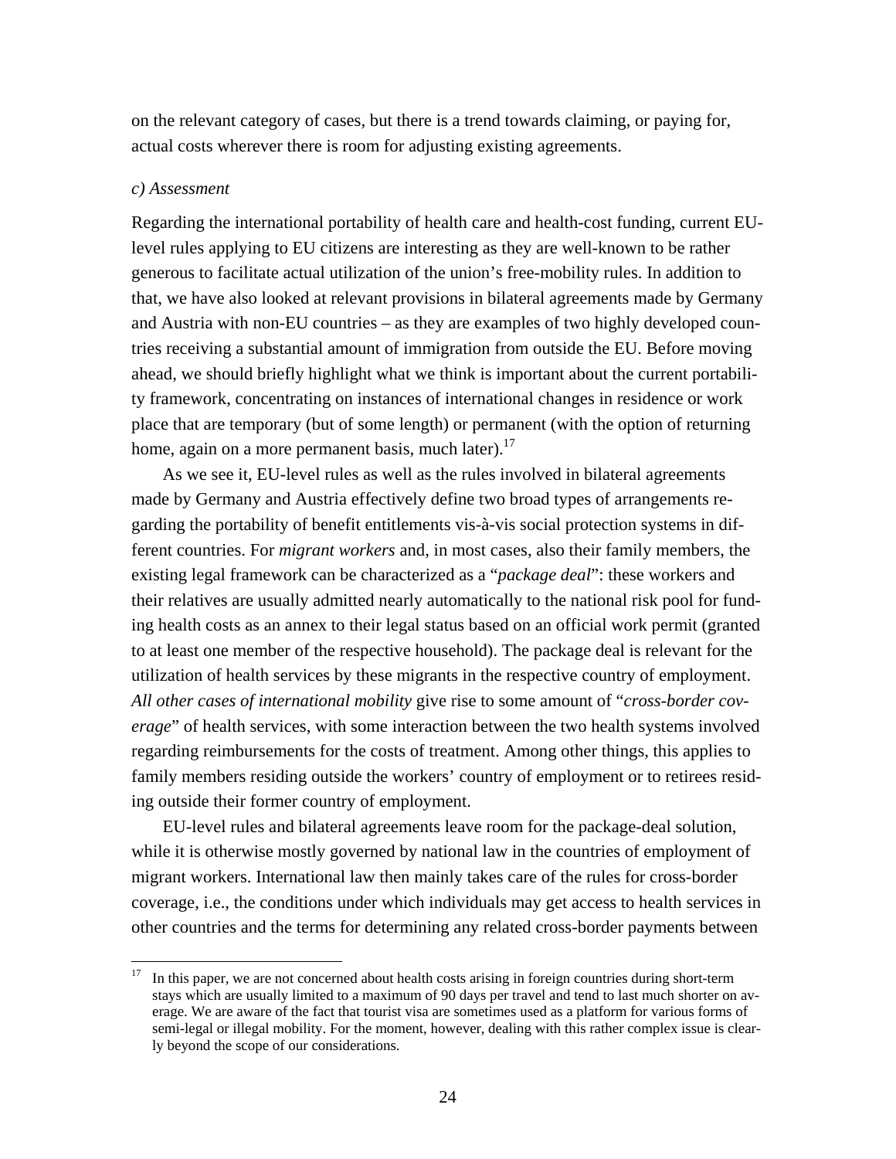on the relevant category of cases, but there is a trend towards claiming, or paying for, actual costs wherever there is room for adjusting existing agreements.

#### *c) Assessment*

Regarding the international portability of health care and health-cost funding, current EUlevel rules applying to EU citizens are interesting as they are well-known to be rather generous to facilitate actual utilization of the union's free-mobility rules. In addition to that, we have also looked at relevant provisions in bilateral agreements made by Germany and Austria with non-EU countries – as they are examples of two highly developed countries receiving a substantial amount of immigration from outside the EU. Before moving ahead, we should briefly highlight what we think is important about the current portability framework, concentrating on instances of international changes in residence or work place that are temporary (but of some length) or permanent (with the option of returning home, again on a more permanent basis, much later).<sup>17</sup>

 As we see it, EU-level rules as well as the rules involved in bilateral agreements made by Germany and Austria effectively define two broad types of arrangements regarding the portability of benefit entitlements vis-à-vis social protection systems in different countries. For *migrant workers* and, in most cases, also their family members, the existing legal framework can be characterized as a "*package deal*": these workers and their relatives are usually admitted nearly automatically to the national risk pool for funding health costs as an annex to their legal status based on an official work permit (granted to at least one member of the respective household). The package deal is relevant for the utilization of health services by these migrants in the respective country of employment. *All other cases of international mobility* give rise to some amount of "*cross-border coverage*" of health services, with some interaction between the two health systems involved regarding reimbursements for the costs of treatment. Among other things, this applies to family members residing outside the workers' country of employment or to retirees residing outside their former country of employment.

 EU-level rules and bilateral agreements leave room for the package-deal solution, while it is otherwise mostly governed by national law in the countries of employment of migrant workers. International law then mainly takes care of the rules for cross-border coverage, i.e., the conditions under which individuals may get access to health services in other countries and the terms for determining any related cross-border payments between

<sup>17</sup> In this paper, we are not concerned about health costs arising in foreign countries during short-term stays which are usually limited to a maximum of 90 days per travel and tend to last much shorter on average. We are aware of the fact that tourist visa are sometimes used as a platform for various forms of semi-legal or illegal mobility. For the moment, however, dealing with this rather complex issue is clearly beyond the scope of our considerations.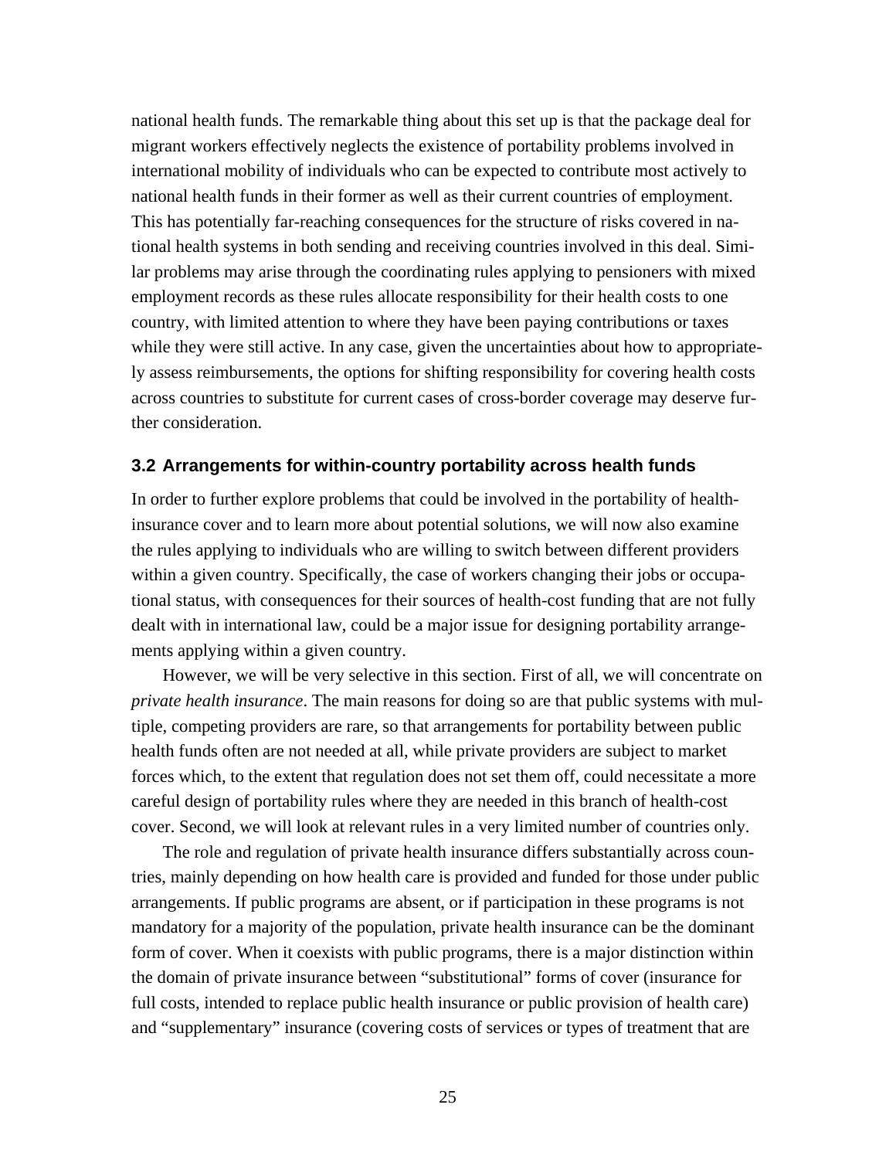national health funds. The remarkable thing about this set up is that the package deal for migrant workers effectively neglects the existence of portability problems involved in international mobility of individuals who can be expected to contribute most actively to national health funds in their former as well as their current countries of employment. This has potentially far-reaching consequences for the structure of risks covered in national health systems in both sending and receiving countries involved in this deal. Similar problems may arise through the coordinating rules applying to pensioners with mixed employment records as these rules allocate responsibility for their health costs to one country, with limited attention to where they have been paying contributions or taxes while they were still active. In any case, given the uncertainties about how to appropriately assess reimbursements, the options for shifting responsibility for covering health costs across countries to substitute for current cases of cross-border coverage may deserve further consideration.

#### **3.2 Arrangements for within-country portability across health funds**

In order to further explore problems that could be involved in the portability of healthinsurance cover and to learn more about potential solutions, we will now also examine the rules applying to individuals who are willing to switch between different providers within a given country. Specifically, the case of workers changing their jobs or occupational status, with consequences for their sources of health-cost funding that are not fully dealt with in international law, could be a major issue for designing portability arrangements applying within a given country.

 However, we will be very selective in this section. First of all, we will concentrate on *private health insurance*. The main reasons for doing so are that public systems with multiple, competing providers are rare, so that arrangements for portability between public health funds often are not needed at all, while private providers are subject to market forces which, to the extent that regulation does not set them off, could necessitate a more careful design of portability rules where they are needed in this branch of health-cost cover. Second, we will look at relevant rules in a very limited number of countries only.

 The role and regulation of private health insurance differs substantially across countries, mainly depending on how health care is provided and funded for those under public arrangements. If public programs are absent, or if participation in these programs is not mandatory for a majority of the population, private health insurance can be the dominant form of cover. When it coexists with public programs, there is a major distinction within the domain of private insurance between "substitutional" forms of cover (insurance for full costs, intended to replace public health insurance or public provision of health care) and "supplementary" insurance (covering costs of services or types of treatment that are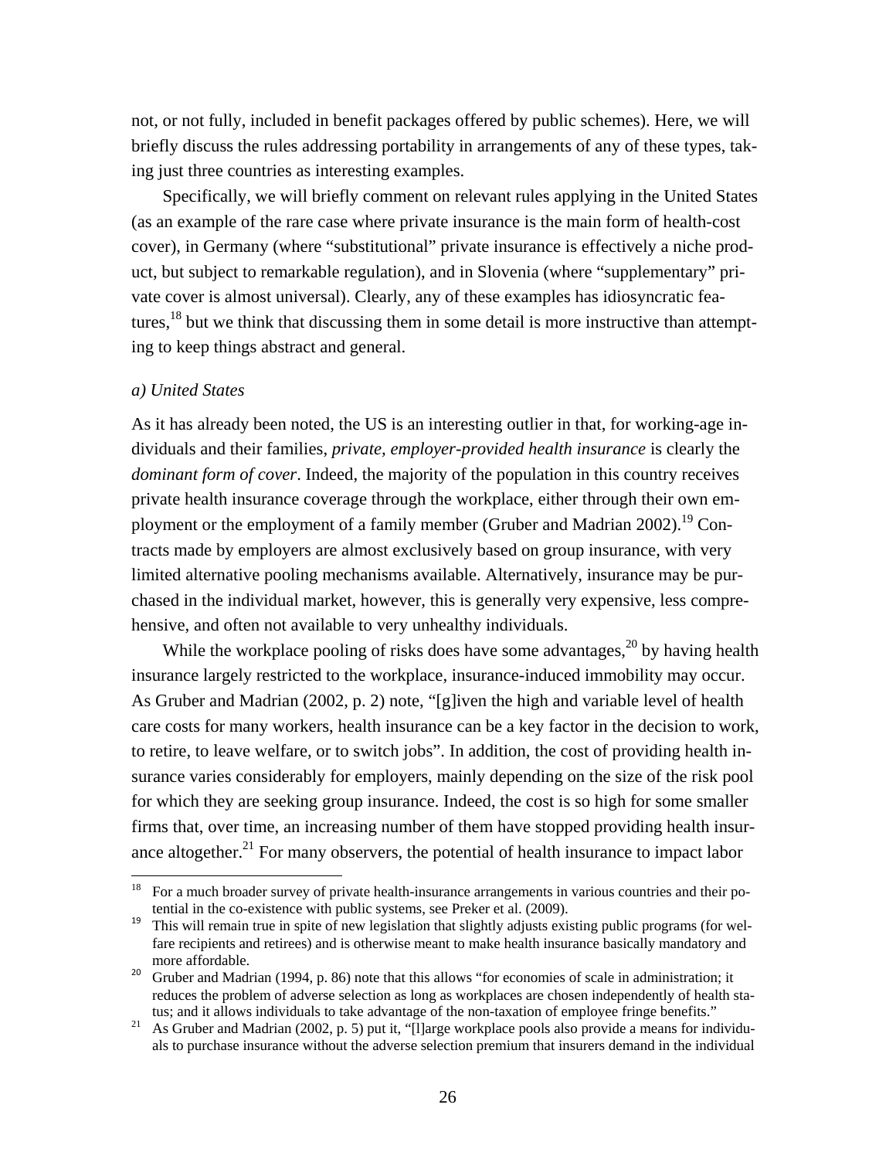not, or not fully, included in benefit packages offered by public schemes). Here, we will briefly discuss the rules addressing portability in arrangements of any of these types, taking just three countries as interesting examples.

 Specifically, we will briefly comment on relevant rules applying in the United States (as an example of the rare case where private insurance is the main form of health-cost cover), in Germany (where "substitutional" private insurance is effectively a niche product, but subject to remarkable regulation), and in Slovenia (where "supplementary" private cover is almost universal). Clearly, any of these examples has idiosyncratic features,<sup>18</sup> but we think that discussing them in some detail is more instructive than attempting to keep things abstract and general.

#### *a) United States*

As it has already been noted, the US is an interesting outlier in that, for working-age individuals and their families, *private, employer-provided health insurance* is clearly the *dominant form of cover*. Indeed, the majority of the population in this country receives private health insurance coverage through the workplace, either through their own employment or the employment of a family member (Gruber and Madrian 2002).<sup>19</sup> Contracts made by employers are almost exclusively based on group insurance, with very limited alternative pooling mechanisms available. Alternatively, insurance may be purchased in the individual market, however, this is generally very expensive, less comprehensive, and often not available to very unhealthy individuals.

While the workplace pooling of risks does have some advantages,<sup>20</sup> by having health insurance largely restricted to the workplace, insurance-induced immobility may occur. As Gruber and Madrian (2002, p. 2) note, "[g]iven the high and variable level of health care costs for many workers, health insurance can be a key factor in the decision to work, to retire, to leave welfare, or to switch jobs". In addition, the cost of providing health insurance varies considerably for employers, mainly depending on the size of the risk pool for which they are seeking group insurance. Indeed, the cost is so high for some smaller firms that, over time, an increasing number of them have stopped providing health insurance altogether. $21$  For many observers, the potential of health insurance to impact labor

 $18$  For a much broader survey of private health-insurance arrangements in various countries and their potential in the co-existence with public systems, see Preker et al. (2009).

<sup>&</sup>lt;sup>19</sup> This will remain true in spite of new legislation that slightly adjusts existing public programs (for welfare recipients and retirees) and is otherwise meant to make health insurance basically mandatory and more affordable.

<sup>&</sup>lt;sup>20</sup> Gruber and Madrian (1994, p. 86) note that this allows "for economies of scale in administration; it reduces the problem of adverse selection as long as workplaces are chosen independently of health status; and it allows individuals to take advantage of the non-taxation of employee fringe benefits."<br><sup>21</sup> As Gruber and Madrian (2002, p. 5) put it, "[l]arge workplace pools also provide a means for individu-

als to purchase insurance without the adverse selection premium that insurers demand in the individual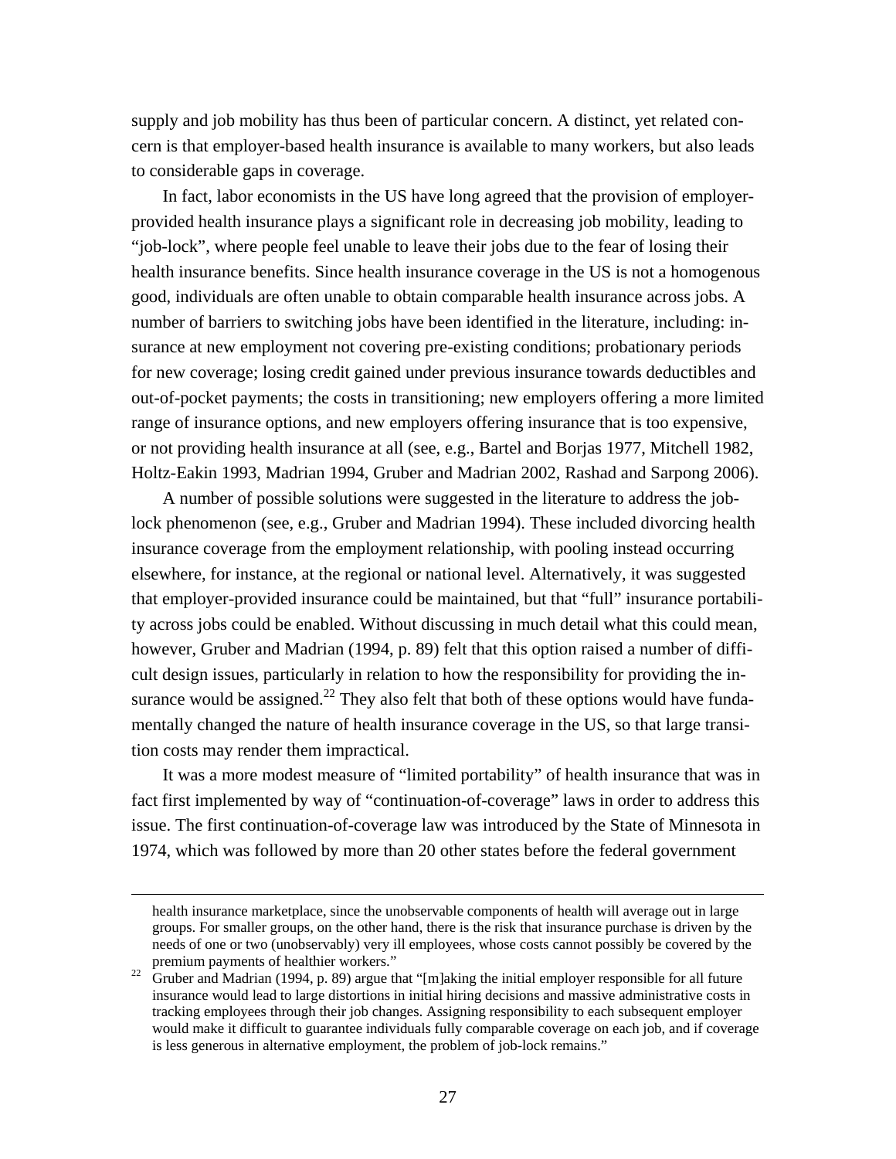supply and job mobility has thus been of particular concern. A distinct, yet related concern is that employer-based health insurance is available to many workers, but also leads to considerable gaps in coverage.

 In fact, labor economists in the US have long agreed that the provision of employerprovided health insurance plays a significant role in decreasing job mobility, leading to "job-lock", where people feel unable to leave their jobs due to the fear of losing their health insurance benefits. Since health insurance coverage in the US is not a homogenous good, individuals are often unable to obtain comparable health insurance across jobs. A number of barriers to switching jobs have been identified in the literature, including: insurance at new employment not covering pre-existing conditions; probationary periods for new coverage; losing credit gained under previous insurance towards deductibles and out-of-pocket payments; the costs in transitioning; new employers offering a more limited range of insurance options, and new employers offering insurance that is too expensive, or not providing health insurance at all (see, e.g., Bartel and Borjas 1977, Mitchell 1982, Holtz-Eakin 1993, Madrian 1994, Gruber and Madrian 2002, Rashad and Sarpong 2006).

 A number of possible solutions were suggested in the literature to address the joblock phenomenon (see, e.g., Gruber and Madrian 1994). These included divorcing health insurance coverage from the employment relationship, with pooling instead occurring elsewhere, for instance, at the regional or national level. Alternatively, it was suggested that employer-provided insurance could be maintained, but that "full" insurance portability across jobs could be enabled. Without discussing in much detail what this could mean, however, Gruber and Madrian (1994, p. 89) felt that this option raised a number of difficult design issues, particularly in relation to how the responsibility for providing the insurance would be assigned. $^{22}$  They also felt that both of these options would have fundamentally changed the nature of health insurance coverage in the US, so that large transition costs may render them impractical.

 It was a more modest measure of "limited portability" of health insurance that was in fact first implemented by way of "continuation-of-coverage" laws in order to address this issue. The first continuation-of-coverage law was introduced by the State of Minnesota in 1974, which was followed by more than 20 other states before the federal government

<u> 1989 - Johann Stoff, amerikansk politiker (d. 1989)</u>

health insurance marketplace, since the unobservable components of health will average out in large groups. For smaller groups, on the other hand, there is the risk that insurance purchase is driven by the needs of one or two (unobservably) very ill employees, whose costs cannot possibly be covered by the premium payments of healthier workers."<br><sup>22</sup> Gruber and Madrian (1994, p. 89) argue that "[m]aking the initial employer responsible for all future

insurance would lead to large distortions in initial hiring decisions and massive administrative costs in tracking employees through their job changes. Assigning responsibility to each subsequent employer would make it difficult to guarantee individuals fully comparable coverage on each job, and if coverage is less generous in alternative employment, the problem of job-lock remains."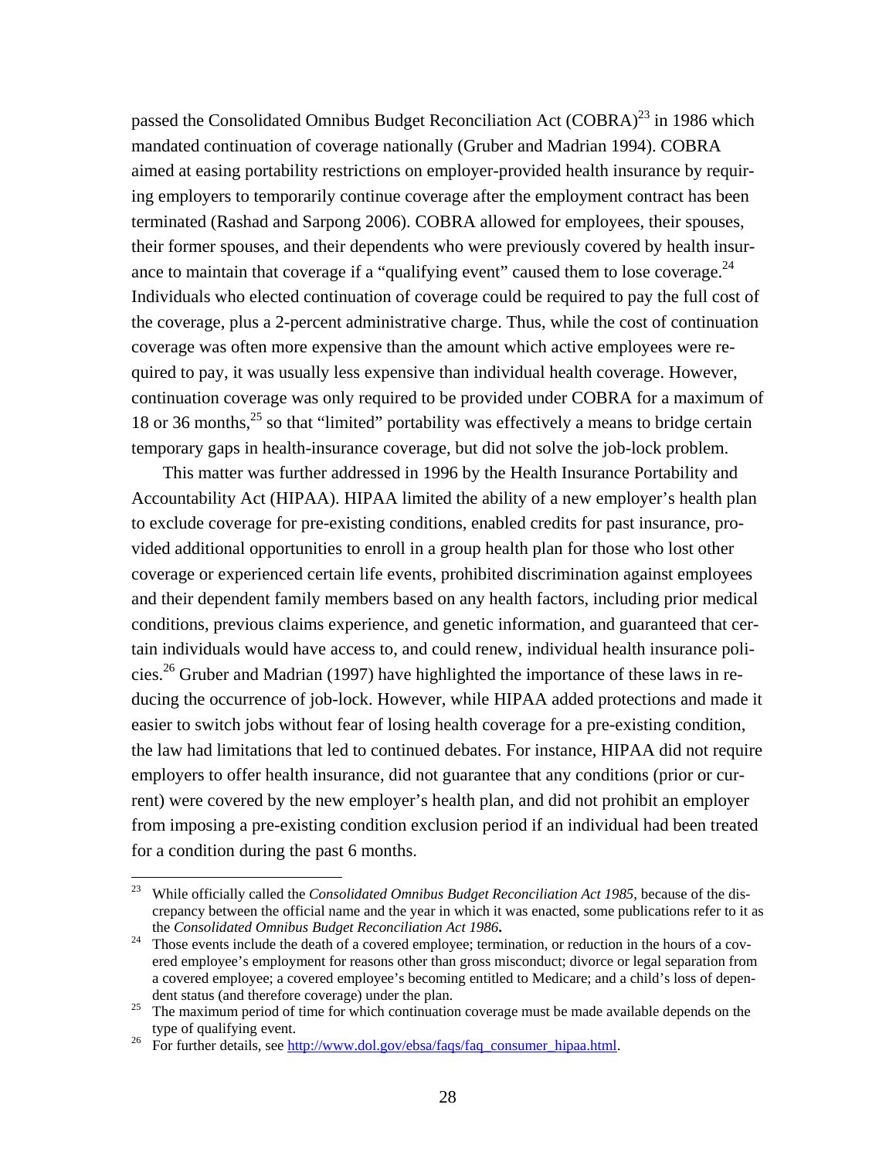passed the Consolidated Omnibus Budget Reconciliation Act (COBRA)<sup>23</sup> in 1986 which mandated continuation of coverage nationally (Gruber and Madrian 1994). COBRA aimed at easing portability restrictions on employer-provided health insurance by requiring employers to temporarily continue coverage after the employment contract has been terminated (Rashad and Sarpong 2006). COBRA allowed for employees, their spouses, their former spouses, and their dependents who were previously covered by health insurance to maintain that coverage if a "qualifying event" caused them to lose coverage. $^{24}$ Individuals who elected continuation of coverage could be required to pay the full cost of the coverage, plus a 2-percent administrative charge. Thus, while the cost of continuation coverage was often more expensive than the amount which active employees were required to pay, it was usually less expensive than individual health coverage. However, continuation coverage was only required to be provided under COBRA for a maximum of 18 or 36 months,  $25$  so that "limited" portability was effectively a means to bridge certain temporary gaps in health-insurance coverage, but did not solve the job-lock problem.

 This matter was further addressed in 1996 by the Health Insurance Portability and Accountability Act (HIPAA). HIPAA limited the ability of a new employer's health plan to exclude coverage for pre-existing conditions, enabled credits for past insurance, provided additional opportunities to enroll in a group health plan for those who lost other coverage or experienced certain life events, prohibited discrimination against employees and their dependent family members based on any health factors, including prior medical conditions, previous claims experience, and genetic information, and guaranteed that certain individuals would have access to, and could renew, individual health insurance policies.26 Gruber and Madrian (1997) have highlighted the importance of these laws in reducing the occurrence of job-lock. However, while HIPAA added protections and made it easier to switch jobs without fear of losing health coverage for a pre-existing condition, the law had limitations that led to continued debates. For instance, HIPAA did not require employers to offer health insurance, did not guarantee that any conditions (prior or current) were covered by the new employer's health plan, and did not prohibit an employer from imposing a pre-existing condition exclusion period if an individual had been treated for a condition during the past 6 months.

<sup>&</sup>lt;sup>23</sup> While officially called the *Consolidated Omnibus Budget Reconciliation Act 1985*, because of the discrepancy between the official name and the year in which it was enacted, some publications refer to it as the *Consolidated Omnibus Budget Reconciliation Act 1986***.** 24 Those events include the death of a covered employee; termination, or reduction in the hours of a cov-

ered employee's employment for reasons other than gross misconduct; divorce or legal separation from a covered employee; a covered employee's becoming entitled to Medicare; and a child's loss of depen-

dent status (and therefore coverage) under the plan.<br><sup>25</sup> The maximum period of time for which continuation coverage must be made available depends on the type of qualifying event.

<sup>&</sup>lt;sup>26</sup> For further details, see http://www.dol.gov/ebsa/faqs/faq\_consumer\_hipaa.html.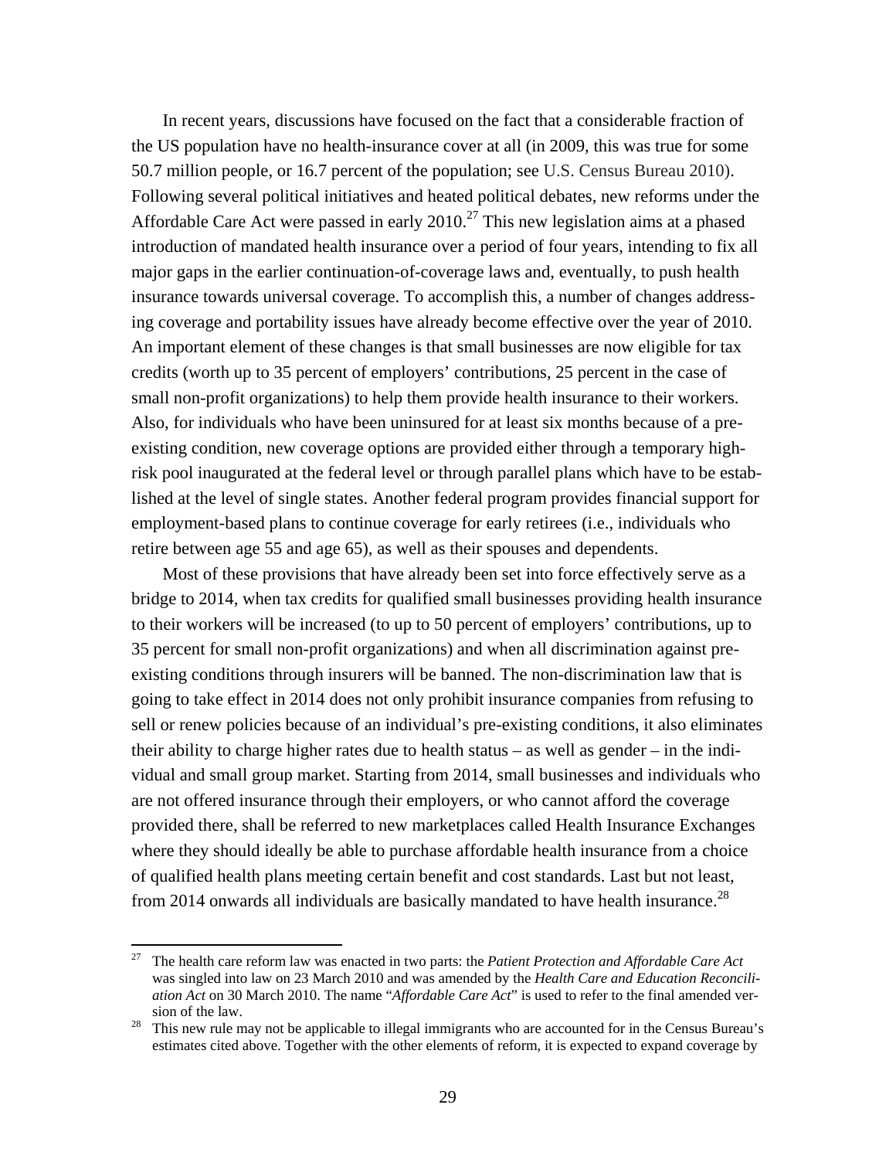In recent years, discussions have focused on the fact that a considerable fraction of the US population have no health-insurance cover at all (in 2009, this was true for some 50.7 million people, or 16.7 percent of the population; see U.S. Census Bureau 2010). Following several political initiatives and heated political debates, new reforms under the Affordable Care Act were passed in early  $2010<sup>27</sup>$  This new legislation aims at a phased introduction of mandated health insurance over a period of four years, intending to fix all major gaps in the earlier continuation-of-coverage laws and, eventually, to push health insurance towards universal coverage. To accomplish this, a number of changes addressing coverage and portability issues have already become effective over the year of 2010. An important element of these changes is that small businesses are now eligible for tax credits (worth up to 35 percent of employers' contributions, 25 percent in the case of small non-profit organizations) to help them provide health insurance to their workers. Also, for individuals who have been uninsured for at least six months because of a preexisting condition, new coverage options are provided either through a temporary highrisk pool inaugurated at the federal level or through parallel plans which have to be established at the level of single states. Another federal program provides financial support for employment-based plans to continue coverage for early retirees (i.e., individuals who retire between age 55 and age 65), as well as their spouses and dependents.

 Most of these provisions that have already been set into force effectively serve as a bridge to 2014, when tax credits for qualified small businesses providing health insurance to their workers will be increased (to up to 50 percent of employers' contributions, up to 35 percent for small non-profit organizations) and when all discrimination against preexisting conditions through insurers will be banned. The non-discrimination law that is going to take effect in 2014 does not only prohibit insurance companies from refusing to sell or renew policies because of an individual's pre-existing conditions, it also eliminates their ability to charge higher rates due to health status – as well as gender – in the individual and small group market. Starting from 2014, small businesses and individuals who are not offered insurance through their employers, or who cannot afford the coverage provided there, shall be referred to new marketplaces called Health Insurance Exchanges where they should ideally be able to purchase affordable health insurance from a choice of qualified health plans meeting certain benefit and cost standards. Last but not least, from 2014 onwards all individuals are basically mandated to have health insurance.<sup>28</sup>

<sup>27</sup> The health care reform law was enacted in two parts: the *Patient Protection and Affordable Care Act* was singled into law on 23 March 2010 and was amended by the *Health Care and Education Reconciliation Act* on 30 March 2010. The name "*Affordable Care Act*" is used to refer to the final amended version of the law.<br>This new rule may not be applicable to illegal immigrants who are accounted for in the Census Bureau's

estimates cited above. Together with the other elements of reform, it is expected to expand coverage by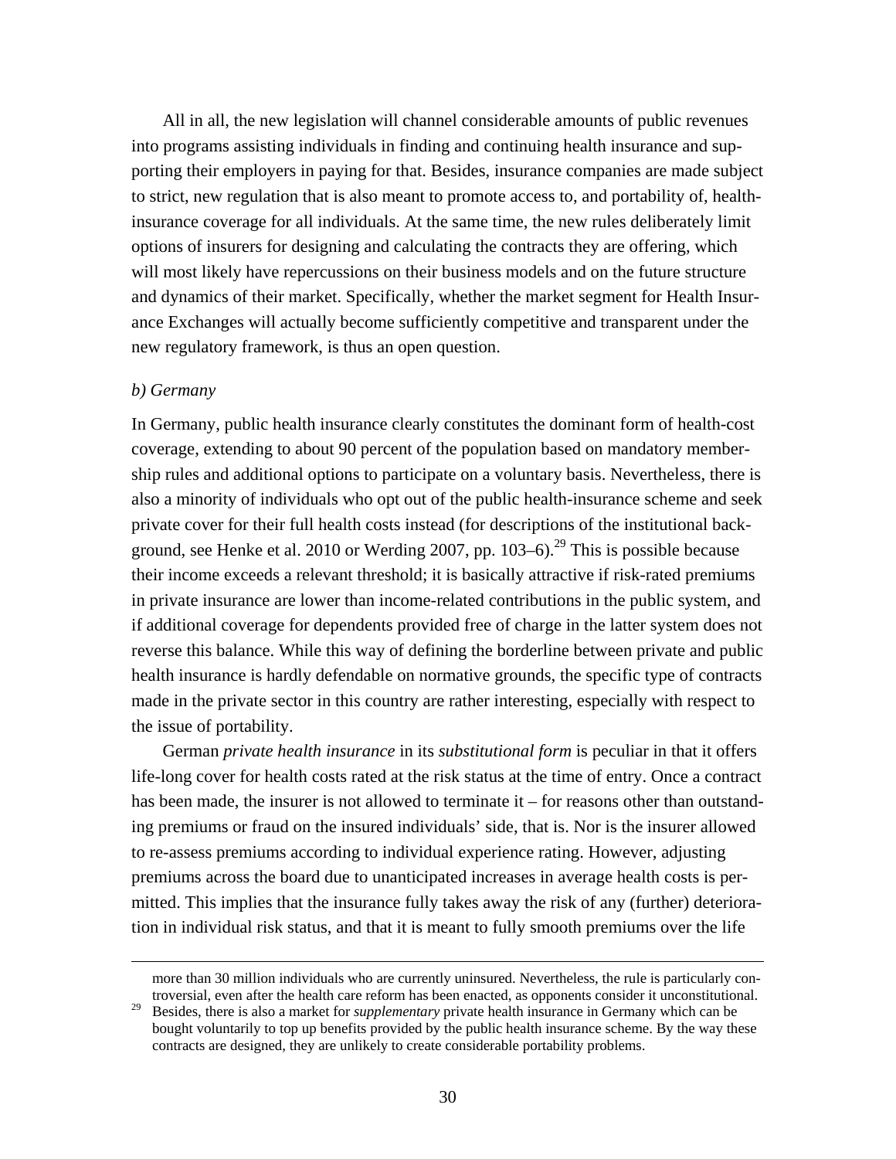All in all, the new legislation will channel considerable amounts of public revenues into programs assisting individuals in finding and continuing health insurance and supporting their employers in paying for that. Besides, insurance companies are made subject to strict, new regulation that is also meant to promote access to, and portability of, healthinsurance coverage for all individuals. At the same time, the new rules deliberately limit options of insurers for designing and calculating the contracts they are offering, which will most likely have repercussions on their business models and on the future structure and dynamics of their market. Specifically, whether the market segment for Health Insurance Exchanges will actually become sufficiently competitive and transparent under the new regulatory framework, is thus an open question.

#### *b) Germany*

In Germany, public health insurance clearly constitutes the dominant form of health-cost coverage, extending to about 90 percent of the population based on mandatory membership rules and additional options to participate on a voluntary basis. Nevertheless, there is also a minority of individuals who opt out of the public health-insurance scheme and seek private cover for their full health costs instead (for descriptions of the institutional background, see Henke et al. 2010 or Werding 2007, pp.  $103-6$ .<sup>29</sup> This is possible because their income exceeds a relevant threshold; it is basically attractive if risk-rated premiums in private insurance are lower than income-related contributions in the public system, and if additional coverage for dependents provided free of charge in the latter system does not reverse this balance. While this way of defining the borderline between private and public health insurance is hardly defendable on normative grounds, the specific type of contracts made in the private sector in this country are rather interesting, especially with respect to the issue of portability.

 German *private health insurance* in its *substitutional form* is peculiar in that it offers life-long cover for health costs rated at the risk status at the time of entry. Once a contract has been made, the insurer is not allowed to terminate it – for reasons other than outstanding premiums or fraud on the insured individuals' side, that is. Nor is the insurer allowed to re-assess premiums according to individual experience rating. However, adjusting premiums across the board due to unanticipated increases in average health costs is permitted. This implies that the insurance fully takes away the risk of any (further) deterioration in individual risk status, and that it is meant to fully smooth premiums over the life

<sup>&</sup>lt;u> 1989 - Johann Stoff, amerikansk politiker (d. 1989)</u> more than 30 million individuals who are currently uninsured. Nevertheless, the rule is particularly controversial, even after the health care reform has been enacted, as opponents consider it unconstitutional.

<sup>&</sup>lt;sup>29</sup> Besides, there is also a market for *supplementary* private health insurance in Germany which can be bought voluntarily to top up benefits provided by the public health insurance scheme. By the way these contracts are designed, they are unlikely to create considerable portability problems.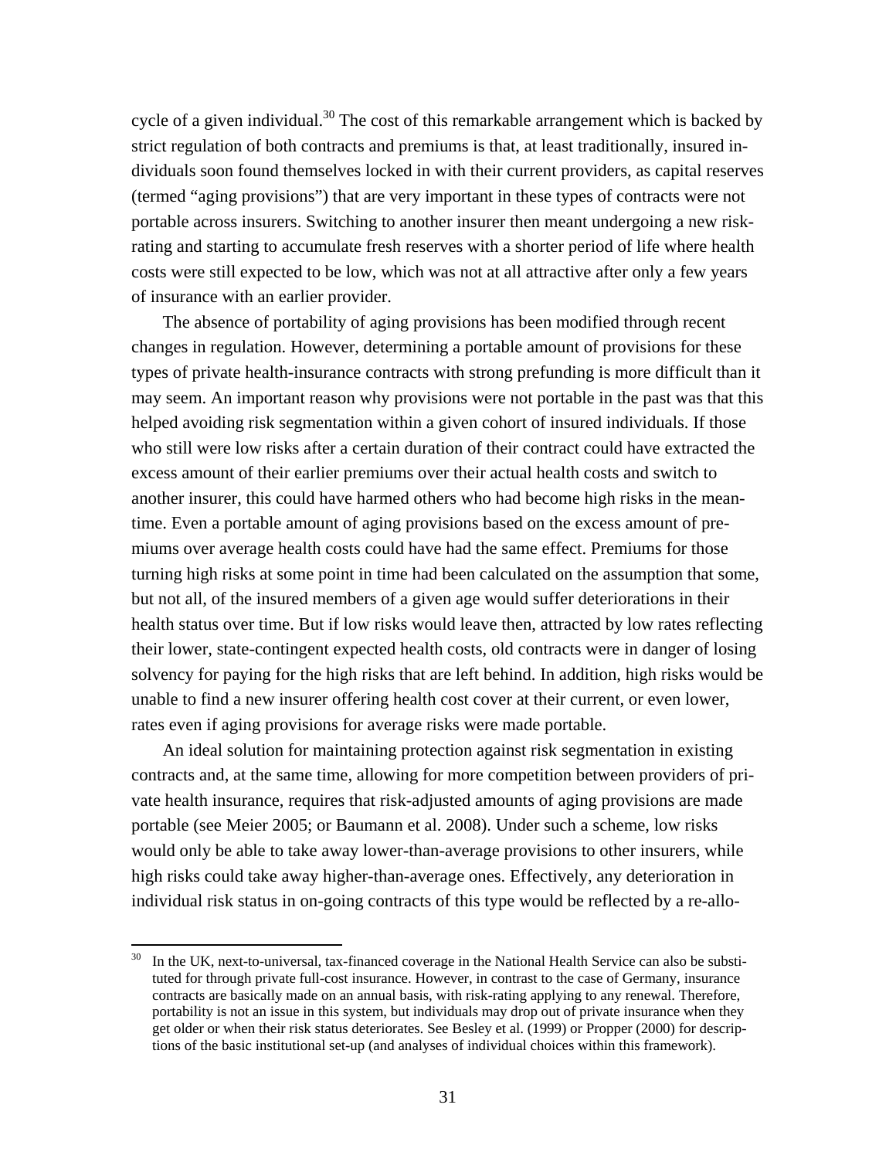cycle of a given individual.<sup>30</sup> The cost of this remarkable arrangement which is backed by strict regulation of both contracts and premiums is that, at least traditionally, insured individuals soon found themselves locked in with their current providers, as capital reserves (termed "aging provisions") that are very important in these types of contracts were not portable across insurers. Switching to another insurer then meant undergoing a new riskrating and starting to accumulate fresh reserves with a shorter period of life where health costs were still expected to be low, which was not at all attractive after only a few years of insurance with an earlier provider.

 The absence of portability of aging provisions has been modified through recent changes in regulation. However, determining a portable amount of provisions for these types of private health-insurance contracts with strong prefunding is more difficult than it may seem. An important reason why provisions were not portable in the past was that this helped avoiding risk segmentation within a given cohort of insured individuals. If those who still were low risks after a certain duration of their contract could have extracted the excess amount of their earlier premiums over their actual health costs and switch to another insurer, this could have harmed others who had become high risks in the meantime. Even a portable amount of aging provisions based on the excess amount of premiums over average health costs could have had the same effect. Premiums for those turning high risks at some point in time had been calculated on the assumption that some, but not all, of the insured members of a given age would suffer deteriorations in their health status over time. But if low risks would leave then, attracted by low rates reflecting their lower, state-contingent expected health costs, old contracts were in danger of losing solvency for paying for the high risks that are left behind. In addition, high risks would be unable to find a new insurer offering health cost cover at their current, or even lower, rates even if aging provisions for average risks were made portable.

 An ideal solution for maintaining protection against risk segmentation in existing contracts and, at the same time, allowing for more competition between providers of private health insurance, requires that risk-adjusted amounts of aging provisions are made portable (see Meier 2005; or Baumann et al. 2008). Under such a scheme, low risks would only be able to take away lower-than-average provisions to other insurers, while high risks could take away higher-than-average ones. Effectively, any deterioration in individual risk status in on-going contracts of this type would be reflected by a re-allo-

In the UK, next-to-universal, tax-financed coverage in the National Health Service can also be substituted for through private full-cost insurance. However, in contrast to the case of Germany, insurance contracts are basically made on an annual basis, with risk-rating applying to any renewal. Therefore, portability is not an issue in this system, but individuals may drop out of private insurance when they get older or when their risk status deteriorates. See Besley et al. (1999) or Propper (2000) for descriptions of the basic institutional set-up (and analyses of individual choices within this framework).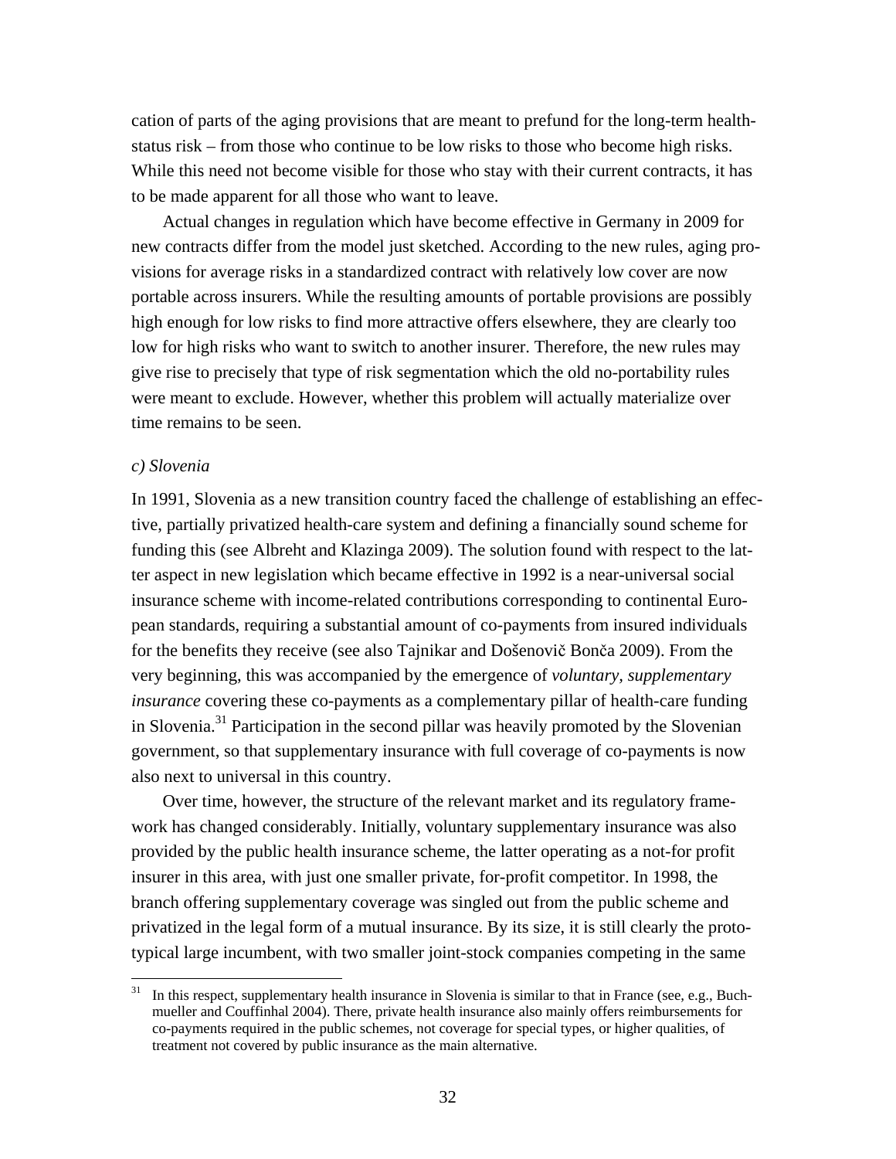cation of parts of the aging provisions that are meant to prefund for the long-term healthstatus risk – from those who continue to be low risks to those who become high risks. While this need not become visible for those who stay with their current contracts, it has to be made apparent for all those who want to leave.

 Actual changes in regulation which have become effective in Germany in 2009 for new contracts differ from the model just sketched. According to the new rules, aging provisions for average risks in a standardized contract with relatively low cover are now portable across insurers. While the resulting amounts of portable provisions are possibly high enough for low risks to find more attractive offers elsewhere, they are clearly too low for high risks who want to switch to another insurer. Therefore, the new rules may give rise to precisely that type of risk segmentation which the old no-portability rules were meant to exclude. However, whether this problem will actually materialize over time remains to be seen.

## *c) Slovenia*

In 1991, Slovenia as a new transition country faced the challenge of establishing an effective, partially privatized health-care system and defining a financially sound scheme for funding this (see Albreht and Klazinga 2009). The solution found with respect to the latter aspect in new legislation which became effective in 1992 is a near-universal social insurance scheme with income-related contributions corresponding to continental European standards, requiring a substantial amount of co-payments from insured individuals for the benefits they receive (see also Tajnikar and Došenovič Bonča 2009). From the very beginning, this was accompanied by the emergence of *voluntary, supplementary insurance* covering these co-payments as a complementary pillar of health-care funding in Slovenia.31 Participation in the second pillar was heavily promoted by the Slovenian government, so that supplementary insurance with full coverage of co-payments is now also next to universal in this country.

 Over time, however, the structure of the relevant market and its regulatory framework has changed considerably. Initially, voluntary supplementary insurance was also provided by the public health insurance scheme, the latter operating as a not-for profit insurer in this area, with just one smaller private, for-profit competitor. In 1998, the branch offering supplementary coverage was singled out from the public scheme and privatized in the legal form of a mutual insurance. By its size, it is still clearly the prototypical large incumbent, with two smaller joint-stock companies competing in the same

In this respect, supplementary health insurance in Slovenia is similar to that in France (see, e.g., Buchmueller and Couffinhal 2004). There, private health insurance also mainly offers reimbursements for co-payments required in the public schemes, not coverage for special types, or higher qualities, of treatment not covered by public insurance as the main alternative.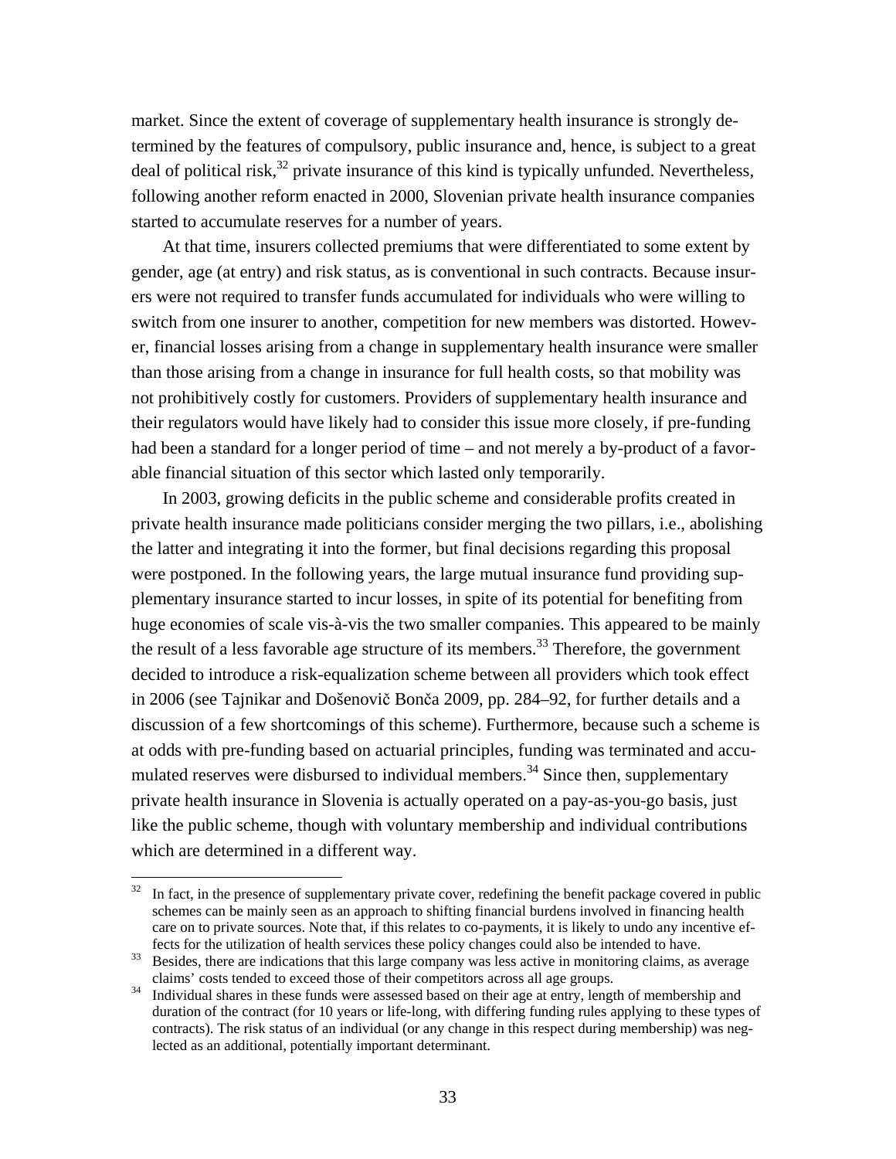market. Since the extent of coverage of supplementary health insurance is strongly determined by the features of compulsory, public insurance and, hence, is subject to a great deal of political risk,<sup>32</sup> private insurance of this kind is typically unfunded. Nevertheless, following another reform enacted in 2000, Slovenian private health insurance companies started to accumulate reserves for a number of years.

 At that time, insurers collected premiums that were differentiated to some extent by gender, age (at entry) and risk status, as is conventional in such contracts. Because insurers were not required to transfer funds accumulated for individuals who were willing to switch from one insurer to another, competition for new members was distorted. However, financial losses arising from a change in supplementary health insurance were smaller than those arising from a change in insurance for full health costs, so that mobility was not prohibitively costly for customers. Providers of supplementary health insurance and their regulators would have likely had to consider this issue more closely, if pre-funding had been a standard for a longer period of time – and not merely a by-product of a favorable financial situation of this sector which lasted only temporarily.

 In 2003, growing deficits in the public scheme and considerable profits created in private health insurance made politicians consider merging the two pillars, i.e., abolishing the latter and integrating it into the former, but final decisions regarding this proposal were postponed. In the following years, the large mutual insurance fund providing supplementary insurance started to incur losses, in spite of its potential for benefiting from huge economies of scale vis-à-vis the two smaller companies. This appeared to be mainly the result of a less favorable age structure of its members.<sup>33</sup> Therefore, the government decided to introduce a risk-equalization scheme between all providers which took effect in 2006 (see Tajnikar and Došenovič Bonča 2009, pp. 284–92, for further details and a discussion of a few shortcomings of this scheme). Furthermore, because such a scheme is at odds with pre-funding based on actuarial principles, funding was terminated and accumulated reserves were disbursed to individual members.<sup>34</sup> Since then, supplementary private health insurance in Slovenia is actually operated on a pay-as-you-go basis, just like the public scheme, though with voluntary membership and individual contributions which are determined in a different way.

 $32$  In fact, in the presence of supplementary private cover, redefining the benefit package covered in public schemes can be mainly seen as an approach to shifting financial burdens involved in financing health care on to private sources. Note that, if this relates to co-payments, it is likely to undo any incentive ef-

fects for the utilization of health services these policy changes could also be intended to have.<br><sup>33</sup> Besides, there are indications that this large company was less active in monitoring claims, as average

claims' costs tended to exceed those of their competitors across all age groups. 34 Individual shares in these funds were assessed based on their age at entry, length of membership and duration of the contract (for 10 years or life-long, with differing funding rules applying to these types of contracts). The risk status of an individual (or any change in this respect during membership) was neglected as an additional, potentially important determinant.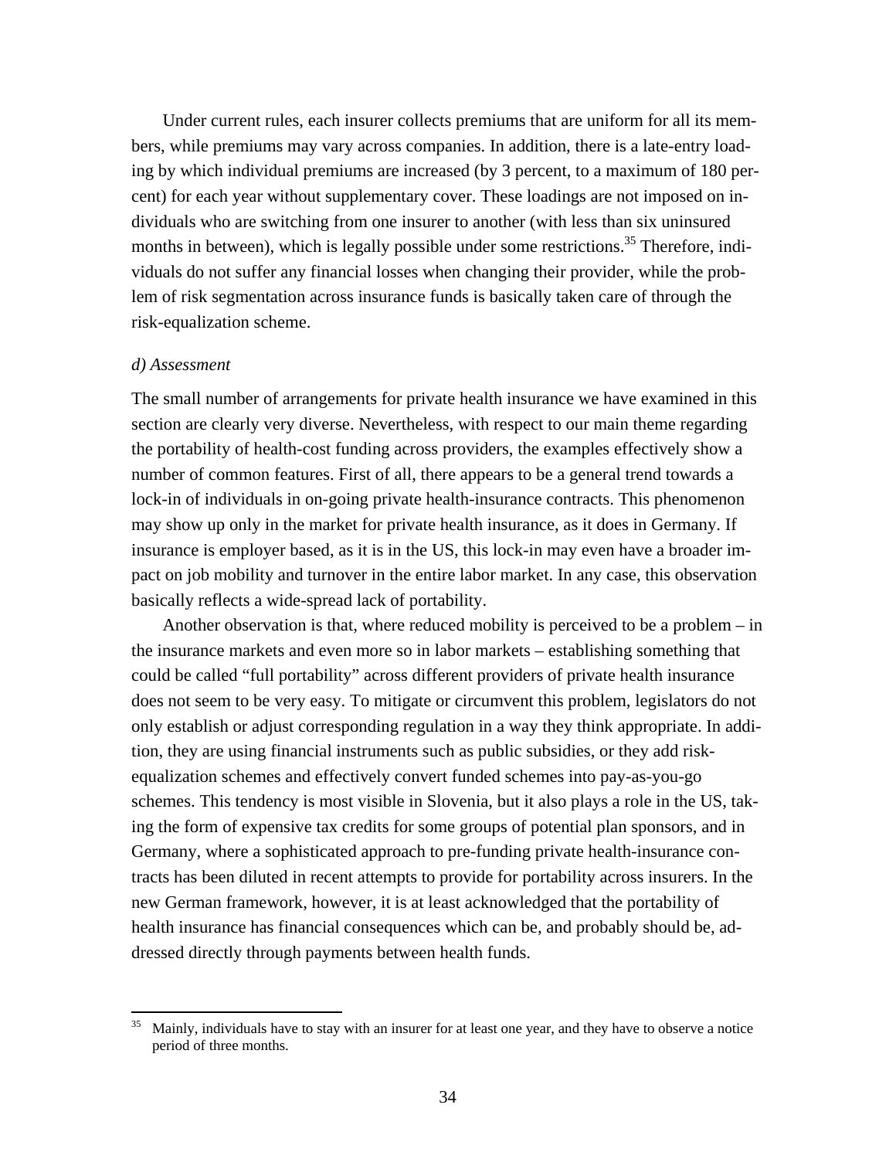Under current rules, each insurer collects premiums that are uniform for all its members, while premiums may vary across companies. In addition, there is a late-entry loading by which individual premiums are increased (by 3 percent, to a maximum of 180 percent) for each year without supplementary cover. These loadings are not imposed on individuals who are switching from one insurer to another (with less than six uninsured months in between), which is legally possible under some restrictions.<sup>35</sup> Therefore, individuals do not suffer any financial losses when changing their provider, while the problem of risk segmentation across insurance funds is basically taken care of through the risk-equalization scheme.

#### *d) Assessment*

The small number of arrangements for private health insurance we have examined in this section are clearly very diverse. Nevertheless, with respect to our main theme regarding the portability of health-cost funding across providers, the examples effectively show a number of common features. First of all, there appears to be a general trend towards a lock-in of individuals in on-going private health-insurance contracts. This phenomenon may show up only in the market for private health insurance, as it does in Germany. If insurance is employer based, as it is in the US, this lock-in may even have a broader impact on job mobility and turnover in the entire labor market. In any case, this observation basically reflects a wide-spread lack of portability.

 Another observation is that, where reduced mobility is perceived to be a problem – in the insurance markets and even more so in labor markets – establishing something that could be called "full portability" across different providers of private health insurance does not seem to be very easy. To mitigate or circumvent this problem, legislators do not only establish or adjust corresponding regulation in a way they think appropriate. In addition, they are using financial instruments such as public subsidies, or they add riskequalization schemes and effectively convert funded schemes into pay-as-you-go schemes. This tendency is most visible in Slovenia, but it also plays a role in the US, taking the form of expensive tax credits for some groups of potential plan sponsors, and in Germany, where a sophisticated approach to pre-funding private health-insurance contracts has been diluted in recent attempts to provide for portability across insurers. In the new German framework, however, it is at least acknowledged that the portability of health insurance has financial consequences which can be, and probably should be, addressed directly through payments between health funds.

Mainly, individuals have to stay with an insurer for at least one year, and they have to observe a notice period of three months.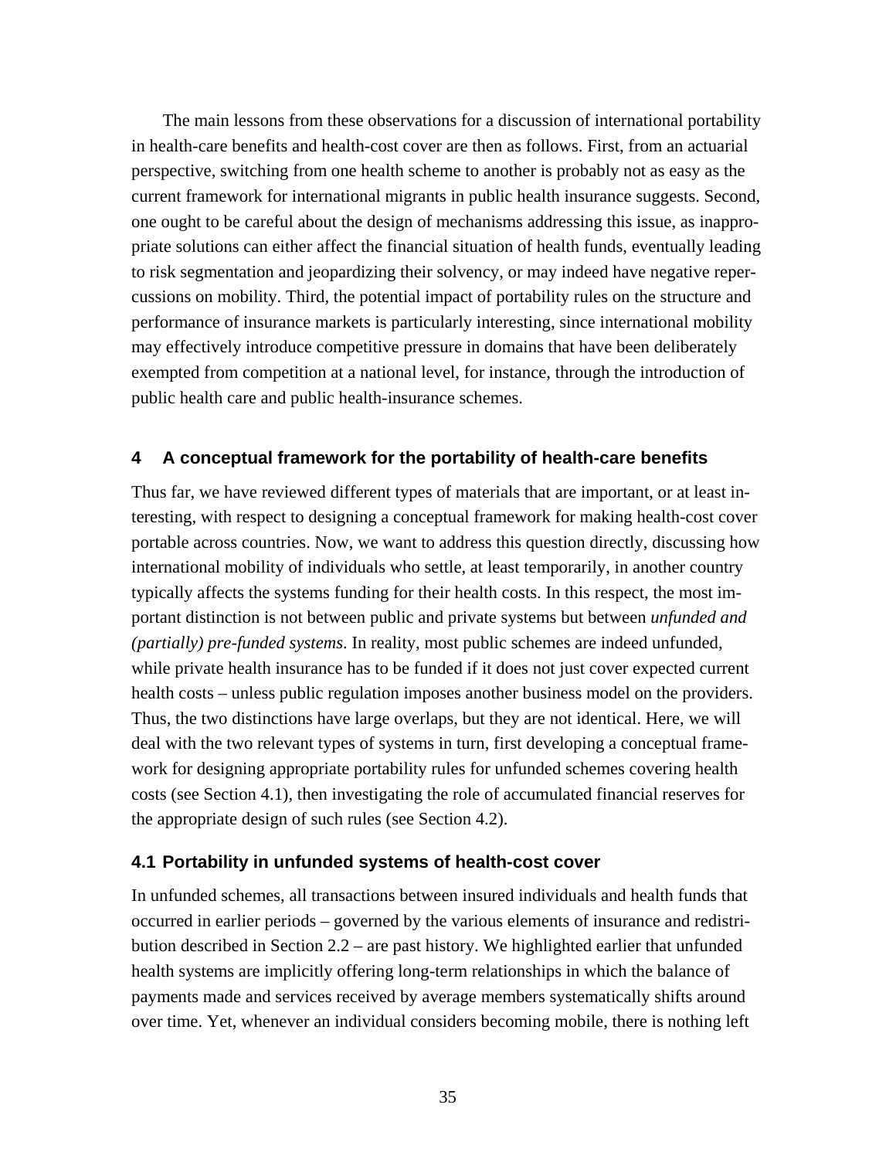The main lessons from these observations for a discussion of international portability in health-care benefits and health-cost cover are then as follows. First, from an actuarial perspective, switching from one health scheme to another is probably not as easy as the current framework for international migrants in public health insurance suggests. Second, one ought to be careful about the design of mechanisms addressing this issue, as inappropriate solutions can either affect the financial situation of health funds, eventually leading to risk segmentation and jeopardizing their solvency, or may indeed have negative repercussions on mobility. Third, the potential impact of portability rules on the structure and performance of insurance markets is particularly interesting, since international mobility may effectively introduce competitive pressure in domains that have been deliberately exempted from competition at a national level, for instance, through the introduction of public health care and public health-insurance schemes.

# **4 A conceptual framework for the portability of health-care benefits**

Thus far, we have reviewed different types of materials that are important, or at least interesting, with respect to designing a conceptual framework for making health-cost cover portable across countries. Now, we want to address this question directly, discussing how international mobility of individuals who settle, at least temporarily, in another country typically affects the systems funding for their health costs. In this respect, the most important distinction is not between public and private systems but between *unfunded and (partially) pre-funded systems*. In reality, most public schemes are indeed unfunded, while private health insurance has to be funded if it does not just cover expected current health costs – unless public regulation imposes another business model on the providers. Thus, the two distinctions have large overlaps, but they are not identical. Here, we will deal with the two relevant types of systems in turn, first developing a conceptual framework for designing appropriate portability rules for unfunded schemes covering health costs (see Section 4.1), then investigating the role of accumulated financial reserves for the appropriate design of such rules (see Section 4.2).

## **4.1 Portability in unfunded systems of health-cost cover**

In unfunded schemes, all transactions between insured individuals and health funds that occurred in earlier periods – governed by the various elements of insurance and redistribution described in Section 2.2 – are past history. We highlighted earlier that unfunded health systems are implicitly offering long-term relationships in which the balance of payments made and services received by average members systematically shifts around over time. Yet, whenever an individual considers becoming mobile, there is nothing left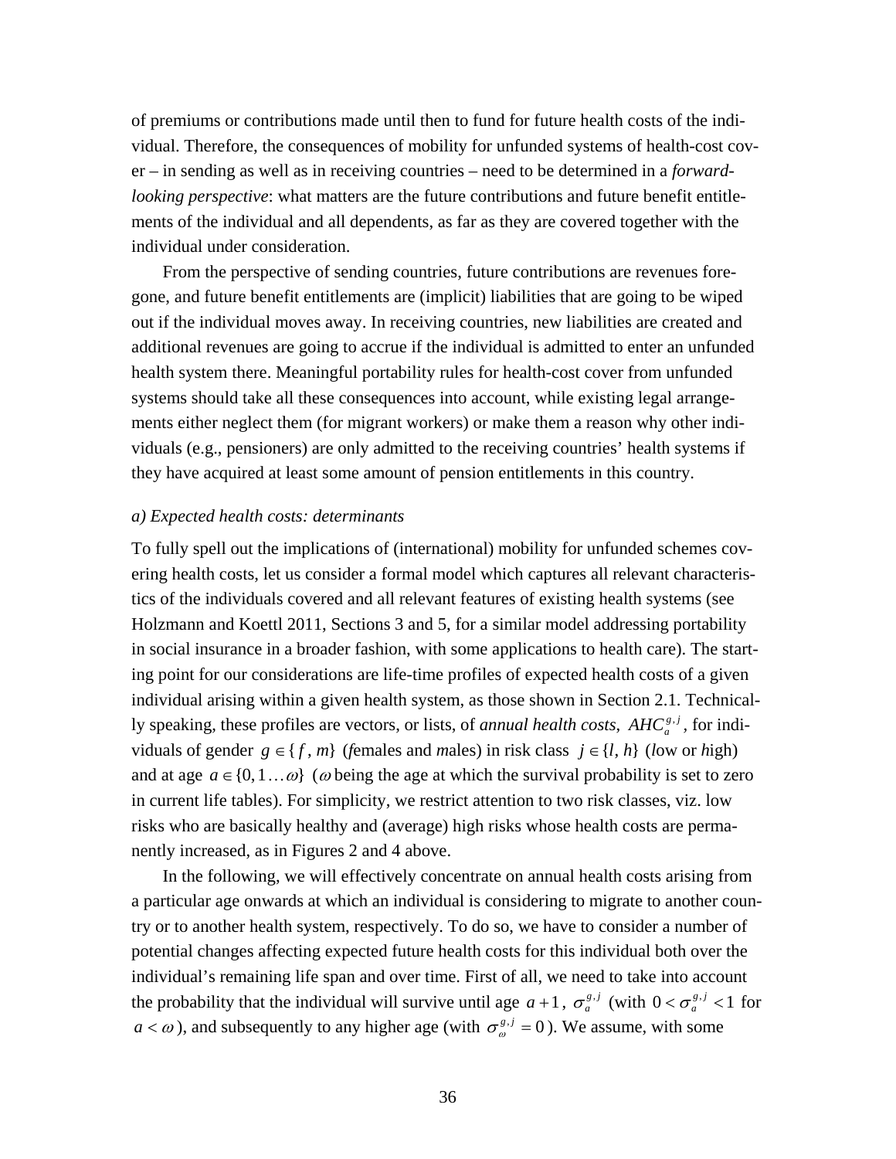of premiums or contributions made until then to fund for future health costs of the individual. Therefore, the consequences of mobility for unfunded systems of health-cost cover – in sending as well as in receiving countries – need to be determined in a *forwardlooking perspective*: what matters are the future contributions and future benefit entitlements of the individual and all dependents, as far as they are covered together with the individual under consideration.

 From the perspective of sending countries, future contributions are revenues foregone, and future benefit entitlements are (implicit) liabilities that are going to be wiped out if the individual moves away. In receiving countries, new liabilities are created and additional revenues are going to accrue if the individual is admitted to enter an unfunded health system there. Meaningful portability rules for health-cost cover from unfunded systems should take all these consequences into account, while existing legal arrangements either neglect them (for migrant workers) or make them a reason why other individuals (e.g., pensioners) are only admitted to the receiving countries' health systems if they have acquired at least some amount of pension entitlements in this country.

## *a) Expected health costs: determinants*

To fully spell out the implications of (international) mobility for unfunded schemes covering health costs, let us consider a formal model which captures all relevant characteristics of the individuals covered and all relevant features of existing health systems (see Holzmann and Koettl 2011, Sections 3 and 5, for a similar model addressing portability in social insurance in a broader fashion, with some applications to health care). The starting point for our considerations are life-time profiles of expected health costs of a given individual arising within a given health system, as those shown in Section 2.1. Technically speaking, these profiles are vectors, or lists, of *annual health costs*,  $AHC_a^{g,j}$ , for individuals of gender  $g \in \{f, m\}$  (females and *males*) in risk class  $j \in \{l, h\}$  (*low or high*) and at age  $a \in \{0, 1, \ldots \omega\}$  ( $\omega$  being the age at which the survival probability is set to zero in current life tables). For simplicity, we restrict attention to two risk classes, viz. low risks who are basically healthy and (average) high risks whose health costs are permanently increased, as in Figures 2 and 4 above.

 In the following, we will effectively concentrate on annual health costs arising from a particular age onwards at which an individual is considering to migrate to another country or to another health system, respectively. To do so, we have to consider a number of potential changes affecting expected future health costs for this individual both over the individual's remaining life span and over time. First of all, we need to take into account the probability that the individual will survive until age  $a+1$ ,  $\sigma_a^{g,j}$  (with  $0 < \sigma_a^{g,j} < 1$  for  $a < \omega$ ), and subsequently to any higher age (with  $\sigma_{\omega}^{g,j} = 0$ ). We assume, with some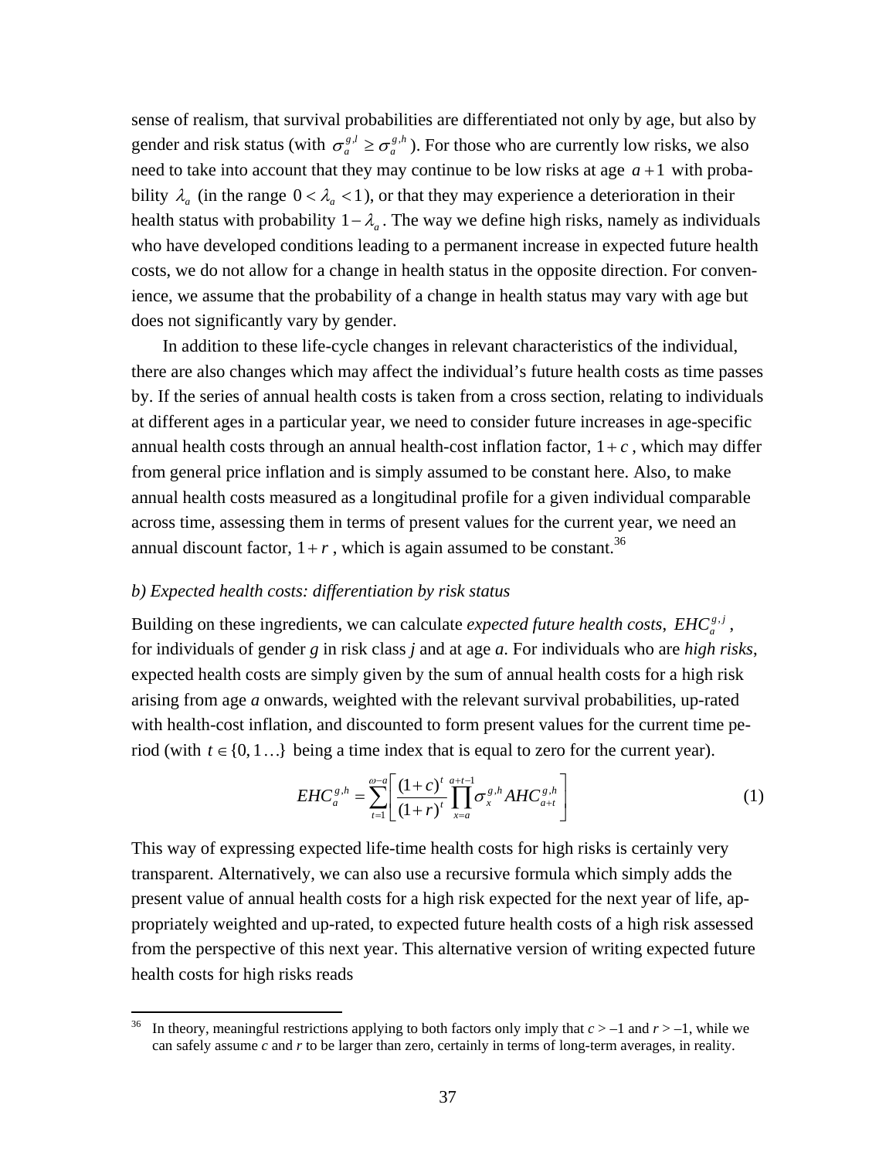sense of realism, that survival probabilities are differentiated not only by age, but also by gender and risk status (with  $\sigma_a^{g,l} \geq \sigma_a^{g,h}$ *lg*  $\sigma_a^{g,l} \geq \sigma_a^{g,h}$ ). For those who are currently low risks, we also need to take into account that they may continue to be low risks at age  $a+1$  with probability  $\lambda_a$  (in the range  $0 < \lambda_a < 1$ ), or that they may experience a deterioration in their health status with probability  $1 - \lambda_a$ . The way we define high risks, namely as individuals who have developed conditions leading to a permanent increase in expected future health costs, we do not allow for a change in health status in the opposite direction. For convenience, we assume that the probability of a change in health status may vary with age but does not significantly vary by gender.

 In addition to these life-cycle changes in relevant characteristics of the individual, there are also changes which may affect the individual's future health costs as time passes by. If the series of annual health costs is taken from a cross section, relating to individuals at different ages in a particular year, we need to consider future increases in age-specific annual health costs through an annual health-cost inflation factor,  $1+c$ , which may differ from general price inflation and is simply assumed to be constant here. Also, to make annual health costs measured as a longitudinal profile for a given individual comparable across time, assessing them in terms of present values for the current year, we need an annual discount factor,  $1+r$ , which is again assumed to be constant.<sup>36</sup>

#### *b) Expected health costs: differentiation by risk status*

Building on these ingredients, we can calculate *expected future health costs*,  $EHC_a^{g,j}$ , for individuals of gender *g* in risk class *j* and at age *a*. For individuals who are *high risks*, expected health costs are simply given by the sum of annual health costs for a high risk arising from age *a* onwards, weighted with the relevant survival probabilities, up-rated with health-cost inflation, and discounted to form present values for the current time period (with  $t \in \{0, 1...\}$  being a time index that is equal to zero for the current year).

$$
EHC_a^{g,h} = \sum_{t=1}^{\infty} \left[ \frac{(1+c)^t}{(1+r)^t} \prod_{x=a}^{a+t-1} \sigma_x^{g,h} AHC_{a+t}^{g,h} \right] \tag{1}
$$

This way of expressing expected life-time health costs for high risks is certainly very transparent. Alternatively, we can also use a recursive formula which simply adds the present value of annual health costs for a high risk expected for the next year of life, appropriately weighted and up-rated, to expected future health costs of a high risk assessed from the perspective of this next year. This alternative version of writing expected future health costs for high risks reads

<sup>&</sup>lt;sup>36</sup> In theory, meaningful restrictions applying to both factors only imply that  $c > -1$  and  $r > -1$ , while we can safely assume *c* and *r* to be larger than zero, certainly in terms of long-term averages, in reality.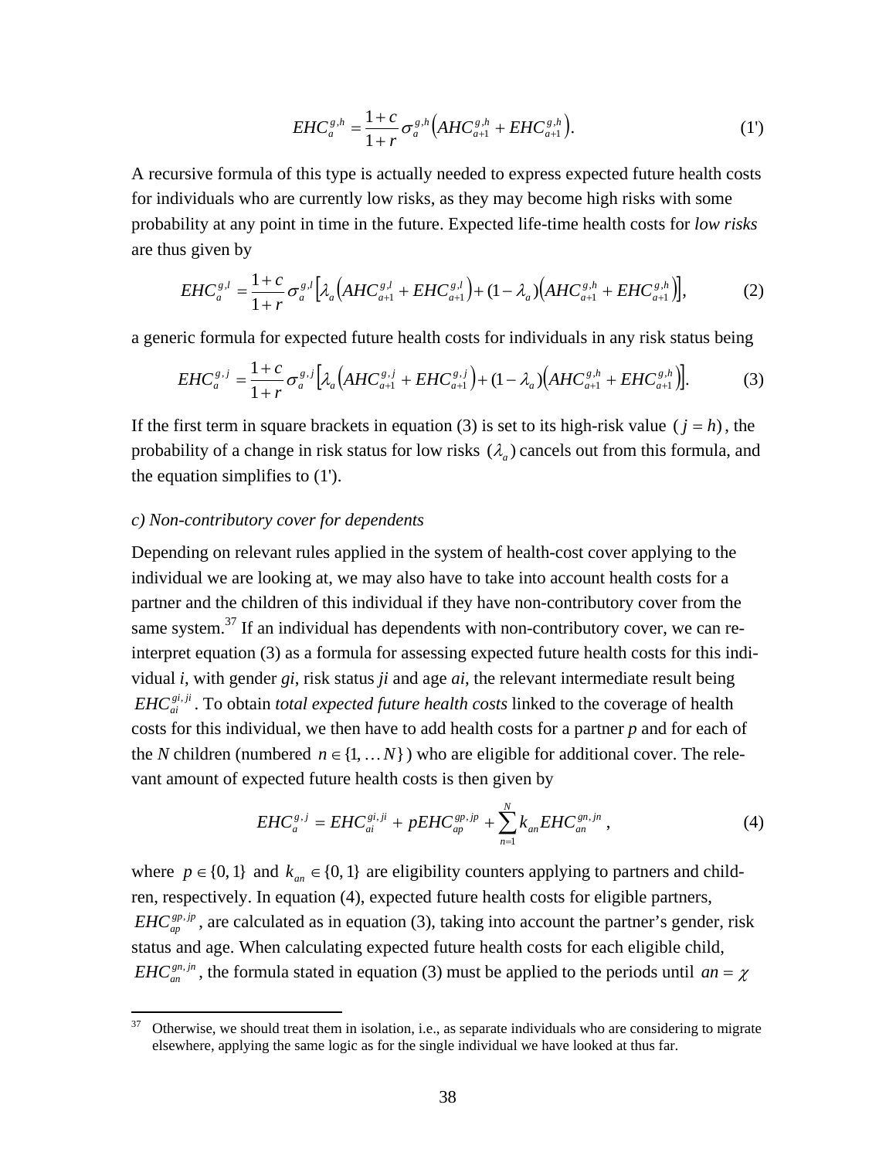$$
EHC_a^{s,h} = \frac{1+c}{1+r} \sigma_a^{s,h} \Big( AHC_{a+1}^{s,h} + EHC_{a+1}^{s,h} \Big). \tag{1'}
$$

A recursive formula of this type is actually needed to express expected future health costs for individuals who are currently low risks, as they may become high risks with some probability at any point in time in the future. Expected life-time health costs for *low risks* are thus given by

$$
EHC_a^{g,l} = \frac{1+c}{1+r} \sigma_a^{g,l} \Big[ \lambda_a \Big( AHC_{a+1}^{g,l} + EHC_{a+1}^{g,l} \Big) + (1 - \lambda_a) \Big( AHC_{a+1}^{g,h} + EHC_{a+1}^{g,h} \Big) \Big], \tag{2}
$$

a generic formula for expected future health costs for individuals in any risk status being

$$
EHC_a^{g,j} = \frac{1+c}{1+r} \sigma_a^{g,j} \Big[ \lambda_a \Big( AHC_{a+1}^{g,j} + EHC_{a+1}^{g,j} \Big) + (1 - \lambda_a) \Big( AHC_{a+1}^{g,h} + EHC_{a+1}^{g,h} \Big) \Big].
$$
 (3)

If the first term in square brackets in equation (3) is set to its high-risk value ( $j = h$ ), the probability of a change in risk status for low risks  $(\lambda_a)$  cancels out from this formula, and the equation simplifies to (1').

### *c) Non-contributory cover for dependents*

Depending on relevant rules applied in the system of health-cost cover applying to the individual we are looking at, we may also have to take into account health costs for a partner and the children of this individual if they have non-contributory cover from the same system. $37$  If an individual has dependents with non-contributory cover, we can reinterpret equation (3) as a formula for assessing expected future health costs for this individual *i*, with gender *gi*, risk status *ji* and age *ai*, the relevant intermediate result being  $EHC_{ai}^{gi,ji}$ . To obtain *total expected future health costs* linked to the coverage of health costs for this individual, we then have to add health costs for a partner *p* and for each of the *N* children (numbered  $n \in \{1, ..., N\}$ ) who are eligible for additional cover. The relevant amount of expected future health costs is then given by

$$
EHC_a^{g,j} = EHC_{ai}^{gi,ji} + pEHC_{ap}^{gp,jp} + \sum_{n=1}^{N} k_{an} EHC_{an}^{gn,jn} , \qquad (4)
$$

where  $p \in \{0, 1\}$  and  $k_{an} \in \{0, 1\}$  are eligibility counters applying to partners and children, respectively. In equation (4), expected future health costs for eligible partners, *EHC*<sup>gp,jp</sup>, are calculated as in equation (3), taking into account the partner's gender, risk status and age. When calculating expected future health costs for each eligible child, *EHC*<sub>an</sub><sup>in</sup></sup>, the formula stated in equation (3) must be applied to the periods until  $an = \chi$ 

<sup>&</sup>lt;sup>37</sup> Otherwise, we should treat them in isolation, i.e., as separate individuals who are considering to migrate elsewhere, applying the same logic as for the single individual we have looked at thus far.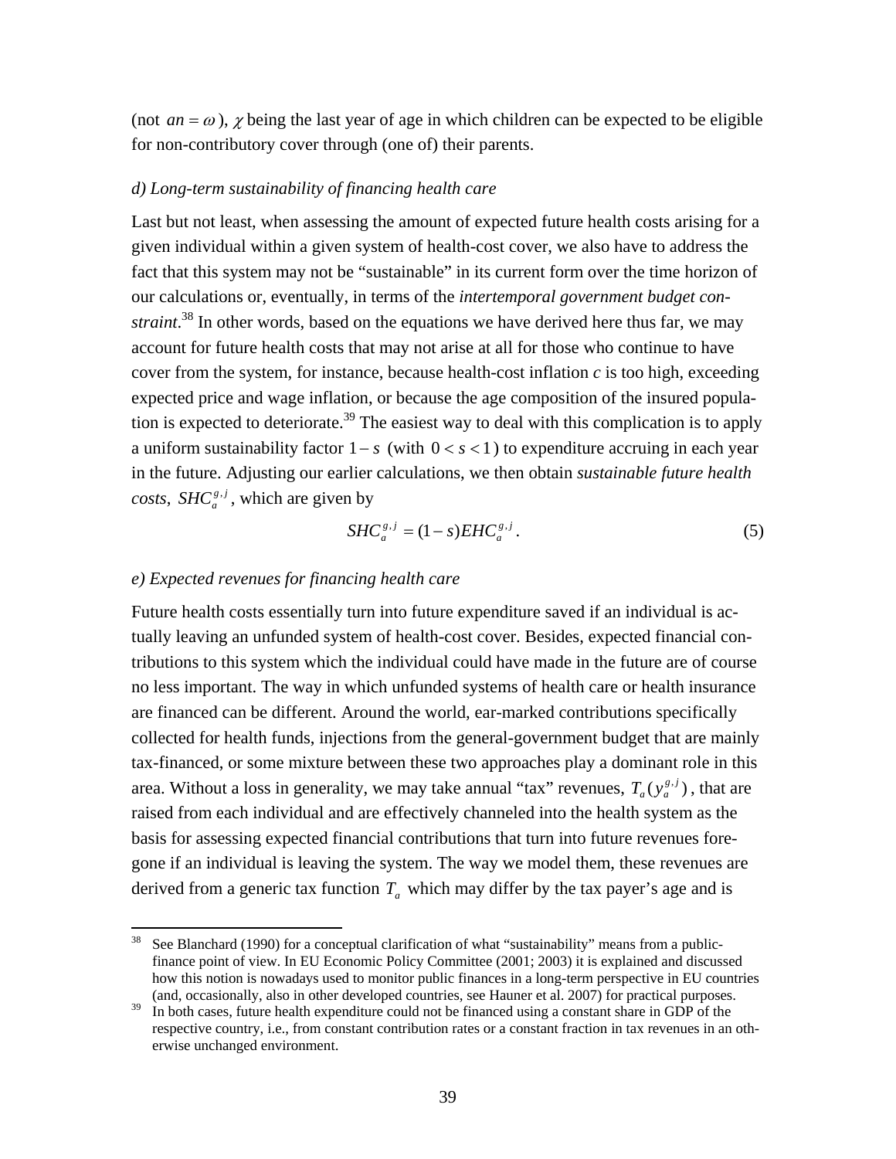(not  $an = \omega$ ),  $\chi$  being the last year of age in which children can be expected to be eligible for non-contributory cover through (one of) their parents.

# *d) Long-term sustainability of financing health care*

Last but not least, when assessing the amount of expected future health costs arising for a given individual within a given system of health-cost cover, we also have to address the fact that this system may not be "sustainable" in its current form over the time horizon of our calculations or, eventually, in terms of the *intertemporal government budget constraint*. 38 In other words, based on the equations we have derived here thus far, we may account for future health costs that may not arise at all for those who continue to have cover from the system, for instance, because health-cost inflation *c* is too high, exceeding expected price and wage inflation, or because the age composition of the insured population is expected to deteriorate.<sup>39</sup> The easiest way to deal with this complication is to apply a uniform sustainability factor  $1 - s$  (with  $0 < s < 1$ ) to expenditure accruing in each year in the future. Adjusting our earlier calculations, we then obtain *sustainable future health costs*, *SHC*<sup> $g, j$ </sup>, which are given by

$$
SHC_a^{s,j} = (1-s)EHC_a^{s,j}.
$$

# *e) Expected revenues for financing health care*

Future health costs essentially turn into future expenditure saved if an individual is actually leaving an unfunded system of health-cost cover. Besides, expected financial contributions to this system which the individual could have made in the future are of course no less important. The way in which unfunded systems of health care or health insurance are financed can be different. Around the world, ear-marked contributions specifically collected for health funds, injections from the general-government budget that are mainly tax-financed, or some mixture between these two approaches play a dominant role in this area. Without a loss in generality, we may take annual "tax" revenues,  $T_a(y_a^{g,j})$ , that are raised from each individual and are effectively channeled into the health system as the basis for assessing expected financial contributions that turn into future revenues foregone if an individual is leaving the system. The way we model them, these revenues are derived from a generic tax function  $T_a$  which may differ by the tax payer's age and is

<sup>&</sup>lt;sup>38</sup> See Blanchard (1990) for a conceptual clarification of what "sustainability" means from a publicfinance point of view. In EU Economic Policy Committee (2001; 2003) it is explained and discussed how this notion is nowadays used to monitor public finances in a long-term perspective in EU countries (and, occasionally, also in other developed countries, see Hauner et al. 2007) for practical purposes.

<sup>&</sup>lt;sup>39</sup> In both cases, future health expenditure could not be financed using a constant share in GDP of the respective country, i.e., from constant contribution rates or a constant fraction in tax revenues in an otherwise unchanged environment.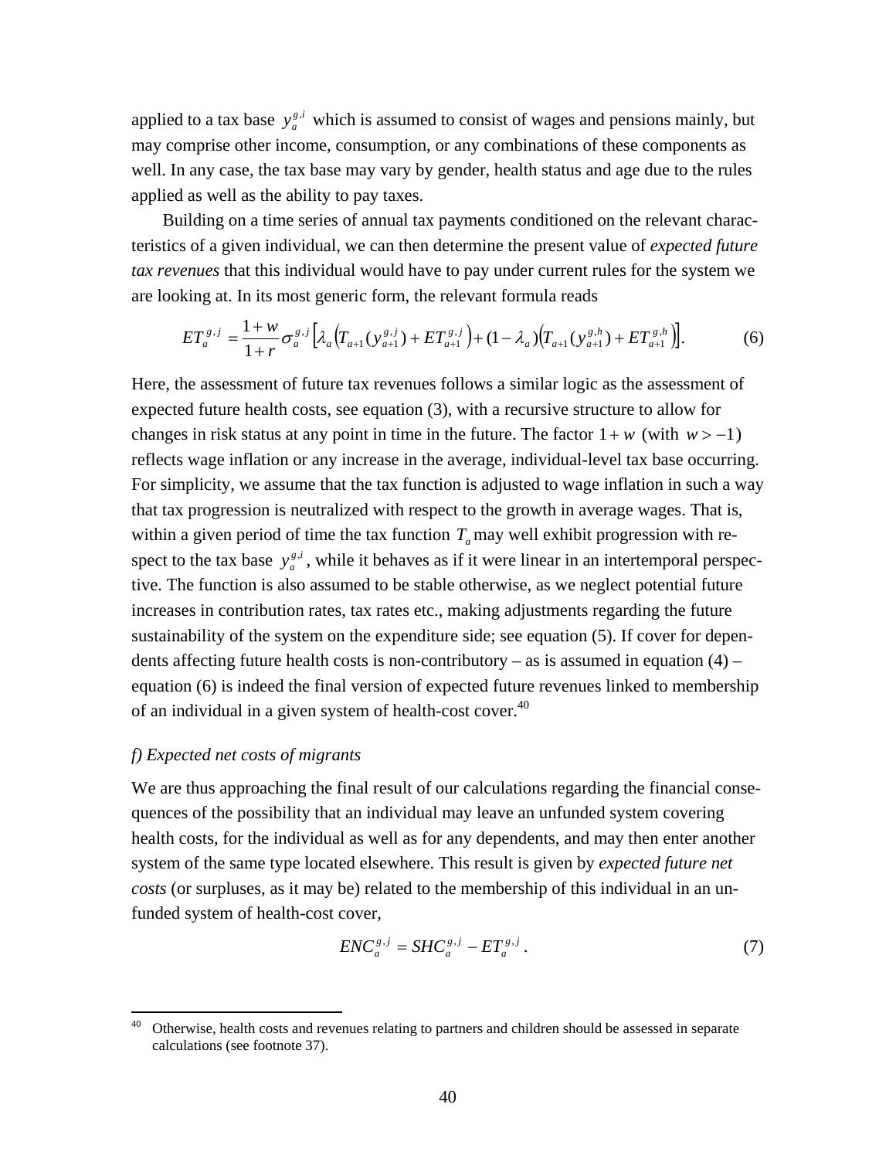applied to a tax base  $y_a^{g,i}$  which is assumed to consist of wages and pensions mainly, but may comprise other income, consumption, or any combinations of these components as well. In any case, the tax base may vary by gender, health status and age due to the rules applied as well as the ability to pay taxes.

 Building on a time series of annual tax payments conditioned on the relevant characteristics of a given individual, we can then determine the present value of *expected future tax revenues* that this individual would have to pay under current rules for the system we are looking at. In its most generic form, the relevant formula reads

$$
ET_a^{s,j} = \frac{1+w}{1+r} \sigma_a^{s,j} \Big[ \lambda_a \Big( T_{a+1} (y_{a+1}^{s,j}) + ET_{a+1}^{s,j} \Big) + (1 - \lambda_a) \Big( T_{a+1} (y_{a+1}^{s,h}) + ET_{a+1}^{s,h} \Big) \Big]. \tag{6}
$$

Here, the assessment of future tax revenues follows a similar logic as the assessment of expected future health costs, see equation (3), with a recursive structure to allow for changes in risk status at any point in time in the future. The factor  $1 + w$  (with  $w > -1$ ) reflects wage inflation or any increase in the average, individual-level tax base occurring. For simplicity, we assume that the tax function is adjusted to wage inflation in such a way that tax progression is neutralized with respect to the growth in average wages. That is, within a given period of time the tax function  $T_a$  may well exhibit progression with respect to the tax base  $y_a^{g,i}$ , while it behaves as if it were linear in an intertemporal perspective. The function is also assumed to be stable otherwise, as we neglect potential future increases in contribution rates, tax rates etc., making adjustments regarding the future sustainability of the system on the expenditure side; see equation (5). If cover for dependents affecting future health costs is non-contributory – as is assumed in equation  $(4)$  – equation (6) is indeed the final version of expected future revenues linked to membership of an individual in a given system of health-cost cover.  $40$ 

## *f) Expected net costs of migrants*

We are thus approaching the final result of our calculations regarding the financial consequences of the possibility that an individual may leave an unfunded system covering health costs, for the individual as well as for any dependents, and may then enter another system of the same type located elsewhere. This result is given by *expected future net costs* (or surpluses, as it may be) related to the membership of this individual in an unfunded system of health-cost cover,

$$
ENC_a^{s,j} = SHC_a^{s,j} - ET_a^{s,j} \,. \tag{7}
$$

<sup>40</sup> Otherwise, health costs and revenues relating to partners and children should be assessed in separate calculations (see footnote 37).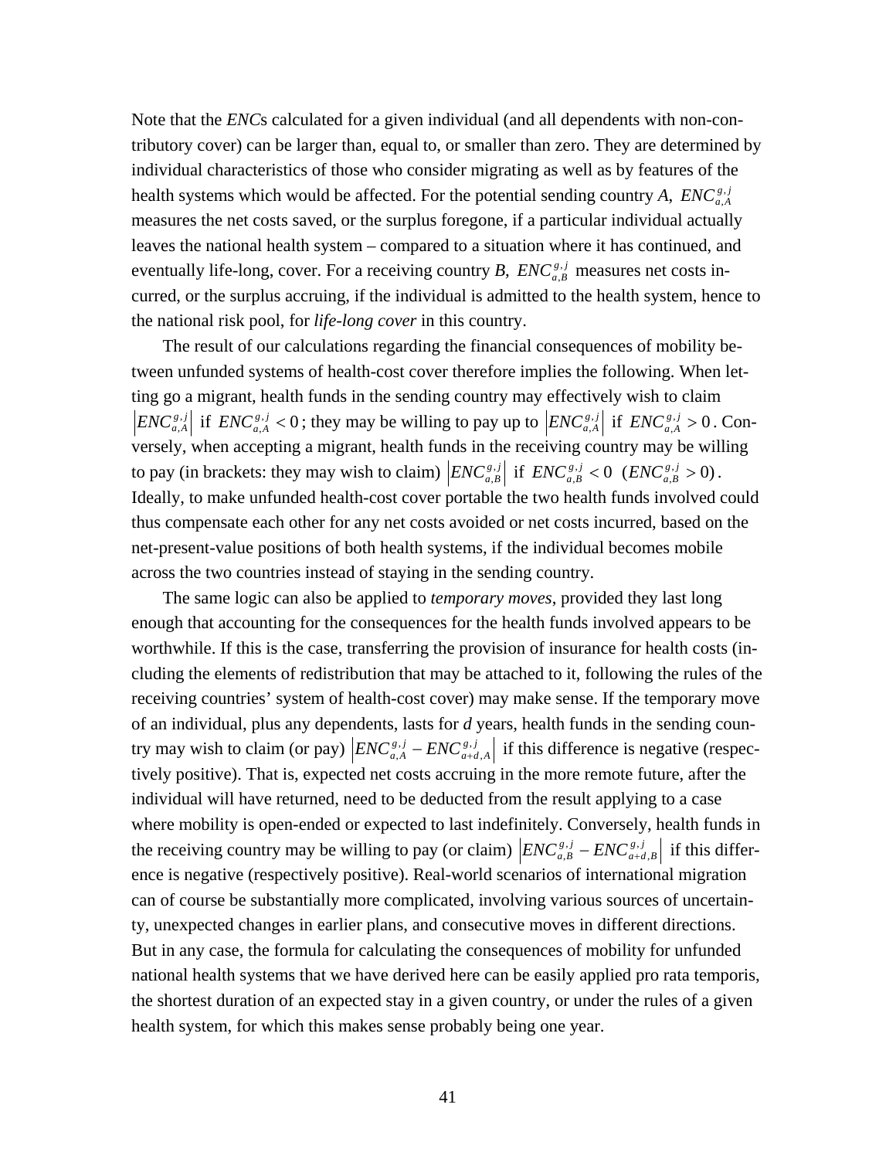Note that the *ENC*s calculated for a given individual (and all dependents with non-contributory cover) can be larger than, equal to, or smaller than zero. They are determined by individual characteristics of those who consider migrating as well as by features of the health systems which would be affected. For the potential sending country *A*,  $ENC_{a,A}^{g,j}$ , measures the net costs saved, or the surplus foregone, if a particular individual actually leaves the national health system – compared to a situation where it has continued, and eventually life-long, cover. For a receiving country *B*,  $ENC_{a,B}^{s,j}$  measures net costs incurred, or the surplus accruing, if the individual is admitted to the health system, hence to the national risk pool, for *life-long cover* in this country.

 The result of our calculations regarding the financial consequences of mobility between unfunded systems of health-cost cover therefore implies the following. When letting go a migrant, health funds in the sending country may effectively wish to claim  $ENC_{a,A}^{s,j}$  if  $ENC_{a,A}^{s,j} < 0$ ; they may be willing to pay up to  $|ENC_{a,A}^{s,j}|$  if  $ENC_{a,A}^{s,j} > 0$ . Conversely, when accepting a migrant, health funds in the receiving country may be willing to pay (in brackets: they may wish to claim)  $|ENC_{a,B}^{s,j}|$  if  $ENC_{a,B}^{s,j} < 0$  ( $ENC_{a,B}^{s,j} > 0$ ). Ideally, to make unfunded health-cost cover portable the two health funds involved could thus compensate each other for any net costs avoided or net costs incurred, based on the net-present-value positions of both health systems, if the individual becomes mobile across the two countries instead of staying in the sending country.

 The same logic can also be applied to *temporary moves*, provided they last long enough that accounting for the consequences for the health funds involved appears to be worthwhile. If this is the case, transferring the provision of insurance for health costs (including the elements of redistribution that may be attached to it, following the rules of the receiving countries' system of health-cost cover) may make sense. If the temporary move of an individual, plus any dependents, lasts for *d* years, health funds in the sending country may wish to claim (or pay)  $|ENC_{a,A}^{s,j} - ENC_{a+d,A}^{s,j}|$  $\sum_{a}^{i,j}$  –  $ENC_{a+d,A}^{s,j}$  if this difference is negative (respectively positive). That is, expected net costs accruing in the more remote future, after the individual will have returned, need to be deducted from the result applying to a case where mobility is open-ended or expected to last indefinitely. Conversely, health funds in the receiving country may be willing to pay (or claim)  $|ENC_{a,B}^{g,j} -ENC_{a+d,B}^{g,j}|$  $\sum_{a}^{[i,j]}$  –  $ENC_{a+d,B}^{g,j}$  if this difference is negative (respectively positive). Real-world scenarios of international migration can of course be substantially more complicated, involving various sources of uncertainty, unexpected changes in earlier plans, and consecutive moves in different directions. But in any case, the formula for calculating the consequences of mobility for unfunded national health systems that we have derived here can be easily applied pro rata temporis, the shortest duration of an expected stay in a given country, or under the rules of a given health system, for which this makes sense probably being one year.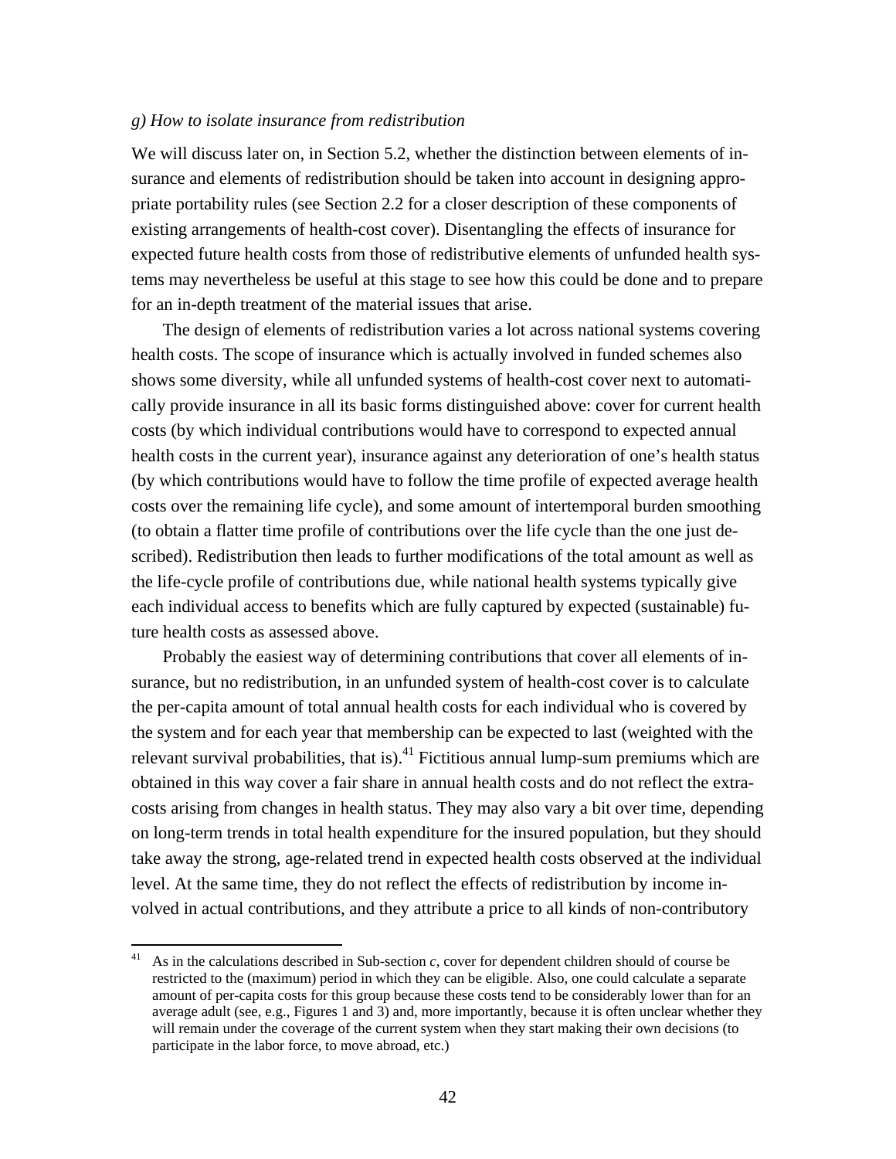# *g) How to isolate insurance from redistribution*

We will discuss later on, in Section 5.2, whether the distinction between elements of insurance and elements of redistribution should be taken into account in designing appropriate portability rules (see Section 2.2 for a closer description of these components of existing arrangements of health-cost cover). Disentangling the effects of insurance for expected future health costs from those of redistributive elements of unfunded health systems may nevertheless be useful at this stage to see how this could be done and to prepare for an in-depth treatment of the material issues that arise.

 The design of elements of redistribution varies a lot across national systems covering health costs. The scope of insurance which is actually involved in funded schemes also shows some diversity, while all unfunded systems of health-cost cover next to automatically provide insurance in all its basic forms distinguished above: cover for current health costs (by which individual contributions would have to correspond to expected annual health costs in the current year), insurance against any deterioration of one's health status (by which contributions would have to follow the time profile of expected average health costs over the remaining life cycle), and some amount of intertemporal burden smoothing (to obtain a flatter time profile of contributions over the life cycle than the one just described). Redistribution then leads to further modifications of the total amount as well as the life-cycle profile of contributions due, while national health systems typically give each individual access to benefits which are fully captured by expected (sustainable) future health costs as assessed above.

 Probably the easiest way of determining contributions that cover all elements of insurance, but no redistribution, in an unfunded system of health-cost cover is to calculate the per-capita amount of total annual health costs for each individual who is covered by the system and for each year that membership can be expected to last (weighted with the relevant survival probabilities, that is).<sup>41</sup> Fictitious annual lump-sum premiums which are obtained in this way cover a fair share in annual health costs and do not reflect the extracosts arising from changes in health status. They may also vary a bit over time, depending on long-term trends in total health expenditure for the insured population, but they should take away the strong, age-related trend in expected health costs observed at the individual level. At the same time, they do not reflect the effects of redistribution by income involved in actual contributions, and they attribute a price to all kinds of non-contributory

<sup>41</sup> As in the calculations described in Sub-section *c*, cover for dependent children should of course be restricted to the (maximum) period in which they can be eligible. Also, one could calculate a separate amount of per-capita costs for this group because these costs tend to be considerably lower than for an average adult (see, e.g., Figures 1 and 3) and, more importantly, because it is often unclear whether they will remain under the coverage of the current system when they start making their own decisions (to participate in the labor force, to move abroad, etc.)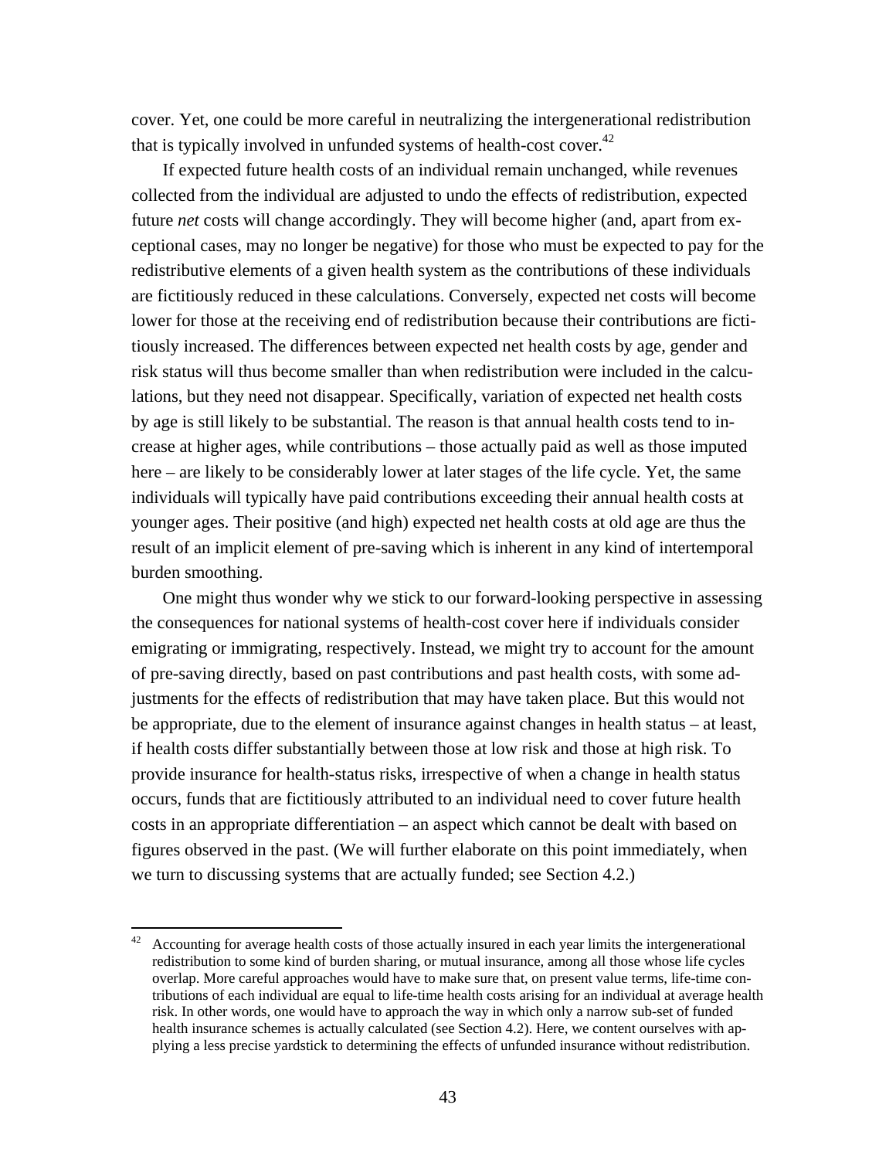cover. Yet, one could be more careful in neutralizing the intergenerational redistribution that is typically involved in unfunded systems of health-cost cover.<sup>42</sup>

 If expected future health costs of an individual remain unchanged, while revenues collected from the individual are adjusted to undo the effects of redistribution, expected future *net* costs will change accordingly. They will become higher (and, apart from exceptional cases, may no longer be negative) for those who must be expected to pay for the redistributive elements of a given health system as the contributions of these individuals are fictitiously reduced in these calculations. Conversely, expected net costs will become lower for those at the receiving end of redistribution because their contributions are fictitiously increased. The differences between expected net health costs by age, gender and risk status will thus become smaller than when redistribution were included in the calculations, but they need not disappear. Specifically, variation of expected net health costs by age is still likely to be substantial. The reason is that annual health costs tend to increase at higher ages, while contributions – those actually paid as well as those imputed here – are likely to be considerably lower at later stages of the life cycle. Yet, the same individuals will typically have paid contributions exceeding their annual health costs at younger ages. Their positive (and high) expected net health costs at old age are thus the result of an implicit element of pre-saving which is inherent in any kind of intertemporal burden smoothing.

 One might thus wonder why we stick to our forward-looking perspective in assessing the consequences for national systems of health-cost cover here if individuals consider emigrating or immigrating, respectively. Instead, we might try to account for the amount of pre-saving directly, based on past contributions and past health costs, with some adjustments for the effects of redistribution that may have taken place. But this would not be appropriate, due to the element of insurance against changes in health status – at least, if health costs differ substantially between those at low risk and those at high risk. To provide insurance for health-status risks, irrespective of when a change in health status occurs, funds that are fictitiously attributed to an individual need to cover future health costs in an appropriate differentiation – an aspect which cannot be dealt with based on figures observed in the past. (We will further elaborate on this point immediately, when we turn to discussing systems that are actually funded; see Section 4.2.)

  $42$  Accounting for average health costs of those actually insured in each year limits the intergenerational redistribution to some kind of burden sharing, or mutual insurance, among all those whose life cycles overlap. More careful approaches would have to make sure that, on present value terms, life-time contributions of each individual are equal to life-time health costs arising for an individual at average health risk. In other words, one would have to approach the way in which only a narrow sub-set of funded health insurance schemes is actually calculated (see Section 4.2). Here, we content ourselves with applying a less precise yardstick to determining the effects of unfunded insurance without redistribution.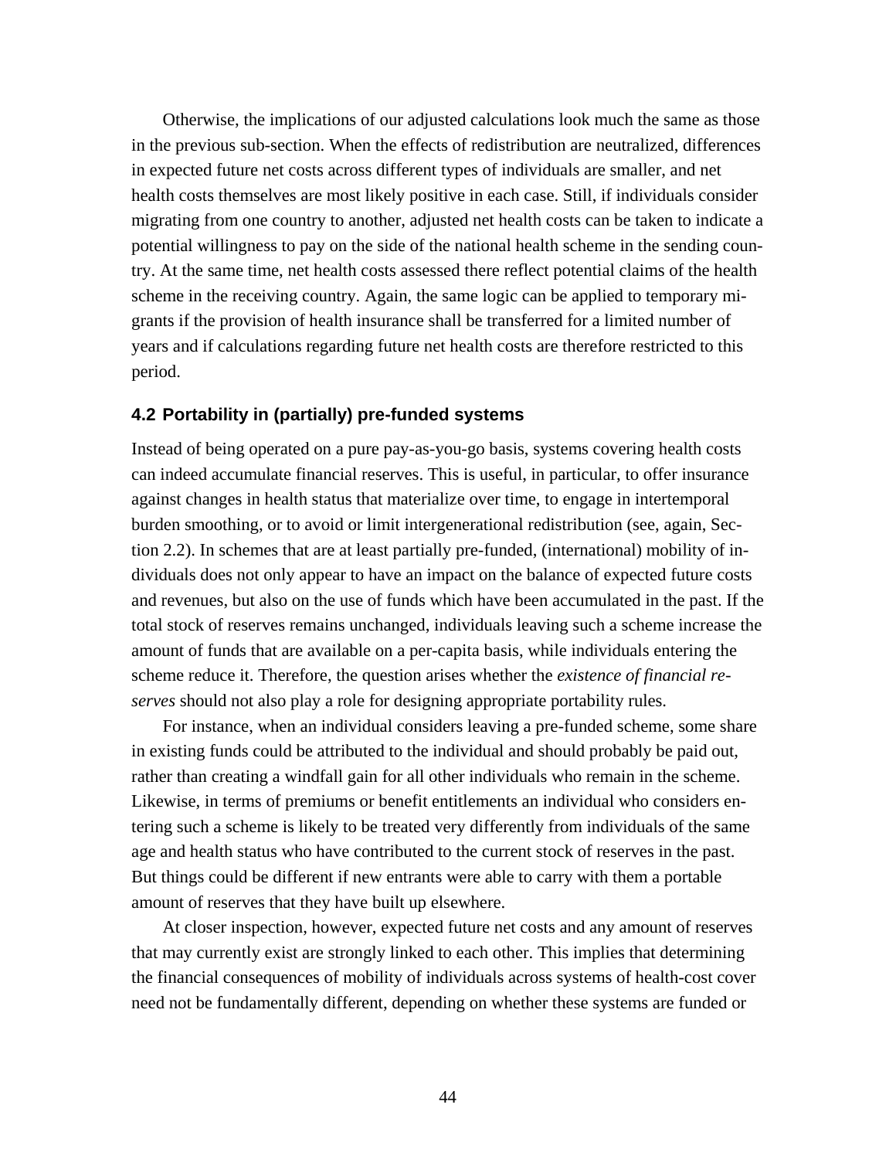Otherwise, the implications of our adjusted calculations look much the same as those in the previous sub-section. When the effects of redistribution are neutralized, differences in expected future net costs across different types of individuals are smaller, and net health costs themselves are most likely positive in each case. Still, if individuals consider migrating from one country to another, adjusted net health costs can be taken to indicate a potential willingness to pay on the side of the national health scheme in the sending country. At the same time, net health costs assessed there reflect potential claims of the health scheme in the receiving country. Again, the same logic can be applied to temporary migrants if the provision of health insurance shall be transferred for a limited number of years and if calculations regarding future net health costs are therefore restricted to this period.

### **4.2 Portability in (partially) pre-funded systems**

Instead of being operated on a pure pay-as-you-go basis, systems covering health costs can indeed accumulate financial reserves. This is useful, in particular, to offer insurance against changes in health status that materialize over time, to engage in intertemporal burden smoothing, or to avoid or limit intergenerational redistribution (see, again, Section 2.2). In schemes that are at least partially pre-funded, (international) mobility of individuals does not only appear to have an impact on the balance of expected future costs and revenues, but also on the use of funds which have been accumulated in the past. If the total stock of reserves remains unchanged, individuals leaving such a scheme increase the amount of funds that are available on a per-capita basis, while individuals entering the scheme reduce it. Therefore, the question arises whether the *existence of financial reserves* should not also play a role for designing appropriate portability rules.

 For instance, when an individual considers leaving a pre-funded scheme, some share in existing funds could be attributed to the individual and should probably be paid out, rather than creating a windfall gain for all other individuals who remain in the scheme. Likewise, in terms of premiums or benefit entitlements an individual who considers entering such a scheme is likely to be treated very differently from individuals of the same age and health status who have contributed to the current stock of reserves in the past. But things could be different if new entrants were able to carry with them a portable amount of reserves that they have built up elsewhere.

 At closer inspection, however, expected future net costs and any amount of reserves that may currently exist are strongly linked to each other. This implies that determining the financial consequences of mobility of individuals across systems of health-cost cover need not be fundamentally different, depending on whether these systems are funded or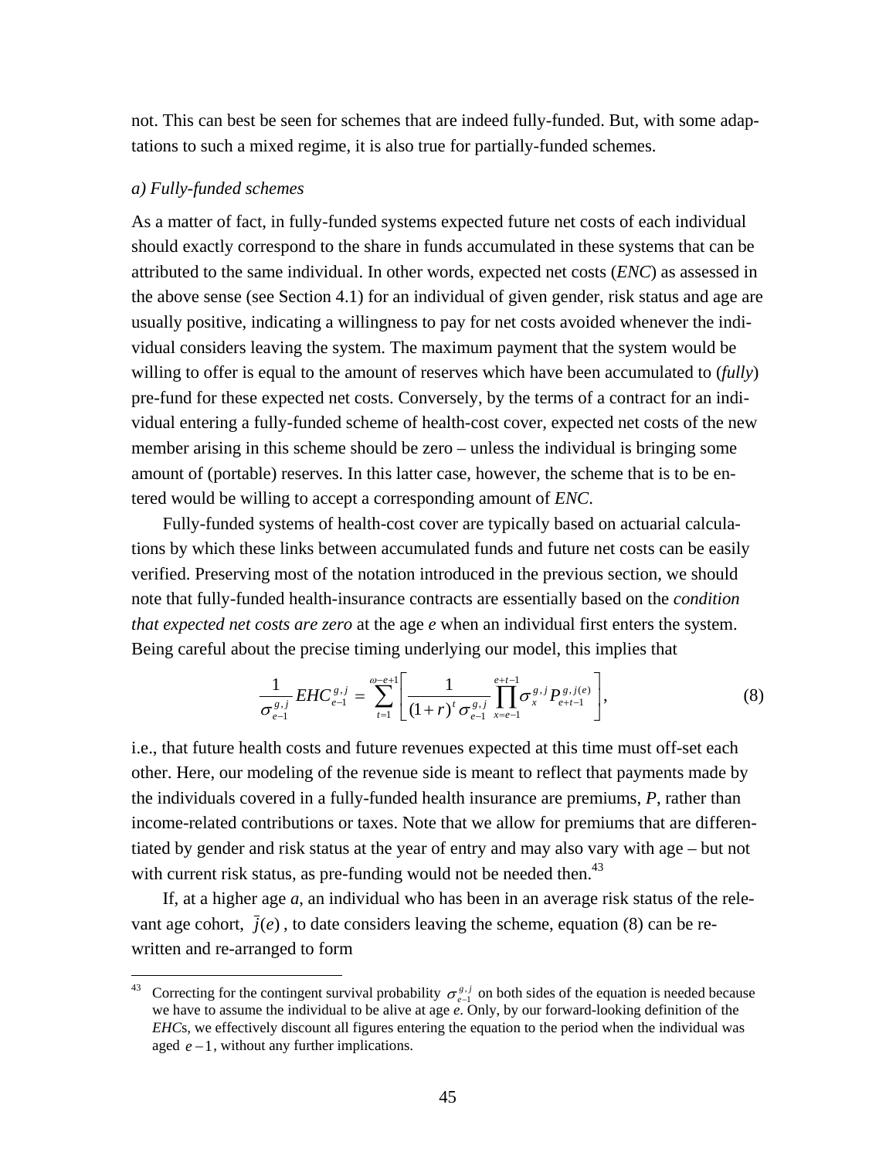not. This can best be seen for schemes that are indeed fully-funded. But, with some adaptations to such a mixed regime, it is also true for partially-funded schemes.

#### *a) Fully-funded schemes*

As a matter of fact, in fully-funded systems expected future net costs of each individual should exactly correspond to the share in funds accumulated in these systems that can be attributed to the same individual. In other words, expected net costs (*ENC*) as assessed in the above sense (see Section 4.1) for an individual of given gender, risk status and age are usually positive, indicating a willingness to pay for net costs avoided whenever the individual considers leaving the system. The maximum payment that the system would be willing to offer is equal to the amount of reserves which have been accumulated to (*fully*) pre-fund for these expected net costs. Conversely, by the terms of a contract for an individual entering a fully-funded scheme of health-cost cover, expected net costs of the new member arising in this scheme should be zero – unless the individual is bringing some amount of (portable) reserves. In this latter case, however, the scheme that is to be entered would be willing to accept a corresponding amount of *ENC*.

 Fully-funded systems of health-cost cover are typically based on actuarial calculations by which these links between accumulated funds and future net costs can be easily verified. Preserving most of the notation introduced in the previous section, we should note that fully-funded health-insurance contracts are essentially based on the *condition that expected net costs are zero* at the age *e* when an individual first enters the system. Being careful about the precise timing underlying our model, this implies that

$$
\frac{1}{\sigma_{e-1}^{g,j}} EHC_{e-1}^{g,j} = \sum_{t=1}^{\omega-e+1} \left[ \frac{1}{(1+r)^t \sigma_{e-1}^{g,j}} \prod_{x=e-1}^{e+t-1} \sigma_x^{g,j} P_{e+t-1}^{g,j(e)} \right],
$$
(8)

i.e., that future health costs and future revenues expected at this time must off-set each other. Here, our modeling of the revenue side is meant to reflect that payments made by the individuals covered in a fully-funded health insurance are premiums, *P*, rather than income-related contributions or taxes. Note that we allow for premiums that are differentiated by gender and risk status at the year of entry and may also vary with age – but not with current risk status, as pre-funding would not be needed then.<sup>43</sup>

 If, at a higher age *a*, an individual who has been in an average risk status of the relevant age cohort,  $\bar{j}(e)$ , to date considers leaving the scheme, equation (8) can be rewritten and re-arranged to form

<sup>&</sup>lt;sup>43</sup> Correcting for the contingent survival probability  $\sigma_{e-1}^{g,j}$  on both sides of the equation is needed because we have to assume the individual to be alive at age *e*. Only, by our forward-looking definition of the *EHC*s, we effectively discount all figures entering the equation to the period when the individual was aged  $e-1$ , without any further implications.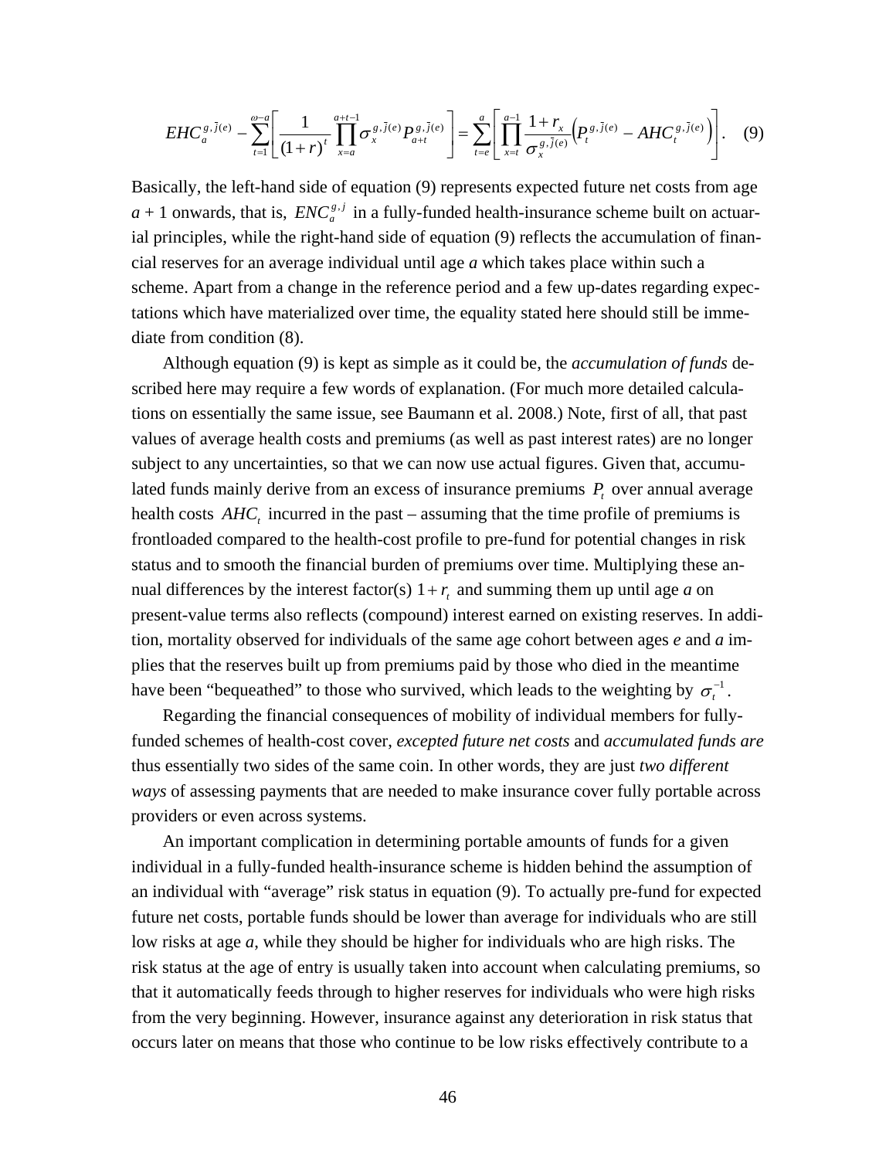$$
EHC_a^{g,\bar{j}(e)} - \sum_{t=1}^{\infty} \left[ \frac{1}{(1+r)^t} \prod_{x=a}^{a+t-1} \sigma_x^{g,\bar{j}(e)} P_{a+t}^{g,\bar{j}(e)} \right] = \sum_{t=e}^a \left[ \prod_{x=t}^{a-1} \frac{1+r_x}{\sigma_x^{g,\bar{j}(e)}} \left( P_t^{g,\bar{j}(e)} - AH C_t^{g,\bar{j}(e)} \right) \right]. \tag{9}
$$

Basically, the left-hand side of equation (9) represents expected future net costs from age  $a + 1$  onwards, that is,  $ENC_a^{s,j}$  in a fully-funded health-insurance scheme built on actuarial principles, while the right-hand side of equation (9) reflects the accumulation of financial reserves for an average individual until age *a* which takes place within such a scheme. Apart from a change in the reference period and a few up-dates regarding expectations which have materialized over time, the equality stated here should still be immediate from condition (8).

 Although equation (9) is kept as simple as it could be, the *accumulation of funds* described here may require a few words of explanation. (For much more detailed calculations on essentially the same issue, see Baumann et al. 2008.) Note, first of all, that past values of average health costs and premiums (as well as past interest rates) are no longer subject to any uncertainties, so that we can now use actual figures. Given that, accumulated funds mainly derive from an excess of insurance premiums  $P<sub>t</sub>$  over annual average health costs  $AHC_t$ , incurred in the past – assuming that the time profile of premiums is frontloaded compared to the health-cost profile to pre-fund for potential changes in risk status and to smooth the financial burden of premiums over time. Multiplying these annual differences by the interest factor(s)  $1 + r_t$  and summing them up until age *a* on present-value terms also reflects (compound) interest earned on existing reserves. In addition, mortality observed for individuals of the same age cohort between ages *e* and *a* implies that the reserves built up from premiums paid by those who died in the meantime have been "bequeathed" to those who survived, which leads to the weighting by  $\sigma_t^{-1}$ .

 Regarding the financial consequences of mobility of individual members for fullyfunded schemes of health-cost cover, *excepted future net costs* and *accumulated funds are*  thus essentially two sides of the same coin. In other words, they are just *two different ways* of assessing payments that are needed to make insurance cover fully portable across providers or even across systems.

 An important complication in determining portable amounts of funds for a given individual in a fully-funded health-insurance scheme is hidden behind the assumption of an individual with "average" risk status in equation (9). To actually pre-fund for expected future net costs, portable funds should be lower than average for individuals who are still low risks at age *a*, while they should be higher for individuals who are high risks. The risk status at the age of entry is usually taken into account when calculating premiums, so that it automatically feeds through to higher reserves for individuals who were high risks from the very beginning. However, insurance against any deterioration in risk status that occurs later on means that those who continue to be low risks effectively contribute to a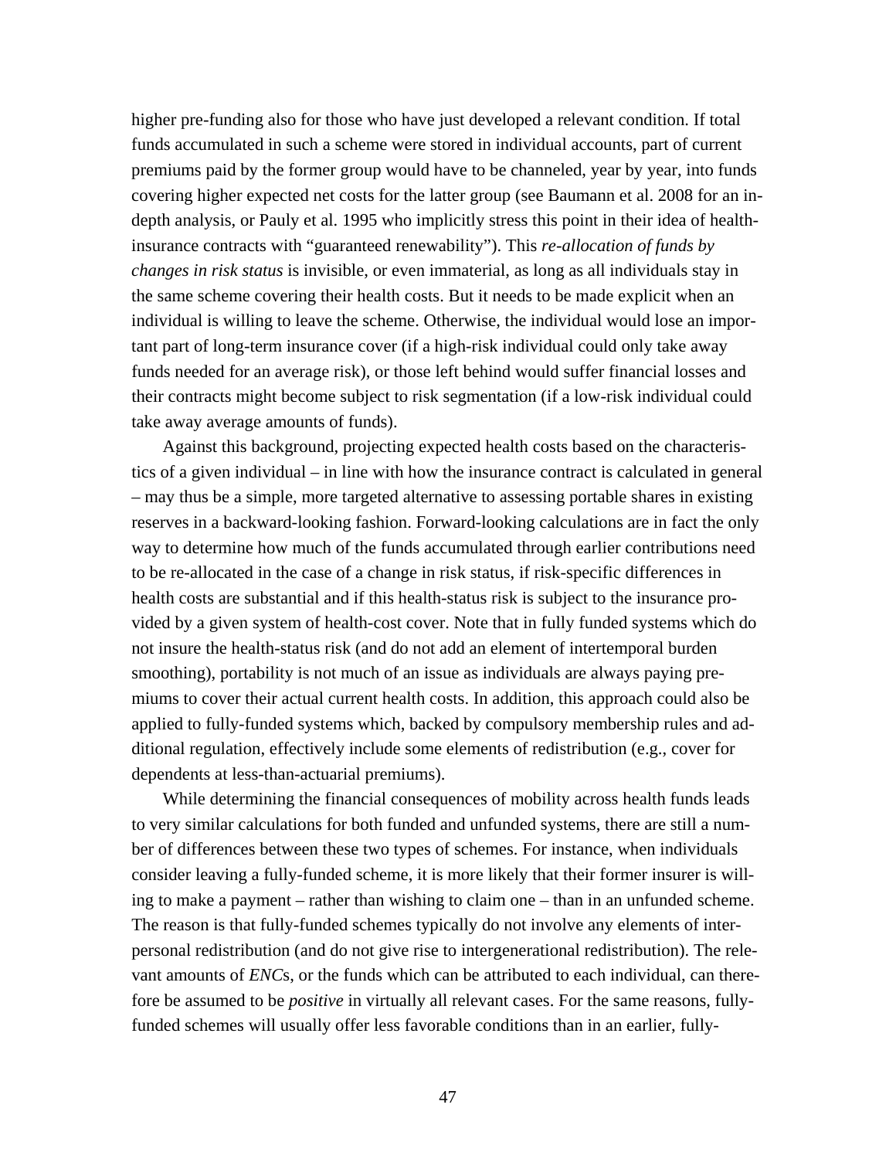higher pre-funding also for those who have just developed a relevant condition. If total funds accumulated in such a scheme were stored in individual accounts, part of current premiums paid by the former group would have to be channeled, year by year, into funds covering higher expected net costs for the latter group (see Baumann et al. 2008 for an indepth analysis, or Pauly et al. 1995 who implicitly stress this point in their idea of healthinsurance contracts with "guaranteed renewability"). This *re-allocation of funds by changes in risk status* is invisible, or even immaterial, as long as all individuals stay in the same scheme covering their health costs. But it needs to be made explicit when an individual is willing to leave the scheme. Otherwise, the individual would lose an important part of long-term insurance cover (if a high-risk individual could only take away funds needed for an average risk), or those left behind would suffer financial losses and their contracts might become subject to risk segmentation (if a low-risk individual could take away average amounts of funds).

 Against this background, projecting expected health costs based on the characteristics of a given individual – in line with how the insurance contract is calculated in general – may thus be a simple, more targeted alternative to assessing portable shares in existing reserves in a backward-looking fashion. Forward-looking calculations are in fact the only way to determine how much of the funds accumulated through earlier contributions need to be re-allocated in the case of a change in risk status, if risk-specific differences in health costs are substantial and if this health-status risk is subject to the insurance provided by a given system of health-cost cover. Note that in fully funded systems which do not insure the health-status risk (and do not add an element of intertemporal burden smoothing), portability is not much of an issue as individuals are always paying premiums to cover their actual current health costs. In addition, this approach could also be applied to fully-funded systems which, backed by compulsory membership rules and additional regulation, effectively include some elements of redistribution (e.g., cover for dependents at less-than-actuarial premiums).

 While determining the financial consequences of mobility across health funds leads to very similar calculations for both funded and unfunded systems, there are still a number of differences between these two types of schemes. For instance, when individuals consider leaving a fully-funded scheme, it is more likely that their former insurer is willing to make a payment – rather than wishing to claim one – than in an unfunded scheme. The reason is that fully-funded schemes typically do not involve any elements of interpersonal redistribution (and do not give rise to intergenerational redistribution). The relevant amounts of *ENC*s, or the funds which can be attributed to each individual, can therefore be assumed to be *positive* in virtually all relevant cases. For the same reasons, fullyfunded schemes will usually offer less favorable conditions than in an earlier, fully-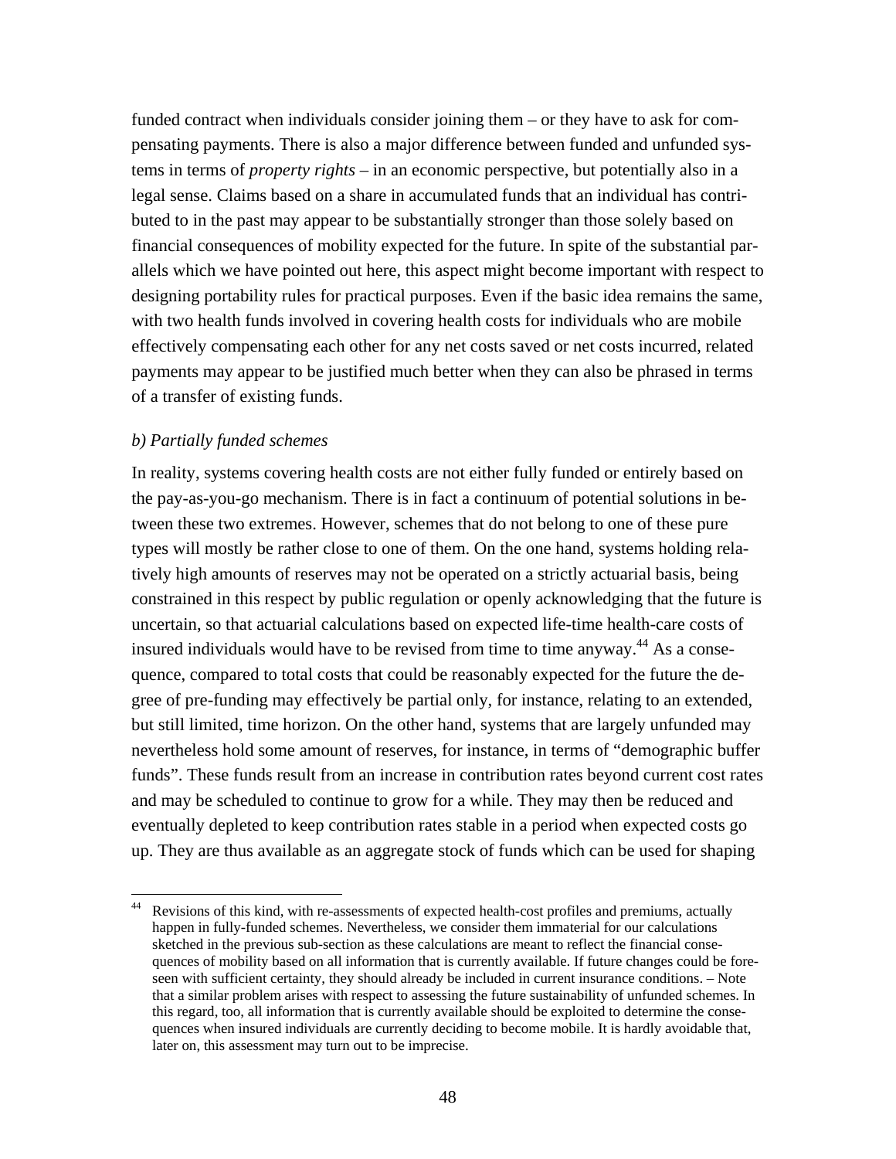funded contract when individuals consider joining them – or they have to ask for compensating payments. There is also a major difference between funded and unfunded systems in terms of *property rights* – in an economic perspective, but potentially also in a legal sense. Claims based on a share in accumulated funds that an individual has contributed to in the past may appear to be substantially stronger than those solely based on financial consequences of mobility expected for the future. In spite of the substantial parallels which we have pointed out here, this aspect might become important with respect to designing portability rules for practical purposes. Even if the basic idea remains the same, with two health funds involved in covering health costs for individuals who are mobile effectively compensating each other for any net costs saved or net costs incurred, related payments may appear to be justified much better when they can also be phrased in terms of a transfer of existing funds.

## *b) Partially funded schemes*

In reality, systems covering health costs are not either fully funded or entirely based on the pay-as-you-go mechanism. There is in fact a continuum of potential solutions in between these two extremes. However, schemes that do not belong to one of these pure types will mostly be rather close to one of them. On the one hand, systems holding relatively high amounts of reserves may not be operated on a strictly actuarial basis, being constrained in this respect by public regulation or openly acknowledging that the future is uncertain, so that actuarial calculations based on expected life-time health-care costs of insured individuals would have to be revised from time to time anyway.<sup>44</sup> As a consequence, compared to total costs that could be reasonably expected for the future the degree of pre-funding may effectively be partial only, for instance, relating to an extended, but still limited, time horizon. On the other hand, systems that are largely unfunded may nevertheless hold some amount of reserves, for instance, in terms of "demographic buffer funds". These funds result from an increase in contribution rates beyond current cost rates and may be scheduled to continue to grow for a while. They may then be reduced and eventually depleted to keep contribution rates stable in a period when expected costs go up. They are thus available as an aggregate stock of funds which can be used for shaping

<sup>&</sup>lt;sup>44</sup> Revisions of this kind, with re-assessments of expected health-cost profiles and premiums, actually happen in fully-funded schemes. Nevertheless, we consider them immaterial for our calculations sketched in the previous sub-section as these calculations are meant to reflect the financial consequences of mobility based on all information that is currently available. If future changes could be foreseen with sufficient certainty, they should already be included in current insurance conditions. – Note that a similar problem arises with respect to assessing the future sustainability of unfunded schemes. In this regard, too, all information that is currently available should be exploited to determine the consequences when insured individuals are currently deciding to become mobile. It is hardly avoidable that, later on, this assessment may turn out to be imprecise.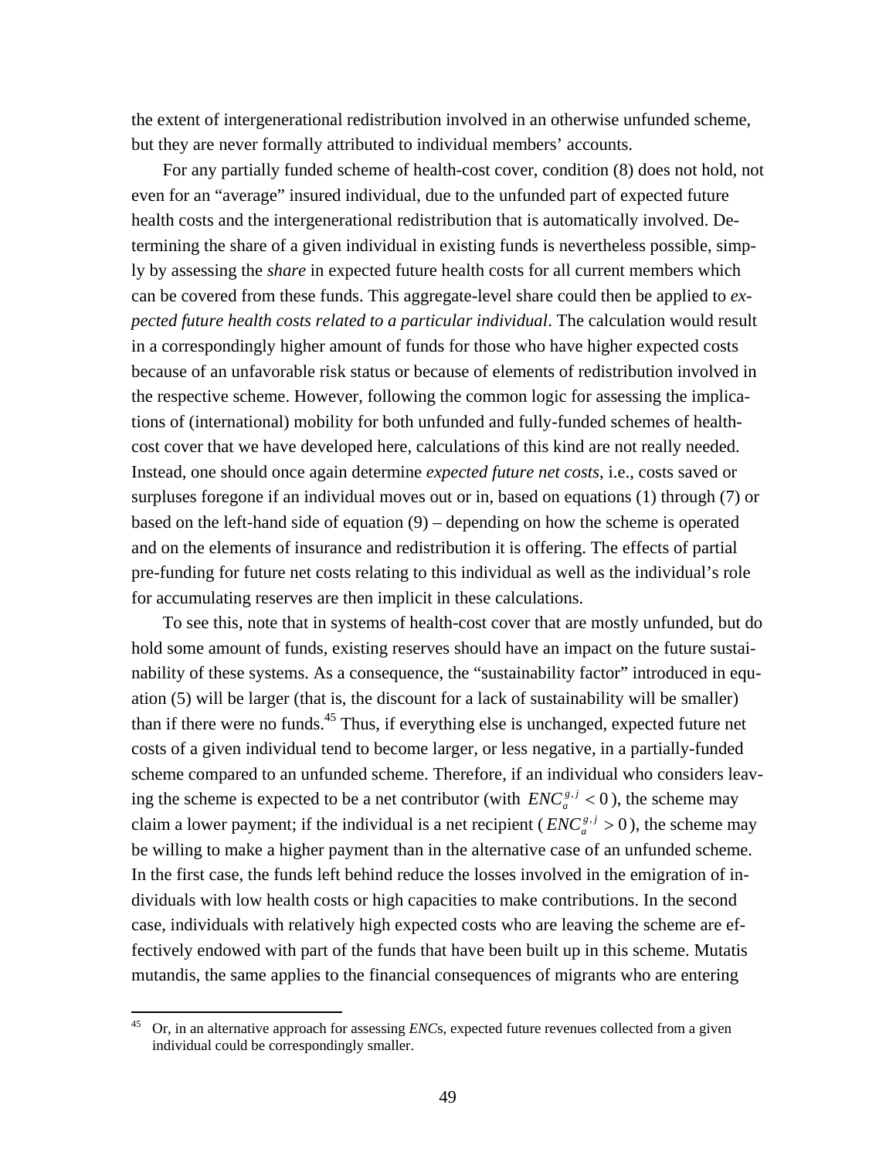the extent of intergenerational redistribution involved in an otherwise unfunded scheme, but they are never formally attributed to individual members' accounts.

 For any partially funded scheme of health-cost cover, condition (8) does not hold, not even for an "average" insured individual, due to the unfunded part of expected future health costs and the intergenerational redistribution that is automatically involved. Determining the share of a given individual in existing funds is nevertheless possible, simply by assessing the *share* in expected future health costs for all current members which can be covered from these funds. This aggregate-level share could then be applied to *expected future health costs related to a particular individual*. The calculation would result in a correspondingly higher amount of funds for those who have higher expected costs because of an unfavorable risk status or because of elements of redistribution involved in the respective scheme. However, following the common logic for assessing the implications of (international) mobility for both unfunded and fully-funded schemes of healthcost cover that we have developed here, calculations of this kind are not really needed. Instead, one should once again determine *expected future net costs*, i.e., costs saved or surpluses foregone if an individual moves out or in, based on equations (1) through (7) or based on the left-hand side of equation (9) – depending on how the scheme is operated and on the elements of insurance and redistribution it is offering. The effects of partial pre-funding for future net costs relating to this individual as well as the individual's role for accumulating reserves are then implicit in these calculations.

 To see this, note that in systems of health-cost cover that are mostly unfunded, but do hold some amount of funds, existing reserves should have an impact on the future sustainability of these systems. As a consequence, the "sustainability factor" introduced in equation (5) will be larger (that is, the discount for a lack of sustainability will be smaller) than if there were no funds.<sup>45</sup> Thus, if everything else is unchanged, expected future net costs of a given individual tend to become larger, or less negative, in a partially-funded scheme compared to an unfunded scheme. Therefore, if an individual who considers leaving the scheme is expected to be a net contributor (with  $ENC_a^{s,j} < 0$ ), the scheme may claim a lower payment; if the individual is a net recipient ( $ENC_a^{g,j} > 0$ ), the scheme may be willing to make a higher payment than in the alternative case of an unfunded scheme. In the first case, the funds left behind reduce the losses involved in the emigration of individuals with low health costs or high capacities to make contributions. In the second case, individuals with relatively high expected costs who are leaving the scheme are effectively endowed with part of the funds that have been built up in this scheme. Mutatis mutandis, the same applies to the financial consequences of migrants who are entering

<sup>45</sup> Or, in an alternative approach for assessing *ENC*s, expected future revenues collected from a given individual could be correspondingly smaller.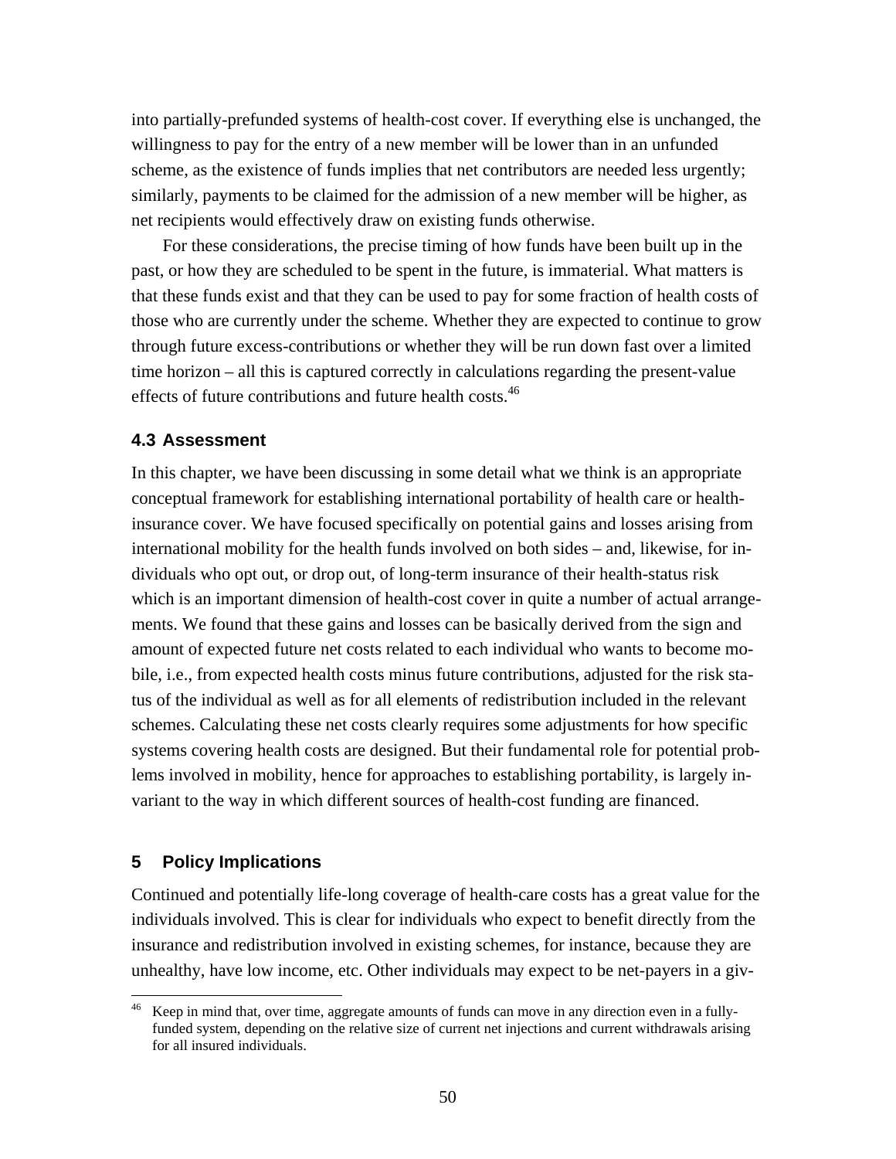into partially-prefunded systems of health-cost cover. If everything else is unchanged, the willingness to pay for the entry of a new member will be lower than in an unfunded scheme, as the existence of funds implies that net contributors are needed less urgently; similarly, payments to be claimed for the admission of a new member will be higher, as net recipients would effectively draw on existing funds otherwise.

 For these considerations, the precise timing of how funds have been built up in the past, or how they are scheduled to be spent in the future, is immaterial. What matters is that these funds exist and that they can be used to pay for some fraction of health costs of those who are currently under the scheme. Whether they are expected to continue to grow through future excess-contributions or whether they will be run down fast over a limited time horizon – all this is captured correctly in calculations regarding the present-value effects of future contributions and future health costs.<sup>46</sup>

## **4.3 Assessment**

In this chapter, we have been discussing in some detail what we think is an appropriate conceptual framework for establishing international portability of health care or healthinsurance cover. We have focused specifically on potential gains and losses arising from international mobility for the health funds involved on both sides – and, likewise, for individuals who opt out, or drop out, of long-term insurance of their health-status risk which is an important dimension of health-cost cover in quite a number of actual arrangements. We found that these gains and losses can be basically derived from the sign and amount of expected future net costs related to each individual who wants to become mobile, i.e., from expected health costs minus future contributions, adjusted for the risk status of the individual as well as for all elements of redistribution included in the relevant schemes. Calculating these net costs clearly requires some adjustments for how specific systems covering health costs are designed. But their fundamental role for potential problems involved in mobility, hence for approaches to establishing portability, is largely invariant to the way in which different sources of health-cost funding are financed.

## **5 Policy Implications**

Continued and potentially life-long coverage of health-care costs has a great value for the individuals involved. This is clear for individuals who expect to benefit directly from the insurance and redistribution involved in existing schemes, for instance, because they are unhealthy, have low income, etc. Other individuals may expect to be net-payers in a giv-

Keep in mind that, over time, aggregate amounts of funds can move in any direction even in a fullyfunded system, depending on the relative size of current net injections and current withdrawals arising for all insured individuals.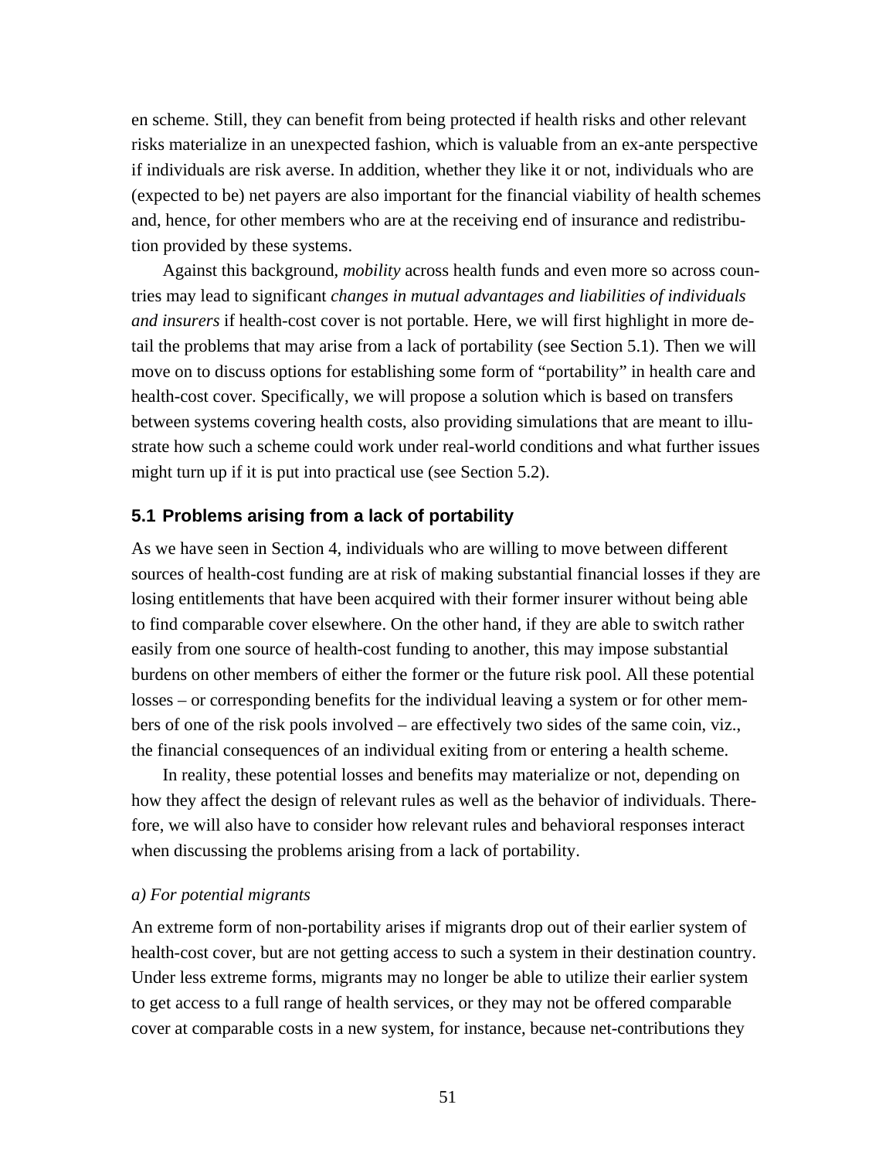en scheme. Still, they can benefit from being protected if health risks and other relevant risks materialize in an unexpected fashion, which is valuable from an ex-ante perspective if individuals are risk averse. In addition, whether they like it or not, individuals who are (expected to be) net payers are also important for the financial viability of health schemes and, hence, for other members who are at the receiving end of insurance and redistribution provided by these systems.

 Against this background, *mobility* across health funds and even more so across countries may lead to significant *changes in mutual advantages and liabilities of individuals and insurers* if health-cost cover is not portable. Here, we will first highlight in more detail the problems that may arise from a lack of portability (see Section 5.1). Then we will move on to discuss options for establishing some form of "portability" in health care and health-cost cover. Specifically, we will propose a solution which is based on transfers between systems covering health costs, also providing simulations that are meant to illustrate how such a scheme could work under real-world conditions and what further issues might turn up if it is put into practical use (see Section 5.2).

# **5.1 Problems arising from a lack of portability**

As we have seen in Section 4, individuals who are willing to move between different sources of health-cost funding are at risk of making substantial financial losses if they are losing entitlements that have been acquired with their former insurer without being able to find comparable cover elsewhere. On the other hand, if they are able to switch rather easily from one source of health-cost funding to another, this may impose substantial burdens on other members of either the former or the future risk pool. All these potential losses – or corresponding benefits for the individual leaving a system or for other members of one of the risk pools involved – are effectively two sides of the same coin, viz., the financial consequences of an individual exiting from or entering a health scheme.

 In reality, these potential losses and benefits may materialize or not, depending on how they affect the design of relevant rules as well as the behavior of individuals. Therefore, we will also have to consider how relevant rules and behavioral responses interact when discussing the problems arising from a lack of portability.

## *a) For potential migrants*

An extreme form of non-portability arises if migrants drop out of their earlier system of health-cost cover, but are not getting access to such a system in their destination country. Under less extreme forms, migrants may no longer be able to utilize their earlier system to get access to a full range of health services, or they may not be offered comparable cover at comparable costs in a new system, for instance, because net-contributions they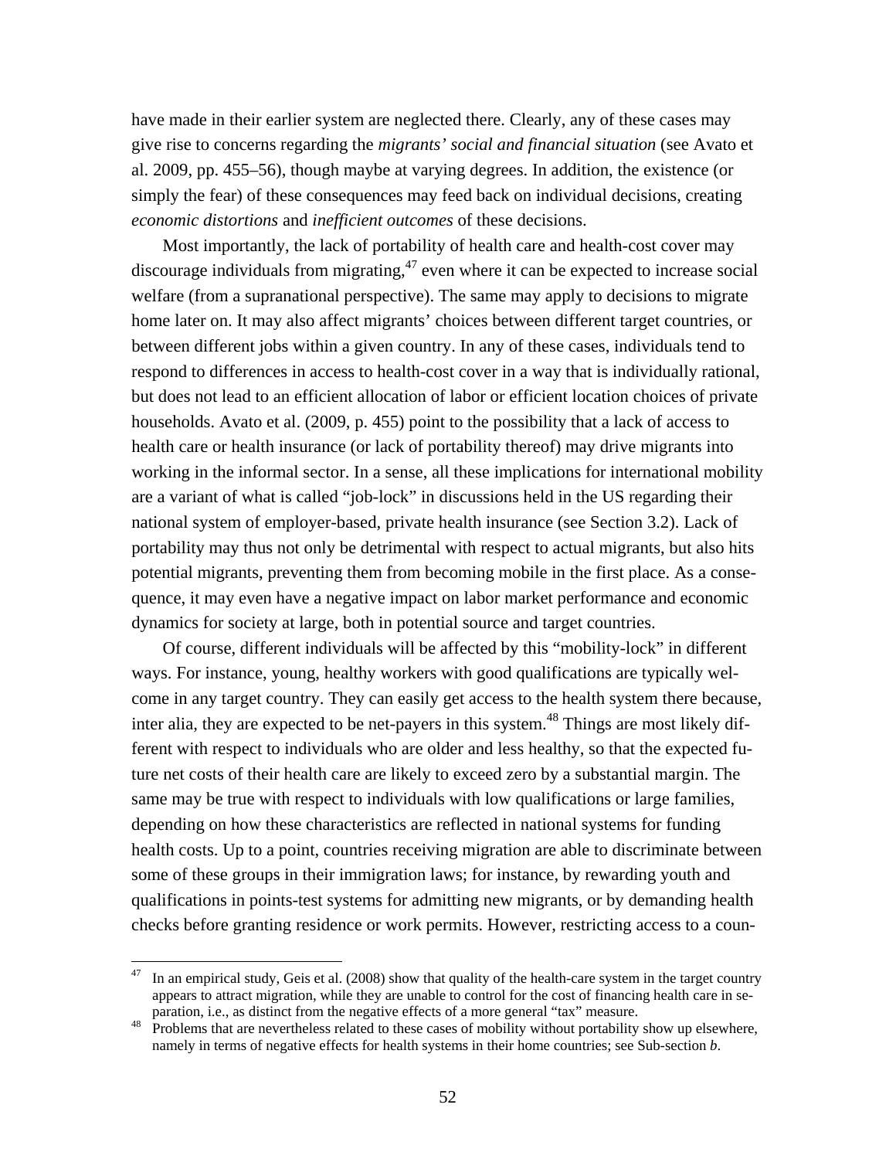have made in their earlier system are neglected there. Clearly, any of these cases may give rise to concerns regarding the *migrants' social and financial situation* (see Avato et al. 2009, pp. 455–56), though maybe at varying degrees. In addition, the existence (or simply the fear) of these consequences may feed back on individual decisions, creating *economic distortions* and *inefficient outcomes* of these decisions.

 Most importantly, the lack of portability of health care and health-cost cover may discourage individuals from migrating, $47$  even where it can be expected to increase social welfare (from a supranational perspective). The same may apply to decisions to migrate home later on. It may also affect migrants' choices between different target countries, or between different jobs within a given country. In any of these cases, individuals tend to respond to differences in access to health-cost cover in a way that is individually rational, but does not lead to an efficient allocation of labor or efficient location choices of private households. Avato et al. (2009, p. 455) point to the possibility that a lack of access to health care or health insurance (or lack of portability thereof) may drive migrants into working in the informal sector. In a sense, all these implications for international mobility are a variant of what is called "job-lock" in discussions held in the US regarding their national system of employer-based, private health insurance (see Section 3.2). Lack of portability may thus not only be detrimental with respect to actual migrants, but also hits potential migrants, preventing them from becoming mobile in the first place. As a consequence, it may even have a negative impact on labor market performance and economic dynamics for society at large, both in potential source and target countries.

 Of course, different individuals will be affected by this "mobility-lock" in different ways. For instance, young, healthy workers with good qualifications are typically welcome in any target country. They can easily get access to the health system there because, inter alia, they are expected to be net-payers in this system. $48$  Things are most likely different with respect to individuals who are older and less healthy, so that the expected future net costs of their health care are likely to exceed zero by a substantial margin. The same may be true with respect to individuals with low qualifications or large families, depending on how these characteristics are reflected in national systems for funding health costs. Up to a point, countries receiving migration are able to discriminate between some of these groups in their immigration laws; for instance, by rewarding youth and qualifications in points-test systems for admitting new migrants, or by demanding health checks before granting residence or work permits. However, restricting access to a coun-

In an empirical study, Geis et al. (2008) show that quality of the health-care system in the target country appears to attract migration, while they are unable to control for the cost of financing health care in se-

paration, i.e., as distinct from the negative effects of a more general "tax" measure. 48 Problems that are nevertheless related to these cases of mobility without portability show up elsewhere, namely in terms of negative effects for health systems in their home countries; see Sub-section *b*.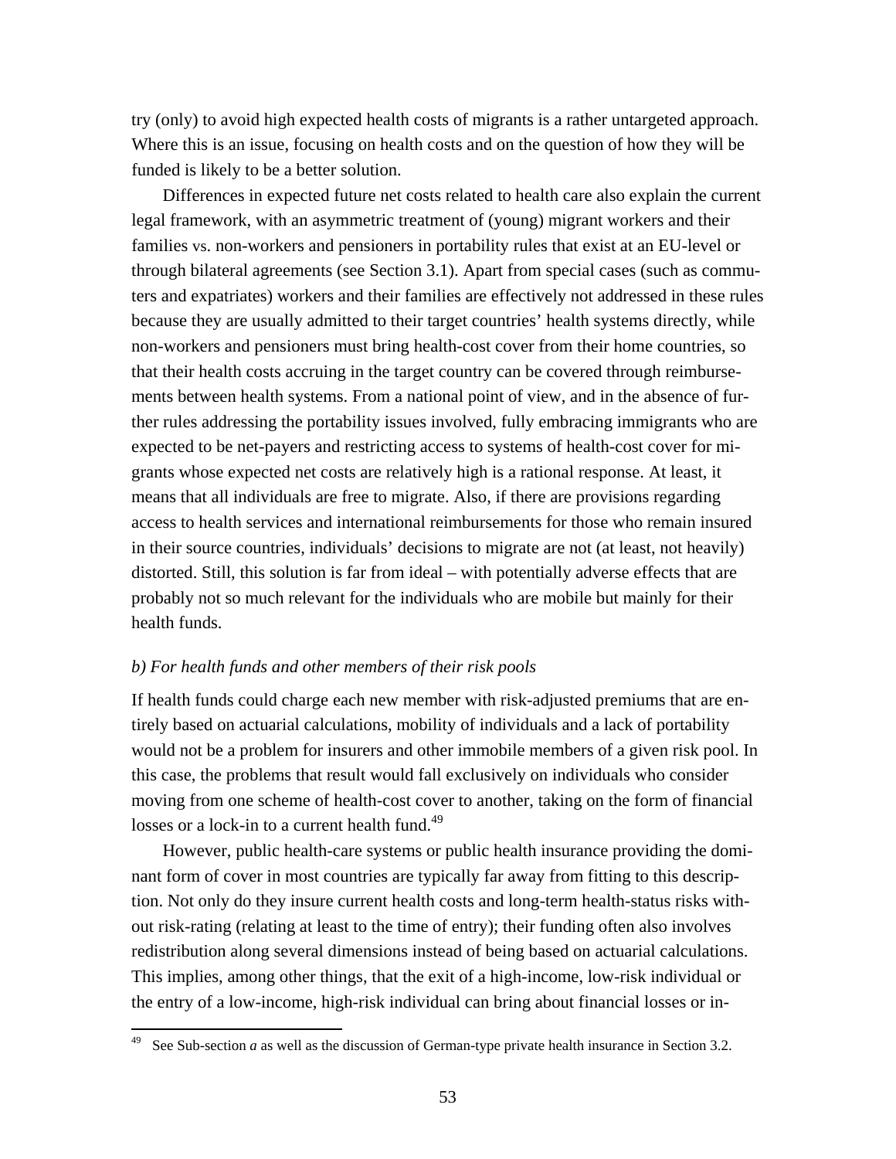try (only) to avoid high expected health costs of migrants is a rather untargeted approach. Where this is an issue, focusing on health costs and on the question of how they will be funded is likely to be a better solution.

 Differences in expected future net costs related to health care also explain the current legal framework, with an asymmetric treatment of (young) migrant workers and their families vs. non-workers and pensioners in portability rules that exist at an EU-level or through bilateral agreements (see Section 3.1). Apart from special cases (such as commuters and expatriates) workers and their families are effectively not addressed in these rules because they are usually admitted to their target countries' health systems directly, while non-workers and pensioners must bring health-cost cover from their home countries, so that their health costs accruing in the target country can be covered through reimbursements between health systems. From a national point of view, and in the absence of further rules addressing the portability issues involved, fully embracing immigrants who are expected to be net-payers and restricting access to systems of health-cost cover for migrants whose expected net costs are relatively high is a rational response. At least, it means that all individuals are free to migrate. Also, if there are provisions regarding access to health services and international reimbursements for those who remain insured in their source countries, individuals' decisions to migrate are not (at least, not heavily) distorted. Still, this solution is far from ideal – with potentially adverse effects that are probably not so much relevant for the individuals who are mobile but mainly for their health funds.

## *b) For health funds and other members of their risk pools*

If health funds could charge each new member with risk-adjusted premiums that are entirely based on actuarial calculations, mobility of individuals and a lack of portability would not be a problem for insurers and other immobile members of a given risk pool. In this case, the problems that result would fall exclusively on individuals who consider moving from one scheme of health-cost cover to another, taking on the form of financial losses or a lock-in to a current health fund.<sup>49</sup>

 However, public health-care systems or public health insurance providing the dominant form of cover in most countries are typically far away from fitting to this description. Not only do they insure current health costs and long-term health-status risks without risk-rating (relating at least to the time of entry); their funding often also involves redistribution along several dimensions instead of being based on actuarial calculations. This implies, among other things, that the exit of a high-income, low-risk individual or the entry of a low-income, high-risk individual can bring about financial losses or in-

See Sub-section *a* as well as the discussion of German-type private health insurance in Section 3.2.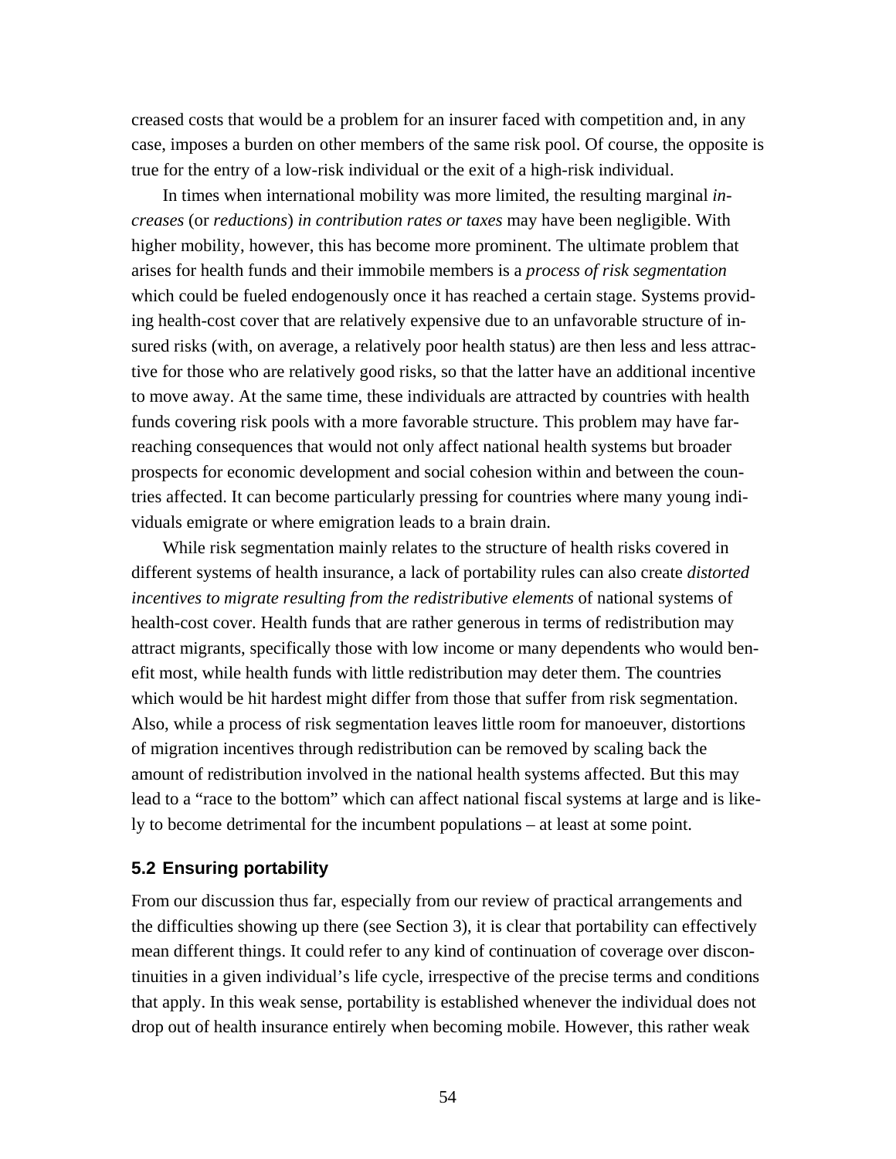creased costs that would be a problem for an insurer faced with competition and, in any case, imposes a burden on other members of the same risk pool. Of course, the opposite is true for the entry of a low-risk individual or the exit of a high-risk individual.

 In times when international mobility was more limited, the resulting marginal *increases* (or *reductions*) *in contribution rates or taxes* may have been negligible. With higher mobility, however, this has become more prominent. The ultimate problem that arises for health funds and their immobile members is a *process of risk segmentation* which could be fueled endogenously once it has reached a certain stage. Systems providing health-cost cover that are relatively expensive due to an unfavorable structure of insured risks (with, on average, a relatively poor health status) are then less and less attractive for those who are relatively good risks, so that the latter have an additional incentive to move away. At the same time, these individuals are attracted by countries with health funds covering risk pools with a more favorable structure. This problem may have farreaching consequences that would not only affect national health systems but broader prospects for economic development and social cohesion within and between the countries affected. It can become particularly pressing for countries where many young individuals emigrate or where emigration leads to a brain drain.

 While risk segmentation mainly relates to the structure of health risks covered in different systems of health insurance, a lack of portability rules can also create *distorted incentives to migrate resulting from the redistributive elements* of national systems of health-cost cover. Health funds that are rather generous in terms of redistribution may attract migrants, specifically those with low income or many dependents who would benefit most, while health funds with little redistribution may deter them. The countries which would be hit hardest might differ from those that suffer from risk segmentation. Also, while a process of risk segmentation leaves little room for manoeuver, distortions of migration incentives through redistribution can be removed by scaling back the amount of redistribution involved in the national health systems affected. But this may lead to a "race to the bottom" which can affect national fiscal systems at large and is likely to become detrimental for the incumbent populations – at least at some point.

# **5.2 Ensuring portability**

From our discussion thus far, especially from our review of practical arrangements and the difficulties showing up there (see Section 3), it is clear that portability can effectively mean different things. It could refer to any kind of continuation of coverage over discontinuities in a given individual's life cycle, irrespective of the precise terms and conditions that apply. In this weak sense, portability is established whenever the individual does not drop out of health insurance entirely when becoming mobile. However, this rather weak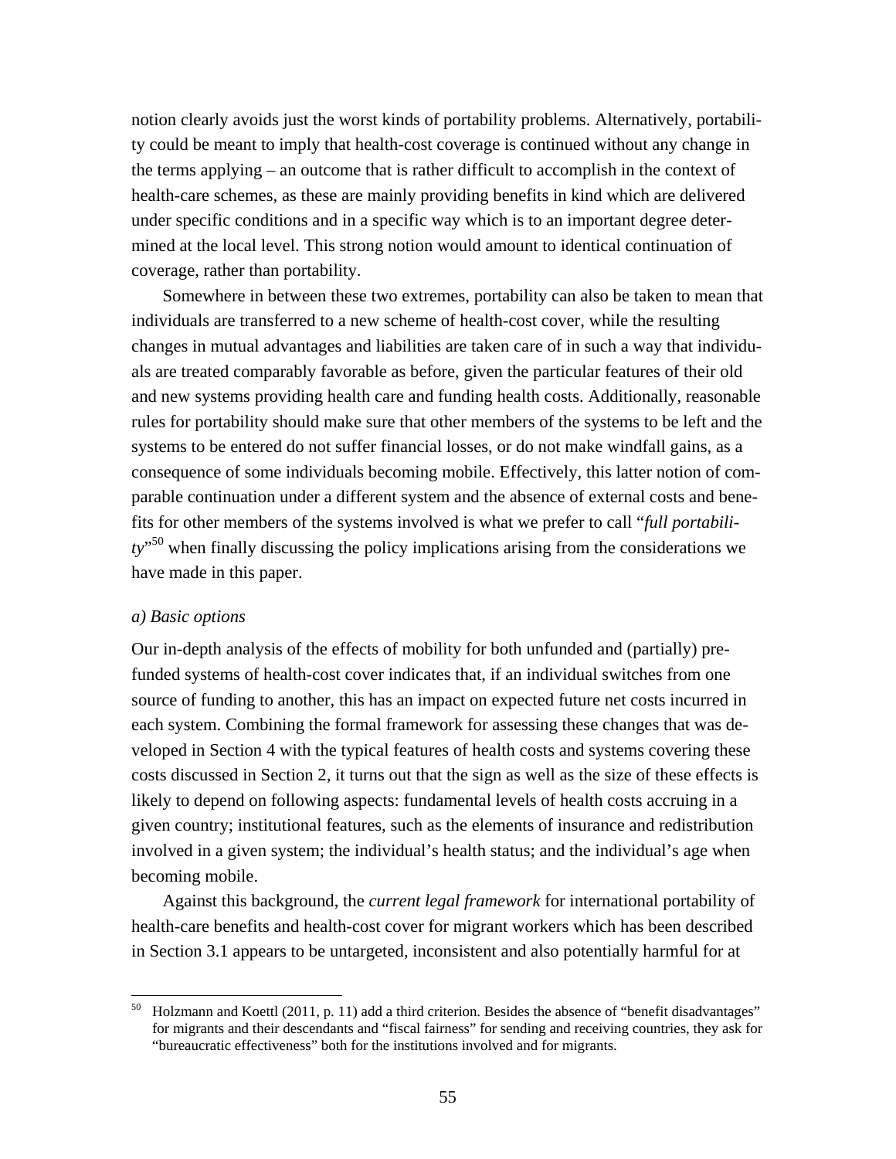notion clearly avoids just the worst kinds of portability problems. Alternatively, portability could be meant to imply that health-cost coverage is continued without any change in the terms applying – an outcome that is rather difficult to accomplish in the context of health-care schemes, as these are mainly providing benefits in kind which are delivered under specific conditions and in a specific way which is to an important degree determined at the local level. This strong notion would amount to identical continuation of coverage, rather than portability.

 Somewhere in between these two extremes, portability can also be taken to mean that individuals are transferred to a new scheme of health-cost cover, while the resulting changes in mutual advantages and liabilities are taken care of in such a way that individuals are treated comparably favorable as before, given the particular features of their old and new systems providing health care and funding health costs. Additionally, reasonable rules for portability should make sure that other members of the systems to be left and the systems to be entered do not suffer financial losses, or do not make windfall gains, as a consequence of some individuals becoming mobile. Effectively, this latter notion of comparable continuation under a different system and the absence of external costs and benefits for other members of the systems involved is what we prefer to call "*full portability*" 50 when finally discussing the policy implications arising from the considerations we have made in this paper.

#### *a) Basic options*

Our in-depth analysis of the effects of mobility for both unfunded and (partially) prefunded systems of health-cost cover indicates that, if an individual switches from one source of funding to another, this has an impact on expected future net costs incurred in each system. Combining the formal framework for assessing these changes that was developed in Section 4 with the typical features of health costs and systems covering these costs discussed in Section 2, it turns out that the sign as well as the size of these effects is likely to depend on following aspects: fundamental levels of health costs accruing in a given country; institutional features, such as the elements of insurance and redistribution involved in a given system; the individual's health status; and the individual's age when becoming mobile.

 Against this background, the *current legal framework* for international portability of health-care benefits and health-cost cover for migrant workers which has been described in Section 3.1 appears to be untargeted, inconsistent and also potentially harmful for at

<sup>&</sup>lt;sup>50</sup> Holzmann and Koettl (2011, p. 11) add a third criterion. Besides the absence of "benefit disadvantages" for migrants and their descendants and "fiscal fairness" for sending and receiving countries, they ask for "bureaucratic effectiveness" both for the institutions involved and for migrants.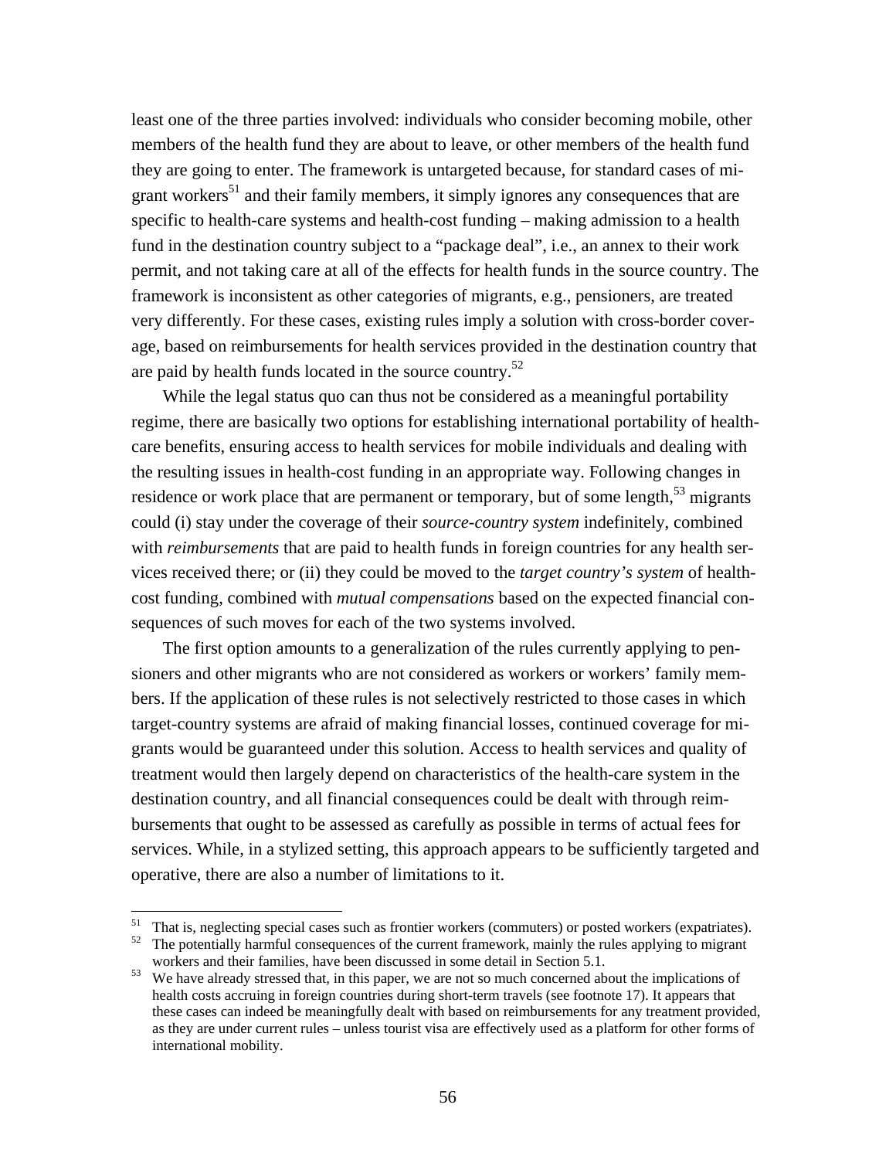least one of the three parties involved: individuals who consider becoming mobile, other members of the health fund they are about to leave, or other members of the health fund they are going to enter. The framework is untargeted because, for standard cases of migrant workers<sup>51</sup> and their family members, it simply ignores any consequences that are specific to health-care systems and health-cost funding – making admission to a health fund in the destination country subject to a "package deal", i.e., an annex to their work permit, and not taking care at all of the effects for health funds in the source country. The framework is inconsistent as other categories of migrants, e.g., pensioners, are treated very differently. For these cases, existing rules imply a solution with cross-border coverage, based on reimbursements for health services provided in the destination country that are paid by health funds located in the source country.52

 While the legal status quo can thus not be considered as a meaningful portability regime, there are basically two options for establishing international portability of healthcare benefits, ensuring access to health services for mobile individuals and dealing with the resulting issues in health-cost funding in an appropriate way. Following changes in residence or work place that are permanent or temporary, but of some length, $53$  migrants could (i) stay under the coverage of their *source-country system* indefinitely, combined with *reimbursements* that are paid to health funds in foreign countries for any health services received there; or (ii) they could be moved to the *target country's system* of healthcost funding, combined with *mutual compensations* based on the expected financial consequences of such moves for each of the two systems involved.

 The first option amounts to a generalization of the rules currently applying to pensioners and other migrants who are not considered as workers or workers' family members. If the application of these rules is not selectively restricted to those cases in which target-country systems are afraid of making financial losses, continued coverage for migrants would be guaranteed under this solution. Access to health services and quality of treatment would then largely depend on characteristics of the health-care system in the destination country, and all financial consequences could be dealt with through reimbursements that ought to be assessed as carefully as possible in terms of actual fees for services. While, in a stylized setting, this approach appears to be sufficiently targeted and operative, there are also a number of limitations to it.

That is, neglecting special cases such as frontier workers (commuters) or posted workers (expatriates).

<sup>&</sup>lt;sup>52</sup> The potentially harmful consequences of the current framework, mainly the rules applying to migrant workers and their families, have been discussed in some detail in Section 5.1.<br>We have already stressed that, in this paper, we are not so much concerned about the implications of

health costs accruing in foreign countries during short-term travels (see footnote 17). It appears that these cases can indeed be meaningfully dealt with based on reimbursements for any treatment provided, as they are under current rules – unless tourist visa are effectively used as a platform for other forms of international mobility.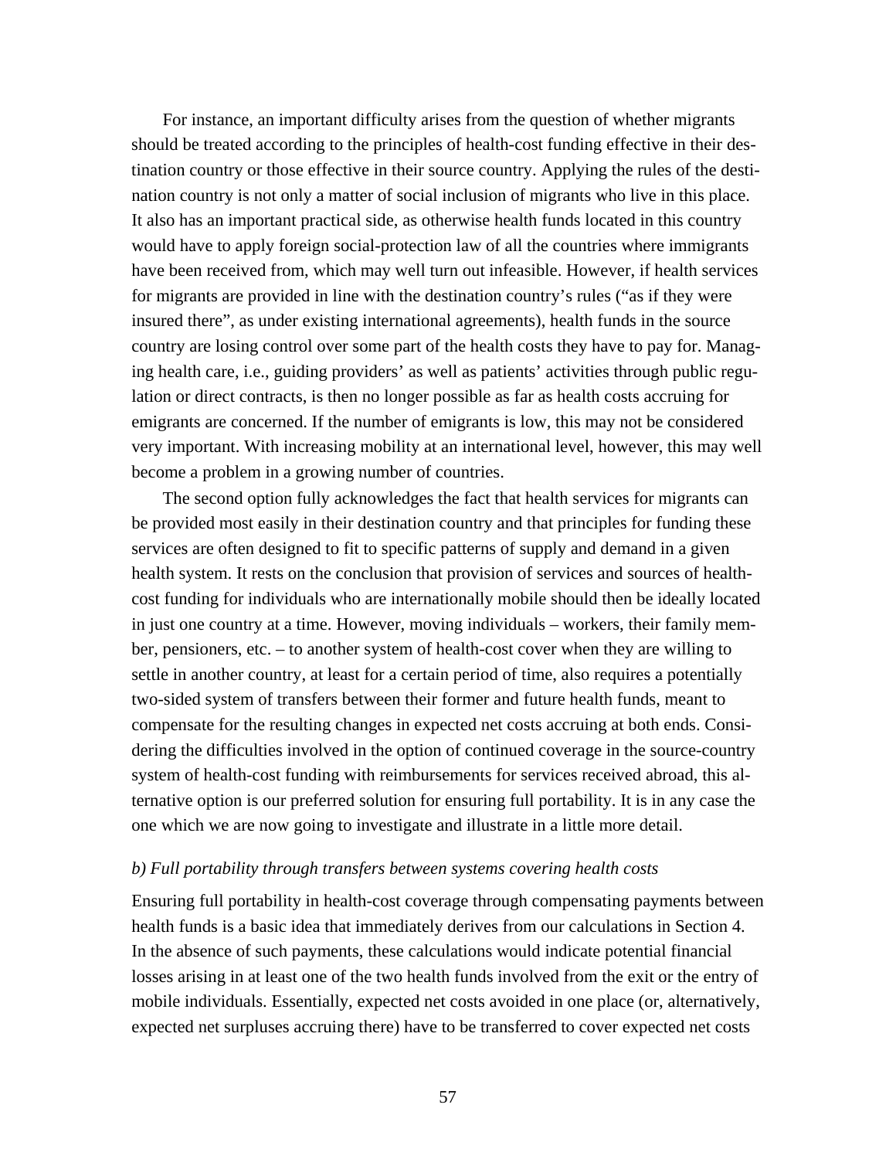For instance, an important difficulty arises from the question of whether migrants should be treated according to the principles of health-cost funding effective in their destination country or those effective in their source country. Applying the rules of the destination country is not only a matter of social inclusion of migrants who live in this place. It also has an important practical side, as otherwise health funds located in this country would have to apply foreign social-protection law of all the countries where immigrants have been received from, which may well turn out infeasible. However, if health services for migrants are provided in line with the destination country's rules ("as if they were insured there", as under existing international agreements), health funds in the source country are losing control over some part of the health costs they have to pay for. Managing health care, i.e., guiding providers' as well as patients' activities through public regulation or direct contracts, is then no longer possible as far as health costs accruing for emigrants are concerned. If the number of emigrants is low, this may not be considered very important. With increasing mobility at an international level, however, this may well become a problem in a growing number of countries.

 The second option fully acknowledges the fact that health services for migrants can be provided most easily in their destination country and that principles for funding these services are often designed to fit to specific patterns of supply and demand in a given health system. It rests on the conclusion that provision of services and sources of healthcost funding for individuals who are internationally mobile should then be ideally located in just one country at a time. However, moving individuals – workers, their family member, pensioners, etc. – to another system of health-cost cover when they are willing to settle in another country, at least for a certain period of time, also requires a potentially two-sided system of transfers between their former and future health funds, meant to compensate for the resulting changes in expected net costs accruing at both ends. Considering the difficulties involved in the option of continued coverage in the source-country system of health-cost funding with reimbursements for services received abroad, this alternative option is our preferred solution for ensuring full portability. It is in any case the one which we are now going to investigate and illustrate in a little more detail.

## *b) Full portability through transfers between systems covering health costs*

Ensuring full portability in health-cost coverage through compensating payments between health funds is a basic idea that immediately derives from our calculations in Section 4. In the absence of such payments, these calculations would indicate potential financial losses arising in at least one of the two health funds involved from the exit or the entry of mobile individuals. Essentially, expected net costs avoided in one place (or, alternatively, expected net surpluses accruing there) have to be transferred to cover expected net costs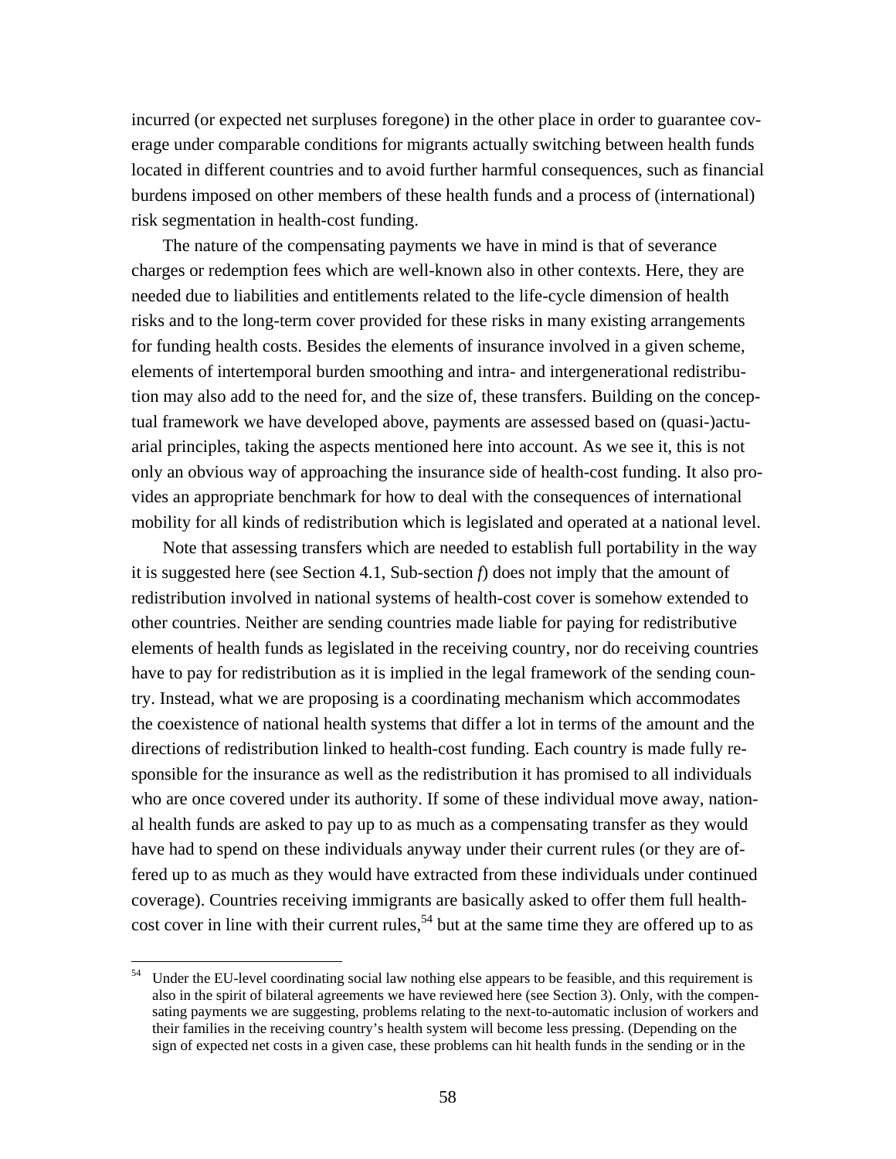incurred (or expected net surpluses foregone) in the other place in order to guarantee coverage under comparable conditions for migrants actually switching between health funds located in different countries and to avoid further harmful consequences, such as financial burdens imposed on other members of these health funds and a process of (international) risk segmentation in health-cost funding.

 The nature of the compensating payments we have in mind is that of severance charges or redemption fees which are well-known also in other contexts. Here, they are needed due to liabilities and entitlements related to the life-cycle dimension of health risks and to the long-term cover provided for these risks in many existing arrangements for funding health costs. Besides the elements of insurance involved in a given scheme, elements of intertemporal burden smoothing and intra- and intergenerational redistribution may also add to the need for, and the size of, these transfers. Building on the conceptual framework we have developed above, payments are assessed based on (quasi-)actuarial principles, taking the aspects mentioned here into account. As we see it, this is not only an obvious way of approaching the insurance side of health-cost funding. It also provides an appropriate benchmark for how to deal with the consequences of international mobility for all kinds of redistribution which is legislated and operated at a national level.

 Note that assessing transfers which are needed to establish full portability in the way it is suggested here (see Section 4.1, Sub-section *f*) does not imply that the amount of redistribution involved in national systems of health-cost cover is somehow extended to other countries. Neither are sending countries made liable for paying for redistributive elements of health funds as legislated in the receiving country, nor do receiving countries have to pay for redistribution as it is implied in the legal framework of the sending country. Instead, what we are proposing is a coordinating mechanism which accommodates the coexistence of national health systems that differ a lot in terms of the amount and the directions of redistribution linked to health-cost funding. Each country is made fully responsible for the insurance as well as the redistribution it has promised to all individuals who are once covered under its authority. If some of these individual move away, national health funds are asked to pay up to as much as a compensating transfer as they would have had to spend on these individuals anyway under their current rules (or they are offered up to as much as they would have extracted from these individuals under continued coverage). Countries receiving immigrants are basically asked to offer them full healthcost cover in line with their current rules,  $54$  but at the same time they are offered up to as

Under the EU-level coordinating social law nothing else appears to be feasible, and this requirement is also in the spirit of bilateral agreements we have reviewed here (see Section 3). Only, with the compensating payments we are suggesting, problems relating to the next-to-automatic inclusion of workers and their families in the receiving country's health system will become less pressing. (Depending on the sign of expected net costs in a given case, these problems can hit health funds in the sending or in the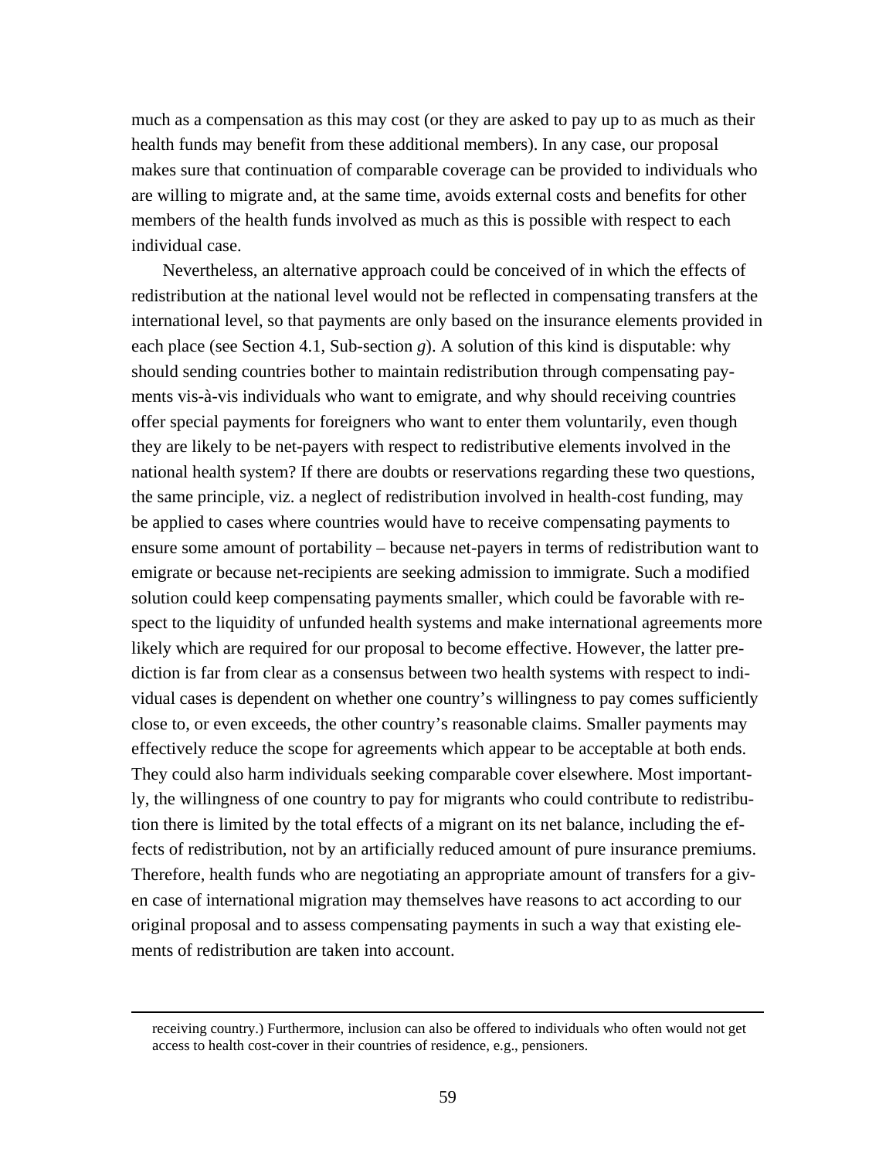much as a compensation as this may cost (or they are asked to pay up to as much as their health funds may benefit from these additional members). In any case, our proposal makes sure that continuation of comparable coverage can be provided to individuals who are willing to migrate and, at the same time, avoids external costs and benefits for other members of the health funds involved as much as this is possible with respect to each individual case.

 Nevertheless, an alternative approach could be conceived of in which the effects of redistribution at the national level would not be reflected in compensating transfers at the international level, so that payments are only based on the insurance elements provided in each place (see Section 4.1, Sub-section *g*). A solution of this kind is disputable: why should sending countries bother to maintain redistribution through compensating payments vis-à-vis individuals who want to emigrate, and why should receiving countries offer special payments for foreigners who want to enter them voluntarily, even though they are likely to be net-payers with respect to redistributive elements involved in the national health system? If there are doubts or reservations regarding these two questions, the same principle, viz. a neglect of redistribution involved in health-cost funding, may be applied to cases where countries would have to receive compensating payments to ensure some amount of portability – because net-payers in terms of redistribution want to emigrate or because net-recipients are seeking admission to immigrate. Such a modified solution could keep compensating payments smaller, which could be favorable with respect to the liquidity of unfunded health systems and make international agreements more likely which are required for our proposal to become effective. However, the latter prediction is far from clear as a consensus between two health systems with respect to individual cases is dependent on whether one country's willingness to pay comes sufficiently close to, or even exceeds, the other country's reasonable claims. Smaller payments may effectively reduce the scope for agreements which appear to be acceptable at both ends. They could also harm individuals seeking comparable cover elsewhere. Most importantly, the willingness of one country to pay for migrants who could contribute to redistribution there is limited by the total effects of a migrant on its net balance, including the effects of redistribution, not by an artificially reduced amount of pure insurance premiums. Therefore, health funds who are negotiating an appropriate amount of transfers for a given case of international migration may themselves have reasons to act according to our original proposal and to assess compensating payments in such a way that existing elements of redistribution are taken into account.

<sup>&</sup>lt;u> 1989 - Johann Stoff, amerikansk politiker (d. 1989)</u> receiving country.) Furthermore, inclusion can also be offered to individuals who often would not get access to health cost-cover in their countries of residence, e.g., pensioners.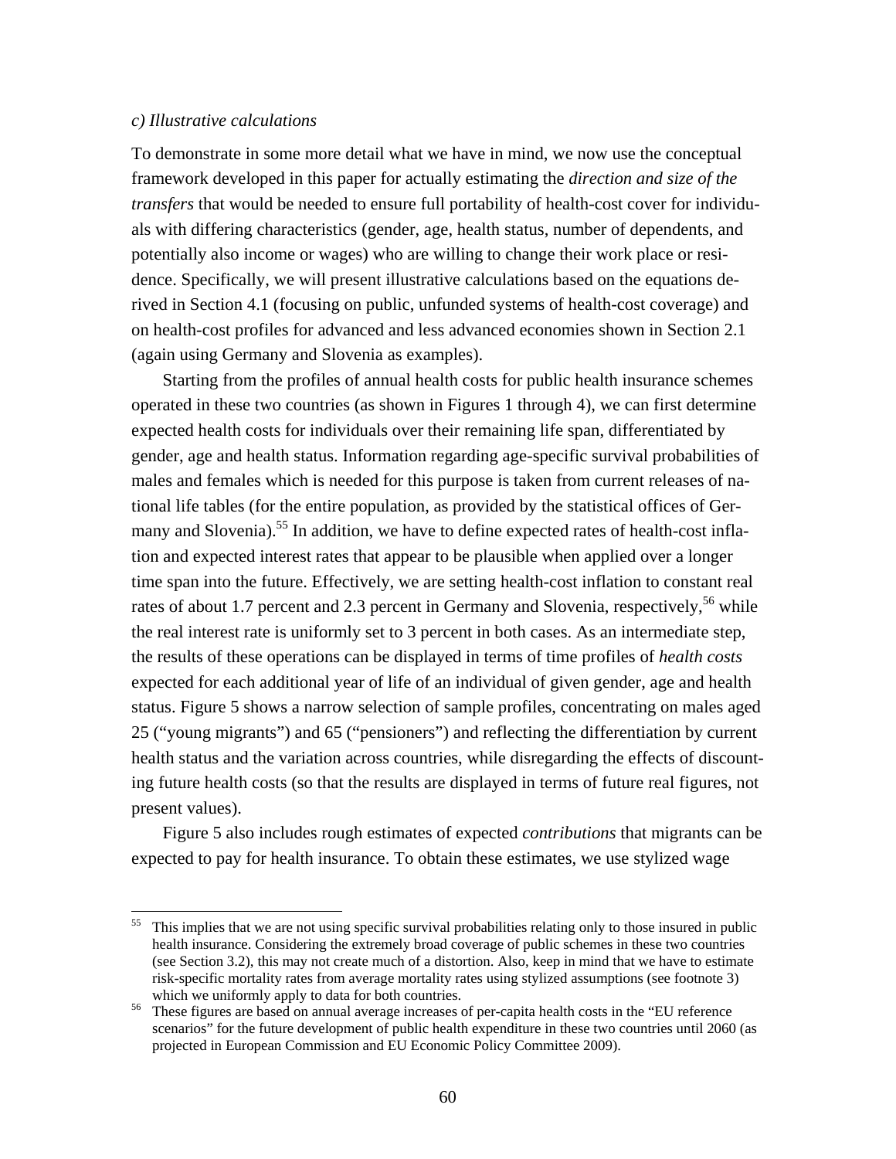## *c) Illustrative calculations*

To demonstrate in some more detail what we have in mind, we now use the conceptual framework developed in this paper for actually estimating the *direction and size of the transfers* that would be needed to ensure full portability of health-cost cover for individuals with differing characteristics (gender, age, health status, number of dependents, and potentially also income or wages) who are willing to change their work place or residence. Specifically, we will present illustrative calculations based on the equations derived in Section 4.1 (focusing on public, unfunded systems of health-cost coverage) and on health-cost profiles for advanced and less advanced economies shown in Section 2.1 (again using Germany and Slovenia as examples).

 Starting from the profiles of annual health costs for public health insurance schemes operated in these two countries (as shown in Figures 1 through 4), we can first determine expected health costs for individuals over their remaining life span, differentiated by gender, age and health status. Information regarding age-specific survival probabilities of males and females which is needed for this purpose is taken from current releases of national life tables (for the entire population, as provided by the statistical offices of Germany and Slovenia).<sup>55</sup> In addition, we have to define expected rates of health-cost inflation and expected interest rates that appear to be plausible when applied over a longer time span into the future. Effectively, we are setting health-cost inflation to constant real rates of about 1.7 percent and 2.3 percent in Germany and Slovenia, respectively,  $56$  while the real interest rate is uniformly set to 3 percent in both cases. As an intermediate step, the results of these operations can be displayed in terms of time profiles of *health costs* expected for each additional year of life of an individual of given gender, age and health status. Figure 5 shows a narrow selection of sample profiles, concentrating on males aged 25 ("young migrants") and 65 ("pensioners") and reflecting the differentiation by current health status and the variation across countries, while disregarding the effects of discounting future health costs (so that the results are displayed in terms of future real figures, not present values).

 Figure 5 also includes rough estimates of expected *contributions* that migrants can be expected to pay for health insurance. To obtain these estimates, we use stylized wage

<sup>55</sup> This implies that we are not using specific survival probabilities relating only to those insured in public health insurance. Considering the extremely broad coverage of public schemes in these two countries (see Section 3.2), this may not create much of a distortion. Also, keep in mind that we have to estimate risk-specific mortality rates from average mortality rates using stylized assumptions (see footnote 3) which we uniformly apply to data for both countries.<br><sup>56</sup> These figures are based on annual average increases of per-capita health costs in the "EU reference"

scenarios" for the future development of public health expenditure in these two countries until 2060 (as projected in European Commission and EU Economic Policy Committee 2009).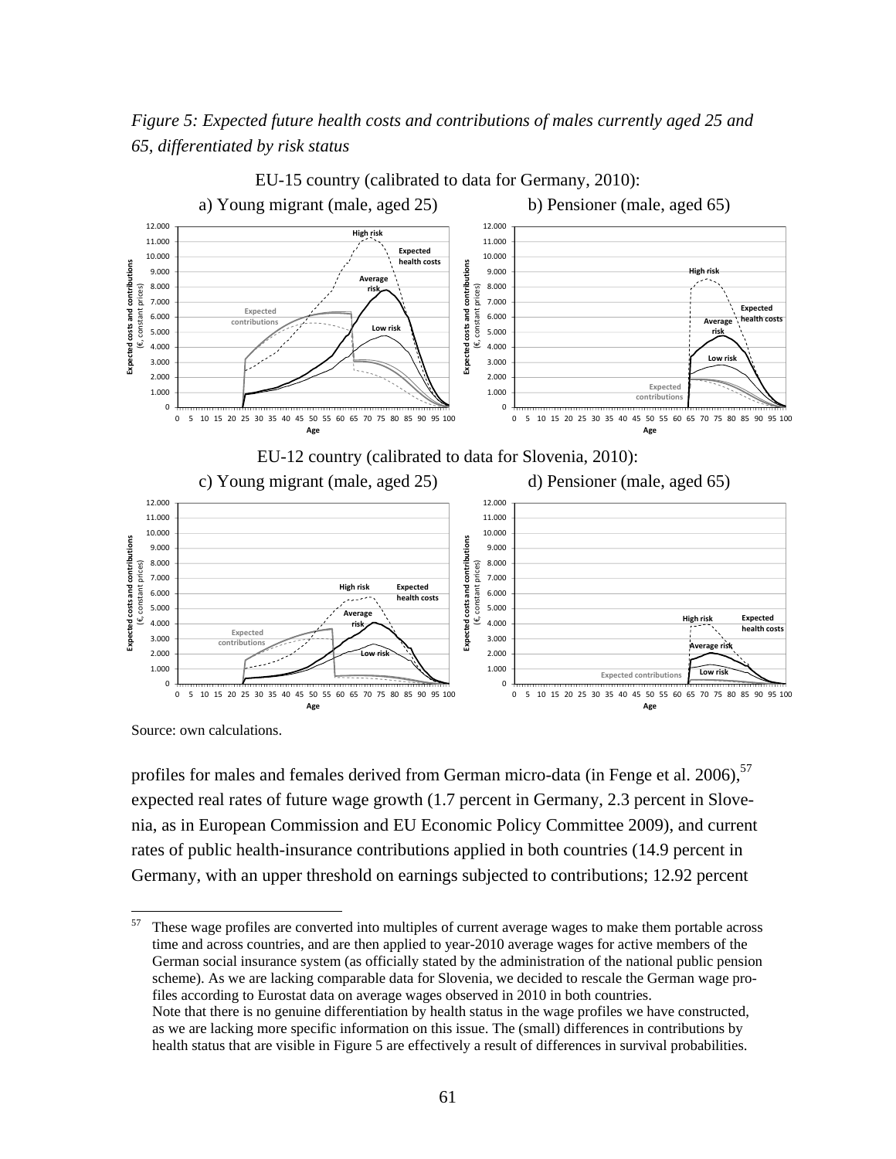*Figure 5: Expected future health costs and contributions of males currently aged 25 and 65, differentiated by risk status* 



EU-15 country (calibrated to data for Germany, 2010):

Source: own calculations.

profiles for males and females derived from German micro-data (in Fenge et al. 2006),  $57$ expected real rates of future wage growth (1.7 percent in Germany, 2.3 percent in Slovenia, as in European Commission and EU Economic Policy Committee 2009), and current rates of public health-insurance contributions applied in both countries (14.9 percent in Germany, with an upper threshold on earnings subjected to contributions; 12.92 percent

57 These wage profiles are converted into multiples of current average wages to make them portable across time and across countries, and are then applied to year-2010 average wages for active members of the German social insurance system (as officially stated by the administration of the national public pension scheme). As we are lacking comparable data for Slovenia, we decided to rescale the German wage profiles according to Eurostat data on average wages observed in 2010 in both countries. Note that there is no genuine differentiation by health status in the wage profiles we have constructed, as we are lacking more specific information on this issue. The (small) differences in contributions by health status that are visible in Figure 5 are effectively a result of differences in survival probabilities.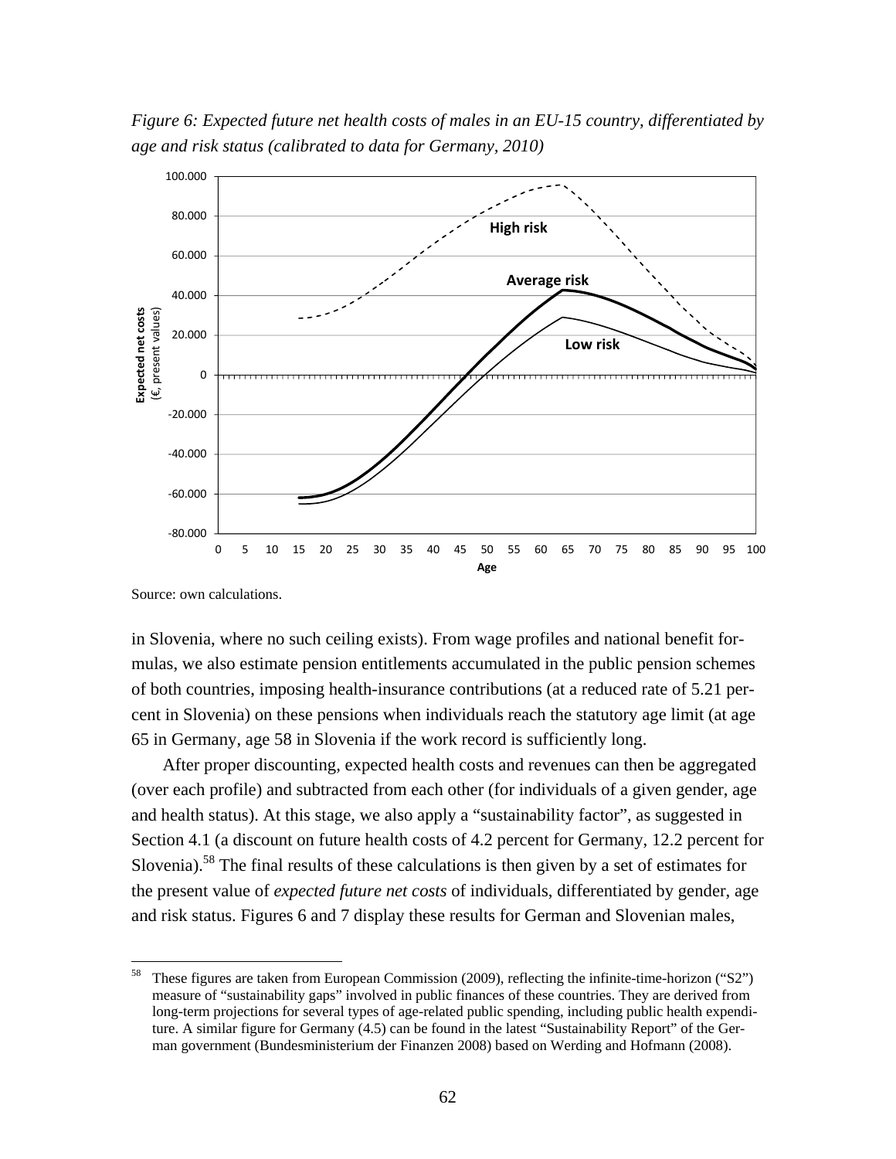*Figure 6: Expected future net health costs of males in an EU-15 country, differentiated by age and risk status (calibrated to data for Germany, 2010)* 



Source: own calculations.

in Slovenia, where no such ceiling exists). From wage profiles and national benefit formulas, we also estimate pension entitlements accumulated in the public pension schemes of both countries, imposing health-insurance contributions (at a reduced rate of 5.21 percent in Slovenia) on these pensions when individuals reach the statutory age limit (at age 65 in Germany, age 58 in Slovenia if the work record is sufficiently long.

 After proper discounting, expected health costs and revenues can then be aggregated (over each profile) and subtracted from each other (for individuals of a given gender, age and health status). At this stage, we also apply a "sustainability factor", as suggested in Section 4.1 (a discount on future health costs of 4.2 percent for Germany, 12.2 percent for Slovenia).58 The final results of these calculations is then given by a set of estimates for the present value of *expected future net costs* of individuals, differentiated by gender, age and risk status. Figures 6 and 7 display these results for German and Slovenian males,

These figures are taken from European Commission (2009), reflecting the infinite-time-horizon ("S2") measure of "sustainability gaps" involved in public finances of these countries. They are derived from long-term projections for several types of age-related public spending, including public health expenditure. A similar figure for Germany (4.5) can be found in the latest "Sustainability Report" of the German government (Bundesministerium der Finanzen 2008) based on Werding and Hofmann (2008).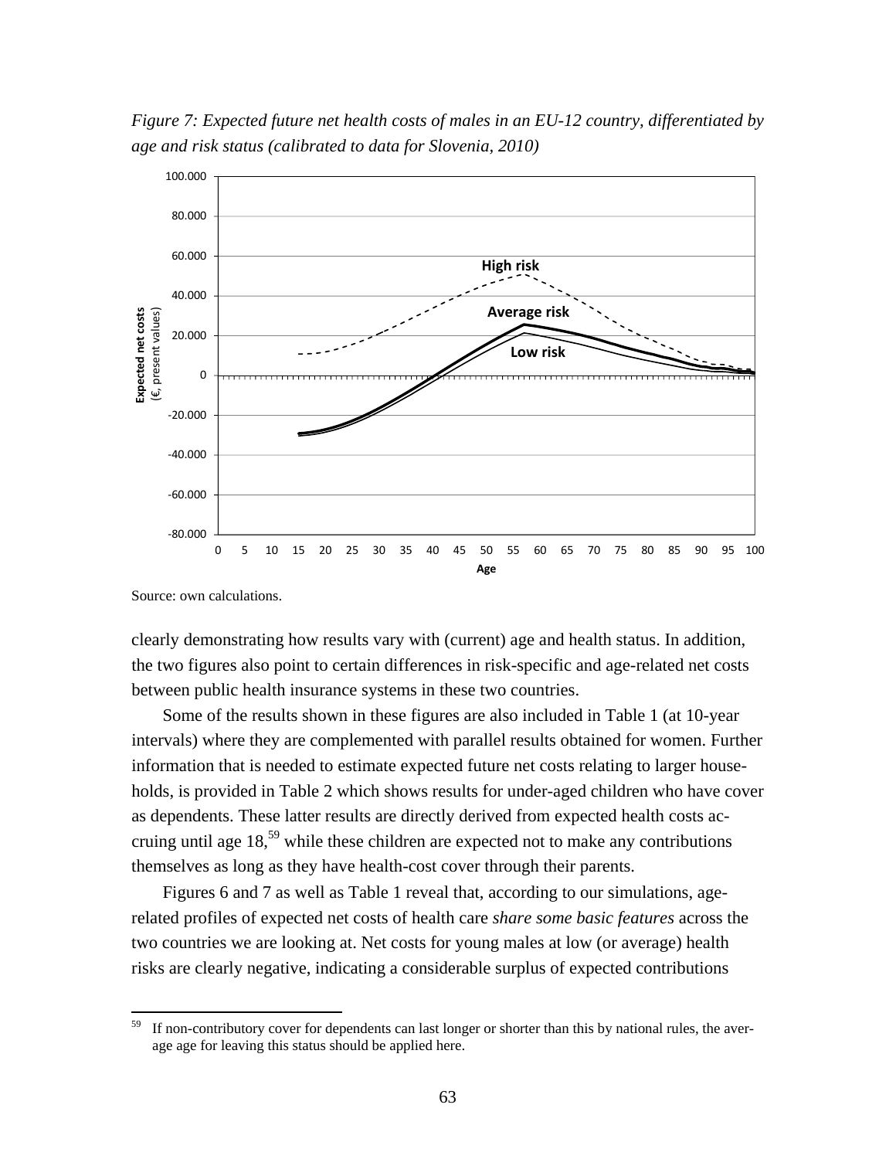*Figure 7: Expected future net health costs of males in an EU-12 country, differentiated by age and risk status (calibrated to data for Slovenia, 2010)* 



Source: own calculations.

clearly demonstrating how results vary with (current) age and health status. In addition, the two figures also point to certain differences in risk-specific and age-related net costs between public health insurance systems in these two countries.

 Some of the results shown in these figures are also included in Table 1 (at 10-year intervals) where they are complemented with parallel results obtained for women. Further information that is needed to estimate expected future net costs relating to larger households, is provided in Table 2 which shows results for under-aged children who have cover as dependents. These latter results are directly derived from expected health costs accruing until age 18,<sup>59</sup> while these children are expected not to make any contributions themselves as long as they have health-cost cover through their parents.

 Figures 6 and 7 as well as Table 1 reveal that, according to our simulations, agerelated profiles of expected net costs of health care *share some basic features* across the two countries we are looking at. Net costs for young males at low (or average) health risks are clearly negative, indicating a considerable surplus of expected contributions

<sup>&</sup>lt;sup>59</sup> If non-contributory cover for dependents can last longer or shorter than this by national rules, the average age for leaving this status should be applied here.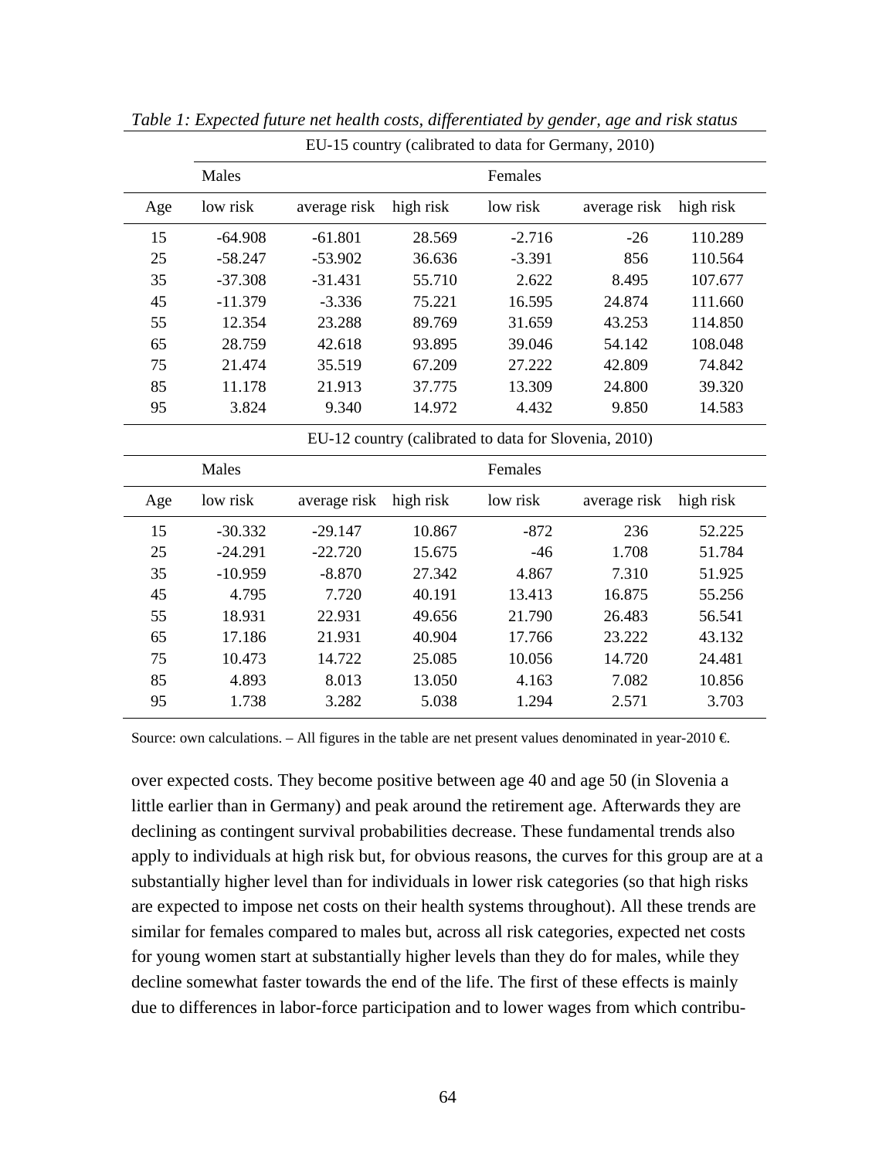|     | Males                                                 |              |           | Females  |              |           |  |  |  |  |
|-----|-------------------------------------------------------|--------------|-----------|----------|--------------|-----------|--|--|--|--|
| Age | low risk                                              | average risk | high risk | low risk | average risk | high risk |  |  |  |  |
| 15  | $-64.908$                                             | $-61.801$    | 28.569    | $-2.716$ | $-26$        | 110.289   |  |  |  |  |
| 25  | $-58.247$                                             | $-53.902$    | 36.636    | $-3.391$ | 856          | 110.564   |  |  |  |  |
| 35  | $-37.308$                                             | $-31.431$    | 55.710    | 2.622    | 8.495        | 107.677   |  |  |  |  |
| 45  | $-11.379$                                             | $-3.336$     | 75.221    | 16.595   | 24.874       | 111.660   |  |  |  |  |
| 55  | 12.354                                                | 23.288       | 89.769    | 31.659   | 43.253       | 114.850   |  |  |  |  |
| 65  | 28.759                                                | 42.618       | 93.895    | 39.046   | 54.142       | 108.048   |  |  |  |  |
| 75  | 21.474                                                | 35.519       | 67.209    | 27.222   | 42.809       | 74.842    |  |  |  |  |
| 85  | 11.178                                                | 21.913       | 37.775    | 13.309   | 24.800       | 39.320    |  |  |  |  |
| 95  | 3.824                                                 | 9.340        | 14.972    | 4.432    | 9.850        | 14.583    |  |  |  |  |
|     | EU-12 country (calibrated to data for Slovenia, 2010) |              |           |          |              |           |  |  |  |  |
|     | Males                                                 | Females      |           |          |              |           |  |  |  |  |
| Age | low risk                                              | average risk | high risk | low risk | average risk | high risk |  |  |  |  |
| 15  | $-30.332$                                             | $-29.147$    | 10.867    | $-872$   | 236          | 52.225    |  |  |  |  |
| 25  | $-24.291$                                             | $-22.720$    | 15.675    | $-46$    | 1.708        | 51.784    |  |  |  |  |
| 35  | $-10.959$                                             | $-8.870$     | 27.342    | 4.867    | 7.310        | 51.925    |  |  |  |  |
| 45  | 4.795                                                 | 7.720        | 40.191    | 13.413   | 16.875       | 55.256    |  |  |  |  |
| 55  | 18.931                                                | 22.931       | 49.656    | 21.790   | 26.483       | 56.541    |  |  |  |  |
| 65  | 17.186                                                | 21.931       | 40.904    | 17.766   | 23.222       | 43.132    |  |  |  |  |
| 75  | 10.473                                                | 14.722       | 25.085    | 10.056   | 14.720       | 24.481    |  |  |  |  |
| 85  | 4.893                                                 | 8.013        | 13.050    | 4.163    | 7.082        | 10.856    |  |  |  |  |
| 95  | 1.738                                                 | 3.282        | 5.038     | 1.294    | 2.571        | 3.703     |  |  |  |  |

*Table 1: Expected future net health costs, differentiated by gender, age and risk status* 

EU-15 country (calibrated to data for Germany, 2010)

Source: own calculations. – All figures in the table are net present values denominated in year-2010  $\in$ 

over expected costs. They become positive between age 40 and age 50 (in Slovenia a little earlier than in Germany) and peak around the retirement age. Afterwards they are declining as contingent survival probabilities decrease. These fundamental trends also apply to individuals at high risk but, for obvious reasons, the curves for this group are at a substantially higher level than for individuals in lower risk categories (so that high risks are expected to impose net costs on their health systems throughout). All these trends are similar for females compared to males but, across all risk categories, expected net costs for young women start at substantially higher levels than they do for males, while they decline somewhat faster towards the end of the life. The first of these effects is mainly due to differences in labor-force participation and to lower wages from which contribu-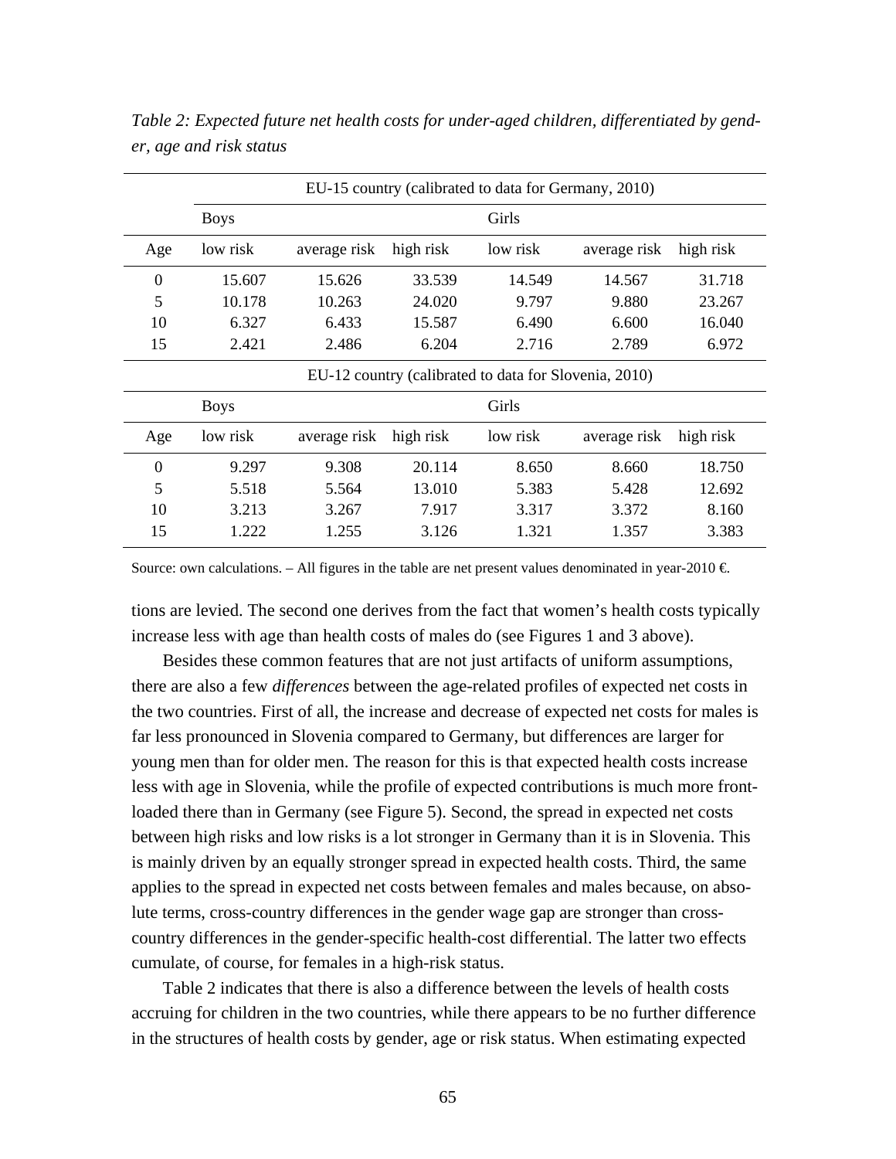|                                                       | EU-15 country (calibrated to data for Germany, 2010) |              |           |          |              |           |  |  |  |
|-------------------------------------------------------|------------------------------------------------------|--------------|-----------|----------|--------------|-----------|--|--|--|
|                                                       | Girls<br><b>Boys</b>                                 |              |           |          |              |           |  |  |  |
| Age                                                   | low risk                                             | average risk | high risk | low risk | average risk | high risk |  |  |  |
| $\theta$                                              | 15.607                                               | 15.626       | 33.539    | 14.549   | 14.567       | 31.718    |  |  |  |
| 5                                                     | 10.178                                               | 10.263       | 24.020    | 9.797    | 9.880        | 23.267    |  |  |  |
| 10                                                    | 6.327                                                | 6.433        | 15.587    | 6.490    | 6.600        | 16.040    |  |  |  |
| 15                                                    | 2.421                                                | 2.486        | 6.204     | 2.716    | 2.789        | 6.972     |  |  |  |
| EU-12 country (calibrated to data for Slovenia, 2010) |                                                      |              |           |          |              |           |  |  |  |
| <b>Boys</b>                                           |                                                      | Girls        |           |          |              |           |  |  |  |
| Age                                                   | low risk                                             | average risk | high risk | low risk | average risk | high risk |  |  |  |
| $\overline{0}$                                        | 9.297                                                | 9.308        | 20.114    | 8.650    | 8.660        | 18.750    |  |  |  |
| 5                                                     | 5.518                                                | 5.564        | 13.010    | 5.383    | 5.428        | 12.692    |  |  |  |
| 10                                                    | 3.213                                                | 3.267        | 7.917     | 3.317    | 3.372        | 8.160     |  |  |  |
| 15                                                    | 1.222                                                | 1.255        | 3.126     | 1.321    | 1.357        | 3.383     |  |  |  |

*Table 2: Expected future net health costs for under-aged children, differentiated by gender, age and risk status* 

Source: own calculations. – All figures in the table are net present values denominated in year-2010  $\in$ 

tions are levied. The second one derives from the fact that women's health costs typically increase less with age than health costs of males do (see Figures 1 and 3 above).

 Besides these common features that are not just artifacts of uniform assumptions, there are also a few *differences* between the age-related profiles of expected net costs in the two countries. First of all, the increase and decrease of expected net costs for males is far less pronounced in Slovenia compared to Germany, but differences are larger for young men than for older men. The reason for this is that expected health costs increase less with age in Slovenia, while the profile of expected contributions is much more frontloaded there than in Germany (see Figure 5). Second, the spread in expected net costs between high risks and low risks is a lot stronger in Germany than it is in Slovenia. This is mainly driven by an equally stronger spread in expected health costs. Third, the same applies to the spread in expected net costs between females and males because, on absolute terms, cross-country differences in the gender wage gap are stronger than crosscountry differences in the gender-specific health-cost differential. The latter two effects cumulate, of course, for females in a high-risk status.

 Table 2 indicates that there is also a difference between the levels of health costs accruing for children in the two countries, while there appears to be no further difference in the structures of health costs by gender, age or risk status. When estimating expected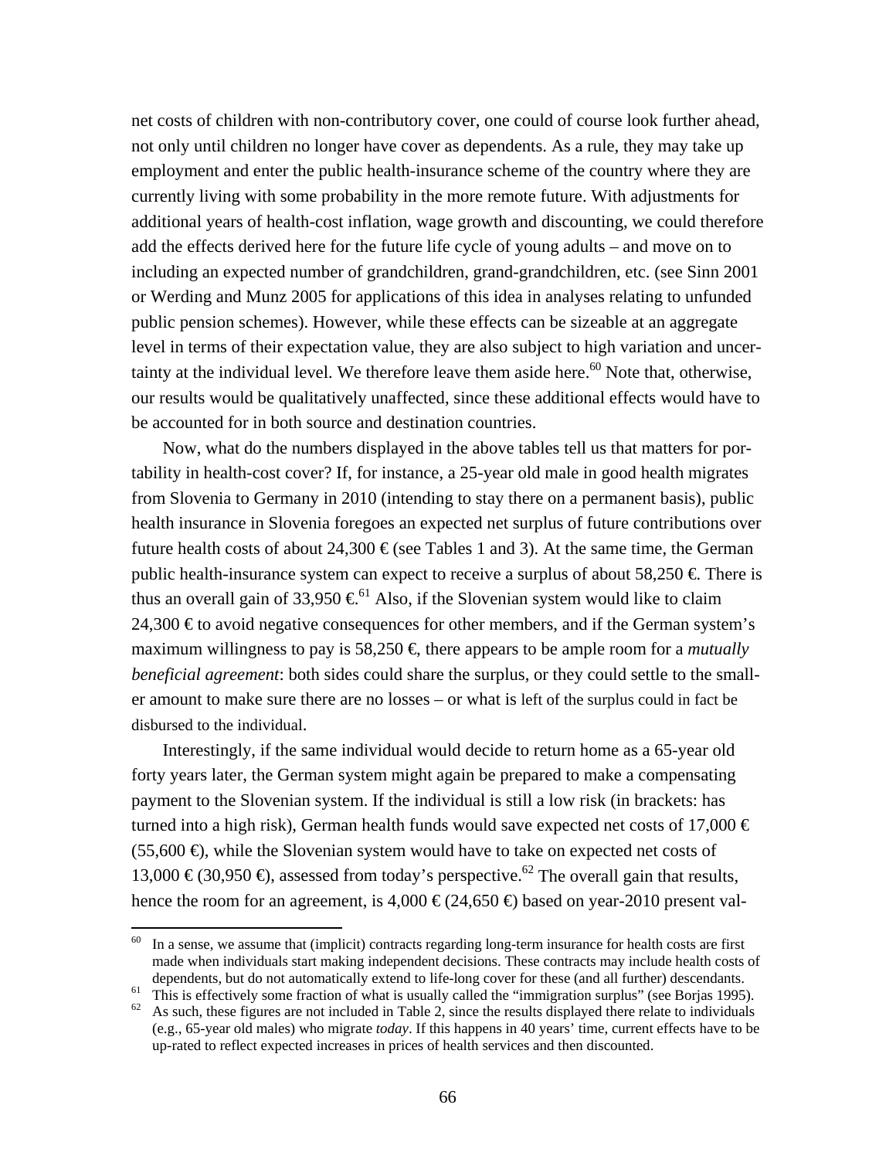net costs of children with non-contributory cover, one could of course look further ahead, not only until children no longer have cover as dependents. As a rule, they may take up employment and enter the public health-insurance scheme of the country where they are currently living with some probability in the more remote future. With adjustments for additional years of health-cost inflation, wage growth and discounting, we could therefore add the effects derived here for the future life cycle of young adults – and move on to including an expected number of grandchildren, grand-grandchildren, etc. (see Sinn 2001 or Werding and Munz 2005 for applications of this idea in analyses relating to unfunded public pension schemes). However, while these effects can be sizeable at an aggregate level in terms of their expectation value, they are also subject to high variation and uncertainty at the individual level. We therefore leave them aside here. $60$  Note that, otherwise, our results would be qualitatively unaffected, since these additional effects would have to be accounted for in both source and destination countries.

 Now, what do the numbers displayed in the above tables tell us that matters for portability in health-cost cover? If, for instance, a 25-year old male in good health migrates from Slovenia to Germany in 2010 (intending to stay there on a permanent basis), public health insurance in Slovenia foregoes an expected net surplus of future contributions over future health costs of about 24,300  $\epsilon$  (see Tables 1 and 3). At the same time, the German public health-insurance system can expect to receive a surplus of about  $58,250 \in$  There is thus an overall gain of 33,950  $\epsilon^{61}$  Also, if the Slovenian system would like to claim 24,300  $\epsilon$  to avoid negative consequences for other members, and if the German system's maximum willingness to pay is 58,250  $\in$  there appears to be ample room for a *mutually beneficial agreement*: both sides could share the surplus, or they could settle to the smaller amount to make sure there are no losses – or what is left of the surplus could in fact be disbursed to the individual.

 Interestingly, if the same individual would decide to return home as a 65-year old forty years later, the German system might again be prepared to make a compensating payment to the Slovenian system. If the individual is still a low risk (in brackets: has turned into a high risk), German health funds would save expected net costs of 17,000  $\in$  $(55,600 \Leftrightarrow$ , while the Slovenian system would have to take on expected net costs of 13,000 €(30,950 €), assessed from today's perspective.<sup>62</sup> The overall gain that results, hence the room for an agreement, is 4,000  $\in (24,650 \oplus$  based on year-2010 present val-

 $60$  In a sense, we assume that (implicit) contracts regarding long-term insurance for health costs are first made when individuals start making independent decisions. These contracts may include health costs of dependents, but do not automatically extend to life-long cover for these (and all further) descendants.<br><sup>61</sup> This is effectively some fraction of what is usually called the "immigration surplus" (see Borjas 1995).<br><sup>62</sup> As

<sup>(</sup>e.g., 65-year old males) who migrate *today*. If this happens in 40 years' time, current effects have to be up-rated to reflect expected increases in prices of health services and then discounted.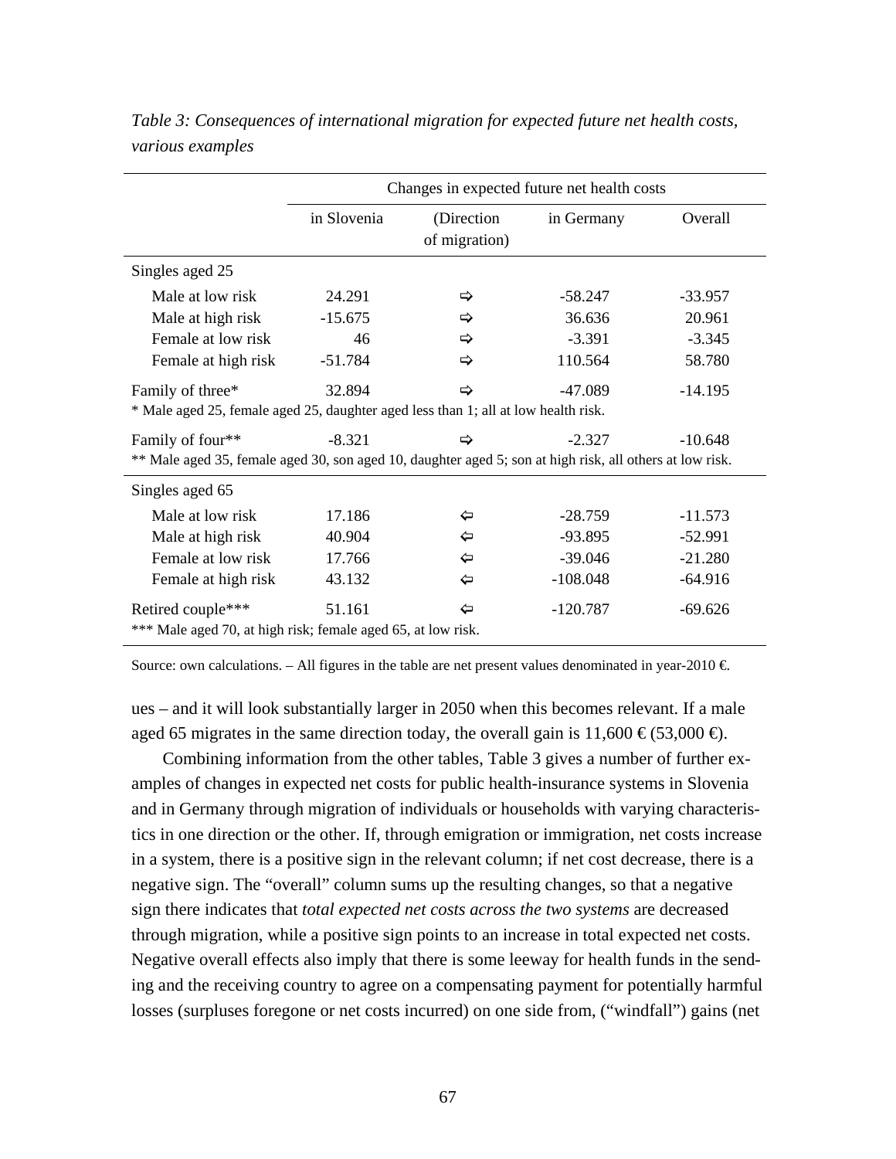|                                                                                                          | Changes in expected future net health costs |                             |            |           |
|----------------------------------------------------------------------------------------------------------|---------------------------------------------|-----------------------------|------------|-----------|
|                                                                                                          | in Slovenia                                 | (Direction<br>of migration) | in Germany | Overall   |
| Singles aged 25                                                                                          |                                             |                             |            |           |
| Male at low risk                                                                                         | 24.291                                      | ⇨                           | $-58.247$  | $-33.957$ |
| Male at high risk                                                                                        | $-15.675$                                   | ⇨                           | 36.636     | 20.961    |
| Female at low risk                                                                                       | 46                                          | ⇨                           | $-3.391$   | $-3.345$  |
| Female at high risk                                                                                      | $-51.784$                                   | ⇨                           | 110.564    | 58.780    |
| Family of three*                                                                                         | 32.894                                      | ⇨                           | -47.089    | $-14.195$ |
| * Male aged 25, female aged 25, daughter aged less than 1; all at low health risk.                       |                                             |                             |            |           |
| Family of four**                                                                                         | $-8.321$                                    | ⇨                           | $-2.327$   | $-10.648$ |
| ** Male aged 35, female aged 30, son aged 10, daughter aged 5; son at high risk, all others at low risk. |                                             |                             |            |           |
| Singles aged 65                                                                                          |                                             |                             |            |           |
| Male at low risk                                                                                         | 17.186                                      | ⇦                           | $-28.759$  | $-11.573$ |
| Male at high risk                                                                                        | 40.904                                      | ⇦                           | $-93.895$  | $-52.991$ |
| Female at low risk                                                                                       | 17.766                                      | ⇦                           | $-39.046$  | $-21.280$ |
| Female at high risk                                                                                      | 43.132                                      | ⇦                           | $-108.048$ | $-64.916$ |
| Retired couple***                                                                                        | 51.161                                      | ⇦                           | $-120.787$ | $-69.626$ |
| *** Male aged 70, at high risk; female aged 65, at low risk.                                             |                                             |                             |            |           |

*Table 3: Consequences of international migration for expected future net health costs, various examples* 

Source: own calculations. – All figures in the table are net present values denominated in year-2010  $\in$ 

ues – and it will look substantially larger in 2050 when this becomes relevant. If a male aged 65 migrates in the same direction today, the overall gain is  $11,600 \in (53,000 \in)$ .

 Combining information from the other tables, Table 3 gives a number of further examples of changes in expected net costs for public health-insurance systems in Slovenia and in Germany through migration of individuals or households with varying characteristics in one direction or the other. If, through emigration or immigration, net costs increase in a system, there is a positive sign in the relevant column; if net cost decrease, there is a negative sign. The "overall" column sums up the resulting changes, so that a negative sign there indicates that *total expected net costs across the two systems* are decreased through migration, while a positive sign points to an increase in total expected net costs. Negative overall effects also imply that there is some leeway for health funds in the sending and the receiving country to agree on a compensating payment for potentially harmful losses (surpluses foregone or net costs incurred) on one side from, ("windfall") gains (net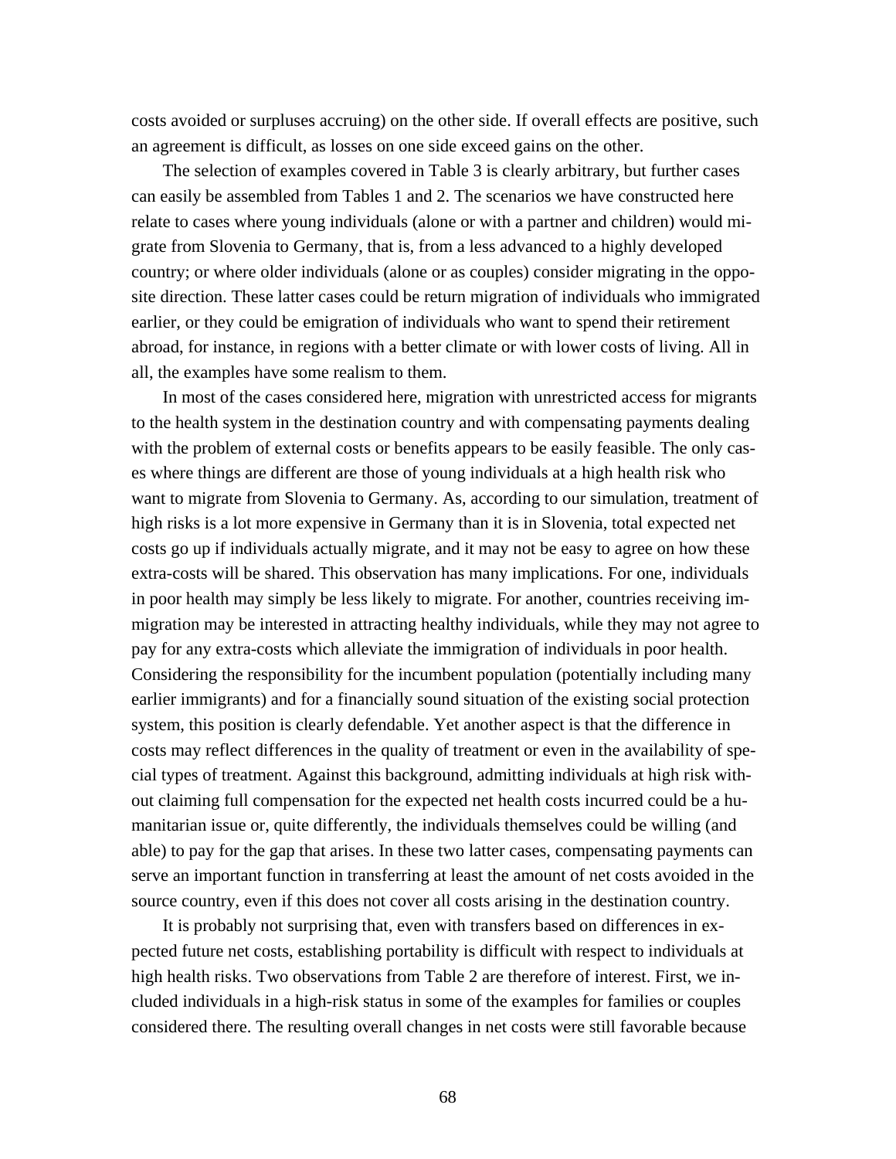costs avoided or surpluses accruing) on the other side. If overall effects are positive, such an agreement is difficult, as losses on one side exceed gains on the other.

 The selection of examples covered in Table 3 is clearly arbitrary, but further cases can easily be assembled from Tables 1 and 2. The scenarios we have constructed here relate to cases where young individuals (alone or with a partner and children) would migrate from Slovenia to Germany, that is, from a less advanced to a highly developed country; or where older individuals (alone or as couples) consider migrating in the opposite direction. These latter cases could be return migration of individuals who immigrated earlier, or they could be emigration of individuals who want to spend their retirement abroad, for instance, in regions with a better climate or with lower costs of living. All in all, the examples have some realism to them.

 In most of the cases considered here, migration with unrestricted access for migrants to the health system in the destination country and with compensating payments dealing with the problem of external costs or benefits appears to be easily feasible. The only cases where things are different are those of young individuals at a high health risk who want to migrate from Slovenia to Germany. As, according to our simulation, treatment of high risks is a lot more expensive in Germany than it is in Slovenia, total expected net costs go up if individuals actually migrate, and it may not be easy to agree on how these extra-costs will be shared. This observation has many implications. For one, individuals in poor health may simply be less likely to migrate. For another, countries receiving immigration may be interested in attracting healthy individuals, while they may not agree to pay for any extra-costs which alleviate the immigration of individuals in poor health. Considering the responsibility for the incumbent population (potentially including many earlier immigrants) and for a financially sound situation of the existing social protection system, this position is clearly defendable. Yet another aspect is that the difference in costs may reflect differences in the quality of treatment or even in the availability of special types of treatment. Against this background, admitting individuals at high risk without claiming full compensation for the expected net health costs incurred could be a humanitarian issue or, quite differently, the individuals themselves could be willing (and able) to pay for the gap that arises. In these two latter cases, compensating payments can serve an important function in transferring at least the amount of net costs avoided in the source country, even if this does not cover all costs arising in the destination country.

 It is probably not surprising that, even with transfers based on differences in expected future net costs, establishing portability is difficult with respect to individuals at high health risks. Two observations from Table 2 are therefore of interest. First, we included individuals in a high-risk status in some of the examples for families or couples considered there. The resulting overall changes in net costs were still favorable because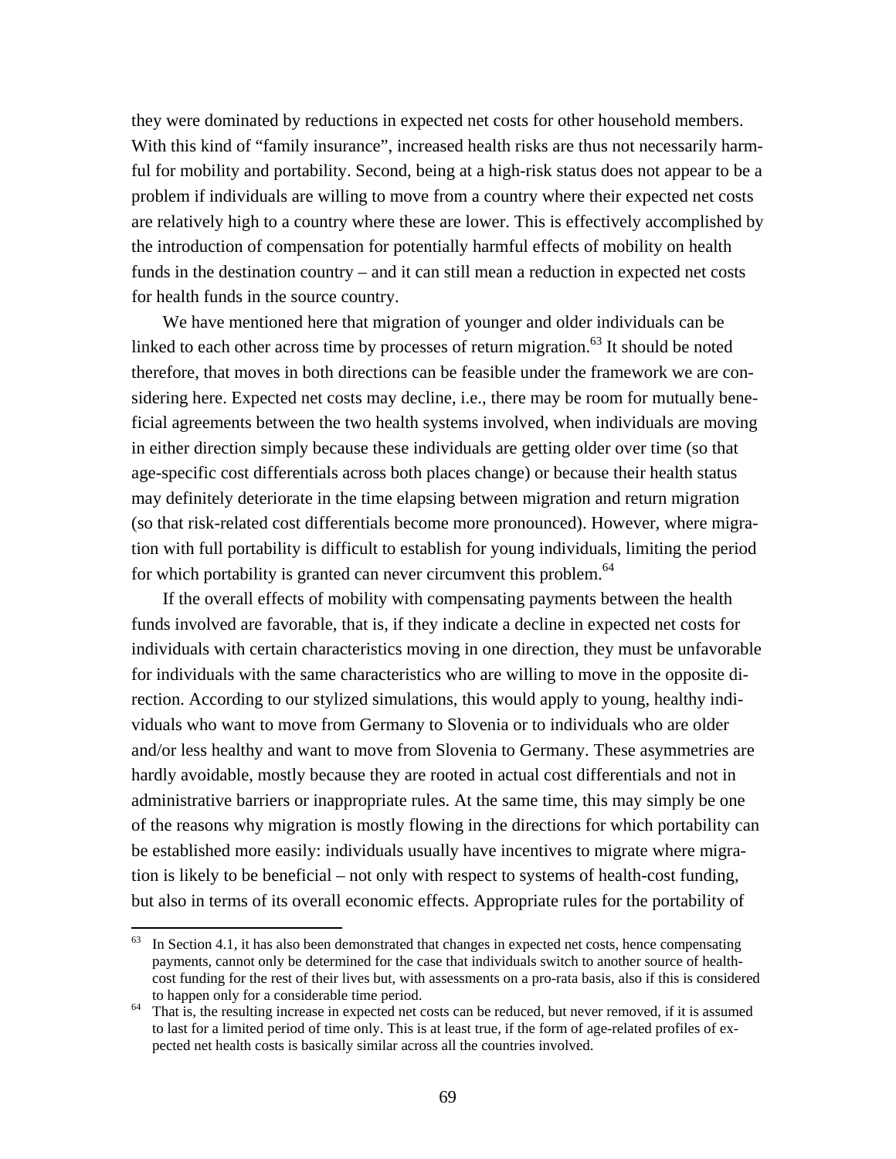they were dominated by reductions in expected net costs for other household members. With this kind of "family insurance", increased health risks are thus not necessarily harmful for mobility and portability. Second, being at a high-risk status does not appear to be a problem if individuals are willing to move from a country where their expected net costs are relatively high to a country where these are lower. This is effectively accomplished by the introduction of compensation for potentially harmful effects of mobility on health funds in the destination country – and it can still mean a reduction in expected net costs for health funds in the source country.

 We have mentioned here that migration of younger and older individuals can be linked to each other across time by processes of return migration.<sup>63</sup> It should be noted therefore, that moves in both directions can be feasible under the framework we are considering here. Expected net costs may decline, i.e., there may be room for mutually beneficial agreements between the two health systems involved, when individuals are moving in either direction simply because these individuals are getting older over time (so that age-specific cost differentials across both places change) or because their health status may definitely deteriorate in the time elapsing between migration and return migration (so that risk-related cost differentials become more pronounced). However, where migration with full portability is difficult to establish for young individuals, limiting the period for which portability is granted can never circumvent this problem.  $64$ 

 If the overall effects of mobility with compensating payments between the health funds involved are favorable, that is, if they indicate a decline in expected net costs for individuals with certain characteristics moving in one direction, they must be unfavorable for individuals with the same characteristics who are willing to move in the opposite direction. According to our stylized simulations, this would apply to young, healthy individuals who want to move from Germany to Slovenia or to individuals who are older and/or less healthy and want to move from Slovenia to Germany. These asymmetries are hardly avoidable, mostly because they are rooted in actual cost differentials and not in administrative barriers or inappropriate rules. At the same time, this may simply be one of the reasons why migration is mostly flowing in the directions for which portability can be established more easily: individuals usually have incentives to migrate where migration is likely to be beneficial – not only with respect to systems of health-cost funding, but also in terms of its overall economic effects. Appropriate rules for the portability of

 $63$  In Section 4.1, it has also been demonstrated that changes in expected net costs, hence compensating payments, cannot only be determined for the case that individuals switch to another source of healthcost funding for the rest of their lives but, with assessments on a pro-rata basis, also if this is considered

to happen only for a considerable time period. 64 That is, the resulting increase in expected net costs can be reduced, but never removed, if it is assumed to last for a limited period of time only. This is at least true, if the form of age-related profiles of expected net health costs is basically similar across all the countries involved.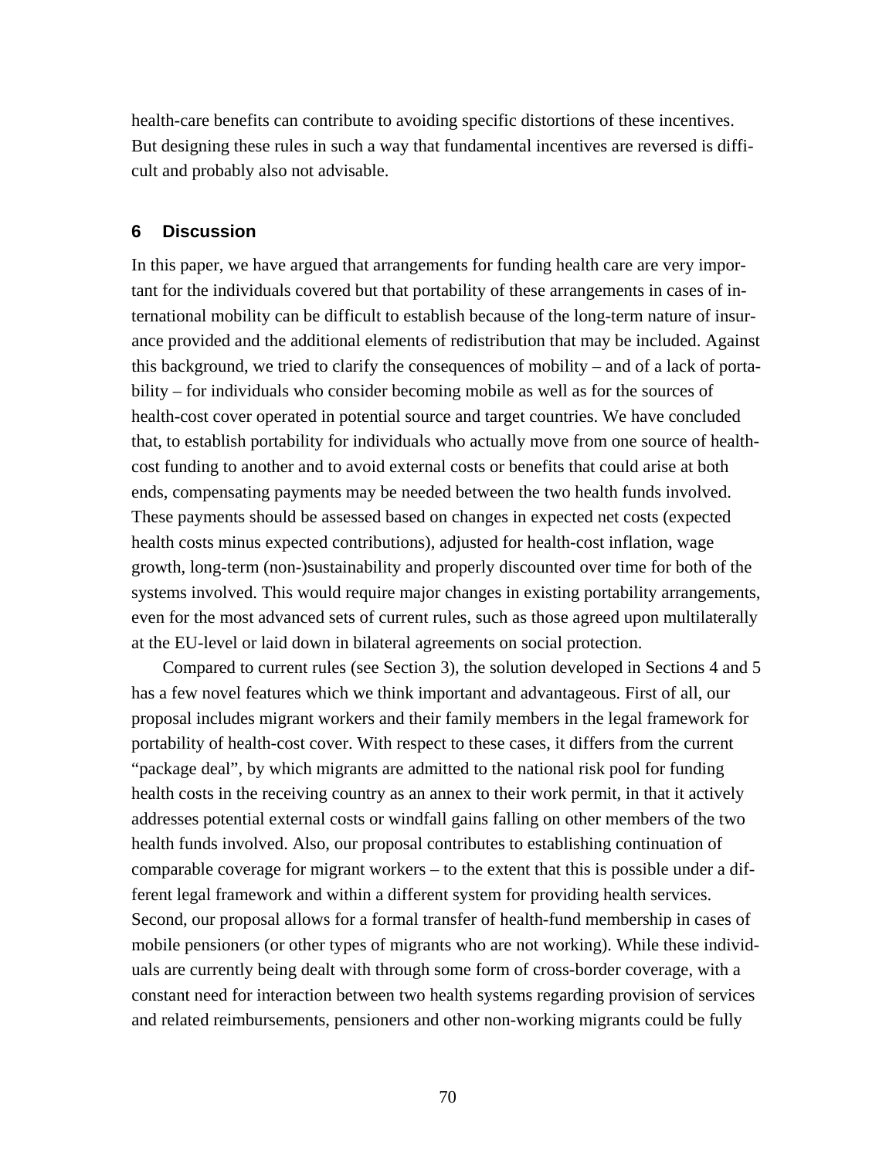health-care benefits can contribute to avoiding specific distortions of these incentives. But designing these rules in such a way that fundamental incentives are reversed is difficult and probably also not advisable.

### **6 Discussion**

In this paper, we have argued that arrangements for funding health care are very important for the individuals covered but that portability of these arrangements in cases of international mobility can be difficult to establish because of the long-term nature of insurance provided and the additional elements of redistribution that may be included. Against this background, we tried to clarify the consequences of mobility – and of a lack of portability – for individuals who consider becoming mobile as well as for the sources of health-cost cover operated in potential source and target countries. We have concluded that, to establish portability for individuals who actually move from one source of healthcost funding to another and to avoid external costs or benefits that could arise at both ends, compensating payments may be needed between the two health funds involved. These payments should be assessed based on changes in expected net costs (expected health costs minus expected contributions), adjusted for health-cost inflation, wage growth, long-term (non-)sustainability and properly discounted over time for both of the systems involved. This would require major changes in existing portability arrangements, even for the most advanced sets of current rules, such as those agreed upon multilaterally at the EU-level or laid down in bilateral agreements on social protection.

 Compared to current rules (see Section 3), the solution developed in Sections 4 and 5 has a few novel features which we think important and advantageous. First of all, our proposal includes migrant workers and their family members in the legal framework for portability of health-cost cover. With respect to these cases, it differs from the current "package deal", by which migrants are admitted to the national risk pool for funding health costs in the receiving country as an annex to their work permit, in that it actively addresses potential external costs or windfall gains falling on other members of the two health funds involved. Also, our proposal contributes to establishing continuation of comparable coverage for migrant workers – to the extent that this is possible under a different legal framework and within a different system for providing health services. Second, our proposal allows for a formal transfer of health-fund membership in cases of mobile pensioners (or other types of migrants who are not working). While these individuals are currently being dealt with through some form of cross-border coverage, with a constant need for interaction between two health systems regarding provision of services and related reimbursements, pensioners and other non-working migrants could be fully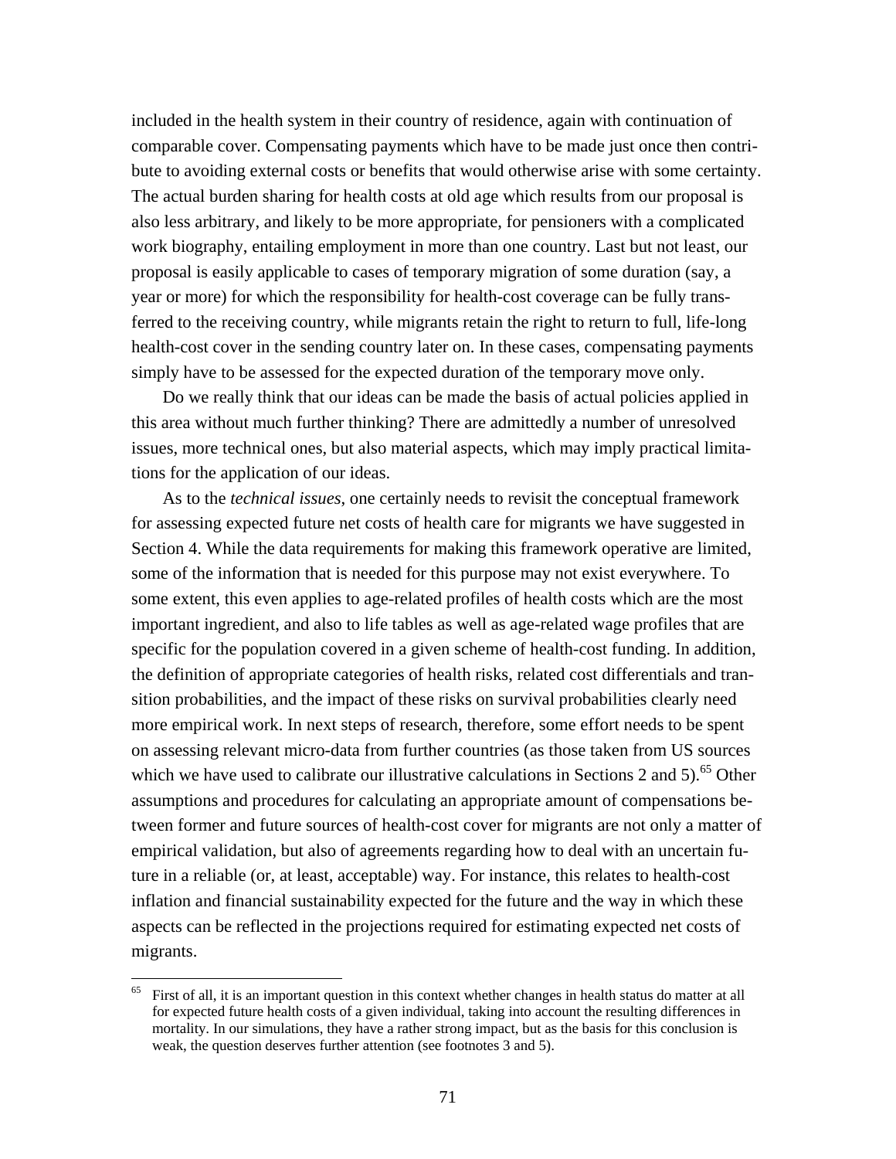included in the health system in their country of residence, again with continuation of comparable cover. Compensating payments which have to be made just once then contribute to avoiding external costs or benefits that would otherwise arise with some certainty. The actual burden sharing for health costs at old age which results from our proposal is also less arbitrary, and likely to be more appropriate, for pensioners with a complicated work biography, entailing employment in more than one country. Last but not least, our proposal is easily applicable to cases of temporary migration of some duration (say, a year or more) for which the responsibility for health-cost coverage can be fully transferred to the receiving country, while migrants retain the right to return to full, life-long health-cost cover in the sending country later on. In these cases, compensating payments simply have to be assessed for the expected duration of the temporary move only.

 Do we really think that our ideas can be made the basis of actual policies applied in this area without much further thinking? There are admittedly a number of unresolved issues, more technical ones, but also material aspects, which may imply practical limitations for the application of our ideas.

 As to the *technical issues*, one certainly needs to revisit the conceptual framework for assessing expected future net costs of health care for migrants we have suggested in Section 4. While the data requirements for making this framework operative are limited, some of the information that is needed for this purpose may not exist everywhere. To some extent, this even applies to age-related profiles of health costs which are the most important ingredient, and also to life tables as well as age-related wage profiles that are specific for the population covered in a given scheme of health-cost funding. In addition, the definition of appropriate categories of health risks, related cost differentials and transition probabilities, and the impact of these risks on survival probabilities clearly need more empirical work. In next steps of research, therefore, some effort needs to be spent on assessing relevant micro-data from further countries (as those taken from US sources which we have used to calibrate our illustrative calculations in Sections 2 and 5).<sup>65</sup> Other assumptions and procedures for calculating an appropriate amount of compensations between former and future sources of health-cost cover for migrants are not only a matter of empirical validation, but also of agreements regarding how to deal with an uncertain future in a reliable (or, at least, acceptable) way. For instance, this relates to health-cost inflation and financial sustainability expected for the future and the way in which these aspects can be reflected in the projections required for estimating expected net costs of migrants.

First of all, it is an important question in this context whether changes in health status do matter at all for expected future health costs of a given individual, taking into account the resulting differences in mortality. In our simulations, they have a rather strong impact, but as the basis for this conclusion is weak, the question deserves further attention (see footnotes 3 and 5).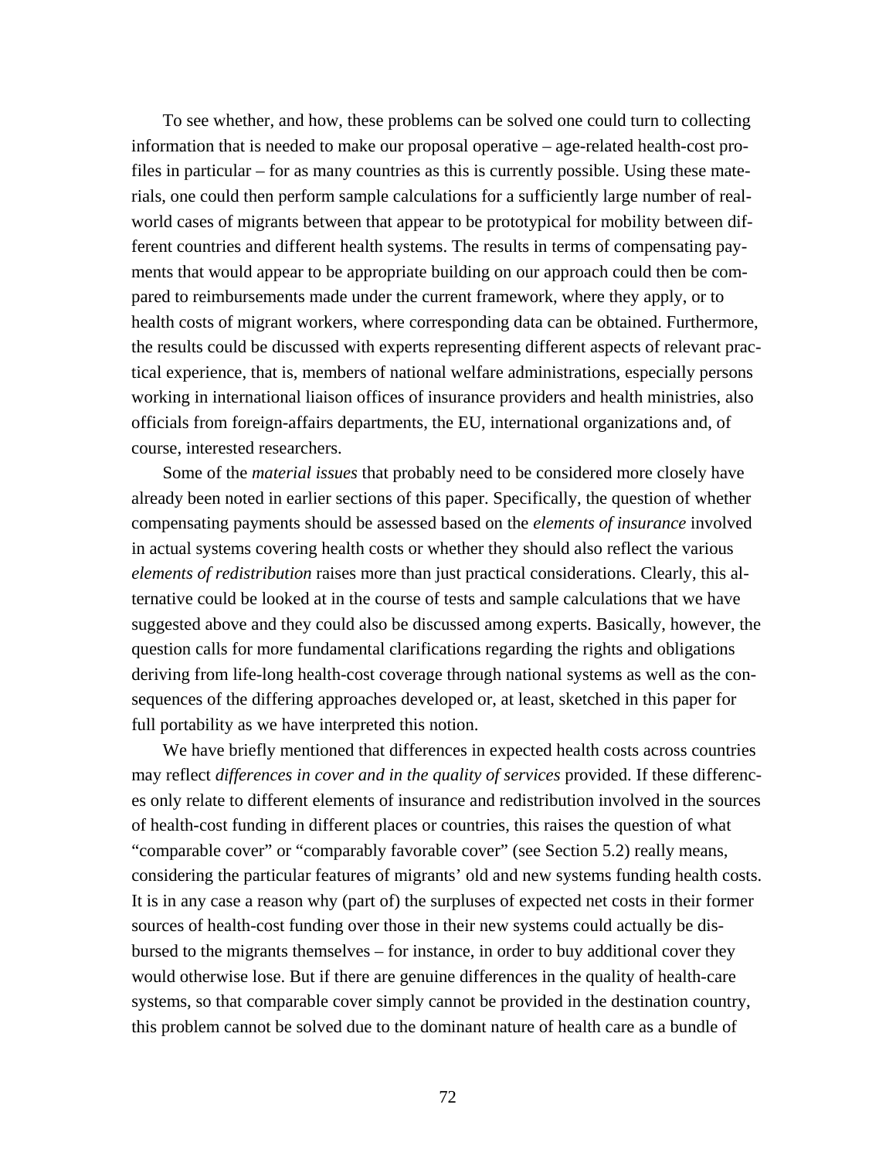To see whether, and how, these problems can be solved one could turn to collecting information that is needed to make our proposal operative – age-related health-cost profiles in particular – for as many countries as this is currently possible. Using these materials, one could then perform sample calculations for a sufficiently large number of realworld cases of migrants between that appear to be prototypical for mobility between different countries and different health systems. The results in terms of compensating payments that would appear to be appropriate building on our approach could then be compared to reimbursements made under the current framework, where they apply, or to health costs of migrant workers, where corresponding data can be obtained. Furthermore, the results could be discussed with experts representing different aspects of relevant practical experience, that is, members of national welfare administrations, especially persons working in international liaison offices of insurance providers and health ministries, also officials from foreign-affairs departments, the EU, international organizations and, of course, interested researchers.

 Some of the *material issues* that probably need to be considered more closely have already been noted in earlier sections of this paper. Specifically, the question of whether compensating payments should be assessed based on the *elements of insurance* involved in actual systems covering health costs or whether they should also reflect the various *elements of redistribution* raises more than just practical considerations. Clearly, this alternative could be looked at in the course of tests and sample calculations that we have suggested above and they could also be discussed among experts. Basically, however, the question calls for more fundamental clarifications regarding the rights and obligations deriving from life-long health-cost coverage through national systems as well as the consequences of the differing approaches developed or, at least, sketched in this paper for full portability as we have interpreted this notion.

 We have briefly mentioned that differences in expected health costs across countries may reflect *differences in cover and in the quality of services* provided. If these differences only relate to different elements of insurance and redistribution involved in the sources of health-cost funding in different places or countries, this raises the question of what "comparable cover" or "comparably favorable cover" (see Section 5.2) really means, considering the particular features of migrants' old and new systems funding health costs. It is in any case a reason why (part of) the surpluses of expected net costs in their former sources of health-cost funding over those in their new systems could actually be disbursed to the migrants themselves – for instance, in order to buy additional cover they would otherwise lose. But if there are genuine differences in the quality of health-care systems, so that comparable cover simply cannot be provided in the destination country, this problem cannot be solved due to the dominant nature of health care as a bundle of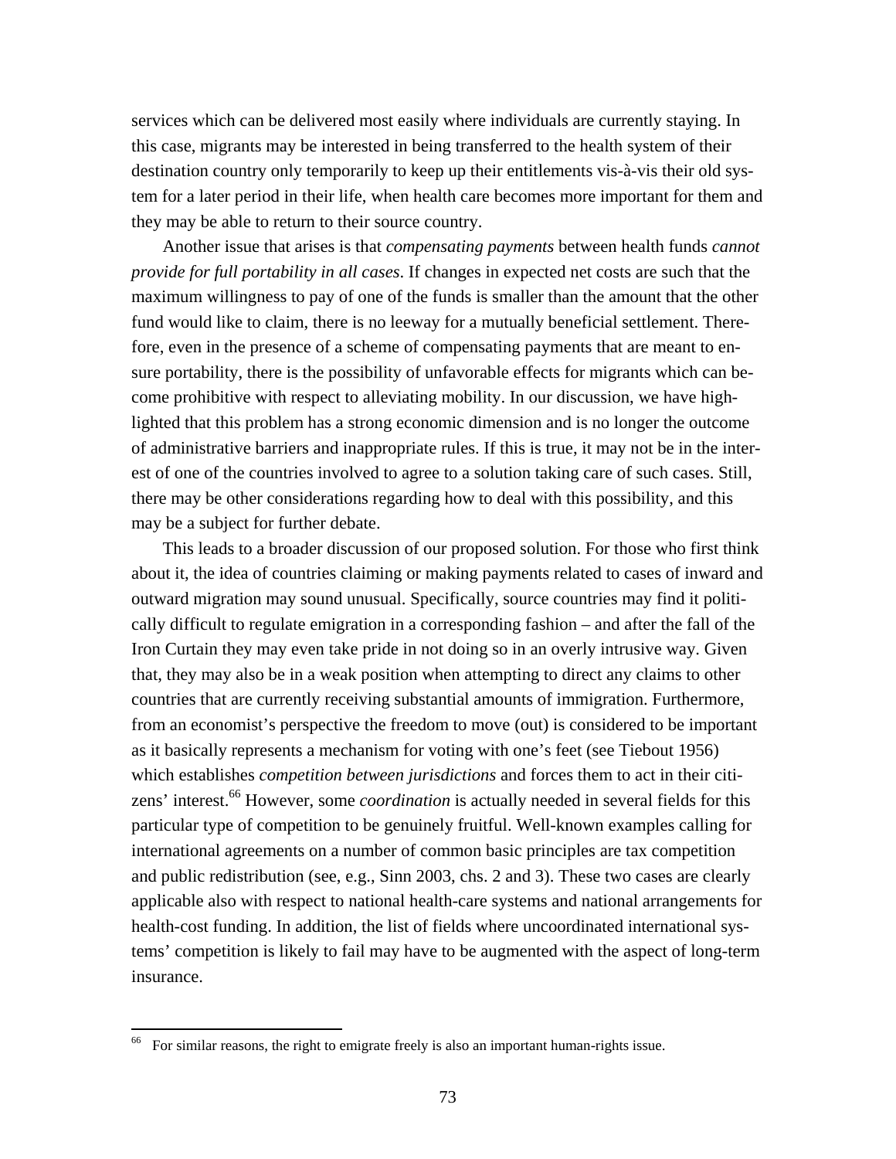services which can be delivered most easily where individuals are currently staying. In this case, migrants may be interested in being transferred to the health system of their destination country only temporarily to keep up their entitlements vis-à-vis their old system for a later period in their life, when health care becomes more important for them and they may be able to return to their source country.

 Another issue that arises is that *compensating payments* between health funds *cannot provide for full portability in all cases*. If changes in expected net costs are such that the maximum willingness to pay of one of the funds is smaller than the amount that the other fund would like to claim, there is no leeway for a mutually beneficial settlement. Therefore, even in the presence of a scheme of compensating payments that are meant to ensure portability, there is the possibility of unfavorable effects for migrants which can become prohibitive with respect to alleviating mobility. In our discussion, we have highlighted that this problem has a strong economic dimension and is no longer the outcome of administrative barriers and inappropriate rules. If this is true, it may not be in the interest of one of the countries involved to agree to a solution taking care of such cases. Still, there may be other considerations regarding how to deal with this possibility, and this may be a subject for further debate.

 This leads to a broader discussion of our proposed solution. For those who first think about it, the idea of countries claiming or making payments related to cases of inward and outward migration may sound unusual. Specifically, source countries may find it politically difficult to regulate emigration in a corresponding fashion – and after the fall of the Iron Curtain they may even take pride in not doing so in an overly intrusive way. Given that, they may also be in a weak position when attempting to direct any claims to other countries that are currently receiving substantial amounts of immigration. Furthermore, from an economist's perspective the freedom to move (out) is considered to be important as it basically represents a mechanism for voting with one's feet (see Tiebout 1956) which establishes *competition between jurisdictions* and forces them to act in their citizens' interest.<sup>66</sup> However, some *coordination* is actually needed in several fields for this particular type of competition to be genuinely fruitful. Well-known examples calling for international agreements on a number of common basic principles are tax competition and public redistribution (see, e.g., Sinn 2003, chs. 2 and 3). These two cases are clearly applicable also with respect to national health-care systems and national arrangements for health-cost funding. In addition, the list of fields where uncoordinated international systems' competition is likely to fail may have to be augmented with the aspect of long-term insurance.

 $66$  For similar reasons, the right to emigrate freely is also an important human-rights issue.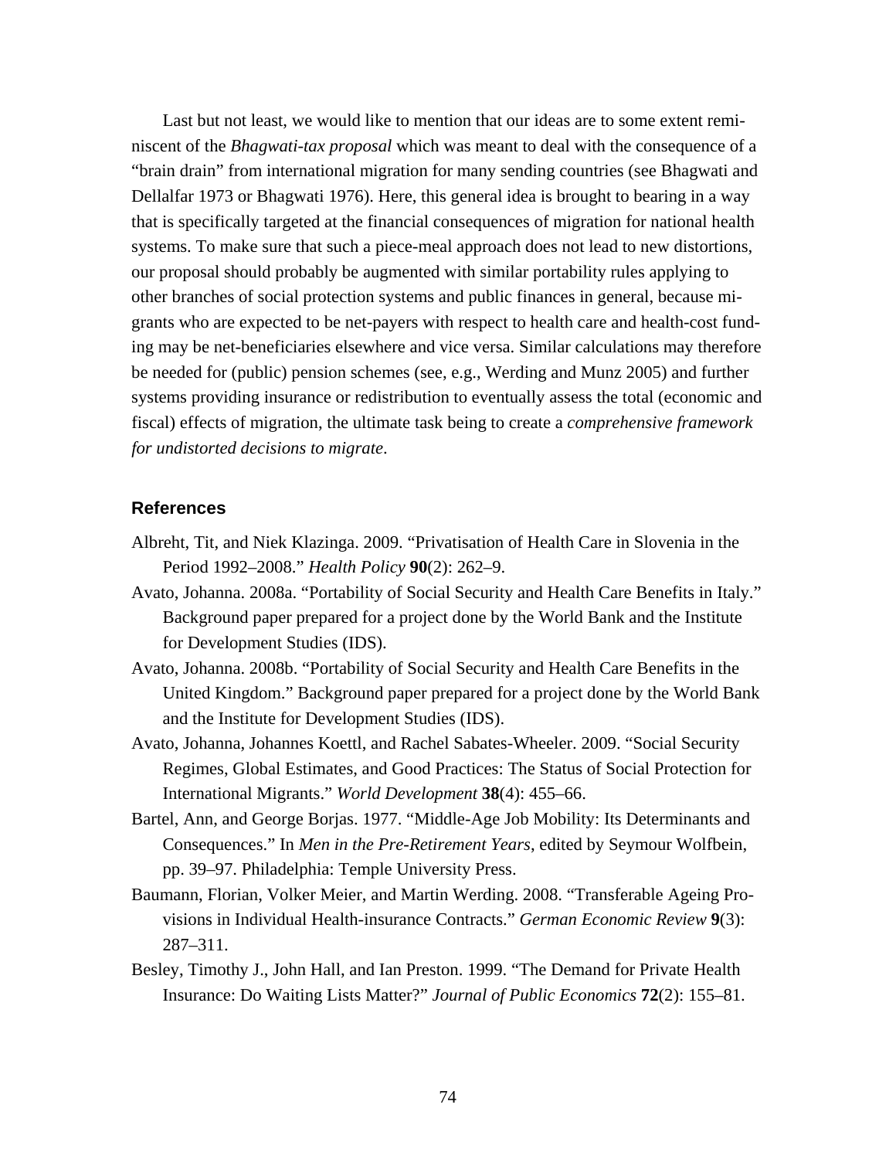Last but not least, we would like to mention that our ideas are to some extent reminiscent of the *Bhagwati-tax proposal* which was meant to deal with the consequence of a "brain drain" from international migration for many sending countries (see Bhagwati and Dellalfar 1973 or Bhagwati 1976). Here, this general idea is brought to bearing in a way that is specifically targeted at the financial consequences of migration for national health systems. To make sure that such a piece-meal approach does not lead to new distortions, our proposal should probably be augmented with similar portability rules applying to other branches of social protection systems and public finances in general, because migrants who are expected to be net-payers with respect to health care and health-cost funding may be net-beneficiaries elsewhere and vice versa. Similar calculations may therefore be needed for (public) pension schemes (see, e.g., Werding and Munz 2005) and further systems providing insurance or redistribution to eventually assess the total (economic and fiscal) effects of migration, the ultimate task being to create a *comprehensive framework for undistorted decisions to migrate*.

## **References**

- Albreht, Tit, and Niek Klazinga. 2009. "Privatisation of Health Care in Slovenia in the Period 1992–2008." *Health Policy* **90**(2): 262–9.
- Avato, Johanna. 2008a. "Portability of Social Security and Health Care Benefits in Italy." Background paper prepared for a project done by the World Bank and the Institute for Development Studies (IDS).
- Avato, Johanna. 2008b. "Portability of Social Security and Health Care Benefits in the United Kingdom." Background paper prepared for a project done by the World Bank and the Institute for Development Studies (IDS).
- Avato, Johanna, Johannes Koettl, and Rachel Sabates-Wheeler. 2009. "Social Security Regimes, Global Estimates, and Good Practices: The Status of Social Protection for International Migrants." *World Development* **38**(4): 455–66.
- Bartel, Ann, and George Borjas. 1977. "Middle-Age Job Mobility: Its Determinants and Consequences." In *Men in the Pre-Retirement Years*, edited by Seymour Wolfbein, pp. 39–97. Philadelphia: Temple University Press.
- Baumann, Florian, Volker Meier, and Martin Werding. 2008. "Transferable Ageing Provisions in Individual Health-insurance Contracts." *German Economic Review* **9**(3): 287–311.
- Besley, Timothy J., John Hall, and Ian Preston. 1999. "The Demand for Private Health Insurance: Do Waiting Lists Matter?" *Journal of Public Economics* **72**(2): 155–81.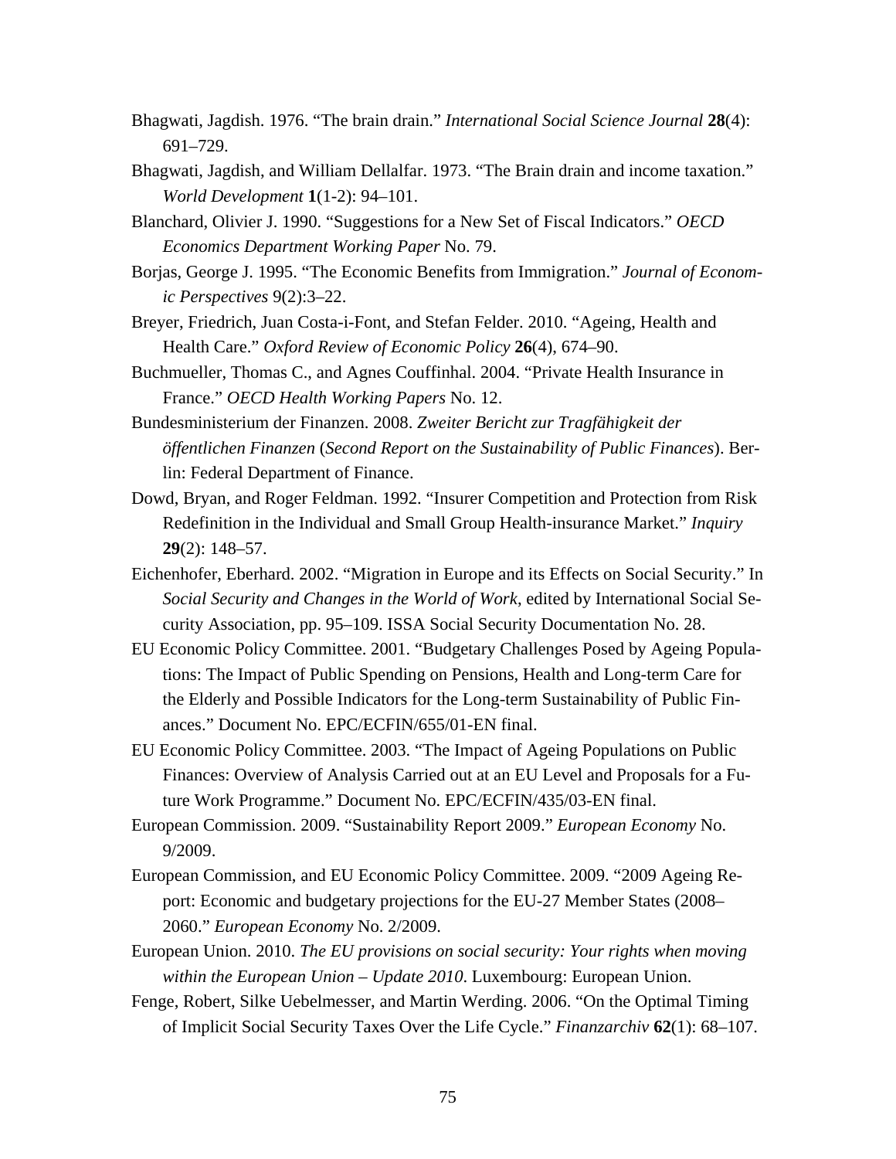- Bhagwati, Jagdish. 1976. "The brain drain." *International Social Science Journal* **28**(4): 691–729.
- Bhagwati, Jagdish, and William Dellalfar. 1973. "The Brain drain and income taxation." *World Development* **1**(1-2): 94–101.
- Blanchard, Olivier J. 1990. "Suggestions for a New Set of Fiscal Indicators." *OECD Economics Department Working Paper* No. 79.
- Borjas, George J. 1995. "The Economic Benefits from Immigration." *Journal of Economic Perspectives* 9(2):3–22.
- Breyer, Friedrich, Juan Costa-i-Font, and Stefan Felder. 2010. "Ageing, Health and Health Care." *Oxford Review of Economic Policy* **26**(4), 674–90.
- Buchmueller, Thomas C., and Agnes Couffinhal. 2004. "Private Health Insurance in France." *OECD Health Working Papers* No. 12.
- Bundesministerium der Finanzen. 2008. *Zweiter Bericht zur Tragfähigkeit der öffentlichen Finanzen* (*Second Report on the Sustainability of Public Finances*). Berlin: Federal Department of Finance.
- Dowd, Bryan, and Roger Feldman. 1992. "Insurer Competition and Protection from Risk Redefinition in the Individual and Small Group Health-insurance Market." *Inquiry* **29**(2): 148–57.
- Eichenhofer, Eberhard. 2002. "Migration in Europe and its Effects on Social Security." In *Social Security and Changes in the World of Work*, edited by International Social Security Association, pp. 95–109. ISSA Social Security Documentation No. 28.
- EU Economic Policy Committee. 2001. "Budgetary Challenges Posed by Ageing Populations: The Impact of Public Spending on Pensions, Health and Long-term Care for the Elderly and Possible Indicators for the Long-term Sustainability of Public Finances." Document No. EPC/ECFIN/655/01-EN final.
- EU Economic Policy Committee. 2003. "The Impact of Ageing Populations on Public Finances: Overview of Analysis Carried out at an EU Level and Proposals for a Future Work Programme." Document No. EPC/ECFIN/435/03-EN final.
- European Commission. 2009. "Sustainability Report 2009." *European Economy* No. 9/2009.
- European Commission, and EU Economic Policy Committee. 2009. "2009 Ageing Report: Economic and budgetary projections for the EU-27 Member States (2008– 2060." *European Economy* No. 2/2009.
- European Union. 2010. *The EU provisions on social security: Your rights when moving within the European Union – Update 2010*. Luxembourg: European Union.
- Fenge, Robert, Silke Uebelmesser, and Martin Werding. 2006. "On the Optimal Timing of Implicit Social Security Taxes Over the Life Cycle." *Finanzarchiv* **62**(1): 68–107.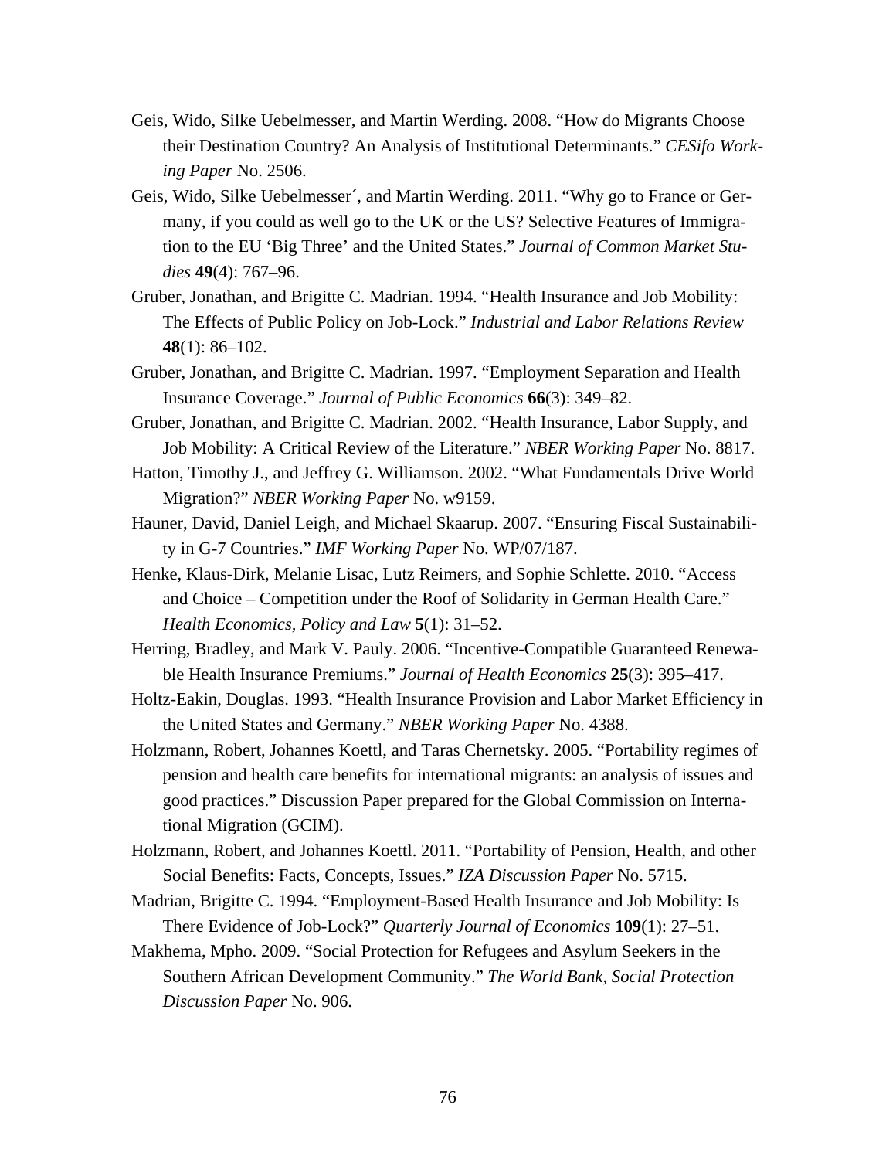- Geis, Wido, Silke Uebelmesser, and Martin Werding. 2008. "How do Migrants Choose their Destination Country? An Analysis of Institutional Determinants." *CESifo Working Paper* No. 2506.
- Geis, Wido, Silke Uebelmesser´, and Martin Werding. 2011. "Why go to France or Germany, if you could as well go to the UK or the US? Selective Features of Immigration to the EU 'Big Three' and the United States." *Journal of Common Market Studies* **49**(4): 767–96.
- Gruber, Jonathan, and Brigitte C. Madrian. 1994. "Health Insurance and Job Mobility: The Effects of Public Policy on Job-Lock." *Industrial and Labor Relations Review* **48**(1): 86–102.
- Gruber, Jonathan, and Brigitte C. Madrian. 1997. "Employment Separation and Health Insurance Coverage." *Journal of Public Economics* **66**(3): 349–82.
- Gruber, Jonathan, and Brigitte C. Madrian. 2002. "Health Insurance, Labor Supply, and Job Mobility: A Critical Review of the Literature." *NBER Working Paper* No. 8817.
- Hatton, Timothy J., and Jeffrey G. Williamson. 2002. "What Fundamentals Drive World Migration?" *NBER Working Paper* No. w9159.
- Hauner, David, Daniel Leigh, and Michael Skaarup. 2007. "Ensuring Fiscal Sustainability in G-7 Countries." *IMF Working Paper* No. WP/07/187.
- Henke, Klaus-Dirk, Melanie Lisac, Lutz Reimers, and Sophie Schlette. 2010. "Access and Choice – Competition under the Roof of Solidarity in German Health Care." *Health Economics, Policy and Law* **5**(1): 31–52.
- Herring, Bradley, and Mark V. Pauly. 2006. "Incentive-Compatible Guaranteed Renewable Health Insurance Premiums." *Journal of Health Economics* **25**(3): 395–417.
- Holtz-Eakin, Douglas. 1993. "Health Insurance Provision and Labor Market Efficiency in the United States and Germany." *NBER Working Paper* No. 4388.
- Holzmann, Robert, Johannes Koettl, and Taras Chernetsky. 2005. "Portability regimes of pension and health care benefits for international migrants: an analysis of issues and good practices." Discussion Paper prepared for the Global Commission on International Migration (GCIM).
- Holzmann, Robert, and Johannes Koettl. 2011. "Portability of Pension, Health, and other Social Benefits: Facts, Concepts, Issues." *IZA Discussion Paper* No. 5715.
- Madrian, Brigitte C. 1994. "Employment-Based Health Insurance and Job Mobility: Is There Evidence of Job-Lock?" *Quarterly Journal of Economics* **109**(1): 27–51.
- Makhema, Mpho. 2009. "Social Protection for Refugees and Asylum Seekers in the Southern African Development Community." *The World Bank, Social Protection Discussion Paper* No. 906.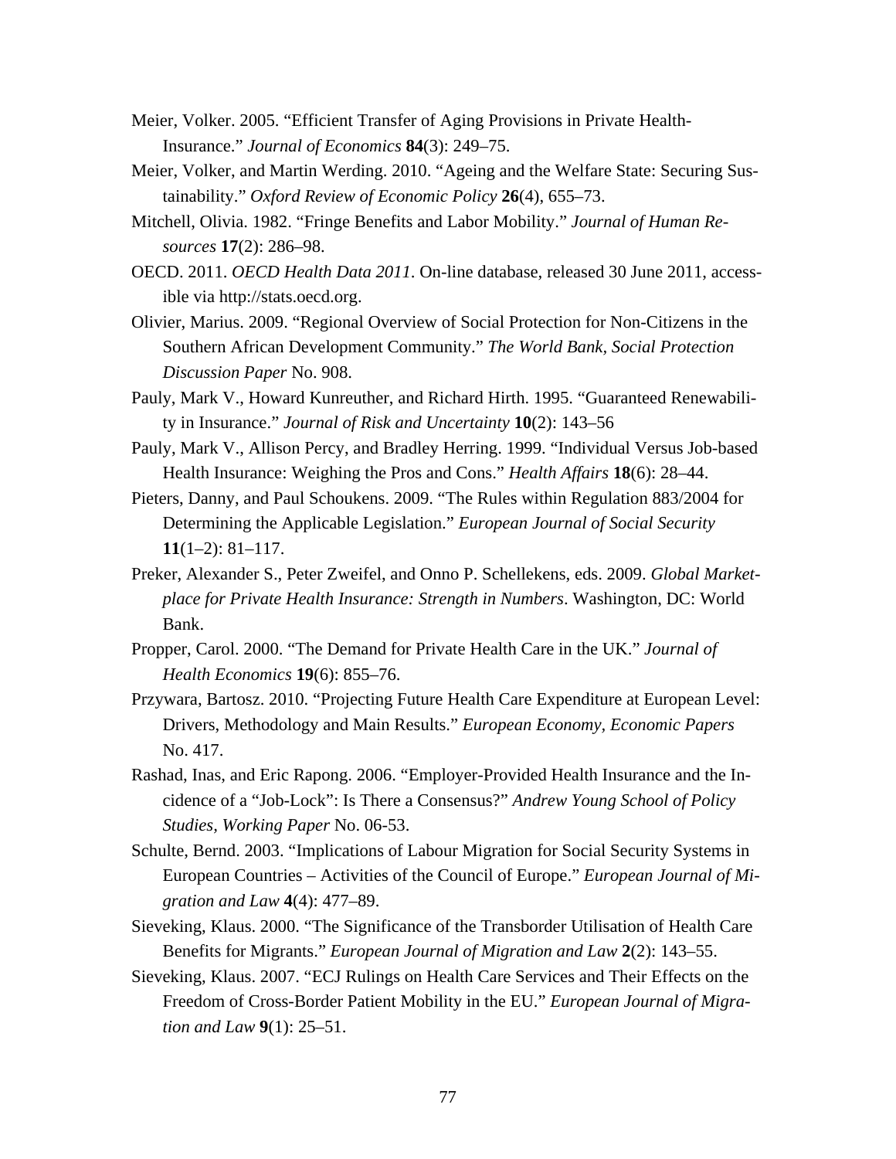- Meier, Volker. 2005. "Efficient Transfer of Aging Provisions in Private Health-Insurance." *Journal of Economics* **84**(3): 249–75.
- Meier, Volker, and Martin Werding. 2010. "Ageing and the Welfare State: Securing Sustainability." *Oxford Review of Economic Policy* **26**(4), 655–73.
- Mitchell, Olivia. 1982. "Fringe Benefits and Labor Mobility." *Journal of Human Resources* **17**(2): 286–98.
- OECD. 2011. *OECD Health Data 2011*. On-line database, released 30 June 2011, accessible via http://stats.oecd.org.
- Olivier, Marius. 2009. "Regional Overview of Social Protection for Non-Citizens in the Southern African Development Community." *The World Bank, Social Protection Discussion Paper* No. 908.
- Pauly, Mark V., Howard Kunreuther, and Richard Hirth. 1995. "Guaranteed Renewability in Insurance." *Journal of Risk and Uncertainty* **10**(2): 143–56
- Pauly, Mark V., Allison Percy, and Bradley Herring. 1999. "Individual Versus Job-based Health Insurance: Weighing the Pros and Cons." *Health Affairs* **18**(6): 28–44.
- Pieters, Danny, and Paul Schoukens. 2009. "The Rules within Regulation 883/2004 for Determining the Applicable Legislation." *European Journal of Social Security* **11**(1–2): 81–117.
- Preker, Alexander S., Peter Zweifel, and Onno P. Schellekens, eds. 2009. *Global Marketplace for Private Health Insurance: Strength in Numbers*. Washington, DC: World Bank.
- Propper, Carol. 2000. "The Demand for Private Health Care in the UK." *Journal of Health Economics* **19**(6): 855–76.
- Przywara, Bartosz. 2010. "Projecting Future Health Care Expenditure at European Level: Drivers, Methodology and Main Results." *European Economy, Economic Papers* No. 417.
- Rashad, Inas, and Eric Rapong. 2006. "Employer-Provided Health Insurance and the Incidence of a "Job-Lock": Is There a Consensus?" *Andrew Young School of Policy Studies, Working Paper* No. 06-53.
- Schulte, Bernd. 2003. "Implications of Labour Migration for Social Security Systems in European Countries – Activities of the Council of Europe." *European Journal of Migration and Law* **4**(4): 477–89.
- Sieveking, Klaus. 2000. "The Significance of the Transborder Utilisation of Health Care Benefits for Migrants." *European Journal of Migration and Law* **2**(2): 143–55.
- Sieveking, Klaus. 2007. "ECJ Rulings on Health Care Services and Their Effects on the Freedom of Cross-Border Patient Mobility in the EU." *European Journal of Migration and Law* **9**(1): 25–51.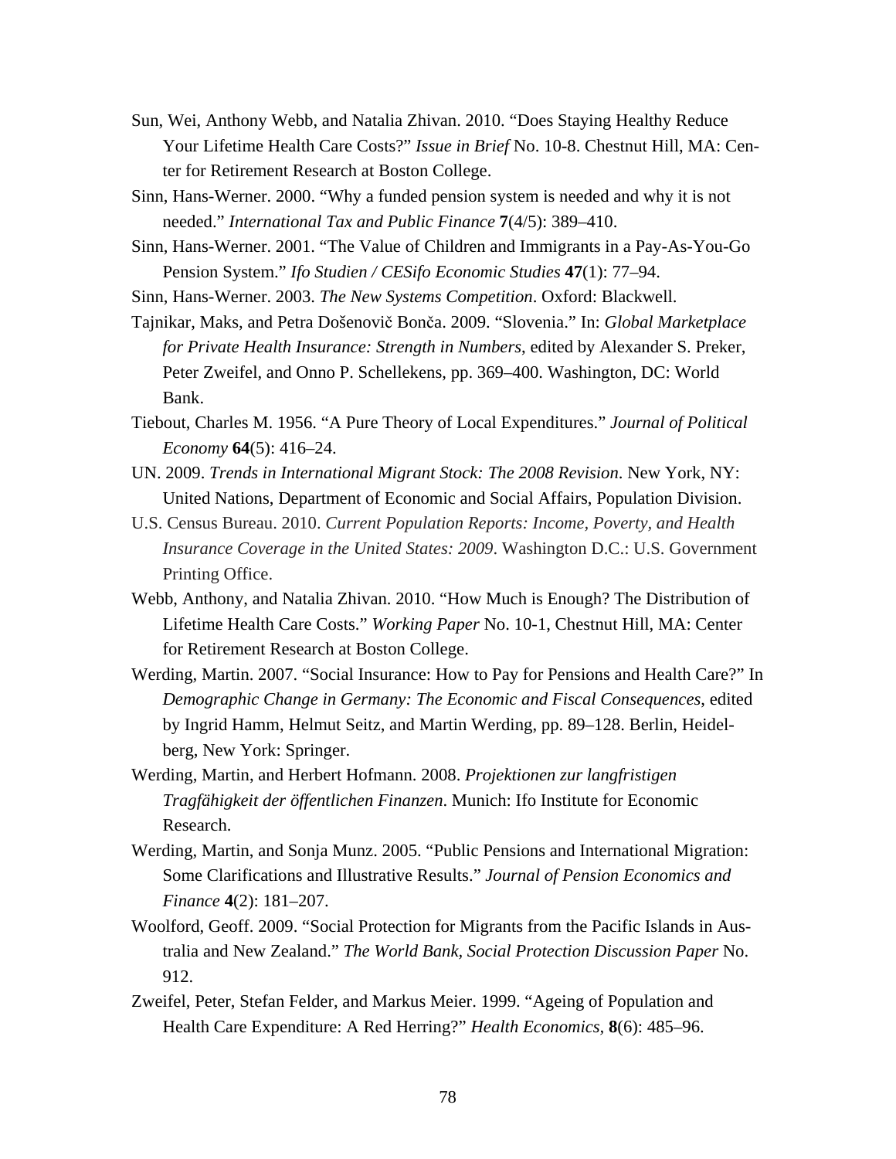- Sun, Wei, Anthony Webb, and Natalia Zhivan. 2010. "Does Staying Healthy Reduce Your Lifetime Health Care Costs?" *Issue in Brief* No. 10-8. Chestnut Hill, MA: Center for Retirement Research at Boston College.
- Sinn, Hans-Werner. 2000. "Why a funded pension system is needed and why it is not needed." *International Tax and Public Finance* **7**(4/5): 389–410.
- Sinn, Hans-Werner. 2001. "The Value of Children and Immigrants in a Pay-As-You-Go Pension System." *Ifo Studien / CESifo Economic Studies* **47**(1): 77–94.
- Sinn, Hans-Werner. 2003. *The New Systems Competition*. Oxford: Blackwell.

Tajnikar, Maks, and Petra Došenovič Bonča. 2009. "Slovenia." In: *Global Marketplace for Private Health Insurance: Strength in Numbers*, edited by Alexander S. Preker, Peter Zweifel, and Onno P. Schellekens, pp. 369–400. Washington, DC: World Bank.

- Tiebout, Charles M. 1956. "A Pure Theory of Local Expenditures." *Journal of Political Economy* **64**(5): 416–24.
- UN. 2009. *Trends in International Migrant Stock: The 2008 Revision*. New York, NY: United Nations, Department of Economic and Social Affairs, Population Division.
- U.S. Census Bureau. 2010. *Current Population Reports: Income, Poverty, and Health Insurance Coverage in the United States: 2009*. Washington D.C.: U.S. Government Printing Office.
- Webb, Anthony, and Natalia Zhivan. 2010. "How Much is Enough? The Distribution of Lifetime Health Care Costs." *Working Paper* No. 10-1, Chestnut Hill, MA: Center for Retirement Research at Boston College.
- Werding, Martin. 2007. "Social Insurance: How to Pay for Pensions and Health Care?" In *Demographic Change in Germany: The Economic and Fiscal Consequences*, edited by Ingrid Hamm, Helmut Seitz, and Martin Werding, pp. 89–128. Berlin, Heidelberg, New York: Springer.
- Werding, Martin, and Herbert Hofmann. 2008. *Projektionen zur langfristigen Tragfähigkeit der öffentlichen Finanzen*. Munich: Ifo Institute for Economic Research.
- Werding, Martin, and Sonja Munz. 2005. "Public Pensions and International Migration: Some Clarifications and Illustrative Results." *Journal of Pension Economics and Finance* **4**(2): 181–207.
- Woolford, Geoff. 2009. "Social Protection for Migrants from the Pacific Islands in Australia and New Zealand." *The World Bank, Social Protection Discussion Paper* No. 912.
- Zweifel, Peter, Stefan Felder, and Markus Meier. 1999. "Ageing of Population and Health Care Expenditure: A Red Herring?" *Health Economics,* **8**(6): 485–96.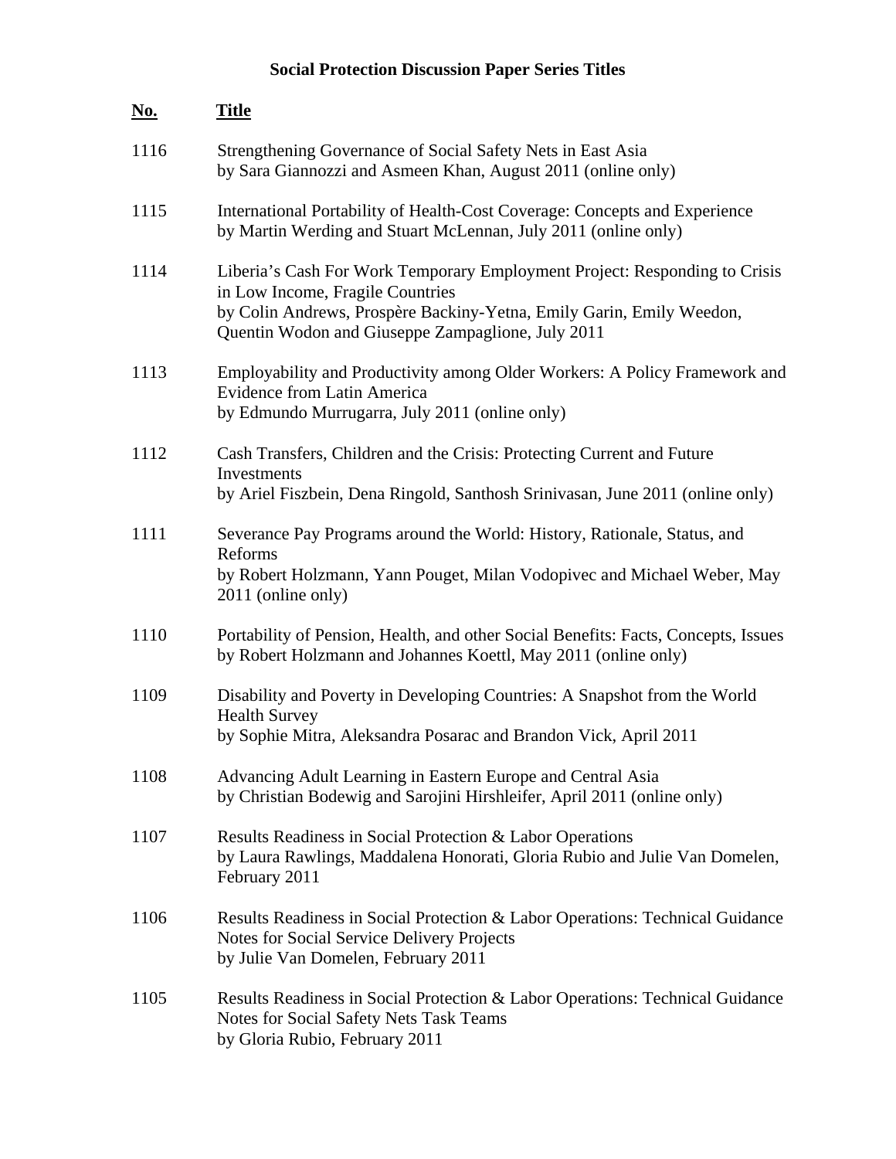# **Social Protection Discussion Paper Series Titles**

| <u>No.</u> | <b>Title</b>                                                                                                                                                                                                                                |
|------------|---------------------------------------------------------------------------------------------------------------------------------------------------------------------------------------------------------------------------------------------|
| 1116       | Strengthening Governance of Social Safety Nets in East Asia<br>by Sara Giannozzi and Asmeen Khan, August 2011 (online only)                                                                                                                 |
| 1115       | International Portability of Health-Cost Coverage: Concepts and Experience<br>by Martin Werding and Stuart McLennan, July 2011 (online only)                                                                                                |
| 1114       | Liberia's Cash For Work Temporary Employment Project: Responding to Crisis<br>in Low Income, Fragile Countries<br>by Colin Andrews, Prospère Backiny-Yetna, Emily Garin, Emily Weedon,<br>Quentin Wodon and Giuseppe Zampaglione, July 2011 |
| 1113       | Employability and Productivity among Older Workers: A Policy Framework and<br><b>Evidence from Latin America</b><br>by Edmundo Murrugarra, July 2011 (online only)                                                                          |
| 1112       | Cash Transfers, Children and the Crisis: Protecting Current and Future<br><b>Investments</b><br>by Ariel Fiszbein, Dena Ringold, Santhosh Srinivasan, June 2011 (online only)                                                               |
| 1111       | Severance Pay Programs around the World: History, Rationale, Status, and<br>Reforms<br>by Robert Holzmann, Yann Pouget, Milan Vodopivec and Michael Weber, May<br>2011 (online only)                                                        |
| 1110       | Portability of Pension, Health, and other Social Benefits: Facts, Concepts, Issues<br>by Robert Holzmann and Johannes Koettl, May 2011 (online only)                                                                                        |
| 1109       | Disability and Poverty in Developing Countries: A Snapshot from the World<br><b>Health Survey</b><br>by Sophie Mitra, Aleksandra Posarac and Brandon Vick, April 2011                                                                       |
| 1108       | Advancing Adult Learning in Eastern Europe and Central Asia<br>by Christian Bodewig and Sarojini Hirshleifer, April 2011 (online only)                                                                                                      |
| 1107       | Results Readiness in Social Protection & Labor Operations<br>by Laura Rawlings, Maddalena Honorati, Gloria Rubio and Julie Van Domelen,<br>February 2011                                                                                    |
| 1106       | Results Readiness in Social Protection & Labor Operations: Technical Guidance<br>Notes for Social Service Delivery Projects<br>by Julie Van Domelen, February 2011                                                                          |
| 1105       | Results Readiness in Social Protection & Labor Operations: Technical Guidance<br>Notes for Social Safety Nets Task Teams<br>by Gloria Rubio, February 2011                                                                                  |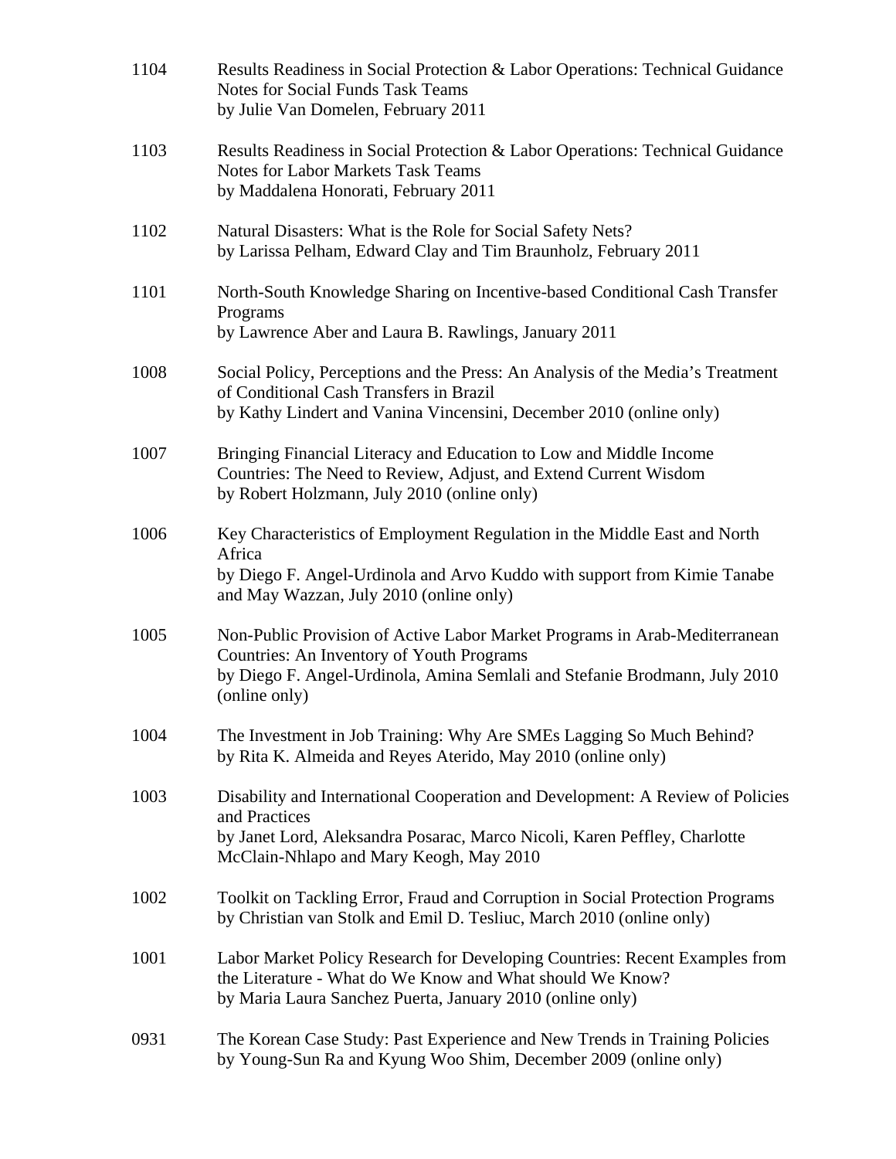| 1104 | Results Readiness in Social Protection & Labor Operations: Technical Guidance<br><b>Notes for Social Funds Task Teams</b><br>by Julie Van Domelen, February 2011                                                        |
|------|-------------------------------------------------------------------------------------------------------------------------------------------------------------------------------------------------------------------------|
| 1103 | Results Readiness in Social Protection & Labor Operations: Technical Guidance<br><b>Notes for Labor Markets Task Teams</b><br>by Maddalena Honorati, February 2011                                                      |
| 1102 | Natural Disasters: What is the Role for Social Safety Nets?<br>by Larissa Pelham, Edward Clay and Tim Braunholz, February 2011                                                                                          |
| 1101 | North-South Knowledge Sharing on Incentive-based Conditional Cash Transfer<br>Programs<br>by Lawrence Aber and Laura B. Rawlings, January 2011                                                                          |
| 1008 | Social Policy, Perceptions and the Press: An Analysis of the Media's Treatment<br>of Conditional Cash Transfers in Brazil<br>by Kathy Lindert and Vanina Vincensini, December 2010 (online only)                        |
| 1007 | Bringing Financial Literacy and Education to Low and Middle Income<br>Countries: The Need to Review, Adjust, and Extend Current Wisdom<br>by Robert Holzmann, July 2010 (online only)                                   |
| 1006 | Key Characteristics of Employment Regulation in the Middle East and North<br>Africa<br>by Diego F. Angel-Urdinola and Arvo Kuddo with support from Kimie Tanabe<br>and May Wazzan, July 2010 (online only)              |
| 1005 | Non-Public Provision of Active Labor Market Programs in Arab-Mediterranean<br>Countries: An Inventory of Youth Programs<br>by Diego F. Angel-Urdinola, Amina Semlali and Stefanie Brodmann, July 2010<br>(online only)  |
| 1004 | The Investment in Job Training: Why Are SMEs Lagging So Much Behind?<br>by Rita K. Almeida and Reyes Aterido, May 2010 (online only)                                                                                    |
| 1003 | Disability and International Cooperation and Development: A Review of Policies<br>and Practices<br>by Janet Lord, Aleksandra Posarac, Marco Nicoli, Karen Peffley, Charlotte<br>McClain-Nhlapo and Mary Keogh, May 2010 |
| 1002 | Toolkit on Tackling Error, Fraud and Corruption in Social Protection Programs<br>by Christian van Stolk and Emil D. Tesliuc, March 2010 (online only)                                                                   |
| 1001 | Labor Market Policy Research for Developing Countries: Recent Examples from<br>the Literature - What do We Know and What should We Know?<br>by Maria Laura Sanchez Puerta, January 2010 (online only)                   |
| 0931 | The Korean Case Study: Past Experience and New Trends in Training Policies<br>by Young-Sun Ra and Kyung Woo Shim, December 2009 (online only)                                                                           |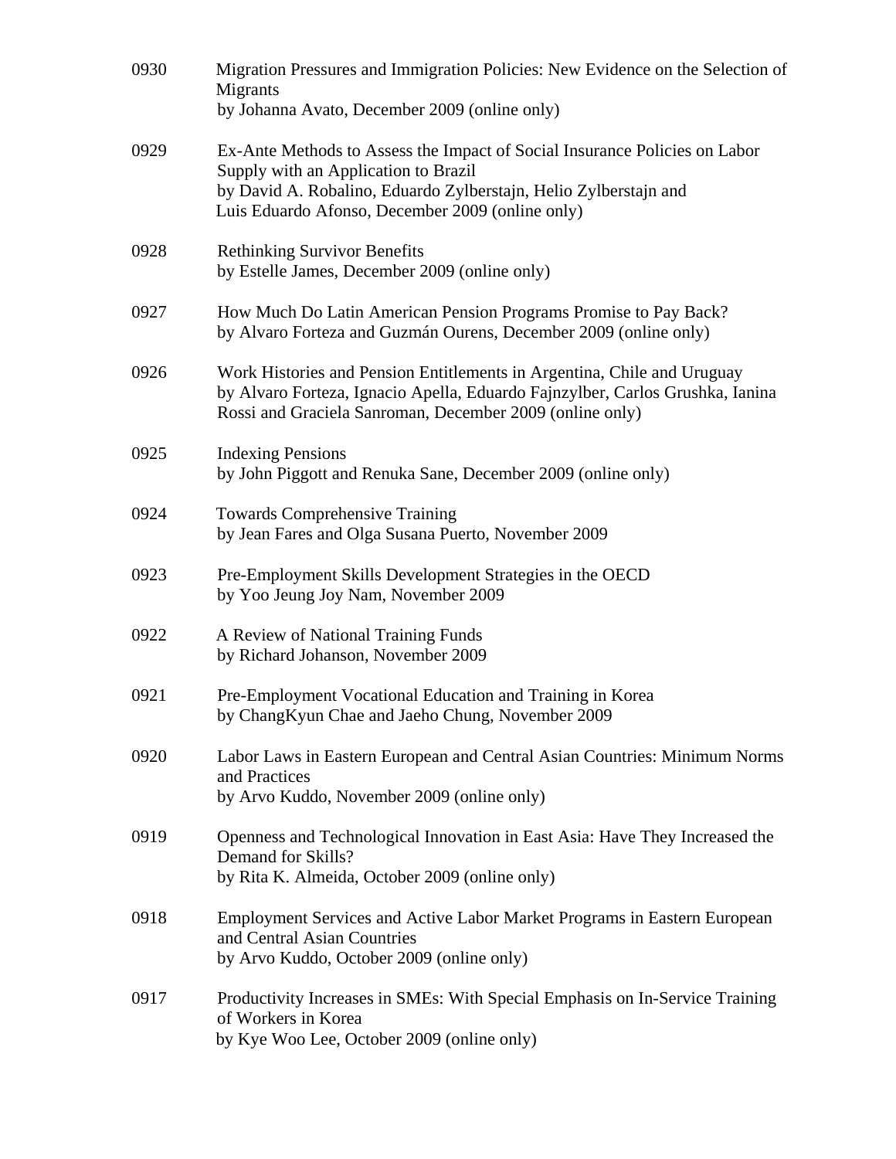| 0930 | Migration Pressures and Immigration Policies: New Evidence on the Selection of<br>Migrants<br>by Johanna Avato, December 2009 (online only)                                                                                                |
|------|--------------------------------------------------------------------------------------------------------------------------------------------------------------------------------------------------------------------------------------------|
| 0929 | Ex-Ante Methods to Assess the Impact of Social Insurance Policies on Labor<br>Supply with an Application to Brazil<br>by David A. Robalino, Eduardo Zylberstajn, Helio Zylberstajn and<br>Luis Eduardo Afonso, December 2009 (online only) |
| 0928 | <b>Rethinking Survivor Benefits</b><br>by Estelle James, December 2009 (online only)                                                                                                                                                       |
| 0927 | How Much Do Latin American Pension Programs Promise to Pay Back?<br>by Alvaro Forteza and Guzmán Ourens, December 2009 (online only)                                                                                                       |
| 0926 | Work Histories and Pension Entitlements in Argentina, Chile and Uruguay<br>by Alvaro Forteza, Ignacio Apella, Eduardo Fajnzylber, Carlos Grushka, Ianina<br>Rossi and Graciela Sanroman, December 2009 (online only)                       |
| 0925 | <b>Indexing Pensions</b><br>by John Piggott and Renuka Sane, December 2009 (online only)                                                                                                                                                   |
| 0924 | <b>Towards Comprehensive Training</b><br>by Jean Fares and Olga Susana Puerto, November 2009                                                                                                                                               |
| 0923 | Pre-Employment Skills Development Strategies in the OECD<br>by Yoo Jeung Joy Nam, November 2009                                                                                                                                            |
| 0922 | A Review of National Training Funds<br>by Richard Johanson, November 2009                                                                                                                                                                  |
| 0921 | Pre-Employment Vocational Education and Training in Korea<br>by ChangKyun Chae and Jaeho Chung, November 2009                                                                                                                              |
| 0920 | Labor Laws in Eastern European and Central Asian Countries: Minimum Norms<br>and Practices<br>by Arvo Kuddo, November 2009 (online only)                                                                                                   |
| 0919 | Openness and Technological Innovation in East Asia: Have They Increased the<br>Demand for Skills?<br>by Rita K. Almeida, October 2009 (online only)                                                                                        |
| 0918 | Employment Services and Active Labor Market Programs in Eastern European<br>and Central Asian Countries<br>by Arvo Kuddo, October 2009 (online only)                                                                                       |
| 0917 | Productivity Increases in SMEs: With Special Emphasis on In-Service Training<br>of Workers in Korea<br>by Kye Woo Lee, October 2009 (online only)                                                                                          |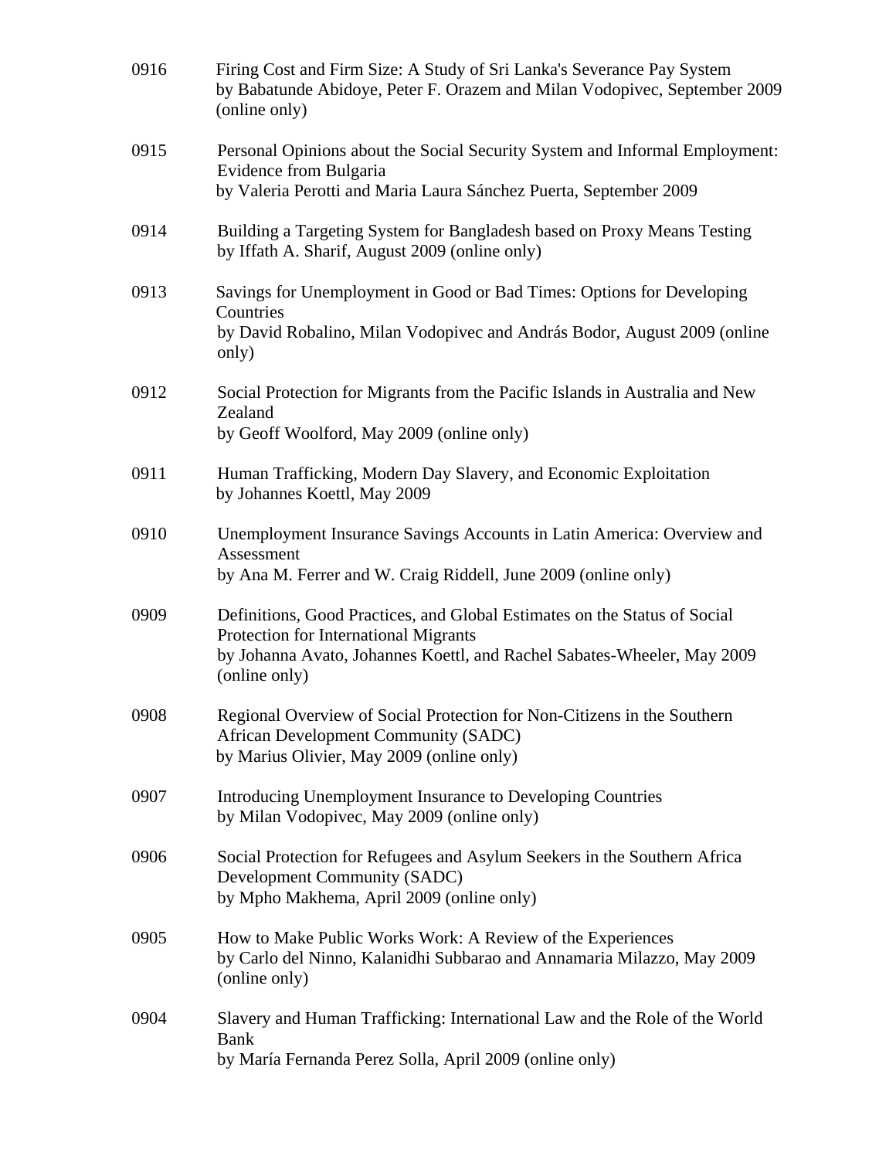| 0916 | Firing Cost and Firm Size: A Study of Sri Lanka's Severance Pay System<br>by Babatunde Abidoye, Peter F. Orazem and Milan Vodopivec, September 2009<br>(online only)                                           |
|------|----------------------------------------------------------------------------------------------------------------------------------------------------------------------------------------------------------------|
| 0915 | Personal Opinions about the Social Security System and Informal Employment:<br>Evidence from Bulgaria<br>by Valeria Perotti and Maria Laura Sánchez Puerta, September 2009                                     |
| 0914 | Building a Targeting System for Bangladesh based on Proxy Means Testing<br>by Iffath A. Sharif, August 2009 (online only)                                                                                      |
| 0913 | Savings for Unemployment in Good or Bad Times: Options for Developing<br>Countries<br>by David Robalino, Milan Vodopivec and András Bodor, August 2009 (online<br>only)                                        |
| 0912 | Social Protection for Migrants from the Pacific Islands in Australia and New<br>Zealand<br>by Geoff Woolford, May 2009 (online only)                                                                           |
| 0911 | Human Trafficking, Modern Day Slavery, and Economic Exploitation<br>by Johannes Koettl, May 2009                                                                                                               |
| 0910 | Unemployment Insurance Savings Accounts in Latin America: Overview and<br>Assessment<br>by Ana M. Ferrer and W. Craig Riddell, June 2009 (online only)                                                         |
| 0909 | Definitions, Good Practices, and Global Estimates on the Status of Social<br>Protection for International Migrants<br>by Johanna Avato, Johannes Koettl, and Rachel Sabates-Wheeler, May 2009<br>(online only) |
| 0908 | Regional Overview of Social Protection for Non-Citizens in the Southern<br>African Development Community (SADC)<br>by Marius Olivier, May 2009 (online only)                                                   |
| 0907 | Introducing Unemployment Insurance to Developing Countries<br>by Milan Vodopivec, May 2009 (online only)                                                                                                       |
| 0906 | Social Protection for Refugees and Asylum Seekers in the Southern Africa<br>Development Community (SADC)<br>by Mpho Makhema, April 2009 (online only)                                                          |
| 0905 | How to Make Public Works Work: A Review of the Experiences<br>by Carlo del Ninno, Kalanidhi Subbarao and Annamaria Milazzo, May 2009<br>(online only)                                                          |
| 0904 | Slavery and Human Trafficking: International Law and the Role of the World<br><b>Bank</b><br>by María Fernanda Perez Solla, April 2009 (online only)                                                           |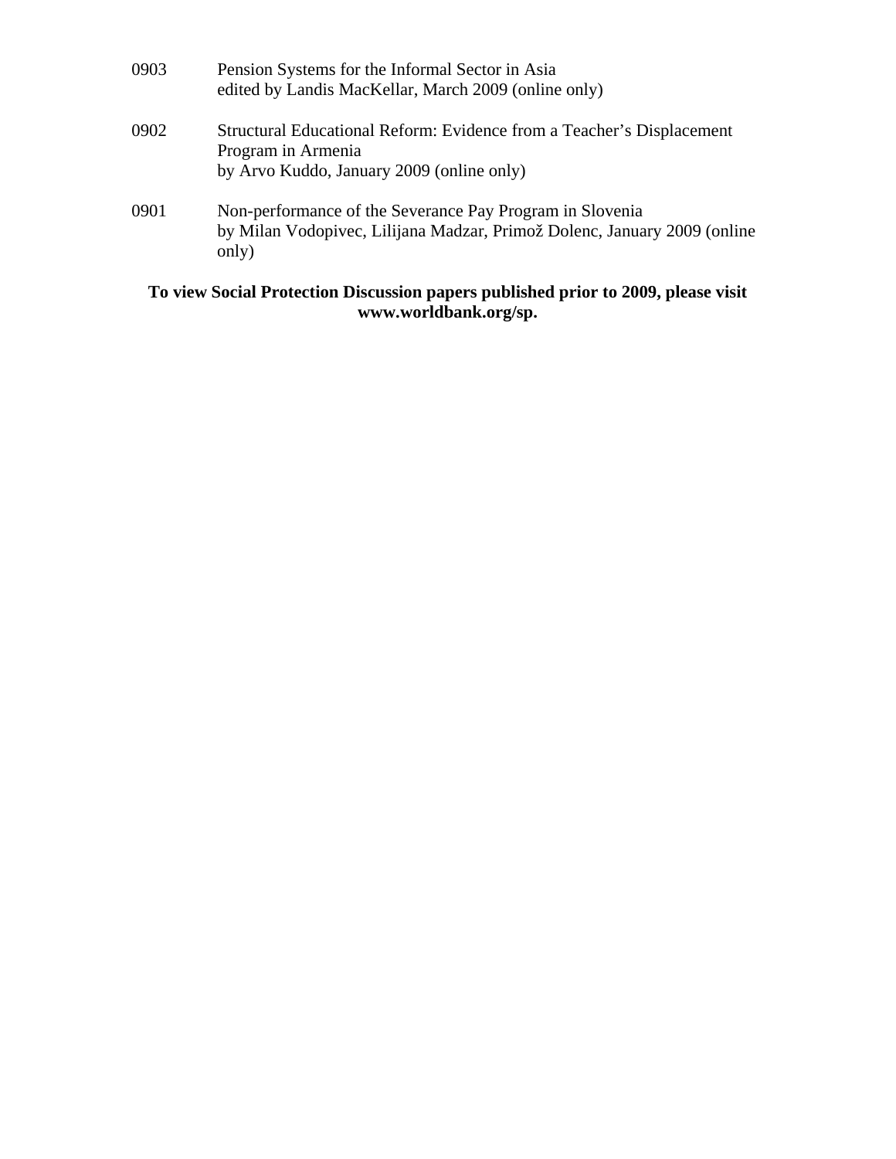| 0903 | Pension Systems for the Informal Sector in Asia<br>edited by Landis MacKellar, March 2009 (online only)                                       |
|------|-----------------------------------------------------------------------------------------------------------------------------------------------|
| 0902 | Structural Educational Reform: Evidence from a Teacher's Displacement<br>Program in Armenia<br>by Arvo Kuddo, January 2009 (online only)      |
| 0901 | Non-performance of the Severance Pay Program in Slovenia<br>by Milan Vodopivec, Lilijana Madzar, Primož Dolenc, January 2009 (online<br>only) |

# **To view Social Protection Discussion papers published prior to 2009, please visit www.worldbank.org/sp.**